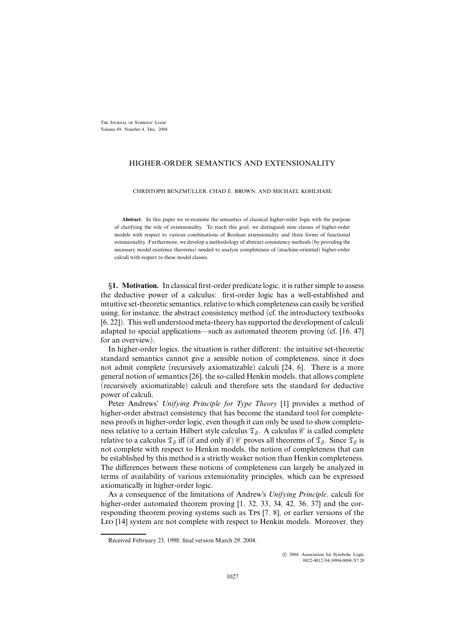The Journal of Symbolic Logic Volume 69, Number 4, Dec. 2004

# HIGHER-ORDER SEMANTICS AND EXTENSIONALITY

CHRISTOPH BENZMÜLLER, CHAD E. BROWN, AND MICHAEL KOHLHASE

**Abstract.** In this paper we re-examine the semantics of classical higher-order logic with the purpose of clarifying the role of extensionality. To reach this goal, we distinguish nine classes of higher-order models with respect to various combinations of Boolean extensionality and three forms of functional extensionality. Furthermore, we develop a methodology of abstract consistency methods (by providing the necessary model existence theorems) needed to analyze completeness of (machine-oriented) higher-order calculi with respect to these model classes.

§1. Motivation. In classical first-order predicate logic, it is rather simple to assess the deductive power of a calculus: first-order logic has a well-established and intuitive set-theoretic semantics, relative to which completeness can easily be verified using, for instance, the abstract consistency method (cf. the introductory textbooks [6, 22]). This well understood meta-theory hassupported the development of calculi adapted to special applications—such as automated theorem proving (cf. [16, 47] for an overview).

In higher-order logics, the situation is rather different: the intuitive set-theoretic standard semantics cannot give a sensible notion of completeness, since it does not admit complete (recursively axiomatizable) calculi [24, 6]. There is a more general notion of semantics [26], the so-called Henkin models, that allows complete (recursively axiomatizable) calculi and therefore sets the standard for deductive power of calculi.

Peter Andrews' *Unifying Principle for Type Theory* [1] provides a method of higher-order abstract consistency that has become the standard tool for completeness proofs in higher-order logic, even though it can only be used to show completeness relative to a certain Hilbert style calculus  $\mathfrak{T}_{\beta}$ . A calculus  $\mathcal C$  is called complete relative to a calculus  $\mathfrak{T}_{\beta}$  iff (if and only if)  $\mathcal C$  proves all theorems of  $\mathfrak{T}_{\beta}$ . Since  $\mathfrak{T}_{\beta}$  is not complete with respect to Henkin models, the notion of completeness that can be established by this method is a strictly weaker notion than Henkin completeness. The differences between these notions of completeness can largely be analyzed in terms of availability of various extensionality principles, which can be expressed axiomatically in higher-order logic.

As a consequence of the limitations of Andrew's *Unifying Principle*, calculi for higher-order automated theorem proving [1, 32, 33, 34, 42, 36, 37] and the corresponding theorem proving systems such as Tps [7, 8], or earlier versions of the Leo [14] system are not complete with respect to Henkin models. Moreover, they

 c 2004, Association for Symbolic Logic 0022-4812/04/6904-0004/\$7.20

Received February 23, 1998; final version March 29, 2004.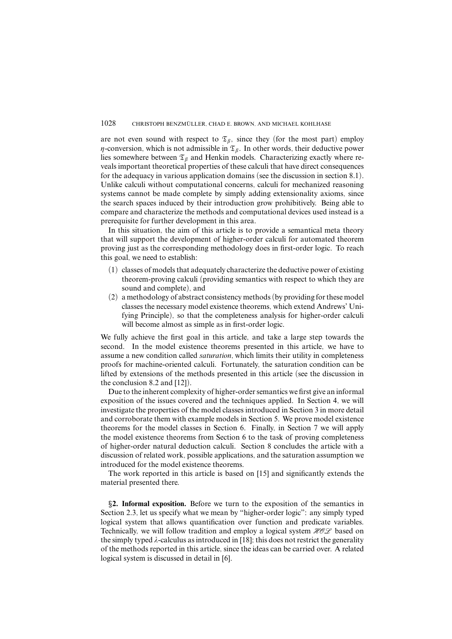are not even sound with respect to  $\mathfrak{T}_{\beta}$ , since they (for the most part) employ  $\eta$ -conversion, which is not admissible in  $\mathfrak{T}_{\beta}$ . In other words, their deductive power lies somewhere between  $\mathfrak{T}_{\beta}$  and Henkin models. Characterizing exactly where reveals important theoretical properties of these calculi that have direct consequences for the adequacy in various application domains (see the discussion in section 8.1). Unlike calculi without computational concerns, calculi for mechanized reasoning systems cannot be made complete by simply adding extensionality axioms, since the search spaces induced by their introduction grow prohibitively. Being able to compare and characterize the methods and computational devices used instead is a prerequisite for further development in this area.

In this situation, the aim of this article is to provide a semantical meta theory that will support the development of higher-order calculi for automated theorem proving just as the corresponding methodology does in first-order logic. To reach this goal, we need to establish:

- (1) classes of models that adequately characterize the deductive power of existing theorem-proving calculi (providing semantics with respect to which they are sound and complete), and
- (2) a methodology of abstract consistency methods(by providing forthese model classes the necessary model existence theorems, which extend Andrews' Unifying Principle), so that the completeness analysis for higher-order calculi will become almost as simple as in first-order logic.

We fully achieve the first goal in this article, and take a large step towards the second. In the model existence theorems presented in this article, we have to assume a new condition called *saturation*, which limits their utility in completeness proofs for machine-oriented calculi. Fortunately, the saturation condition can be lifted by extensions of the methods presented in this article (see the discussion in the conclusion 8.2 and [12]).

Due to the inherent complexity of higher-order semantics we first give an informal exposition of the issues covered and the techniques applied. In Section 4, we will investigate the properties of the model classes introduced in Section 3 in more detail and corroborate them with example models in Section 5. We prove model existence theorems for the model classes in Section 6. Finally, in Section 7 we will apply the model existence theorems from Section 6 to the task of proving completeness of higher-order natural deduction calculi. Section 8 concludes the article with a discussion of related work, possible applications, and the saturation assumption we introduced for the model existence theorems.

The work reported in this article is based on [15] and significantly extends the material presented there.

§**2. Informal exposition.** Before we turn to the exposition of the semantics in Section 2.3, let us specify what we mean by "higher-order logic": any simply typed logical system that allows quantification over function and predicate variables. Technically, we will follow tradition and employ a logical system  $HOL$  based on the simply typed  $\lambda$ -calculus as introduced in [18]; this does not restrict the generality of the methods reported in this article, since the ideas can be carried over. A related logical system is discussed in detail in [6].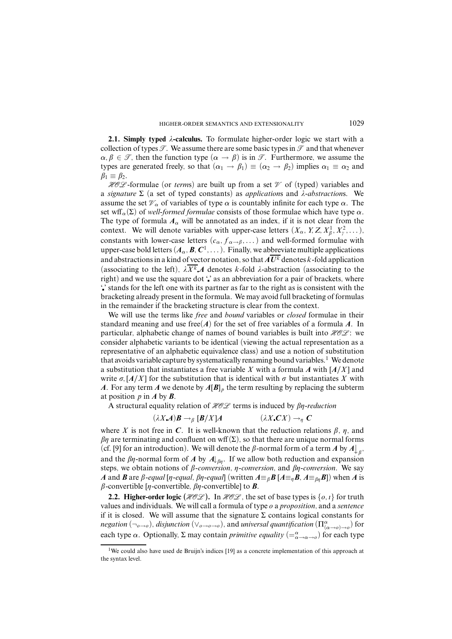**2.1.** Simply typed  $\lambda$ -calculus. To formulate higher-order logic we start with a collection of types  $\mathcal T$ . We assume there are some basic types in  $\mathcal T$  and that whenever  $\alpha, \beta \in \mathcal{T}$ , then the function type  $(\alpha \to \beta)$  is in  $\mathcal{T}$ . Furthermore, we assume the types are generated freely, so that  $(\alpha_1 \rightarrow \beta_1) \equiv (\alpha_2 \rightarrow \beta_2)$  implies  $\alpha_1 \equiv \alpha_2$  and  $\beta_1 \equiv \beta_2$ .

**HOL** -formulae (or *terms*) are built up from a set  $\mathcal V$  of (typed) variables and a *signature* Σ (a set of typed constants) as *application*s and *ë-abstraction*s. We assume the set  $\mathcal{V}_\alpha$  of variables of type  $\alpha$  is countably infinite for each type  $\alpha$ . The set wff<sub>α</sub>( $\Sigma$ ) of *well-formed formulae* consists of those formulae which have type  $\alpha$ . The type of formula  $A_\alpha$  will be annotated as an index, if it is not clear from the context. We will denote variables with upper-case letters  $(X_\alpha, Y, Z, X_\beta^1, X_\gamma^2, \dots)$ , constants with lower-case letters  $(c_{\alpha}, f_{\alpha \to \beta}, \dots)$  and well-formed formulae with upper-case bold letters  $(A_\alpha, \mathcal{B}, \mathcal{C}^1, \dots)$ . Finally, we abbreviate multiple applications and abstractions in a kind of vector notation, so that  $\overline{A U^k}$  denotes  $k$ -fold application (associating to the left),  $\lambda \overline{X^k} A$  denotes *k*-fold  $\lambda$ -abstraction (associating to the right) and we use the square dot " as an abbreviation for a pair of brackets, where ' ' stands for the left one with its partner as far to the right as is consistent with the bracketing already present in the formula. We may avoid full bracketing of formulas in the remainder if the bracketing structure is clear from the context.

We will use the terms like *free* and *bound* variables or *closed* formulae in their standard meaning and use free $(A)$  for the set of free variables of a formula A. In particular, alphabetic change of names of bound variables is built into  $HOL$ : we consider alphabetic variants to be identical (viewing the actual representation as a representative of an alphabetic equivalence class) and use a notion of substitution that avoids variable capture by systematically renaming bound variables. <sup>1</sup> We denote a substitution that instantiates a free variable *X* with a formula *A* with [*A/X*] and write  $\sigma$ ,  $[A/X]$  for the substitution that is identical with  $\sigma$  but instantiates X with *A*. For any term *A* we denote by  $A[B]_p$  the term resulting by replacing the subterm at position *p* in *A* by *B*.

A structural equality relation of  $HOL$  terms is induced by  $\beta$ *n*-reduction

$$
(\lambda X \mathbf{A}) \mathbf{B} \to_{\beta} [\mathbf{B}/X] \mathbf{A} \qquad (\lambda X \mathbf{C} X) \to_{\eta} \mathbf{C}
$$

where *X* is not free in *C*. It is well-known that the reduction relations  $\beta$ ,  $\eta$ , and  $\beta\eta$  are terminating and confluent on wff( $\Sigma$ ), so that there are unique normal forms (cf. [9] for an introduction). We will denote the  $\beta$ -normal form of a term  $A$  by  $A\downarrow_{\beta}$ , and the  $\beta\eta$ -normal form of *A* by  $A\vert_{\beta\eta}$ . If we allow both reduction and expansion steps, we obtain notions of  $\beta$ -conversion,  $\eta$ -conversion, and  $\beta\eta$ -conversion. We say *A* and *B* are *β-equal* [*n*-*equal*, *βn*-*equal*] (written  $A \equiv_B B [A \equiv_B B, A \equiv_{\beta B} B]$ ) when *A* is  $\beta$ -convertible [ $\eta$ -convertible,  $\beta\eta$ -convertible] to *B*.

**2.2. Higher-order logic** ( $HOC$ ). In  $HOC$ , the set of base types is {*o, i*} for truth values and individuals. We will call a formula of type *o* a *proposition*, and a *sentence* if it is closed. We will assume that the signature  $\Sigma$  contains logical constants for  $negation(\neg_{o\to o}),$   $disjunction(\vee_{o\to o\to o}),$  and *universal quantification*  $(\Pi^\alpha_{(\alpha\to o)\to o})$  for each type  $\alpha$ . Optionally,  $\Sigma$  may contain *primitive equality* ( $=\alpha \rightarrow \alpha \rightarrow o$ ) for each type

<sup>1</sup>We could also have used de Bruijn's indices [19] as a concrete implementation of this approach at the syntax level.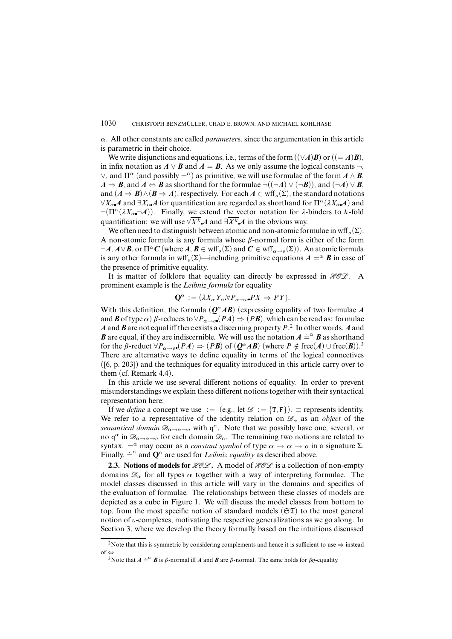*α*. All other constants are called *parameter*s, since the argumentation in this article is parametric in their choice.

We write disjunctions and equations, i.e., terms of the form  $((\vee A)B)$  or  $((= A)B)$ . in infix notation as  $A \vee B$  and  $A = B$ . As we only assume the logical constants  $\neg$ ,  $\vee$ , and Π<sup>α</sup> (and possibly =<sup>α</sup>) as primitive, we will use formulae of the form *A* ∧ *B*,  $A \Rightarrow B$ , and  $A \Leftrightarrow B$  as shorthand for the formulae  $\neg((\neg A) \vee (\neg B))$ , and  $(\neg A) \vee B$ , and  $(A \Rightarrow B) \wedge (B \Rightarrow A)$ , respectively. For each  $A \in \text{wff}_{\rho}(\Sigma)$ , the standard notations  $\forall X_\alpha$  *A* and  $\exists X_\alpha$  *A* for quantification are regarded as shorthand for  $\Pi^\alpha(\lambda X_\alpha A)$  and  $\neg(\Pi^{\alpha}(\lambda X_{\alpha}\neg A))$ . Finally, we extend the vector notation for  $\lambda$ -binders to *k*-fold quantification: we will use  $\forall X^k A$  and  $\exists X^k A$  in the obvious way.

We often need to distinguish between atomic and non-atomic formulae in wff<sub>o</sub> $(\Sigma)$ . A non-atomic formula is any formula whose *â*-normal form is either of the form  $\neg A, A \lor B$ , or  $\Pi^{\alpha} C$  (where *A*,  $B \in \text{wff}_{\alpha}(\Sigma)$  and  $C \in \text{wff}_{\alpha \to \alpha}(\Sigma)$ ). An atomic formula is any other formula in wff<sub>o</sub>( $\Sigma$ )—including primitive equations  $A = \alpha$  **B** in case of the presence of primitive equality.

It is matter of folklore that equality can directly be expressed in  $HOL$ . A prominent example is the *Leibniz formula* for equality

$$
\mathbf{Q}^{\alpha} := (\lambda X_{\alpha} Y_{\alpha} \forall P_{\alpha \to \varrho} PX \Rightarrow PY).
$$

With this definition, the formula  $(Q^{\alpha}AB)$  (expressing equality of two formulae *A* and *B* of type  $\alpha$ )  $\beta$ -reduces to  $\forall P_{\alpha \to \alpha} (PA) \Rightarrow (PB)$ , which can be read as: formulae *A* and *B* are not equal iff there exists a discerning property *P*. 2 In other words, *A* and *B* are equal, if they are indiscernible. We will use the notation  $A \stackrel{\text{def}}{=} \mathbf{B}$  as shorthand for the  $\beta$ -reduct  $\forall P_{\alpha \to 0} (PA) \Rightarrow (PB)$  of  $(Q^{\alpha}AB)$  (where  $P \notin \text{free}(A) \cup \text{free}(B)$ ).<sup>3</sup> There are alternative ways to define equality in terms of the logical connectives ([6, p. 203]) and the techniques for equality introduced in this article carry over to them (cf. Remark 4.4).

In this article we use several different notions of equality. In order to prevent misunderstandings we explain these different notions together with their syntactical representation here:

If we *define* a concept we use := (e.g., let  $\mathcal{D} := \{T, F\}$ ).  $\equiv$  represents identity. We refer to a representative of the identity relation on  $\mathscr{D}_{\alpha}$  as an *object* of the *semantical domain*  $\mathscr{D}_{\alpha \to \alpha \to 0}$  with  $q^{\alpha}$ . Note that we possibly have one, several, or no  $q^{\alpha}$  in  $\mathscr{D}_{\alpha\to\alpha\to\alpha}$  for each domain  $\mathscr{D}_{\alpha}$ . The remaining two notions are related to syntax.  $=^{\alpha}$  may occur as a *constant symbol* of type  $\alpha \rightarrow \alpha \rightarrow o$  in a signature  $\Sigma$ . Finally,  $\dot{=}^{\alpha}$  and  $\mathbf{Q}^{\alpha}$  are used for *Leibniz equality* as described above.

**2.3. Notions of models for**  $HOL$ . A model of  $HOL$  is a collection of non-empty domains  $\mathscr{D}_{\alpha}$  for all types  $\alpha$  together with a way of interpreting formulae. The model classes discussed in this article will vary in the domains and specifics of the evaluation of formulae. The relationships between these classes of models are depicted as a cube in Figure 1. We will discuss the model classes from bottom to top, from the most specific notion of standard models  $(\mathfrak{ST})$  to the most general notion of *õ*-complexes, motivating the respective generalizations as we go along. In Section 3, where we develop the theory formally based on the intuitions discussed

<sup>&</sup>lt;sup>2</sup>Note that this is symmetric by considering complements and hence it is sufficient to use  $\Rightarrow$  instead of ⇔.

<sup>&</sup>lt;sup>3</sup>Note that  $A \doteq^{\alpha} B$  is  $\beta$ -normal iff *A* and *B* are  $\beta$ -normal. The same holds for  $\beta\eta$ -equality.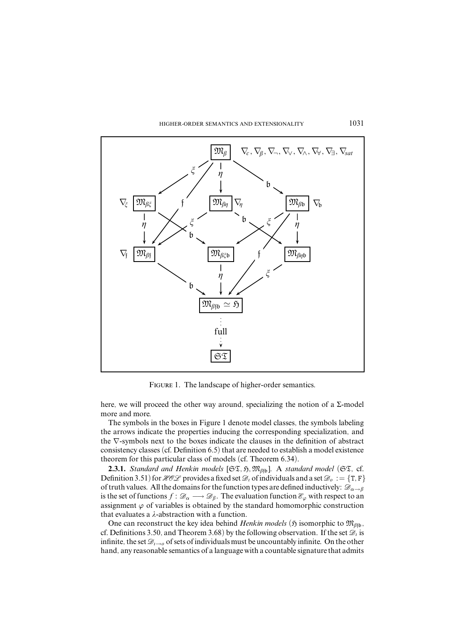

FIGURE 1. The landscape of higher-order semantics.

here, we will proceed the other way around, specializing the notion of a  $\Sigma$ -model more and more.

The symbols in the boxes in Figure 1 denote model classes, the symbols labeling the arrows indicate the properties inducing the corresponding specialization, and the ∇-symbols next to the boxes indicate the clauses in the definition of abstract consistency classes (cf. Definition 6.5) that are needed to establish a model existence theorem for this particular class of models (cf. Theorem 6.34).

**2.3.1.** *Standard and Henkin models* [ $\mathfrak{ST}, \mathfrak{M}_{\beta_{\text{fb}}}.$  A *standard model* ( $\mathfrak{ST},$  cf. Definition 3.51) for  $HOL$  provides a fixed set  $\mathcal{D}_i$  of individuals and a set  $\mathcal{D}_o := \{T, F\}$ of truth values. All the domains for the function types are defined inductively:  $\mathscr{D}_{\alpha \to \beta}$ is the set of functions  $f: \mathcal{D}_\alpha \longrightarrow \mathcal{D}_\beta$ . The evaluation function  $\mathcal{E}_\varphi$  with respect to an assignment  $\varphi$  of variables is obtained by the standard homomorphic construction that evaluates a  $\lambda$ -abstraction with a function.

One can reconstruct the key idea behind *Henkin models* ( $\mathfrak{H}$  isomorphic to  $\mathfrak{M}_{\beta\mathfrak{h}}$ , cf. Definitions 3.50, and Theorem 3.68) by the following observation. If the set  $\mathcal{D}_i$  is infinite, the set  $\mathscr{D}_{i\to o}$  of sets of individuals must be uncountably infinite. On the other hand, any reasonable semantics of a language with a countable signature that admits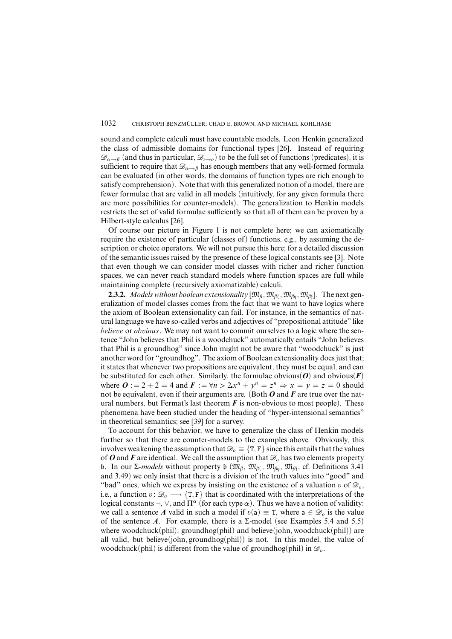sound and complete calculi must have countable models. Leon Henkin generalized the class of admissible domains for functional types [26]. Instead of requiring  $\mathscr{D}_{\alpha \to \beta}$  (and thus in particular,  $\mathscr{D}_{\alpha \to \beta}$ ) to be the full set of functions (predicates), it is sufficient to require that  $\mathscr{D}_{\alpha \to \beta}$  has enough members that any well-formed formula can be evaluated (in other words, the domains of function types are rich enough to satisfy comprehension). Note that with this generalized notion of a model, there are fewer formulae that are valid in all models (intuitively, for any given formula there are more possibilities for counter-models). The generalization to Henkin models restricts the set of valid formulae sufficiently so that all of them can be proven by a Hilbert-style calculus [26].

Of course our picture in Figure 1 is not complete here; we can axiomatically require the existence of particular (classes of) functions, e.g., by assuming the description or choice operators. We will not pursue this here; for a detailed discussion of the semantic issues raised by the presence of these logical constants see [3]. Note that even though we can consider model classes with richer and richer function spaces, we can never reach standard models where function spaces are full while maintaining complete (recursively axiomatizable) calculi.

**2.3.2.** Models without boolean extensionality  $[\mathfrak{M}_{\beta}, \mathfrak{M}_{\beta \xi}, \mathfrak{M}_{\beta \eta}, \mathfrak{M}_{\beta \xi}]$ . The next generalization of model classes comes from the fact that we want to have logics where the axiom of Boolean extensionality can fail. For instance, in the semantics of natural language we have so-called verbs and adjectives of "propositional attitude" like *believe* or *obvious*. We may not want to commit ourselves to a logic where the sentence "John believes that Phil is a woodchuck" automatically entails "John believes that Phil is a groundhog" since John might not be aware that "woodchuck" is just another word for "groundhog". The axiom of Boolean extensionality doesjust that; it states that whenever two propositions are equivalent, they must be equal, and can be substituted for each other. Similarly, the formulae obvious( $\boldsymbol{O}$ ) and obvious( $\boldsymbol{F}$ ) where  $\mathbf{O} := 2 + 2 = 4$  and  $\mathbf{F} := \forall n > 2$ ,  $x^n + y^n = z^n \Rightarrow x = y = z = 0$  should not be equivalent, even if their arguments are. (Both *O* and *F* are true over the natural numbers, but Fermat's last theorem  $\vec{F}$  is non-obvious to most people). These phenomena have been studied under the heading of "hyper-intensional semantics" in theoretical semantics; see [39] for a survey.

To account for this behavior, we have to generalize the class of Henkin models further so that there are counter-models to the examples above. Obviously, this involves weakening the assumption that  $\mathcal{D}_o \equiv \{T, F\}$  since this entails that the values of *O* and *F* are identical. We call the assumption that  $\mathcal{D}_o$  has two elements property b. In our Σ*-models* without property b ( $\mathfrak{M}_{\beta}$ ,  $\mathfrak{M}_{\beta\xi}$ ,  $\mathfrak{M}_{\beta\eta}$ ,  $\mathfrak{M}_{\beta\zeta}$ , cf. Definitions 3.41 and 3.49) we only insist that there is a division of the truth values into "good" and "bad" ones, which we express by insisting on the existence of a valuation  $v$  of  $\mathscr{D}_{\rho}$ , i.e., a function  $v: \mathcal{D}_o \longrightarrow \{T, F\}$  that is coordinated with the interpretations of the logical constants ¬,  $\vee$ , and  $\Pi^{\alpha}$  (for each type  $\alpha$ ). Thus we have a notion of validity: we call a sentence *A* valid in such a model if  $v(a) \equiv T$ , where  $a \in \mathcal{D}_o$  is the value of the sentence *A*. For example, there is a  $\Sigma$ -model (see Examples 5.4 and 5.5) where woodchuck(phil), groundhog(phil) and believe(john*,* woodchuck(phil)) are all valid, but believe(john*,* groundhog(phil)) is not. In this model, the value of woodchuck(phil) is different from the value of groundhog(phil) in  $\mathcal{D}_o$ .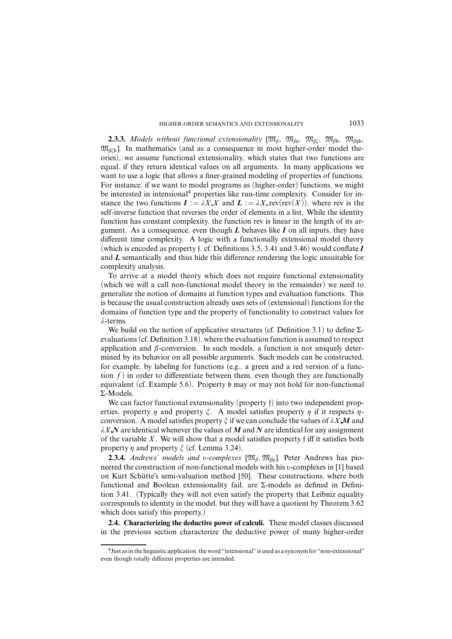**2.3.3.** *Models without functional extensionality*  $[\mathfrak{M}_{\beta}, \mathfrak{M}_{\beta n}, \mathfrak{M}_{\beta \xi}, \mathfrak{M}_{\beta \beta}, \mathfrak{M}_{\beta n \beta}$  $\mathfrak{M}_{\beta \in \mathfrak{b}}$ ]. In mathematics (and as a consequence in most higher-order model theories), we assume functional extensionality, which states that two functions are equal, if they return identical values on all arguments. In many applications we want to use a logic that allows a finer-grained modeling of properties of functions. For instance, if we want to model programs as (higher-order) functions, we might be interested in intensional<sup>4</sup> properties like run-time complexity. Consider for instance the two functions  $I := \lambda X \cdot X$  and  $L := \lambda X \cdot \text{rev}(\text{rev}(X))$ , where rev is the self-inverse function that reverses the order of elements in a list. While the identity function has constant complexity, the function rev is linear in the length of its argument. As a consequence, even though *L* behaves like *I* on all inputs, they have different time complexity. A logic with a functionally extensional model theory (which is encoded as property f, cf. Definitions 3.5, 3.41 and 3.46) would conflate *I* and *L* semantically and thus hide this difference rendering the logic unsuitable for complexity analysis.

To arrive at a model theory which does not require functional extensionality (which we will a call non-functional model theory in the remainder) we need to generalize the notion of domains at function types and evaluation functions. This is because the usual construction already uses sets of (extensional) functions for the domains of function type and the property of functionality to construct values for *ë*-terms.

We build on the notion of applicative structures (cf. Definition 3.1) to define  $\Sigma$ evaluations(cf. Definition 3.18), where the evaluation function is assumed to respect application and  $\beta$ -conversion. In such models, a function is not uniquely determined by its behavior on all possible arguments. Such models can be constructed, for example, by labeling for functions (e.g., a green and a red version of a function  $f$ ) in order to differentiate between them, even though they are functionally equivalent (cf. Example 5.6). Property b may or may not hold for non-functional Σ-Models.

We can factor functional extensionality (property f) into two independent properties, property  $\eta$  and property  $\xi$ . A model satisfies property  $\eta$  if it respects  $\eta$ conversion. A model satisfies property  $\zeta$  if we can conclude the values of  $\lambda X \mathbf{M}$  and *ëX N* are identical whenever the values of *M* and *N* are identical for any assignment of the variable *X*. We will show that a model satisfies property f iff it satisfies both property  $\eta$  and property  $\xi$  (cf. Lemma 3.24).

**2.3.4.** *Andrews' models and v-complexes*  $[\mathfrak{M}_{\beta}, \mathfrak{M}_{\beta\eta}]$ . Peter Andrews has pioneered the construction of non-functional models with his *õ*-complexes in [1] based on Kurt Schütte's semi-valuation method [50]. These constructions, where both functional and Boolean extensionality fail, are Σ-models as defined in Definition 3.41. (Typically they will not even satisfy the property that Leibniz equality corresponds to identity in the model, but they will have a quotient by Theorem 3.62 which does satisfy this property.)

**2.4. Characterizing the deductive power of calculi.** These model classes discussed in the previous section characterize the deductive power of many higher-order

<sup>&</sup>lt;sup>4</sup> Just as in the linguistic application, the word "intensional" is used as a synonym for "non-extensional" even though totally different properties are intended.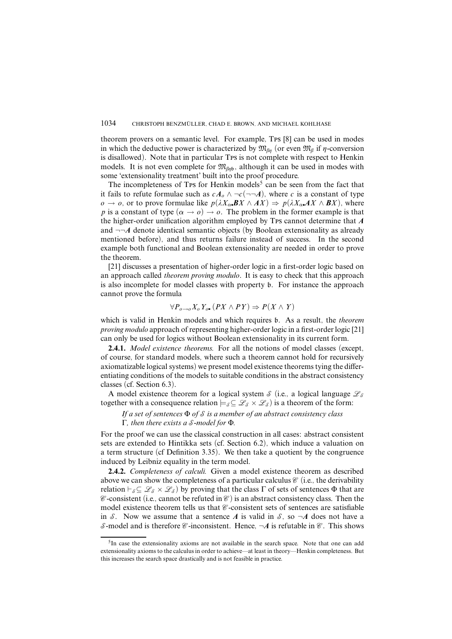theorem provers on a semantic level. For example, Tps [8] can be used in modes in which the deductive power is characterized by  $\mathfrak{M}_{\beta n}$  (or even  $\mathfrak{M}_{\beta}$  if *n*-conversion is disallowed). Note that in particular Tps is not complete with respect to Henkin models. It is not even complete for  $\mathfrak{M}_{\beta\eta\mathfrak{b}}$ , although it can be used in modes with some 'extensionality treatment' built into the proof procedure.

The incompleteness of Tps for Henkin models<sup>5</sup> can be seen from the fact that it fails to refute formulae such as  $cA_0 \wedge \neg c(\neg \neg A)$ , where *c* is a constant of type  $o \rightarrow o$ , or to prove formulae like  $p(\lambda X_{\alpha} \cdot \mathbf{B} X \wedge AX) \Rightarrow p(\lambda X_{\alpha} \cdot \mathbf{A} X \wedge BX)$ , where *p* is a constant of type  $(\alpha \rightarrow o) \rightarrow o$ . The problem in the former example is that the higher-order unification algorithm employed by Tps cannot determine that *A* and  $\neg\neg A$  denote identical semantic objects (by Boolean extensionality as already mentioned before), and thus returns failure instead of success. In the second example both functional and Boolean extensionality are needed in order to prove the theorem.

[21] discusses a presentation of higher-order logic in a first-order logic based on an approach called *theorem proving modulo*. It is easy to check that this approach is also incomplete for model classes with property b. For instance the approach cannot prove the formula

$$
\forall P_{o\rightarrow o}X_o Y_o \ (PX \land PY) \Rightarrow P(X \land Y)
$$

which is valid in Henkin models and which requires b. As a result, the *theorem proving modulo* approach of representing higher-order logic in a first-order logic [21] can only be used for logics without Boolean extensionality in its current form.

**2.4.1.** *Model existence theorems.* For all the notions of model classes (except, of course, for standard models, where such a theorem cannot hold for recursively axiomatizable logical systems) we present model existence theorems tying the differentiating conditions of the models to suitable conditions in the abstract consistency classes (cf. Section 6.3).

A model existence theorem for a logical system S (i.e., a logical language  $\mathcal{L}_{\mathcal{S}}$ together with a consequence relation  $\models_s \subseteq \mathcal{L}_s \times \mathcal{L}_s$  is a theorem of the form:

*If a set of sentences* Φ *of* S *is a member of an abstract consistency class* Γ*, then there exists a* S*-model for* Φ*.*

For the proof we can use the classical construction in all cases: abstract consistent sets are extended to Hintikka sets (cf. Section 6.2), which induce a valuation on a term structure (cf Definition 3.35). We then take a quotient by the congruence induced by Leibniz equality in the term model.

**2.4.2.** *Completeness of calculi.* Given a model existence theorem as described above we can show the completeness of a particular calculus  $\mathcal C$  (i.e., the derivability relation  $\vdash_{\mathcal{S}} \subseteq \mathcal{L}_{\mathcal{S}} \times \mathcal{L}_{\mathcal{S}}$  ) by proving that the class  $\Gamma$  of sets of sentences  $\Phi$  that are  $\mathscr C$ -consistent (i.e., cannot be refuted in  $\mathscr C$ ) is an abstract consistency class. Then the model existence theorem tells us that  $\mathcal C$ -consistent sets of sentences are satisfiable in S. Now we assume that a sentence A is valid in S, so  $\neg A$  does not have a S-model and is therefore  $\mathcal C$ -inconsistent. Hence,  $\neg A$  is refutable in  $\mathcal C$ . This shows

 ${}^{5}$ In case the extensionality axioms are not available in the search space. Note that one can add extensionality axioms to the calculus in order to achieve—at least in theory—Henkin completeness. But this increases the search space drastically and is not feasible in practice.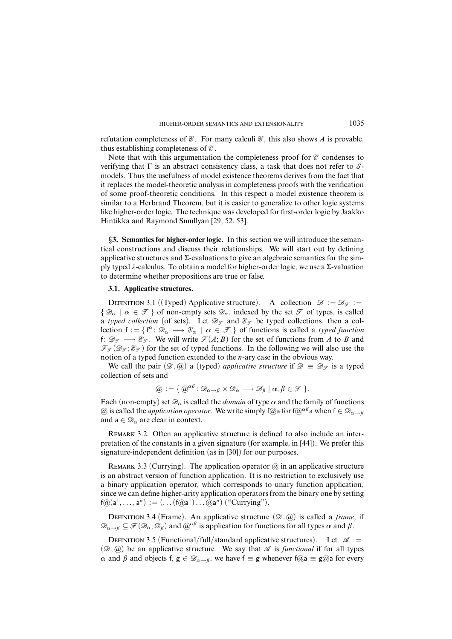refutation completeness of  $\mathcal C$ . For many calculi  $\mathcal C$ , this also shows A is provable, thus establishing completeness of  $\mathcal C$ .

Note that with this argumentation the completeness proof for  $\mathcal C$  condenses to verifying that  $\Gamma$  is an abstract consistency class, a task that does not refer to  $\mathcal{S}$ models. Thus the usefulness of model existence theorems derives from the fact that it replaces the model-theoretic analysis in completeness proofs with the verification of some proof-theoretic conditions. In this respect a model existence theorem is similar to a Herbrand Theorem, but it is easier to generalize to other logic systems like higher-order logic. The technique was developed for first-order logic by Jaakko Hintikka and Raymond Smullyan [29, 52, 53].

§**3. Semantics for higher-order logic.** In this section we will introduce the semantical constructions and discuss their relationships. We will start out by defining applicative structures and  $\Sigma$ -evaluations to give an algebraic semantics for the simply typed *ë*-calculus. To obtain a model for higher-order logic, we use a Σ-valuation to determine whether propositions are true or false.

### **3.1. Applicative structures.**

DEFINITION 3.1 ((Typed) Applicative structure). A collection  $\mathscr{D} := \mathscr{D}_{\mathscr{T}} :=$  $\{\mathscr{D}_\alpha \mid \alpha \in \mathscr{T}\}\$  of non-empty sets  $\mathscr{D}_\alpha$ , indexed by the set  $\mathscr{T}$  of types, is called a *typed* collection (of sets). Let  $\mathcal{D}_{\mathcal{T}}$  and  $\mathcal{E}_{\mathcal{T}}$  be typed collections, then a collection  $f := \{f^{\alpha}: \mathcal{D}_{\alpha} \longrightarrow \mathcal{E}_{\alpha} \mid \alpha \in \mathcal{F} \}$  of functions is called a *typed function* f:  $\mathcal{D}_{\mathcal{F}} \longrightarrow \mathcal{E}_{\mathcal{F}}$ . We will write  $\mathcal{F}(A;B)$  for the set of functions from *A* to *B* and  $\mathcal{F}_{\mathcal{F}}(\mathcal{D}_{\mathcal{F}};\mathcal{E}_{\mathcal{F}})$  for the set of typed functions. In the following we will also use the notion of a typed function extended to the *n*-ary case in the obvious way.

We call the pair  $(\mathscr{D}, \mathscr{Q})$  a (typed) *applicative structure* if  $\mathscr{D} \equiv \mathscr{D}_{\mathscr{T}}$  is a typed collection of sets and

$$
\textcircled{a} := \{ \textcircled{a}^{\alpha\beta} \colon \mathscr{D}_{\alpha \to \beta} \times \mathscr{D}_{\alpha} \longrightarrow \mathscr{D}_{\beta} \mid \alpha, \beta \in \mathscr{T} \}.
$$

Each (non-empty) set  $\mathcal{D}_{\alpha}$  is called the *domain* of type  $\alpha$  and the family of functions  $\alpha$  is called the *application operator*. We write simply f $\alpha$ <sub>a</sub> for f $\alpha^{\alpha\beta}$  a when f ∈  $\mathscr{D}_{\alpha\to\beta}$ and  $a \in \mathcal{D}_{\alpha}$  are clear in context.

REMARK 3.2. Often an applicative structure is defined to also include an interpretation of the constants in a given signature (for example, in [44]). We prefer this signature-independent definition (as in [30]) for our purposes.

REMARK 3.3 (Currying). The application operator  $\omega$  in an applicative structure is an abstract version of function application. It is no restriction to exclusively use a binary application operator, which corresponds to unary function application, since we can define higher-arity application operators from the binary one by setting  $f@(a^{1}, \ldots, a^{n}) := (\ldots (f@a^{1}) \ldots @a^{n})$  ("Currying").

DEFINITION 3.4 (Frame). An applicative structure  $(\mathscr{D}, \widehat{\omega})$  is called a *frame*, if  $\mathscr{D}_{\alpha \to \beta} \subseteq \mathscr{F}(\mathscr{D}_{\alpha}; \mathscr{D}_{\beta})$  and  $\mathscr{D}^{\alpha\beta}$  is application for functions for all types  $\alpha$  and  $\beta$ .

DEFINITION 3.5 (Functional/full/standard applicative structures). Let  $\mathscr{A}$  :=  $(\mathscr{D}, \mathscr{Q})$  be an applicative structure. We say that  $\mathscr A$  is *functional* if for all types *α* and *β* and objects f,  $g \text{ ∈ } \mathcal{D}_{\alpha \to \beta}$ , we have  $f \equiv g$  whenever  $f \textcircled{a} \equiv g \textcircled{a}$  for every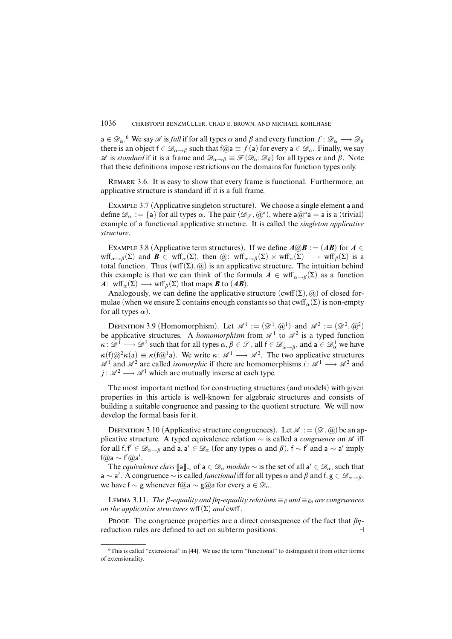$a \in \mathscr{D}_\alpha$ .<sup>6</sup> We say  $\mathscr A$  is *full* if for all types  $\alpha$  and  $\beta$  and every function  $f: \mathscr D_\alpha \longrightarrow \mathscr D_\beta$ there is an object  $f \in \mathcal{D}_{\alpha \to \beta}$  such that  $f(\alpha) = f(a)$  for every  $a \in \mathcal{D}_{\alpha}$ . Finally, we say  $\mathscr A$  is *standard* if it is a frame and  $\mathscr D_{\alpha\to\beta}\equiv \mathscr F(\mathscr D_\alpha;\mathscr D_\beta)$  for all types  $\alpha$  and  $\beta$ . Note that these definitions impose restrictions on the domains for function types only.

Remark 3.6. It is easy to show that every frame is functional. Furthermore, an applicative structure is standard iff it is a full frame.

Example 3.7 (Applicative singleton structure). We choose a single element a and define  $\mathscr{D}_{\alpha} := \{a\}$  for all types  $\alpha$ . The pair  $(\mathscr{D}_{\mathscr{F}}, \mathscr{Q}^a)$ , where  $a\mathscr{Q}^a a = a$  is a (trivial) example of a functional applicative structure. It is called the *singleton applicative structure*.

EXAMPLE 3.8 (Applicative term structures). If we define  $A@B := (AB)$  for  $A \in$ wff<sub> $\alpha \to \beta$ </sub> (Σ) and  $\mathbf{B} \in \text{wff}_{\alpha}(\Sigma)$ , then  $(\widehat{\alpha}) : \text{wff}_{\alpha \to \beta}(\Sigma) \times \text{wff}_{\alpha}(\Sigma) \longrightarrow \text{wff}_{\beta}(\Sigma)$  is a total function. Thus  $(wff(\Sigma), \omega)$  is an applicative structure. The intuition behind this example is that we can think of the formula  $A \in \text{wff}_{\alpha \to \beta}(\Sigma)$  as a function *A*: wff<sub>*a*</sub>( $\Sigma$ ) → wff<sub>*β*</sub>( $\Sigma$ ) that maps *B* to (*AB*).

Analogously, we can define the applicative structure  $(cwff(\Sigma), \omega)$  of closed formulae (when we ensure  $\Sigma$  contains enough constants so that cwff<sub>*α*</sub>( $\Sigma$ ) is non-empty for all types  $\alpha$ ).

DEFINITION 3.9 (Homomorphism). Let  $\mathscr{A}^1 := (\mathscr{D}^1, \mathscr{A}^1)$  and  $\mathscr{A}^2 := (\mathscr{D}^2, \mathscr{A}^2)$ be applicative structures. A *homomorphism* from  $\mathscr{A}^1$  to  $\mathscr{A}^2$  is a typed function *κ* :  $\mathscr{D}^1 \longrightarrow \mathscr{D}^2$  such that for all types  $\alpha, \beta \in \mathscr{T}$ , all  $f \in \mathscr{D}^1_{\alpha \to \beta}$ , and  $a \in \mathscr{D}^1_\alpha$  we have  $\kappa(f) \omega^2 \kappa(a) \equiv \kappa(f \omega^1 a)$ . We write  $\kappa: \mathcal{A}^1 \longrightarrow \mathcal{A}^2$ . The two applicative structures  $\mathscr{A}^1$  and  $\mathscr{A}^2$  are called *isomorphic* if there are homomorphisms  $i : \mathscr{A}^1 \longrightarrow \mathscr{A}^2$  and *j* :  $\mathcal{A}^2 \longrightarrow \mathcal{A}^1$  which are mutually inverse at each type.

The most important method for constructing structures (and models) with given properties in this article is well-known for algebraic structures and consists of building a suitable congruence and passing to the quotient structure. We will now develop the formal basis for it.

DEFINITION 3.10 (Applicative structure congruences). Let  $\mathscr{A} := (\mathscr{D}, \mathscr{A})$  be an applicative structure. A typed equivalence relation ~ is called a *congruence* on  $\mathscr A$  iff for all  $f, f' \in \mathscr{D}_{\alpha \to \beta}$  and  $a, a' \in \mathscr{D}_{\alpha}$  (for any types  $\alpha$  and  $\beta$ ),  $f \sim f'$  and  $a \sim a'$  imply  $f@a \sim f'@a'.$ 

The *equivalence class*  $[\![a]\!]_{\sim}$  of  $a \in \mathscr{D}_{\alpha}$  *modulo*  $\sim$  is the set of all  $a' \in \mathscr{D}_{\alpha}$ , such that  $a \sim a'$ . A congruence  $\sim$  is called *functional* iff for all types  $\alpha$  and  $\beta$  and  $f, g \in \mathcal{D}_{\alpha \to \beta}$ , we have f  $\sim$  g whenever f@a  $\sim$  g@a for every a ∈  $\mathscr{D}_{\alpha}$ .

Lemma 3.11. The *β*-equality and *βη*-equality relations  $\equiv$ <sub>*β</sub>* and  $\equiv$ <sub>*βn*</sub> are congruences</sub> on the applicative structures wff $(\Sigma)$  and cwff.

PROOF. The congruence properties are a direct consequence of the fact that  $\beta\eta$ reduction rules are defined to act on subterm positions.

<sup>6</sup>This is called "extensional" in [44]. We use the term "functional" to distinguish it from other forms of extensionality.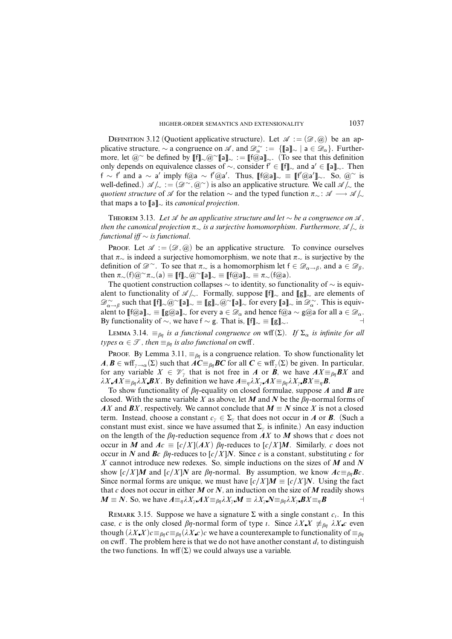DEFINITION 3.12 (Quotient applicative structure). Let  $\mathscr{A} := (\mathscr{D}, \mathscr{A})$  be an applicative structure,  $\sim$  a congruence on  $\mathscr{A}$ , and  $\mathscr{D}^{\sim}_{\alpha} := \{\llbracket a \rrbracket_{\sim} \mid a \in \mathscr{D}_{\alpha}\}.$  Furthermore, let  $@^{\sim}$  be defined by  $[[f]_{\sim} @^{\sim}[[a]]_{\sim} := [[f@a]]_{\sim}$ . (To see that this definition only depends on equivalence classes of  $\sim$ , consider  $f' \in [[f]]_{\sim}$  and a' ∈ [[a]]<sub>∼</sub>. Then f ∼ f' and a ∼ a' imply f@a ~ f'@a'. Thus, [[f@a]]~  $\equiv$  [[f'@a']]~. So, @~ is well-defined.)  $\mathscr{A}/_{\sim} := (\mathscr{D}^{\sim}, \mathscr{Q}^{\sim})$  is also an applicative structure. We call  $\mathscr{A}/_{\sim}$  the *quotient structure* of  $\mathscr A$  for the relation  $\sim$  and the typed function  $\pi_{\sim}$ :  $\mathscr A \longrightarrow \mathscr A/\sim$ that maps a to [[a]]<sup>∼</sup> its *canonical projection*.

THEOREM 3.13. Let  $\mathcal A$  be an applicative structure and let  $\sim$  be a congruence on  $\mathcal A$ , then the canonical projection *ð*<sup>∼</sup> is a surjective homomorphism. Furthermore, A */*<sup>∼</sup> is functional iff  $\sim$  is functional.

Proof. Let  $\mathscr{A} := (\mathscr{D}, \mathscr{Q})$  be an applicative structure. To convince ourselves that *ð*<sup>∼</sup> is indeed a surjective homomorphism, we note that *ð*<sup>∼</sup> is surjective by the definition of  $\mathscr{D}^{\sim}$ . To see that  $\pi_{\sim}$  is a homomorphism let  $f \in \mathscr{D}_{\alpha \to \beta}$ , and a ∈  $\mathscr{D}_{\beta}$ , then  $\pi_>(f)@^\sim \pi_>(a) \equiv [[f]_\sim @^\sim[[a]]_\sim \equiv [[f@a]]_\sim \equiv \pi_>(f@a)$ .

The quotient construction collapses  $\sim$  to identity, so functionality of  $\sim$  is equivalent to functionality of  $\mathscr{A}/\!\!\sim$ . Formally, suppose [f]<sub>∼</sub> and [[g]<sub>∼</sub> are elements of  $\mathscr{D}^\sim_{\alpha \to \beta}$  such that  $[\![f]\!]_\sim \varnothing^\sim [\![a]\!]_\sim \equiv [\![g]\!]_\sim \varnothing^\sim [\![a]\!]_\sim$  for every  $[\![a]\!]_\sim$  in  $\mathscr{D}^\sim_\alpha$ . This is equivalent to  $[[f@a]]_{\sim} \equiv [[g@a]]_{\sim}$  for every a  $\in \mathscr{D}_{\alpha}$  and hence  $f@a \sim g@a$  for all a  $\in \mathscr{D}_{\alpha}$ . By functionality of  $\sim$ , we have f  $\sim$  g. That is,  $||f||_{\sim} \equiv ||g||_{\sim}$ .

LEMMA 3.14.  $\equiv_{\beta\eta}$  is a functional congruence on wff(Σ). If  $\Sigma_{\alpha}$  is infinite for all types  $\alpha \in \mathcal{T}$ , then  $\equiv_{\beta n}$  is also functional on cwff.

PROOF. By Lemma 3.11,  $\equiv_{\beta\eta}$  is a congruence relation. To show functionality let  $A, B \in \text{wff}_{\gamma \to \alpha}(\Sigma)$  such that  $AC \equiv_{\beta\eta} BC$  for all  $C \in \text{wff}_{\gamma}(\Sigma)$  be given. In particular, for any variable  $X \in \mathcal{V}$ <sub>*i*</sub> that is not free in *A* or *B*, we have  $AX \equiv_{\beta\eta} BX$  and  $\lambda X \cdot AX \equiv_{\beta\eta} \lambda X \cdot BX$ . By definition we have  $A \equiv_{\eta} \lambda X_{\gamma} \cdot AX \equiv_{\beta\eta} \lambda X_{\gamma} \cdot BX \equiv_{\eta} B$ .

To show functionality of  $\beta$ *n*-equality on closed formulae, suppose *A* and *B* are closed. With the same variable *X* as above, let *M* and *N* be the  $\beta\eta$ -normal forms of *AX* and *BX*, respectively. We cannot conclude that  $M \equiv N$  since *X* is not a closed term. Instead, choose a constant  $c<sub>\gamma</sub> \in \Sigma_{\gamma}$  that does not occur in *A* or *B*. (Such a constant must exist, since we have assumed that  $\Sigma_{\gamma}$  is infinite.) An easy induction on the length of the  $\beta$ *n*-reduction sequence from *AX* to *M* shows that *c* does not occur in *M* and  $Ac \equiv [c/X](AX)$   $\beta n$ -reduces to  $[c/X]M$ . Similarly, *c* does not occur in *N* and *Bc*  $\beta$ *n*-reduces to  $\left[\frac{c}{X}\right]$ *N*. Since *c* is a constant, substituting *c* for *X* cannot introduce new redexes. So, simple inductions on the sizes of *M* and *N* show  $[c/X]$ *M* and  $[c/X]$ *N* are  $\beta$ *n*-normal. By assumption, we know  $Ac \equiv_{\beta n}$ *Bc*. Since normal forms are unique, we must have  $[c/X]M \equiv [c/X]N$ . Using the fact that  $c$  does not occur in either  $M$  or  $N$ , an induction on the size of  $M$  readily shows  $M \equiv N$ . So, we have  $A \equiv_{n} \lambda X_{\gamma} A X \equiv_{\beta n} \lambda X_{\gamma} M \equiv \lambda X_{\gamma} N \equiv_{\beta n} \lambda X_{\gamma} B X \equiv_{n} B$ 

REMARK 3.15. Suppose we have a signature  $\Sigma$  with a single constant  $c_i$ . In this case, *c* is the only closed  $\beta\eta$ -normal form of type *i*. Since  $\lambda X X \not\equiv_{\beta\eta} \lambda X c$  even though  $(\lambda X \cdot X) c \equiv_{\beta\eta} c \equiv_{\beta\eta} (\lambda X \cdot c) c$  we have a counterexample to functionality of  $\equiv_{\beta\eta} c$ on cwff. The problem here is that we do not have another constant  $d_i$  to distinguish the two functions. In wff $(\Sigma)$  we could always use a variable.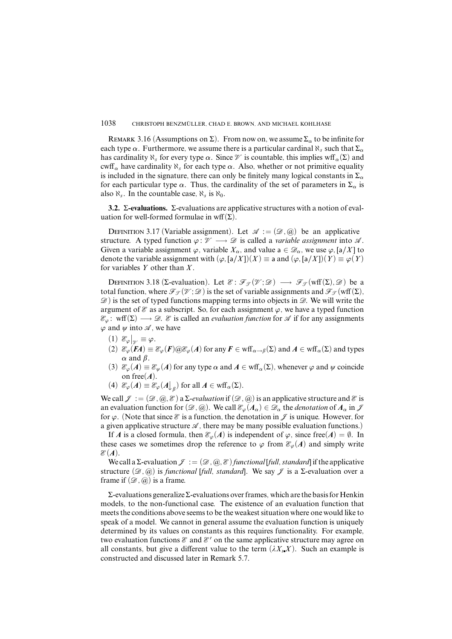REMARK 3.16 (Assumptions on  $\Sigma$ ). From now on, we assume  $\Sigma_{\alpha}$  to be infinite for each type  $\alpha$ . Furthermore, we assume there is a particular cardinal  $\aleph_s$  such that  $\Sigma_\alpha$ has cardinality  $\aleph_s$  for every type  $\alpha$ . Since  $\mathcal V$  is countable, this implies wff<sub> $\alpha(\Sigma)$ </sub> and cwff<sub> $\alpha$ </sub> have cardinality  $\aleph_s$  for each type  $\alpha$ . Also, whether or not primitive equality is included in the signature, there can only be finitely many logical constants in  $\Sigma_{\alpha}$ for each particular type  $\alpha$ . Thus, the cardinality of the set of parameters in  $\Sigma_{\alpha}$  is also  $\aleph_s$ . In the countable case,  $\aleph_s$  is  $\aleph_0$ .

**3.2.** Σ**-evaluations.** Σ-evaluations are applicative structures with a notion of evaluation for well-formed formulae in wff $(\Sigma)$ .

DEFINITION 3.17 (Variable assignment). Let  $\mathscr{A} := (\mathscr{D}, \mathscr{A})$  be an applicative structure. A typed function  $\varphi : \mathcal{V} \longrightarrow \mathcal{D}$  is called a *variable assignment* into  $\mathcal{A}$ . Given a variable assignment  $\varphi$ , variable  $X_\alpha$ , and value  $a \in \mathscr{D}_\alpha$ , we use  $\varphi$ ,  $[a/X]$  to denote the variable assignment with  $(\varphi, [\mathsf{a}/X])(X) \equiv \mathsf{a}$  and  $(\varphi, [\mathsf{a}/X])(Y) \equiv \varphi(Y)$ for variables *Y* other than *X*.

DEFINITION 3.18 (Σ-evaluation). Let  $\mathscr{E}: \mathscr{F}_{\mathscr{F}}(\mathscr{V}; \mathscr{D}) \longrightarrow \mathscr{F}_{\mathscr{F}}(\text{wff}(\Sigma), \mathscr{D})$  be a total function, where  $\mathcal{F}_{\mathcal{T}}(\mathcal{V}; \mathcal{D})$  is the set of variable assignments and  $\mathcal{F}_{\mathcal{T}}(wff(\Sigma),$  $\mathcal{D}$ ) is the set of typed functions mapping terms into objects in  $\mathcal{D}$ . We will write the argument of  $\mathscr E$  as a subscript. So, for each assignment  $\varphi$ , we have a typed function  $\mathcal{E}_{\varphi}$ : wff( $\Sigma$ )  $\longrightarrow$   $\mathcal{D}$ .  $\mathcal{E}$  is called an *evaluation function* for  $\mathcal{A}$  if for any assignments  $\varphi$  and  $\psi$  into  $\mathcal{A}$ , we have

- $(1) \mathcal{E}_{\varphi}|_{\gamma} \equiv \varphi.$
- (1)  $\mathcal{C}_{\varphi}|_{\mathcal{V}} = \varphi$ .<br>(2)  $\mathcal{C}_{\varphi}(FA) \equiv \mathcal{C}_{\varphi}(F) \text{ or } \mathcal{C}_{\varphi}(A)$  for any  $F \in \text{wff}_{\alpha \to \beta}(\Sigma)$  and  $A \in \text{wff}_{\alpha}(\Sigma)$  and types *α* and *â*.
- (3)  $\mathcal{E}_{\varphi}(A) \equiv \mathcal{E}_{\psi}(A)$  for any type  $\alpha$  and  $A \in \text{wff}_{\alpha}(\Sigma)$ , whenever  $\varphi$  and  $\psi$  coincide on free $(A)$ .
- (4)  $\mathcal{E}_{\varphi}(A) \equiv \mathcal{E}_{\varphi}(A \bigcup_{\beta})$  for all  $A \in \text{wff}_{\alpha}(\Sigma)$ .

We call  $\mathcal{J} := (\mathcal{D}, \mathcal{Q}, \mathcal{E})$  a  $\Sigma$ -evaluation if  $(\mathcal{D}, \mathcal{Q})$  is an applicative structure and  $\mathcal{E}$  is an evaluation function for  $(\mathcal{D}, \mathcal{Q})$ . We call  $\mathcal{E}_{\varphi}(A_{\alpha}) \in \mathcal{D}_{\alpha}$  the *denotation* of  $A_{\alpha}$  in  $\mathcal{J}$ for  $\varphi$ . (Note that since  $\mathscr E$  is a function, the denotation in  $\mathscr F$  is unique. However, for a given applicative structure  $\mathcal{A}$ , there may be many possible evaluation functions.)

If *A* is a closed formula, then  $\mathcal{E}_{\varphi}(A)$  is independent of  $\varphi$ , since free(*A*) =  $\emptyset$ . In these cases we sometimes drop the reference to  $\varphi$  from  $\mathcal{E}_{\varphi}(A)$  and simply write  $\mathscr{E}(A)$ .

We call a  $\Sigma$ -evaluation  $\mathcal{J} := (\mathcal{D}, \mathcal{Q}, \mathcal{E})$  *functional* [*full, standard*] if the applicative structure  $(\mathcal{D}, \mathcal{Q})$  is *functional* [*full, standard*]. We say  $\mathcal{J}$  is a  $\Sigma$ -evaluation over a frame if  $(\mathscr{D}, \mathscr{Q})$  is a frame.

Σ-evaluations generalizeΣ-evaluations overframes, which are the basisfor Henkin models, to the non-functional case. The existence of an evaluation function that meets the conditions above seems to be the weakest situation where one would like to speak of a model. We cannot in general assume the evaluation function is uniquely determined by its values on constants as this requires functionality. For example, two evaluation functions  $\mathcal E$  and  $\mathcal E'$  on the same applicative structure may agree on all constants, but give a different value to the term  $(\lambda X, X)$ . Such an example is constructed and discussed later in Remark 5.7.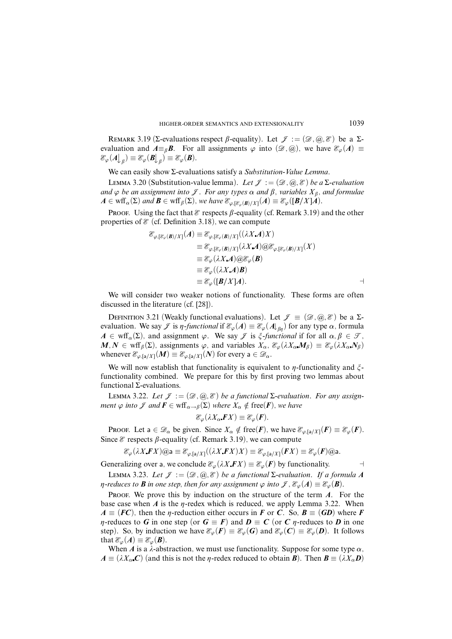REMARK 3.19 (Σ-evaluations respect  $\beta$ -equality). Let  $\mathcal{J} := (\mathcal{D}, \mathcal{Q}, \mathcal{E})$  be a Σevaluation and  $A \equiv_{\beta} B$ . For all assignments  $\varphi$  into  $(\mathscr{D}, \mathscr{Q})$ , we have  $\mathscr{E}_{\varphi}(A) \equiv$  $\mathscr{E}_{\varphi}(A\bigdownarrow_{\beta}) \equiv \mathscr{E}_{\varphi}(B\bigdownarrow_{\beta}) \equiv \mathscr{E}_{\varphi}(B).$ 

We can easily show Σ-evaluations satisfy a *Substitution-Value Lemma*.

LEMMA 3.20 (Substitution-value lemma). Let  $\mathcal{J} := (\mathcal{D}, \mathcal{Q}, \mathcal{E})$  be a  $\Sigma$ -evaluation and  $\varphi$  be an assignment into  $\mathcal{J}$ . For any types  $\alpha$  and  $\beta$ , variables  $X_{\beta}$ , and formulae  $A \in \text{wff}_{\alpha}(\Sigma)$  and  $\mathbf{B} \in \text{wff}_{\beta}(\Sigma)$ , we have  $\mathcal{E}_{\varphi, [\mathcal{E}_{\varphi}(\mathbf{B})/X]}(A) \equiv \mathcal{E}_{\varphi}([\mathbf{B}/X]A)$ .

**PROOF.** Using the fact that  $\mathscr E$  respects  $\beta$ -equality (cf. Remark 3.19) and the other properties of  $\mathcal E$  (cf. Definition 3.18), we can compute

$$
\mathcal{E}_{\varphi,[\mathcal{E}_{\varphi}(\boldsymbol{B})/X]}(A) \equiv \mathcal{E}_{\varphi,[\mathcal{E}_{\varphi}(\boldsymbol{B})/X]}((\lambda X.\boldsymbol{A})X)
$$
  
\n
$$
\equiv \mathcal{E}_{\varphi,[\mathcal{E}_{\varphi}(\boldsymbol{B})/X]}(\lambda X.\boldsymbol{A}) \text{ or } \mathcal{E}_{\varphi,[\mathcal{E}_{\varphi}(\boldsymbol{B})/X]}(X)
$$
  
\n
$$
\equiv \mathcal{E}_{\varphi}(\lambda X.\boldsymbol{A}) \text{ or } \mathcal{E}_{\varphi}(\boldsymbol{B})
$$
  
\n
$$
\equiv \mathcal{E}_{\varphi}((\lambda X.\boldsymbol{A})\boldsymbol{B})
$$
  
\n
$$
\equiv \mathcal{E}_{\varphi}([\boldsymbol{B}/X]\boldsymbol{A}).
$$

We will consider two weaker notions of functionality. These forms are often discussed in the literature (cf. [28]).

DEFINITION 3.21 (Weakly functional evaluations). Let  $\mathscr{J} \equiv (\mathscr{D}, \mathscr{Q}, \mathscr{E})$  be a  $\Sigma$ evaluation. We say  $\mathcal{J}$  is *η-functional* if  $\mathcal{E}_{\varphi}(A) \equiv \mathcal{E}_{\varphi}(A|_{\beta n})$  for any type  $\alpha$ , formula  $A \in \text{wff}_{\alpha}(\Sigma)$ , and assignment  $\varphi$ . We say  $\mathscr{J}$  is  $\xi$ -functional if for all  $\alpha, \beta \in \mathscr{T}$ ,  $M, N \in \text{wff}_{\beta}(\Sigma)$ , assignments  $\varphi$ , and variables  $X_{\alpha}, \mathcal{E}_{\varphi}(\lambda X_{\alpha}M_{\beta}) \equiv \mathcal{E}_{\varphi}(\lambda X_{\alpha}N_{\beta})$ whenever  $\mathcal{E}_{\varphi,[a/X]}(M) \equiv \mathcal{E}_{\varphi,[a/X]}(N)$  for every  $a \in \mathcal{D}_{\alpha}$ .

We will now establish that functionality is equivalent to  $\eta$ -functionality and  $\zeta$ functionality combined. We prepare for this by first proving two lemmas about functional Σ-evaluations.

LEMMA 3.22. Let  $\mathcal{I} := (\mathcal{D}, \mathcal{Q}, \mathcal{Z})$  be a functional  $\Sigma$ -evaluation. For any assign*ment*  $\varphi$  *into*  $\mathcal{F}$  *and*  $\mathbf{F} \in \text{wff}_{\alpha \to \beta}(\Sigma)$  *where*  $X_{\alpha} \notin \text{free}(\mathbf{F})$ *, we have* 

$$
\mathscr{E}_{\varphi}(\lambda X_{\alpha}\mathbf{F}X)\equiv\mathscr{E}_{\varphi}(\mathbf{F}).
$$

Proof. Let a  $\in \mathcal{D}_{\alpha}$  be given. Since  $X_{\alpha} \notin \text{free}(F)$ , we have  $\mathcal{E}_{\varphi, [\alpha]}(F) \equiv \mathcal{E}_{\varphi}(F)$ . Since  $\mathscr E$  respects  $\beta$ -equality (cf. Remark 3.19), we can compute

E*ϕ*(*ëX FX*)@a ≡ E*ϕ,*[a*/X*]((*ëX FX*)*X*) ≡ E*ϕ,*[a*/X*](*FX*) ≡ E*ϕ*(*F*)@a*.*

Generalizing over a, we conclude  $\mathcal{E}_{\varphi}(\lambda X \cdot \boldsymbol{F} X) \equiv \mathcal{E}_{\varphi}(\boldsymbol{F})$  by functionality.

LEMMA 3.23. Let  $\mathcal{J} := (\mathcal{D}, \mathcal{Q}, \mathcal{E})$  be a functional  $\Sigma$ -evaluation. If a formula A *n*-reduces to *B* in one step, then for any assignment  $\varphi$  into  $\mathcal{J}, \mathcal{E}_{\varphi}(A) \equiv \mathcal{E}_{\varphi}(B)$ .

PROOF. We prove this by induction on the structure of the term *A*. For the base case when  $\vec{A}$  is the  $\eta$ -redex which is reduced, we apply Lemma 3.22. When  $A \equiv (FC)$ , then the *y*-reduction either occurs in *F* or *C*. So,  $B \equiv (GD)$  where *F n*-reduces to *G* in one step (or  $G \equiv F$ ) and  $D \equiv C$  (or *C n*-reduces to *D* in one step). So, by induction we have  $\mathcal{E}_{\varphi}(F) \equiv \mathcal{E}_{\varphi}(G)$  and  $\mathcal{E}_{\varphi}(C) \equiv \mathcal{E}_{\varphi}(D)$ . It follows that  $\mathcal{E}_{\varphi}(A) \equiv \mathcal{E}_{\varphi}(B)$ .

When *A* is a  $\lambda$ -abstraction, we must use functionality. Suppose for some type  $\alpha$ ,  $A \equiv (\lambda X_{\alpha} C)$  (and this is not the *η*-redex reduced to obtain *B*). Then  $B \equiv (\lambda X_{\alpha} D)$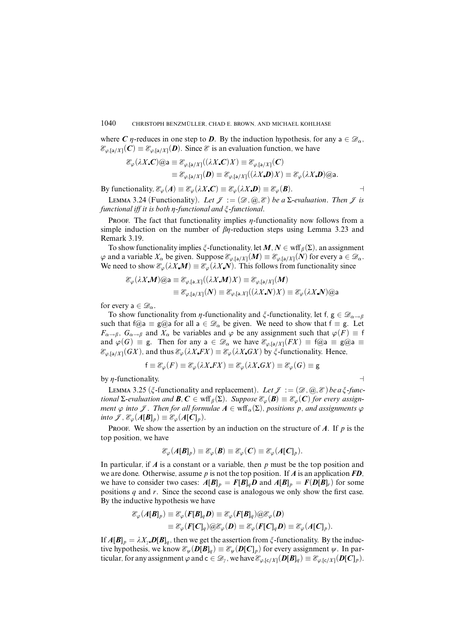where *C n*-reduces in one step to *D*. By the induction hypothesis, for any  $a \in \mathcal{D}_\alpha$ ,  $\mathcal{E}_{\varphi, [\mathsf{a}/X]}(C) \equiv \mathcal{E}_{\varphi, [\mathsf{a}/X]}(D)$ . Since  $\mathcal E$  is an evaluation function, we have

$$
\mathcal{E}_{\varphi}(\lambda X \cdot \mathbf{C}) \mathbb{Q} \mathsf{a} \equiv \mathcal{E}_{\varphi, [\mathsf{a}/X]}((\lambda X \cdot \mathbf{C}) X) \equiv \mathcal{E}_{\varphi, [\mathsf{a}/X]}(\mathbf{C})
$$
  

$$
\equiv \mathcal{E}_{\varphi, [\mathsf{a}/X]}(\mathbf{D}) \equiv \mathcal{E}_{\varphi, [\mathsf{a}/X]}((\lambda X \cdot \mathbf{D}) X) \equiv \mathcal{E}_{\varphi}(\lambda X \cdot \mathbf{D}) \mathbb{Q} \mathsf{a}.
$$

By functionality,  $\mathcal{E}_{\varphi}(A) \equiv \mathcal{E}_{\varphi}(\lambda X \mathbf{C}) \equiv \mathcal{E}_{\varphi}(\lambda X \mathbf{D}) \equiv \mathcal{E}_{\varphi}(\mathbf{B}).$ 

LEMMA 3.24 (Functionality). Let  $\mathcal{J} := (\mathcal{D}, \mathcal{Q}, \mathcal{E})$  be a  $\Sigma$ -evaluation. Then  $\mathcal{J}$  is functional iff it is both *ç*-functional and *î*-functional.

PROOF. The fact that functionality implies  $\eta$ -functionality now follows from a simple induction on the number of  $\beta$ *n*-reduction steps using Lemma 3.23 and Remark 3.19.

To show functionality implies  $\zeta$ -functionality, let  $M, N \in \text{wff}_{\beta}(\Sigma)$ , an assignment  $\varphi$  and a variable  $X_\alpha$  be given. Suppose  $\mathcal{E}_{\varphi,\lbrack a/X]}(M) \equiv \mathcal{E}_{\varphi,\lbrack a/X]}(N)$  for every  $a \in \mathcal{D}_\alpha$ . We need to show  $\mathcal{E}_{\varphi}(\lambda X \cdot M) \equiv \mathcal{E}_{\varphi}(\lambda X \cdot N)$ . This follows from functionality since

$$
\mathcal{E}_{\varphi}(\lambda X \mathbf{M}) \otimes \mathbf{a} \equiv \mathcal{E}_{\varphi, [\mathbf{a}, X]}((\lambda X \mathbf{M}) X) \equiv \mathcal{E}_{\varphi, [\mathbf{a}/X]}(\mathbf{M})
$$
  

$$
\equiv \mathcal{E}_{\varphi, [\mathbf{a}/X]}(\mathbf{N}) \equiv \mathcal{E}_{\varphi, [\mathbf{a}, X]}((\lambda X \mathbf{N}) X) \equiv \mathcal{E}_{\varphi}(\lambda X \mathbf{N}) \otimes \mathbf{a}
$$

for every  $a \in \mathcal{D}_\alpha$ .

To show functionality from *η*-functionality and  $\zeta$ -functionality, let f,  $g \in \mathscr{D}_{\alpha \to \beta}$ such that f@a  $\equiv$  g@a for all a  $\in \mathcal{D}_{\alpha}$  be given. We need to show that  $f \equiv g$ . Let *F*<sub>α→β</sub>, *G*<sub>α→β</sub> and *X*<sub>α</sub> be variables and  $\varphi$  be any assignment such that  $\varphi$ (*F*)  $\equiv$  f and  $\varphi(G) \equiv$  g. Then for any a  $\in \mathcal{D}_{\alpha}$  we have  $\mathcal{E}_{\varphi,[a/X]}(FX) \equiv f(\omega)a \equiv g(\omega a)$  $\mathcal{E}_{\varphi, [\mathsf{a}/X]}(GX)$ , and thus  $\mathcal{E}_{\varphi}(\lambda X F X) \equiv \mathcal{E}_{\varphi}(\lambda X G X)$  by  $\zeta$ -functionality. Hence,

$$
f \equiv \mathcal{E}_{\varphi}(F) \equiv \mathcal{E}_{\varphi}(\lambda X F X) \equiv \mathcal{E}_{\varphi}(\lambda X G X) \equiv \mathcal{E}_{\varphi}(G) \equiv g
$$

by  $\eta$ -functionality.

LEMMA 3.25 ( $\zeta$ -functionality and replacement). Let  $\mathcal{J} := (\mathcal{D}, \mathcal{Q}, \mathcal{E})$  be a  $\zeta$ -func*tional* Σ-evaluation and **B***,* **C** ∈ wff<sub>β</sub>(Σ). Suppose  $\mathcal{E}_{\varphi}$ (**B**)  $\equiv \mathcal{E}_{\varphi}$ (**C**) for every assign*ment*  $\varphi$  *into*  $\mathcal{J}$ *. Then for all formulae*  $A \in \text{wff}_{\alpha}(\Sigma)$ *, positions p, and assignments*  $\varphi$  $\text{int } \mathcal{F}, \mathcal{E}_{\varphi}(A[\mathbf{B}]_p) \equiv \mathcal{E}_{\varphi}(A[\mathbf{C}]_p).$ 

PROOF. We show the assertion by an induction on the structure of  $A$ . If  $p$  is the top position, we have

$$
\mathcal{E}_{\varphi}(A[\mathbf{B}]_p) \equiv \mathcal{E}_{\varphi}(\mathbf{B}) \equiv \mathcal{E}_{\varphi}(\mathbf{C}) \equiv \mathcal{E}_{\varphi}(A[\mathbf{C}]_p).
$$

In particular, if *A* is a constant or a variable, then *p* must be the top position and we are done. Otherwise, assume *p* is not the top position. If *A* is an application *FD*, we have to consider two cases:  $A[B]_p = F[B]_qD$  and  $A[B]_p = F(D[B]_r)$  for some positions *q* and *r*. Since the second case is analogous we only show the first case. By the inductive hypothesis we have

$$
\mathcal{E}_{\varphi}(A[\mathbf{B}]_p) \equiv \mathcal{E}_{\varphi}(F[\mathbf{B}]_q \mathbf{D}) \equiv \mathcal{E}_{\varphi}(F[\mathbf{B}]_q) \text{ or } \mathcal{E}_{\varphi}(\mathbf{D})
$$
  
\n
$$
\equiv \mathcal{E}_{\varphi}(F[\mathbf{C}]_q) \text{ or } \mathcal{E}_{\varphi}(\mathbf{D}) \equiv \mathcal{E}_{\varphi}(F[\mathbf{C}]_q \mathbf{D}) \equiv \mathcal{E}_{\varphi}(A[\mathbf{C}]_p).
$$

If  $A[\mathbf{B}]_p = \lambda X_p \mathbf{D}[\mathbf{B}]_q$ , then we get the assertion from  $\zeta$ -functionality. By the inductive hypothesis, we know  $\mathcal{E}_{\psi}(D[B]_q) \equiv \mathcal{E}_{\psi}(D[C]_p)$  for every assignment  $\psi$ . In particular, for any assignment  $\varphi$  and  $c \in \mathcal{D}_\gamma$ , we have  $\mathcal{E}_{\varphi,[c/X]}(D[B]_q) \equiv \mathcal{E}_{\varphi,[c/X]}(D[C]_p)$ .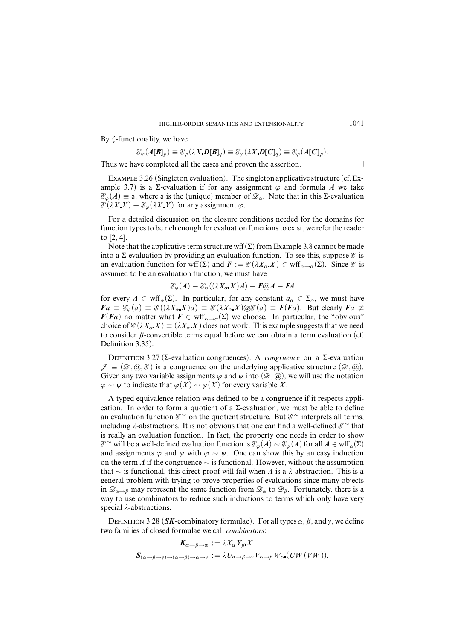By  $\zeta$ -functionality, we have

$$
\mathcal{E}_{\varphi}(A[\boldsymbol{B}]_p) \equiv \mathcal{E}_{\varphi}(\lambda X \cdot \boldsymbol{D}[\boldsymbol{B}]_q) \equiv \mathcal{E}_{\varphi}(\lambda X \cdot \boldsymbol{D}[\boldsymbol{C}]_q) \equiv \mathcal{E}_{\varphi}(A[\boldsymbol{C}]_p).
$$

Thus we have completed all the cases and proven the assertion.

Example 3.26 (Singleton evaluation). The singleton applicative structure (cf.Example 3.7) is a  $\Sigma$ -evaluation if for any assignment  $\varphi$  and formula A we take  $\mathcal{E}_{\varphi}(A) \equiv$  a, where a is the (unique) member of  $\mathcal{D}_{\alpha}$ . Note that in this Σ-evaluation  $\mathcal{E}(\lambda X X) \equiv \mathcal{E}_{\varphi}(\lambda X Y)$  for any assignment  $\varphi$ .

For a detailed discussion on the closure conditions needed for the domains for function types to be rich enough for evaluation functions to exist, we refer the reader to [2, 4].

Note that the applicative term structure wff $(\Sigma)$  from Example 3.8 cannot be made into a Σ-evaluation by providing an evaluation function. To see this, suppose  $\mathscr E$  is an evaluation function for wff(Σ) and  $\mathbf{F} := \mathcal{E}(\lambda X_{\alpha} X) \in \text{wff}_{\alpha \to \alpha}(\Sigma)$ . Since  $\mathcal E$  is assumed to be an evaluation function, we must have

$$
\mathcal{E}_{\varphi}(A) \equiv \mathcal{E}_{\varphi}((\lambda X_{\alpha} X)A) \equiv F \textcircled{a} A \equiv FA
$$

for every  $A \in \text{wff}_\alpha(\Sigma)$ . In particular, for any constant  $a_\alpha \in \Sigma_\alpha$ , we must have  $Fa \equiv \mathcal{E}_{\varphi}(a) \equiv \mathcal{E}((\lambda X_{\alpha}X)a) \equiv \mathcal{E}(\lambda X_{\alpha}X) \otimes \mathcal{E}(a) \equiv F(Fa)$ . But clearly  $Fa \neq$  $F(Fa)$  no matter what  $F \in \text{wff}_{\alpha \to \alpha}(\Sigma)$  we choose. In particular, the "obvious" choice of  $\mathcal{E}(\lambda X_{\alpha} X) \equiv (\lambda X_{\alpha} X)$  does not work. This example suggests that we need to consider  $\beta$ -convertible terms equal before we can obtain a term evaluation (cf. Definition 3.35).

Definition 3.27 (Σ-evaluation congruences). A *congruence* on a Σ-evaluation  $\mathscr{J} \equiv (\mathscr{D}, \mathscr{Q}, \mathscr{E})$  is a congruence on the underlying applicative structure  $(\mathscr{D}, \mathscr{Q})$ . Given any two variable assignments  $\varphi$  and  $\psi$  into  $(\mathscr{D}, \widehat{\omega})$ , we will use the notation  $\varphi$  ∼  $\psi$  to indicate that  $\varphi$ (*X*) ∼  $\psi$ (*X*) for every variable *X*.

A typed equivalence relation was defined to be a congruence if it respects application. In order to form a quotient of a  $\Sigma$ -evaluation, we must be able to define an evaluation function  $\mathcal{E}^{\sim}$  on the quotient structure. But  $\mathcal{E}^{\sim}$  interprets all terms, including  $\lambda$ -abstractions. It is not obvious that one can find a well-defined  $\mathcal{E}^{\sim}$  that is really an evaluation function. In fact, the property one needs in order to show E <sup>∼</sup> will be a well-defined evaluation function is E*ϕ*(*A*) ∼ E*ø*(*A*) for all *A* ∈ wff*α*(Σ) and assignments  $\varphi$  and  $\psi$  with  $\varphi \sim \psi$ . One can show this by an easy induction on the term *A* if the congruence ∼ is functional. However, without the assumption that ∼ is functional, this direct proof will fail when *A* is a *ë*-abstraction. This is a general problem with trying to prove properties of evaluations since many objects in  $\mathscr{D}_{\alpha\to\beta}$  may represent the same function from  $\mathscr{D}_{\alpha}$  to  $\mathscr{D}_{\beta}$ . Fortunately, there is a way to use combinators to reduce such inductions to terms which only have very special *λ*-abstractions.

DEFINITION 3.28 (*SK*-combinatory formulae). For all types  $\alpha$ ,  $\beta$ , and  $\gamma$ , we define two families of closed formulae we call *combinators*:

$$
K_{\alpha \to \beta \to \alpha} := \lambda X_{\alpha} Y_{\beta} X
$$
  

$$
S_{(\alpha \to \beta \to \gamma) \to (\alpha \to \beta) \to \alpha \to \gamma} := \lambda U_{\alpha \to \beta \to \gamma} V_{\alpha \to \beta} W_{\alpha} (UW(VW)).
$$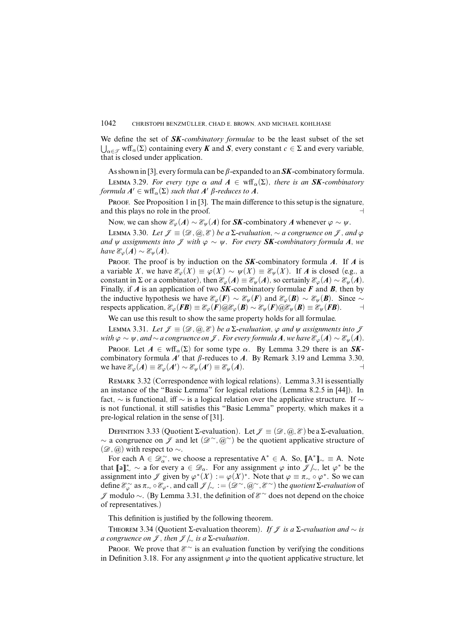We define the set of *SK-combinatory formulae* to be the least subset of the set  $\bigcup_{\alpha \in \mathcal{F}} \text{wff}_{\alpha}(\Sigma)$  containing every *K* and *S*, every constant  $c \in \Sigma$  and every variable, that is closed under application.

As shown in [3], every formula can be  $\beta$ -expanded to an **SK**-combinatory formula. LEMMA 3.29. For every type  $\alpha$  and  $A \in \text{wff}_{\alpha}(\Sigma)$ , there is an **SK**-combinatory formula  $A' \in \text{wff}_\alpha(\Sigma)$  such that  $A'$   $\beta$ -reduces to  $A.$ 

PROOF. See Proposition 1 in [3]. The main difference to this setup is the signature, and this plays no role in the proof.  $\Box$ 

Now, we can show  $\mathcal{E}_{\varphi}(A) \sim \mathcal{E}_{\psi}(A)$  for **SK**-combinatory A whenever  $\varphi \sim \psi$ .

LEMMA 3.30. Let  $\mathcal{J} \equiv (\mathcal{D}, \mathcal{Q}, \mathcal{E})$  be a Σ-evaluation,  $\sim$  a congruence on  $\mathcal{J}$ , and  $\varphi$ and  $\psi$  assignments into  $\mathcal{J}$  with  $\varphi \sim \psi$ . For every **SK**-combinatory formula A, we  $have \mathcal{E}_{\varphi}(A) \sim \mathcal{E}_{\psi}(A).$ 

PROOF. The proof is by induction on the **SK**-combinatory formula *A*. If *A* is a variable *X*, we have  $\mathcal{E}_{\varphi}(X) \equiv \varphi(X) \sim \psi(X) \equiv \mathcal{E}_{\psi}(X)$ . If *A* is closed (e.g., a constant in  $\Sigma$  or a combinator), then  $\mathcal{E}_{\varphi}(A) \equiv \mathcal{E}_{\psi}(A)$ , so certainly  $\mathcal{E}_{\varphi}(A) \sim \mathcal{E}_{\psi}(A)$ . Finally, if *A* is an application of two *SK*-combinatory formulae *F* and *B*, then by the inductive hypothesis we have  $\mathcal{E}_{\varphi}(F) \sim \mathcal{E}_{\psi}(F)$  and  $\mathcal{E}_{\varphi}(B) \sim \mathcal{E}_{\psi}(B)$ . Since  $\sim$ respects application,  $\mathcal{E}_{\varphi}(F) \equiv \mathcal{E}_{\varphi}(F) \omega \mathcal{E}_{\varphi}(B) \sim \mathcal{E}_{\psi}(F) \omega \mathcal{E}_{\psi}(B) \equiv \mathcal{E}_{\psi}(FB)$ . ⊣

We can use this result to show the same property holds for all formulae.

LEMMA 3.31. Let  $\mathcal{J} \equiv (\mathcal{D}, \mathcal{Q}, \mathcal{E})$  be a  $\Sigma$ -evaluation,  $\varphi$  and  $\psi$  assignments into  $\mathcal{J}$ *with*  $\varphi \sim \psi$ , and ∼ a congruence on *J*. For every formula *A*, we have  $\mathcal{E}_{\varphi}(A) \sim \mathcal{E}_{\psi}(A)$ .

Proof. Let  $A \in \text{wff}_\alpha(\Sigma)$  for some type  $\alpha$ . By Lemma 3.29 there is an **SK**combinatory formula  $A'$  that  $\beta$ -reduces to  $A$ . By Remark 3.19 and Lemma 3.30,  $\text{we have } \mathcal{E}_{\varphi}(A) \equiv \mathcal{E}_{\varphi}(A') \sim \mathcal{E}_{\psi}(A') \equiv \mathcal{E}_{\psi}(A).$  →

Remark 3.32 (Correspondence with logical relations). Lemma 3.31 is essentially an instance of the "Basic Lemma" for logical relations (Lemma 8.2.5 in [44]). In fact,  $\sim$  is functional, iff  $\sim$  is a logical relation over the applicative structure. If  $\sim$ is not functional, it still satisfies this "Basic Lemma" property, which makes it a pre-logical relation in the sense of [31].

DEFINITION 3.33 (Quotient Σ-evaluation). Let  $\mathcal{J} \equiv (\mathcal{D}, \mathcal{Q}, \mathcal{E})$  be a Σ-evaluation, ∼ a congruence on *J* and let  $(\mathscr{D}^\sim, @^\sim)$  be the quotient applicative structure of  $(\mathscr{D}, \mathscr{Q})$  with respect to  $\sim$ .

For each  $A \in \mathcal{D}_{\alpha}^{\sim}$ , we choose a representative  $A^* \in A$ . So,  $[A^*]_{\sim} \equiv A$ . Note that  $[\![a]\!]_{\sim}^* \sim a$  for every  $a \in \mathcal{D}_{\alpha}$ . For any assignment  $\varphi$  into  $\mathcal{J}/_{\sim}$ , let  $\varphi^*$  be the assignment into  $\mathscr F$  given by  $\varphi^*(X) := \varphi(X)^*$ . Note that  $\varphi \equiv \pi \sim \circ \varphi^*$ . So we can  $\text{define } \mathcal{E}_{\varphi}^{\sim} \text{ as } \pi_{\sim} \circ \mathcal{E}_{\varphi^*}, \text{ and call } \mathcal{J}_{\sim} := (\mathcal{D}^{\sim}, \mathcal{Q}^{\sim}, \mathcal{E}^{\sim}) \text{ the quotient } Σ-evaluation of$ J modulo ∼. (By Lemma 3.31, the definition of E <sup>∼</sup> does not depend on the choice of representatives.)

This definition is justified by the following theorem.

THEOREM 3.34 (Quotient Σ-evaluation theorem). If  $\mathcal J$  is a ∑-evaluation and  $\sim$  is a congruence on *J*, then  $\mathcal{J} \setminus \mathcal{J}$  is a  $\Sigma$ -evaluation.

PROOF. We prove that  $\mathcal{E}^{\sim}$  is an evaluation function by verifying the conditions in Definition 3.18. For any assignment  $\varphi$  into the quotient applicative structure, let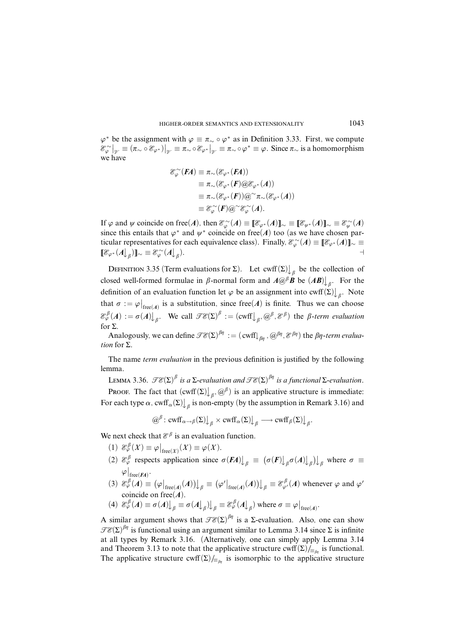$\varphi^*$  be the assignment with  $\varphi \equiv \pi_{\sim} \circ \varphi^*$  as in Definition 3.33. First, we compute  $\mathscr{E}_{\varphi}^{\sim}|_{\mathscr{V}} \equiv (\pi_{\sim} \circ \mathscr{E}_{\varphi^*})|_{\mathscr{V}} \equiv \pi_{\sim} \circ \mathscr{E}_{\varphi^*}|_{\mathscr{V}} \equiv \pi_{\sim} \circ \varphi^* \equiv \varphi$ . Since  $\pi_{\sim}$  is a homomorphism we have

$$
\begin{aligned} \mathcal{E}_{\varphi}^{\sim}(FA) &\equiv \pi_{\sim}(\mathcal{E}_{\varphi^*}(FA)) \\ &\equiv \pi_{\sim}(\mathcal{E}_{\varphi^*}(F)\textcircled{D}\mathcal{E}_{\varphi^*}(A)) \\ &\equiv \pi_{\sim}(\mathcal{E}_{\varphi^*}(F))\textcircled{D}^{\sim}\pi_{\sim}(\mathcal{E}_{\varphi^*}(A)) \\ &\equiv \mathcal{E}_{\varphi}^{\sim}(F)\textcircled{D}^{\sim}\mathcal{E}_{\varphi}^{\sim}(A). \end{aligned}
$$

If  $\varphi$  and  $\psi$  coincide on free(*A*), then  $\mathcal{E}_{\varphi}^{\sim}(A) \equiv [\![\mathcal{E}_{\varphi^*}(A)]\!]_{\sim} \equiv [\![\mathcal{E}_{\psi^*}(A)]\!]_{\sim} \equiv \mathcal{E}_{\psi}^{\sim}(A)$ since this entails that  $\varphi^*$  and  $\psi^*$  coincide on free(*A*) too (as we have chosen particular representatives for each equivalence class). Finally,  $\mathcal{E}_{\varphi}^{\sim}(A) \equiv [\![\mathcal{E}_{\varphi^*}(A)]\!]_{\sim} \equiv$  $[\![\mathcal{E}_{\varphi^*}(A]\!]_\beta)]\!]_{\sim} \equiv \mathcal{E}_{\varphi}^{\sim}(A\!]_\beta$ ).  $\qquad \qquad \rightarrow$ 

DEFINITION 3.35 (Term evaluations for  $\Sigma$ ). Let cwff $(\Sigma)$  *a* be the collection of closed well-formed formulae in  $\beta$ -normal form and  $A@^{\beta}B$  be  $(AB)\downarrow_{\beta}$ . For the definition of an evaluation function let  $\varphi$  be an assignment into cwff( $\Sigma \downarrow$ <sub>β</sub>. Note that  $\sigma := \varphi|_{\text{free}(A)}$  is a substitution, since free(*A*) is finite. Thus we can choose  $\mathscr{E}_{\varphi}^{\beta}(A) := \sigma(A) \bigcup_{\beta}$ . We call  $\mathscr{TE}(\Sigma)^{\beta} := (\text{cwff} \bigcup_{\beta}, \text{$\widehat{\omega}}^{\beta}, \mathscr{E}^{\beta})$  the  $\beta$ -*term evaluation* for  $\Sigma$ .

Analogously, we can define  $\mathscr{TE}(\Sigma)^{\beta\eta}:=(\,{\rm {cwff}}\!\!\downarrow_{\beta\eta},\,\text{\{}^{\beta\eta},\mathscr{E}^{\beta\eta})$  the  $\beta\eta$ -*term evaluation* for Σ.

The name *term evaluation* in the previous definition is justified by the following lemma.

LEMMA 3.36.  $\mathscr{TE}(\Sigma)^{\beta}$  is a  $\Sigma$ -evaluation and  $\mathscr{TE}(\Sigma)^{\beta\eta}$  is a functional  $\Sigma$ -evaluation.

**PROOF.** The fact that  $(\text{cwf}(\Sigma)_{\beta}, \omega^{\beta})$  is an applicative structure is immediate: For each type  $\alpha$ ,  $\text{cwf}$   $\alpha(\Sigma)\bigcup_{\beta}$  is non-empty (by the assumption in Remark 3.16) and

 $(\omega^{\beta}: \text{curl}_{\alpha \to \beta}(\Sigma) \big|_{\beta} \times \text{curl}_{\alpha}(\Sigma) \big|_{\beta} \longrightarrow \text{curl}_{\beta}(\Sigma) \big|_{\beta}.$ 

We next check that  $\mathcal{E}^{\beta}$  is an evaluation function.

- $\mathscr{E}_{\varphi}^{\beta}(X) \equiv \varphi \big|_{\text{free}(X)}(X) \equiv \varphi(X).$
- (2)  $\mathcal{E}_{\varphi}^{\beta}$  respects application since  $\sigma(FA)$ ,  $\int_{\beta}$   $\equiv (\sigma(F)\int_{\beta} \sigma(A)\int_{\beta})$ , where  $\sigma \equiv$  $\varphi\big|_{\text{free}(\textit{FA})}.$
- $(\mathcal{A}) \otimes \mathcal{E}_{\varphi}^{\beta}(\mathcal{A}) \equiv (\varphi|_{\text{free}(\mathcal{A})}(\mathcal{A}))|_{\beta} \equiv (\varphi'|_{\text{free}(\mathcal{A})}(\mathcal{A}))|_{\beta} \equiv \mathcal{E}_{\varphi'}^{\beta}(\mathcal{A})$  whenever  $\varphi$  and  $\varphi'$ coincide on free $(A)$ .

(4) 
$$
\mathcal{E}_{\varphi}^{\beta}(A) \equiv \sigma(A)\big|_{\beta} \equiv \sigma(A)\big|_{\beta}
$$
  $\bigcup_{\beta} \equiv \mathcal{E}_{\varphi}^{\beta}(A)\big|_{\beta}$  where  $\sigma \equiv \varphi|_{\text{free}(A)}$ .

A similar argument shows that  $\mathscr{TE}(\Sigma)^{\beta\eta}$  is a  $\Sigma$ -evaluation. Also, one can show  $\mathscr{TE}(\Sigma)^{\beta\eta}$  is functional using an argument similar to Lemma 3.14 since  $\Sigma$  is infinite at all types by Remark 3.16. (Alternatively, one can simply apply Lemma 3.14 and Theorem 3.13 to note that the applicative structure cwff $(\Sigma)/_{\equiv_{\beta\eta}}$  is functional. The applicative structure cwff $(\Sigma)$ /<sub>≡*β<sub>n</sub>*</sub> is isomorphic to the applicative structure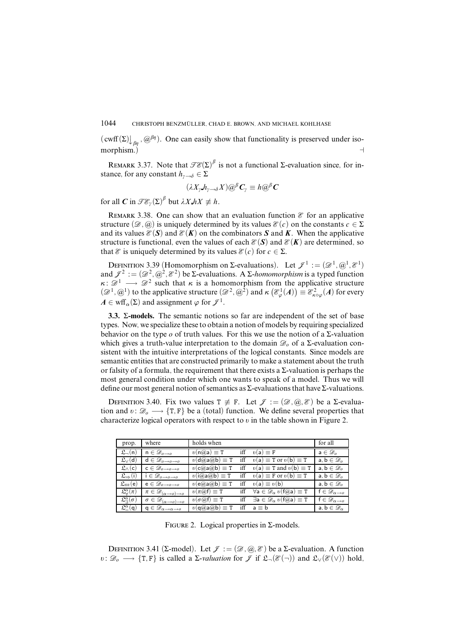$(\text{cwff}(\Sigma)\bigcup_{\beta\eta}, \text{(}\partial^{\beta\eta})$ . One can easily show that functionality is preserved under isomorphism.)

REMARK 3.37. Note that  $\mathscr{TE}(\Sigma)^{\beta}$  is not a functional  $\Sigma$ -evaluation since, for instance, for any constant  $h_{\gamma \to \delta} \in \Sigma$ 

$$
(\lambda X_{\gamma} \cdot h_{\gamma \to \delta} X) \mathcal{Q}^{\beta} \mathbf{C}_{\gamma} \equiv h \mathcal{Q}^{\beta} \mathbf{C}
$$

for all  $C$  in  $\mathscr{TE}_{\gamma}(\Sigma)^{\beta}$  but  $\lambda X.hX \not\equiv h$ .

REMARK 3.38. One can show that an evaluation function  $\mathscr E$  for an applicative structure  $(\mathscr{D}, \mathscr{Q})$  is uniquely determined by its values  $\mathscr{E}(c)$  on the constants  $c \in \Sigma$ and its values  $\mathcal{E}(S)$  and  $\mathcal{E}(K)$  on the combinators S and K. When the applicative structure is functional, even the values of each  $\mathcal{E}(\mathbf{S})$  and  $\mathcal{E}(\mathbf{K})$  are determined, so that  $\mathscr E$  is uniquely determined by its values  $\mathscr E(c)$  for  $c \in \Sigma$ .

DEFINITION 3.39 (Homomorphism on  $\Sigma$ -evaluations). Let  $\mathcal{J}^1 := (\mathcal{D}^1, \mathcal{Q}^1, \mathcal{E}^1)$ and  $\mathcal{J}^2 := (\mathcal{D}^2, \mathcal{Q}^2, \mathcal{E}^2)$  be  $\Sigma$ -evaluations. A  $\Sigma$ -*homomorphism* is a typed function  $\kappa: \mathscr{D}^1 \longrightarrow \mathscr{D}^2$  such that  $\kappa$  is a homomorphism from the applicative structure  $(\mathscr{D}^1, \mathscr{Q}^1)$  to the applicative structure  $(\mathscr{D}^2, \mathscr{Q}^2)$  and  $\kappa \left(\mathscr{E}^1_\varphi(A)\right) \equiv \mathscr{E}^2_{\kappa \circ \varphi}(A)$  for every  $A \in \text{wff}_{\alpha}(\Sigma)$  and assignment  $\varphi$  for  $\mathcal{J}^1$ .

**3.3.** Σ**-models.** The semantic notions so far are independent of the set of base types. Now, we specialize these to obtain a notion of models by requiring specialized behavior on the type *o* of truth values. For this we use the notion of a Σ-valuation which gives a truth-value interpretation to the domain  $\mathcal{D}_{o}$  of a Σ-evaluation consistent with the intuitive interpretations of the logical constants. Since models are semantic entities that are constructed primarily to make a statement about the truth or falsity of a formula, the requirement that there exists a  $\Sigma$ -valuation is perhaps the most general condition under which one wants to speak of a model. Thus we will define our most general notion of semantics as  $\Sigma$ -evaluations that have  $\Sigma$ -valuations.

DEFINITION 3.40. Fix two values  $T \neq F$ . Let  $\mathcal{J} := (\mathcal{D}, \mathcal{Q}, \mathcal{E})$  be a  $\Sigma$ -evaluation and  $v: \mathcal{D}_o \longrightarrow \{T, F\}$  be a (total) function. We define several properties that characterize logical operators with respect to  $v$  in the table shown in Figure 2.

| prop.                                                           | where                                                    | holds when                                                                  |     |                                                                                         | for all                            |
|-----------------------------------------------------------------|----------------------------------------------------------|-----------------------------------------------------------------------------|-----|-----------------------------------------------------------------------------------------|------------------------------------|
| $\mathfrak{L}_{-}(n)$                                           | $n \in \mathscr{D}_{o \rightarrow o}$                    | $v(n(a)a) \equiv T$                                                         |     | iff $v(a) \equiv F$                                                                     | $a \in \mathscr{D}_o$              |
| $\mathfrak{L}_{\vee}(\mathsf{d})$                               | $\mathsf{d}\in\mathscr{D}_{o\rightarrow o\rightarrow o}$ | $v(\mathsf{d}(\mathcal{Q}\mathsf{a}\mathcal{Q}\mathsf{b})\equiv \mathtt{T}$ |     | iff $v(\mathsf{a}) \equiv \mathsf{T}$ or $v(\mathsf{b}) \equiv \mathsf{T}$              | $a, b \in \mathcal{D}_o$           |
| $\mathfrak{L}_{\wedge}(\mathsf{c})$                             | $\mathsf{c}\in\mathscr{D}_{o\rightarrow o\rightarrow o}$ | $v(c@a@b) \equiv T$                                                         |     | iff $v(a) \equiv T$ and $v(b) \equiv T$                                                 | $a, b \in \mathcal{D}_o$           |
| $\mathfrak{L}_{\Rightarrow}$ (i)                                | $i \in \mathscr{D}_{o \rightarrow o \rightarrow o}$      | $v(i(a)a(a)b) \equiv T$                                                     |     | iff $v(a) \equiv F$ or $v(b) \equiv T$                                                  | $a, b \in \mathcal{D}_o$           |
| $\mathfrak{L}_\Leftrightarrow$ (e)                              | $e \in \mathscr{D}_{o \rightarrow o \rightarrow o}$      | $v(e(a)a(a)b) \equiv T$                                                     | iff | $v(a) \equiv v(b)$                                                                      | $a, b \in \mathcal{D}_o$           |
| $\mathfrak{L}^{\alpha}_{\scriptscriptstyle \forall\gamma}(\pi)$ | $\pi \in \mathscr{D}_{(\alpha \to o) \to o}$             | $v(\pi Q \mathsf{f}) \equiv \mathsf{T}$                                     |     | iff $\forall a \in \mathcal{D}_{\alpha} v(f(a)a) \equiv T$                              | $f \in \mathscr{D}_{\alpha \to o}$ |
| $\mathfrak{L}_{\mathfrak{A}}^{\alpha}(\sigma)$                  | $\sigma \in \mathscr{D}_{(\alpha \to \rho) \to \rho}$    | $v(\sigma(\widehat{a})f) \equiv T$                                          |     | iff $\exists$ <b>a</b> $\in \mathcal{D}_{\alpha}$ $v(f(a)$ <b>a</b> $) \equiv$ <b>T</b> | $f \in \mathscr{D}_{\alpha \to o}$ |
| $\mathfrak{L}_{-}^{\alpha}(\mathsf{q})$                         | $q \in \mathscr{D}_{\alpha \to \alpha \to o}$            | $v(\mathsf{q}(a)a(a)b) \equiv T$                                            |     | iff $a \equiv b$                                                                        | $a, b \in \mathscr{D}_{\alpha}$    |

FIGURE 2. Logical properties in  $\Sigma$ -models.

DEFINITION 3.41 (Σ-model). Let  $\mathcal{J} := (\mathcal{D}, \mathcal{Q}, \mathcal{E})$  be a Σ-evaluation. A function *v*:  $\mathscr{D}_o \longrightarrow \{T, F\}$  is called a  $\Sigma$ -*valuation* for  $\mathscr{J}$  if  $\mathfrak{L}(\mathscr{E}(\neg))$  and  $\mathfrak{L}_\vee(\mathscr{E}(\vee))$  hold,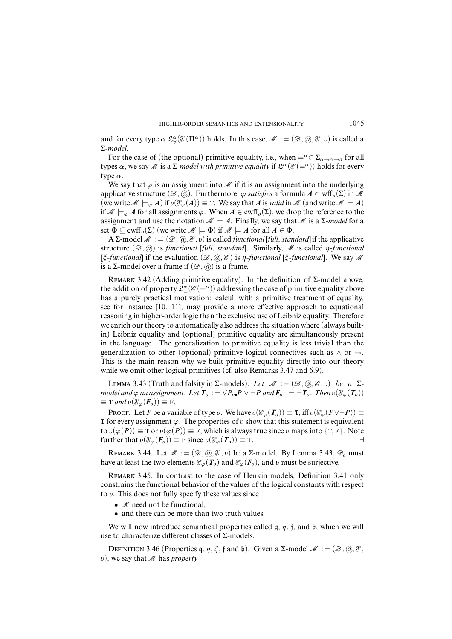and for every type  $\alpha$   $\mathfrak{L}^{\alpha}_{\forall}(\mathcal{E}(\Pi^{\alpha}))$  holds. In this case,  $\mathcal{M} := (\mathcal{D}, \mathcal{Q}, \mathcal{E}, v)$  is called a Σ-*model*.

For the case of (the optional) primitive equality, i.e., when  $= \alpha \in \Sigma_{\alpha \to \alpha \to \alpha}$  for all types  $\alpha$  , we say  $M$  is a Σ-*model with primitive equality* if  $\mathfrak{L}^\alpha_\pm(\mathscr{E}(-^\alpha))$  holds for every type *α*.

We say that  $\varphi$  is an assignment into M if it is an assignment into the underlying applicative structure  $(\mathscr{D}, \mathscr{Q})$ . Furthermore,  $\varphi$  *satisfies* a formula  $A \in \text{wff}_o(\Sigma)$  in M (we write  $M \models_{\varphi} A$ ) if  $v(\mathcal{E}_{\varphi}(A)) \equiv T$ . We say that *A* is *valid* in M (and write  $M \models A$ ) if M |=*<sup>ϕ</sup> A* for all assignments *ϕ*. When *A* ∈ cwff*o*(Σ), we drop the reference to the assignment and use the notation  $M \models A$ . Finally, we say that M is a  $\Sigma$ -model for a set  $\Phi \subseteq \text{cwff}_o(\Sigma)$  (we write  $\mathcal{M} \models \Phi$ ) if  $\mathcal{M} \models A$  for all  $A \in \Phi$ .

 $A \Sigma$ -model  $M := (\mathcal{D}, \mathcal{Q}, \mathcal{E}, v)$  is called *functional* [*full, standard*] if the applicative structure  $(\mathcal{D}, \mathcal{Q})$  is *functional* [*full, standard*]. Similarly,  $\mathcal{M}$  is called *n*-*functional*  $[\xi$ -functional if the evaluation  $(\mathcal{D}, \mathcal{D}, \mathcal{E})$  is *n*-functional  $[\xi$ -functional. We say M is a Σ-model over a frame if  $(Ø, @)$  is a frame.

REMARK 3.42 (Adding primitive equality). In the definition of  $\Sigma$ -model above, the addition of property  $\mathfrak{L}^{\alpha}_{=}(\mathcal{E}(=^{\alpha}))$  addressing the case of primitive equality above has a purely practical motivation: calculi with a primitive treatment of equality, see for instance [10, 11], may provide a more effective approach to equational reasoning in higher-order logic than the exclusive use of Leibniz equality. Therefore we enrich our theory to automatically also address the situation where (always builtin) Leibniz equality and (optional) primitive equality are simultaneously present in the language. The generalization to primitive equality is less trivial than the generalization to other (optional) primitive logical connectives such as  $\land$  or  $\Rightarrow$ . This is the main reason why we built primitive equality directly into our theory while we omit other logical primitives (cf. also Remarks 3.47 and 6.9).

LEMMA 3.43 (Truth and falsity in  $\Sigma$ -models). Let  $\mathcal{M} := (\mathcal{D}, \mathcal{Q}, \mathcal{E}, v)$  be a  $\Sigma$ model and  $\varphi$  an assignment. Let  $T_o := \forall P_o \cdot P \lor \neg P$  and  $F_o := \neg T_o$ . Then  $\upsilon(\mathcal{E}_{\varphi}(T_o))$  $\equiv$  T and  $\upsilon(\mathscr{E}_{\varphi}(\mathbf{F}_{o})) \equiv$  F.

Proof. Let *P* be a variable of type *o*. We have  $v(\mathcal{E}_{\varphi}(T_o)) \equiv T$ , iff  $v(\mathcal{E}_{\varphi}(P \vee \neg P)) \equiv T$ T for every assignment *ϕ*. The properties of *õ* show that this statement is equivalent to  $v(\varphi(P)) \equiv \texttt{T}$  or  $v(\varphi(P)) \equiv \texttt{F}$ , which is always true since *v* maps into {T, F}. Note further that  $v(\mathcal{E}_{\varphi}(\mathbf{F}_o)) \equiv \mathbf{F}$  since  $v(\mathcal{E}_{\varphi}(\mathbf{T}_o)) \equiv \mathbf{T}$ .

REMARK 3.44. Let  $\mathcal{M} := (\mathcal{D}, \mathcal{Q}, \mathcal{E}, v)$  be a  $\Sigma$ -model. By Lemma 3.43,  $\mathcal{D}_o$  must have at least the two elements  $\mathcal{E}_{\varphi}(\mathbf{T}_o)$  and  $\mathcal{E}_{\varphi}(\mathbf{F}_o)$ , and *õ* must be surjective.

Remark 3.45. In contrast to the case of Henkin models, Definition 3.41 only constrains the functional behavior of the values of the logical constants with respect to *õ*. This does not fully specify these values since

- $M$  need not be functional,
- and there can be more than two truth values.

We will now introduce semantical properties called  $q$ ,  $\eta$ ,  $f$ , and  $b$ , which we will use to characterize different classes of Σ-models.

DEFINITION 3.46 (Properties q,  $\eta$ ,  $\xi$ ,  $\eta$  and  $\phi$ ). Given a  $\Sigma$ -model  $\mathcal{M} := (\mathcal{D}, \mathcal{Q}, \mathcal{E}, \mathcal{E})$  $(v)$ , we say that M has *property*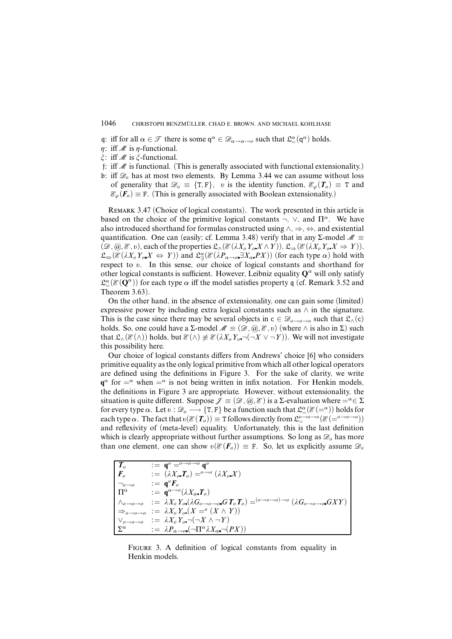- q: iff for all  $\alpha \in \mathcal{T}$  there is some  $q^{\alpha} \in \mathcal{D}_{\alpha \to \alpha \to \theta}$  such that  $\mathcal{L}^{\alpha}(\mathsf{q}^{\alpha})$  holds.
- $\eta$ : iff *M* is  $\eta$ -functional.
- *î*: iff M is *î*-functional.
- f: iff  $\mathcal M$  is functional. (This is generally associated with functional extensionality.)
- b: iff  $\mathcal{D}_o$  has at most two elements. By Lemma 3.44 we can assume without loss of generality that  $\mathcal{D}_{\rho} \equiv \{T, F\}$ , *v* is the identity function,  $\mathcal{E}_{\varphi}(T_{\rho}) \equiv T$  and  $\mathcal{E}_{\varphi}(\mathbf{F}_o) \equiv \mathbf{F}$ . (This is generally associated with Boolean extensionality.)

Remark 3.47 (Choice of logical constants). The work presented in this article is based on the choice of the primitive logical constants  $\neg$ ,  $\vee$ , and  $\Pi^{\alpha}$ . We have also introduced shorthand for formulas constructed using ∧, ⇒, ⇔, and existential quantification. One can (easily; cf. Lemma 3.48) verify that in any  $\Sigma$ -model  $\mathcal{M} \equiv$  $(\mathscr{D}, \mathscr{Q}, \mathscr{E}, v)$ , each of the properties  $\mathfrak{L}_{\wedge}(\mathscr{E}(\lambda X_o Y_o X \wedge Y)), \mathfrak{L}_{\Rightarrow}(\mathscr{E}(\lambda X_o Y_o X \Rightarrow Y)),$  $\mathfrak{L}_{\Leftrightarrow}(\mathcal{E}(\lambda X_o Y_o X \Leftrightarrow Y))$  and  $\mathfrak{L}_{\exists}^{\alpha}(\mathcal{E}(\lambda P_{\alpha \to o} \exists X_{\alpha} PX))$  (for each type  $\alpha$ ) hold with respect to *v*. In this sense, our choice of logical constants and shorthand for other logical constants is sufficient. However, Leibniz equality **Q** *<sup>α</sup>* will only satisfy  $\mathfrak{L}^{\alpha}(\mathcal{E}(\mathbf{Q}^{\alpha}))$  for each type  $\alpha$  iff the model satisfies property q (cf. Remark 3.52 and Theorem 3.63).

On the other hand, in the absence of extensionality, one can gain some (limited) expressive power by including extra logical constants such as ∧ in the signature. This is the case since there may be several objects in  $c \in \mathcal{D}_{o\to o\to o}$  such that  $\mathfrak{L}_{\wedge}(c)$ holds. So, one could have a  $\Sigma$ -model  $\mathcal{M} \equiv (\mathcal{D}, \mathcal{Q}, \mathcal{E}, v)$  (where  $\wedge$  is also in  $\Sigma$ ) such that  $\mathfrak{L}_{\wedge}(\mathcal{E}(\wedge))$  holds, but  $\mathcal{E}(\wedge) \neq \mathcal{E}(\lambda X_o Y_o \neg (\neg X \vee \neg Y))$ . We will not investigate this possibility here.

Our choice of logical constants differs from Andrews' choice [6] who considers primitive equality as the only logical primitive from which all other logical operators are defined using the definitions in Figure 3. For the sake of clarity, we write  $\mathbf{q}^{\alpha}$  for  $=\alpha$  when  $=\alpha$  is not being written in infix notation. For Henkin models, the definitions in Figure 3 are appropriate. However, without extensionality, the situation is quite different. Suppose  $\mathcal{J} \equiv (\mathcal{D}, \mathcal{Q}, \mathcal{E})$  is a  $\Sigma$ -evaluation where  $=^{\alpha} \in \Sigma$ for every type  $\alpha$ . Let  $v : \mathscr{D}_{o} \longrightarrow {\text{T}, \text{F}}$  be a function such that  $\mathfrak{L}_{=}^{\alpha}(\mathscr{E}(-\alpha))$  holds for  $\text{each type } \alpha$ . The fact that  $v(\mathcal{E}(\mathcal{T}_o)) \equiv \texttt{T}$  follows directly from  $\mathfrak{L}^{o\to o\to o}_=(\mathcal{E}(\equiv^{o\to o\to o}))$ and reflexivity of (meta-level) equality. Unfortunately, this is the last definition which is clearly appropriate without further assumptions. So long as  $\mathcal{D}_o$  has more than one element, one can show  $v(\mathscr{E}(F_o)) \equiv F$ . So, let us explicitly assume  $\mathscr{D}_o$ 

| $T_o$                                        | $:= \, \mathbf{q}^{\scriptscriptstyle 0} =^{\scriptscriptstyle 0 \rightarrow \scriptscriptstyle 0 \rightarrow \scriptscriptstyle 0} \, \mathbf{q}^{\scriptscriptstyle 0}$                                                   |
|----------------------------------------------|-----------------------------------------------------------------------------------------------------------------------------------------------------------------------------------------------------------------------------|
| $\mid$ $\bm{F}_{o}$                          | $\mathcal{L} = (\lambda X_o \mathbf{T}_o) =^{o \rightarrow o} (\lambda X_o X)$                                                                                                                                              |
| $\neg_{o \rightarrow o}$                     | $\therefore$ = $a^{\circ}F_{\circ}$                                                                                                                                                                                         |
| $\Box$ $\Box$ <sup><math>\alpha</math></sup> | $:= \mathbf{q}^{\alpha \rightarrow o} (\lambda X_o \mathbf{T}_o)$                                                                                                                                                           |
|                                              | $\mid\wedge_{o\rightarrow o\rightarrow o}\quad:=\;\lambda X_o\,Y_o\,(\lambda G_{o\rightarrow o\rightarrow o}\,G\,T_o\,T_o) = ^{(o\rightarrow o\rightarrow o)\rightarrow o}\,(\lambda G_{o\rightarrow o\rightarrow o}\,GXY)$ |
|                                              | $\Rightarrow_{o\rightarrow o\rightarrow o} := \lambda X_o Y_o (X =^o (X \wedge Y))$                                                                                                                                         |
|                                              | $  \vee_{o \to o \to o} : = \lambda X_o Y_o \neg (\neg X \wedge \neg Y)$                                                                                                                                                    |
| $\mid \Sigma^{\alpha}$                       | $:= \lambda P_{\alpha \to 0} (\neg \Pi^{\alpha} \lambda X_{\alpha} \neg (PX))$                                                                                                                                              |

Figure 3. A definition of logical constants from equality in Henkin models.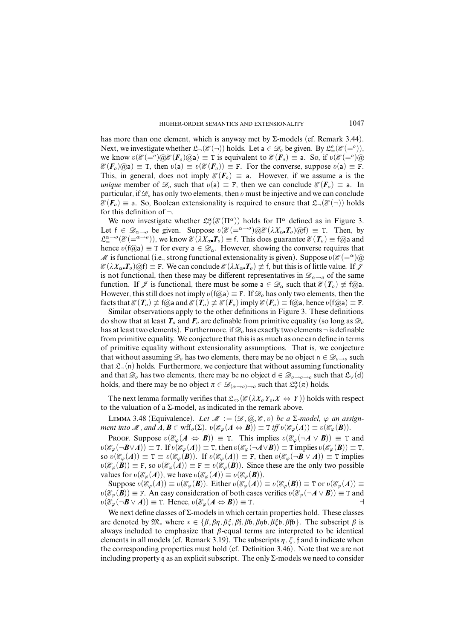has more than one element, which is anyway met by Σ-models (cf. Remark 3.44). Next, we investigate whether  $\mathfrak{L}(\mathcal{E}(\neg))$  holds. Let a  $\in \mathcal{D}_o$  be given. By  $\mathfrak{L}^o(\mathcal{E}(\equiv^o))$ , we know  $v(\mathcal{E}(-\rho)\omega \mathcal{E}(F_o)\omega a) \equiv T$  is equivalent to  $\mathcal{E}(F_o) \equiv a$ . So, if  $v(\mathcal{E}(-\rho)\omega a)$  $\mathscr{E}(F_o)$ @a)  $\equiv$  T, then  $v(a) \equiv v(\mathscr{E}(F_o)) \equiv F$ . For the converse, suppose  $v(a) \equiv F$ . This, in general, does not imply  $\mathscr{E}(F_o) \equiv a$ . However, if we assume a is the *unique* member of  $\mathscr{D}_o$  such that  $v(a) \equiv F$ , then we can conclude  $\mathscr{E}(F_o) \equiv a$ . In particular, if  $\mathcal{D}_o$  has only two elements, then *v* must be injective and we can conclude  $\mathscr{E}(F_o) \equiv$  a. So, Boolean extensionality is required to ensure that  $\mathfrak{L}(\mathscr{E}(\neg))$  holds for this definition of  $\neg$ .

We now investigate whether  $\mathcal{L}^{\alpha}_{\forall}(\mathcal{E}(\Pi^{\alpha}))$  holds for  $\Pi^{\alpha}$  defined as in Figure 3. Let  $f \in \mathscr{D}_{\alpha \to 0}$  be given. Suppose  $v(\mathscr{E}(\alpha \to 0)) \otimes \mathscr{E}(\lambda X_\alpha, T_\alpha) \otimes f$  = T. Then, by  $\mathfrak{L}_{\equiv}^{\alpha \to 0}(\mathcal{E}(=\alpha \to 0)),$  we know  $\mathcal{E}(\lambda X_{\alpha} \cdot \mathcal{T}_{o}) \equiv \mathsf{f}.$  This does guarantee  $\mathcal{E}(\mathcal{T}_{o}) \equiv \mathsf{f}(\mathcal{Q})$  and hence  $\varrho(f(\hat{\omega}_a) \equiv T$  for every  $a \in \mathcal{D}_\alpha$ . However, showing the converse requires that M is functional (i.e., strong functional extensionality is given). Suppose  $v(\mathscr{E}(-\alpha)\omega)$  $\mathcal{E}(\lambda X_\alpha, T_\alpha)$  ( $\partial f$ )  $\equiv$  F. We can conclude  $\mathcal{E}(\lambda X_\alpha, T_\alpha) \neq f$ , but this is of little value. If  $\mathcal{J}$ is not functional, then these may be different representatives in  $\mathscr{D}_{\alpha\rightarrow o}$  of the same function. If  $\mathcal{J}$  is functional, there must be some  $a \in \mathcal{D}_{\alpha}$  such that  $\mathcal{E}(T_o) \not\equiv f(\partial_a a)$ . However, this still does not imply  $v(f(\hat{\omega}_a) \equiv F$ . If  $\mathcal{D}_o$  has only two elements, then the facts that  $\mathcal{E}(T_o) \neq f(\omega)$  and  $\mathcal{E}(T_o) \neq \mathcal{E}(F_o)$  imply  $\mathcal{E}(F_o) \equiv f(\omega)$ , hence  $v(f(\omega) = F$ .

Similar observations apply to the other definitions in Figure 3. These definitions do show that at least  $T_o$  and  $F_o$  are definable from primitive equality (so long as  $\mathcal{D}_o$ has at least two elements). Furthermore, if  $\mathscr{D}_o$  has exactly two elements  $\neg$  is definable from primitive equality. We conjecture that this is as much as one can define in terms of primitive equality without extensionality assumptions. That is, we conjecture that without assuming  $\mathcal{D}_o$  has two elements, there may be no object  $n \in \mathcal{D}_{o \to o}$  such that  $\mathfrak{L}_{\neg}(n)$  holds. Furthermore, we conjecture that without assuming functionality and that  $\mathscr{D}_o$  has two elements, there may be no object  $d \in \mathscr{D}_{o \to o \to o}$  such that  $\mathfrak{L}_\vee(d)$ holds, and there may be no object  $\pi \in \mathscr{D}_{(\alpha \to 0) \to 0}$  such that  $\mathfrak{L}^{\alpha}_{\forall}(\pi)$  holds.

The next lemma formally verifies that  $\mathfrak{L}_{\Leftrightarrow}(\mathcal{E}(\lambda X_o Y_o X \Leftrightarrow Y))$  holds with respect to the valuation of a Σ-model, as indicated in the remark above.

LEMMA 3.48 (Equivalence). Let  $M := (\mathcal{D}, \mathcal{Q}, \mathcal{E}, v)$  be a Σ-model,  $\varphi$  an assign*ment into M*, and  $A, B \in \text{wff}_o(\Sigma)$ .  $\upsilon(\mathscr{E}_{\varphi}(A \Leftrightarrow B)) \equiv \text{T iff } \upsilon(\mathscr{E}_{\varphi}(A)) \equiv \upsilon(\mathscr{E}_{\varphi}(B))$ .

Proof. Suppose  $v(\mathcal{E}_{\varphi}(A \leftrightarrow B)) \equiv T$ . This implies  $v(\mathcal{E}_{\varphi}(\neg A \lor B)) \equiv T$  and  $\delta$ *č*( $\mathcal{E}_{\varphi}(\neg \mathbf{B} \vee \mathbf{A})) \equiv$  T. If  $\delta$ ( $\mathcal{E}_{\varphi}(\mathbf{A})) \equiv$  T, then  $\delta$ ( $\mathcal{E}_{\varphi}(\neg \mathbf{A} \vee \mathbf{B})) \equiv$  T implies  $\delta$ ( $\mathcal{E}_{\varphi}(\mathbf{B})) \equiv$  T, so  $v(\mathcal{E}_{\varphi}(A)) \equiv \mathbf{T} \equiv v(\mathcal{E}_{\varphi}(B))$ . If  $v(\mathcal{E}_{\varphi}(A)) \equiv \mathbf{F}$ , then  $v(\mathcal{E}_{\varphi}(\neg B \lor A)) \equiv \mathbf{T}$  implies  $\delta(v(\mathcal{E}_{\varphi}(\mathbf{B})) \equiv \mathbf{F}$ , so  $\delta(v(\mathcal{E}_{\varphi}(\mathbf{A})) \equiv \mathbf{F} \equiv v(\mathcal{E}_{\varphi}(\mathbf{B}))$ . Since these are the only two possible values for  $v(\mathcal{E}_{\varphi}(A))$ , we have  $v(\mathcal{E}_{\varphi}(A)) \equiv v(\mathcal{E}_{\varphi}(B))$ .

Suppose  $v(\mathcal{E}_{\varphi}(A)) \equiv v(\mathcal{E}_{\varphi}(B))$ . Either  $v(\mathcal{E}_{\varphi}(A)) \equiv v(\mathcal{E}_{\varphi}(B)) \equiv \texttt{T}$  or  $v(\mathcal{E}_{\varphi}(A)) \equiv$  $v(\mathcal{E}_{\varphi}(\mathbf{B})) \equiv \mathbf{F}$ . An easy consideration of both cases verifies  $v(\mathcal{E}_{\varphi}(\neg A \lor B)) \equiv \mathbf{T}$  and  $v(\mathscr{E}_{\varphi}(\neg \mathbf{B} \lor \mathbf{A})) \equiv$  T. Hence,  $v(\mathscr{E}_{\varphi}(\mathbf{A} \Leftrightarrow \mathbf{B})) \equiv$  T.

We next define classes of  $\Sigma$ -models in which certain properties hold. These classes are denoted by  $\mathfrak{M}_*$  where  $* \in \{\beta, \beta\eta, \beta\xi, \beta\}$ *f*,  $\beta\phi, \beta\phi, \beta\xi\phi, \beta\phi\}$ . The subscript  $\beta$  is always included to emphasize that *â*-equal terms are interpreted to be identical elements in all models (cf. Remark 3.19). The subscripts  $\eta$ ,  $\xi$ , f and b indicate when the corresponding properties must hold (cf. Definition 3.46). Note that we are not including property q as an explicit subscript. The only  $\Sigma$ -models we need to consider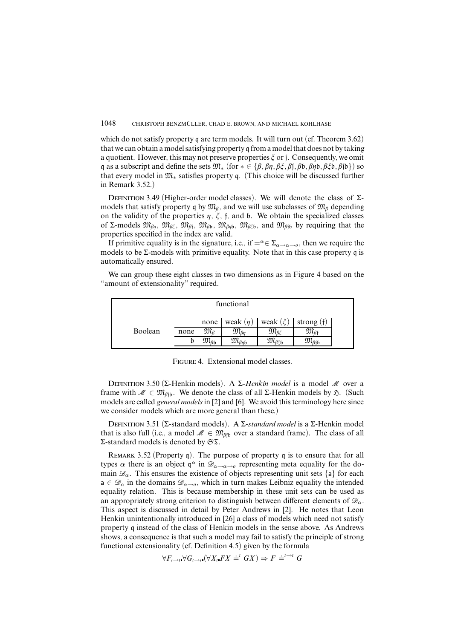which do not satisfy property q are term models. It will turn out (cf. Theorem 3.62) that we can obtain a model satisfying property q from a model that does not by taking a quotient. However, this may not preserve properties *î* orf. Consequently, we omit q as a subscript and define the sets  $\mathfrak{M}_*$  (for  $* \in \{\beta, \beta\eta, \beta\xi, \beta\}$ *f*,  $\beta\mathfrak{b}, \beta\eta\mathfrak{b}, \beta\xi\mathfrak{b}, \beta\eta\mathfrak{b}\}$ ) so that every model in  $\mathfrak{M}_*$  satisfies property q. (This choice will be discussed further in Remark 3.52.)

DEFINITION 3.49 (Higher-order model classes). We will denote the class of Σmodels that satisfy property q by  $\mathfrak{M}_{\beta}$ , and we will use subclasses of  $\mathfrak{M}_{\beta}$  depending on the validity of the properties  $\eta$ ,  $\xi$ ,  $f$ , and  $\phi$ . We obtain the specialized classes of Σ-models M*âç*, M*âî* , M*â*<sup>f</sup> , M*â*b, M*âç*b, M*âî*b, and M*â*fb by requiring that the properties specified in the index are valid.

If primitive equality is in the signature, i.e., if  $=^{\alpha} \in \Sigma_{\alpha \to \alpha \to 0}$ , then we require the models to be  $\Sigma$ -models with primitive equality. Note that in this case property q is automatically ensured.

We can group these eight classes in two dimensions as in Figure 4 based on the "amount of extensionality" required.

| functional |      |                                    |                          |                                           |                             |  |
|------------|------|------------------------------------|--------------------------|-------------------------------------------|-----------------------------|--|
|            |      | none                               |                          | weak $(\eta)$   weak $(\xi)$   strong (f) |                             |  |
| Boolean    | none | $\mathfrak{M}_{R}$                 | $\mathfrak{M}_{\beta n}$ | $\mathfrak{M}_{\beta\xi}$                 | $\mathfrak{M}_{\beta}$      |  |
|            |      | $\mathfrak{M}_{\beta\mathfrak{b}}$ | $\mathfrak{M}_{\beta n}$ | $\mathfrak{M}_{\beta \xi \mathfrak{b}}$   | $\iota_{\beta_{\text{f}b}}$ |  |

Figure 4. Extensional model classes.

Definition 3.50 (Σ-Henkin models). A Σ-*Henkin model* is a model M over a frame with  $\mathcal{M} \in \mathfrak{M}_{\beta}$ . We denote the class of all  $\Sigma$ -Henkin models by  $\mathfrak{H}$ . (Such models are called *general models* in [2] and [6]. We avoid this terminology here since we consider models which are more general than these.)

Definition 3.51 (Σ-standard models). A Σ-*standard model* is a Σ-Henkin model that is also full (i.e., a model  $\mathcal{M} \in \mathfrak{M}_{\beta\beta}$  over a standard frame). The class of all Σ-standard models is denoted by ST.

REMARK 3.52 (Property q). The purpose of property q is to ensure that for all types  $\alpha$  there is an object  $q^{\alpha}$  in  $\mathscr{D}_{\alpha\to\alpha\to\alpha}$  representing meta equality for the domain  $\mathcal{D}_{\alpha}$ . This ensures the existence of objects representing unit sets {a} for each  $a \in \mathscr{D}_{\alpha}$  in the domains  $\mathscr{D}_{\alpha \to 0}$ , which in turn makes Leibniz equality the intended equality relation. This is because membership in these unit sets can be used as an appropriately strong criterion to distinguish between different elements of  $\mathscr{D}_{\alpha}$ . This aspect is discussed in detail by Peter Andrews in [2]. He notes that Leon Henkin unintentionally introduced in [26] a class of models which need not satisfy property q instead of the class of Henkin models in the sense above. As Andrews shows, a consequence is that such a model may fail to satisfy the principle of strong functional extensionality (cf. Definition 4.5) given by the formula

$$
\forall F_{\iota \to \iota} \forall G_{\iota \to \iota \iota} (\forall X_{\iota \iota} FX \doteq^{\iota} GX) \Rightarrow F \doteq^{\iota \iota \to \iota} G
$$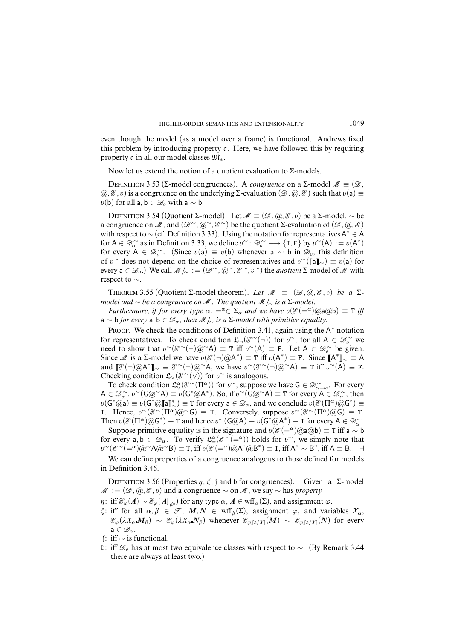even though the model (as a model over a frame) is functional. Andrews fixed this problem by introducing property q. Here, we have followed this by requiring property q in all our model classes M∗.

Now let us extend the notion of a quotient evaluation to Σ-models.

DEFINITION 3.53 (Σ-model congruences). A *congruence* on a Σ-model  $M \equiv (Ø,$  $(\hat{\omega}, \mathcal{E}, v)$  is a congruence on the underlying  $\Sigma$ -evaluation  $(\mathcal{D}, \hat{\omega}, \mathcal{E})$  such that  $v(a) \equiv$ *v*(**b**) for all a,  $\mathbf{b} \in \mathcal{D}_o$  with a ∼ **b**.

DEFINITION 3.54 (Quotient Σ-model). Let  $M \equiv (Ø, @, \mathcal{E}, v)$  be a Σ-model, ∼ be a congruence on *M*, and  $(Ø^{\sim}, @^{\sim}, \mathscr{E}^{\sim})$  be the quotient Σ-evaluation of  $(Ø^{\sim}, @^{\sim}, \mathscr{E})$ with respect to ~ (cf. Definition 3.33). Using the notation for representatives  $A^* \in A$ for  $A \in \mathscr{D}_{\alpha}^{\sim}$  as in Definition 3.33, we define  $v^{\sim} : \mathscr{D}_{o}^{\sim} \longrightarrow {\text{T}, \text{F}}$  by  $v^{\sim}(A) := v(A^*)$ for every  $A \in \mathcal{D}_{o}^{\infty}$ . (Since  $v(a) \equiv v(b)$  whenever a  $\sim b$  in  $\mathcal{D}_{o}$ , this definition of *õ* <sup>∼</sup> does not depend on the choice of representatives and *õ* <sup>∼</sup>([[a]]∼) ≡ *õ*(a) for every a ∈ D*o*.) We call M*/*<sup>∼</sup> := (D <sup>∼</sup>*,* @<sup>∼</sup>*,* E <sup>∼</sup>*, õ* <sup>∼</sup>) the *quotient* Σ-model of M with respect to ∼.

THEOREM 3.55 (Quotient  $\Sigma$ -model theorem). Let  $\mathcal{M} \equiv (\mathcal{D}, \mathcal{Q}, \mathcal{E}, v)$  be a  $\Sigma$ model and ∼ be a congruence on M. The quotient M*/*<sup>∼</sup> is a Σ-model.

Furthermore, if for every type  $\alpha$ ,  $e^{\alpha} \in \Sigma_{\alpha}$  and we have  $\alpha(\mathscr{E}(e^{\alpha})\omega) = \pi$  iff  $a \sim b$  for every  $a, b \in \mathcal{D}_\alpha$ , then *M* /<sub>∼</sub> is a  $\Sigma$ -model with primitive equality.

PROOF. We check the conditions of Definition 3.41, again using the  $A^*$  notation for representatives. To check condition  $\mathfrak{L}(\mathcal{E}^{\sim}(\neg))$  for  $v^{\sim}$ , for all  $A \in \mathcal{D}_o^{\sim}$  we need to show that  $v^{\sim}(\mathcal{E}^{\sim}(\neg)\mathcal{Q}^{\sim}A) \equiv T$  iff  $v^{\sim}(A) \equiv F$ . Let  $A \in \mathcal{D}_{o}^{\sim}$  be given. Since *M* is a  $\Sigma$ -model we have  $v(\mathscr{E}(\neg)\mathscr{Q}A^*) \equiv T$  iff  $v(A^*) \equiv F$ . Since  $[[A^*]]_{\sim} \equiv A$ and  $[\mathscr{E}(\neg)\mathscr{Q}A^*]_{\sim} \equiv \mathscr{E}^{\sim}(\neg)\mathscr{Q}^{\sim}A$ , we have  $v^{\sim}(\mathscr{E}^{\sim}(\neg)\mathscr{Q}^{\sim}A) \equiv T$  iff  $v^{\sim}(\overline{A}) \equiv F$ . Checking condition  $\mathfrak{L}_{\vee}(\mathcal{E}^{\sim}(\vee))$  for  $v^{\sim}$  is analogous.

To check condition  $\mathfrak{L}^{\alpha}_{\forall}(\mathcal{E}^{\sim}(\Pi^{\alpha}))$  for  $v^{\sim}$ , suppose we have  $\mathsf{G} \in \mathcal{D}^{\sim}_{\alpha \to o}$ . For every  $A \in \mathscr{D}_{\alpha}^{\sim}$ ,  $v^{\sim}(G \mathscr{Q}^{\sim} A) \equiv v(G^* \mathscr{Q} A^*).$  So, if  $v^{\sim}(G \mathscr{Q}^{\sim} A) \equiv T$  for every  $A \in \mathscr{D}_{\alpha}^{\sim}$ , then  $v(G^*\hat{\omega}a) \equiv v(G^*\hat{\omega}[\![a]\!]_\sim^*) \equiv T$  for every  $a \in \mathscr{D}_\alpha$ , and we conclude  $v(\mathscr{E}(\Pi^\alpha)\tilde{\hat{\omega}}G^*) \equiv T$ T. Hence,  $v^{\sim}(\mathcal{E}^{\sim}(\Pi^{\alpha})@^{\sim}G) \equiv T$ . Conversely, suppose  $v^{\sim}(\mathcal{E}^{\sim}(\Pi^{\alpha})@G) \equiv T$ . Then  $v(\mathcal{E}(\Pi^{\alpha})@G^*) \equiv \texttt{T}$  and hence  $v^{\sim}(G@A) \equiv v(G^*\overset{\sim}{@}A^*) \equiv \texttt{T}$  for every  $A \in \mathcal{D}_{\alpha}^{\sim}$ .

Suppose primitive equality is in the signature and  $v(E = \alpha)$  @a@b)  $\equiv$  T iff a  $\sim$  b for every  $a, b \in \mathcal{D}_{\alpha}$ . To verify  $\mathcal{L}^{\alpha}_{=}(\mathcal{E}^{\sim}(-^{\alpha}))$  holds for  $v^{\sim}$ , we simply note that  $v^{\sim}(\mathcal{E}^{\sim}(-^{\alpha})@^{\sim}A@^{\sim}B) \equiv T$ , iff  $v(\mathcal{E}(-^{\alpha})@A^*@B^*) \equiv T$ , iff  $A^* \sim B^*$ , iff  $A \equiv B$ . →

We can define properties of a congruence analogous to those defined for models in Definition 3.46.

DEFINITION 3.56 (Properties *η*,  $\xi$ , f and b for congruences). Given a Σ-model M := (D *,* @*,* E *, õ*) and a congruence ∼ on M, we say ∼ has *property*

*n*: iff  $\mathcal{E}_{\varphi}(A) \sim \mathcal{E}_{\varphi}(A|_{\beta n})$  for any type  $\alpha, A \in \text{wff}_{\alpha}(\Sigma)$ , and assignment  $\varphi$ .

- *ξ*: iff for all  $\alpha, \beta$  ∈ *T*, *M*, *N* ∈ wff<sub>*β*</sub>(Σ), assignment *ϕ*, and variables  $X_{\alpha}$ ,  $\mathcal{E}_{\varphi}(\lambda X_{\alpha} M_{\beta}) \sim \mathcal{E}_{\varphi}(\lambda X_{\alpha} N_{\beta})$  whenever  $\mathcal{E}_{\varphi, [\alpha X]}(M) \sim \mathcal{E}_{\varphi, [\alpha X]}(N)$  for every  $a \in \mathscr{D}_\alpha$ .
- f: iff  $\sim$  is functional.
- b: iff D*<sup>o</sup>* has at most two equivalence classes with respect to ∼. (By Remark 3.44 there are always at least two.)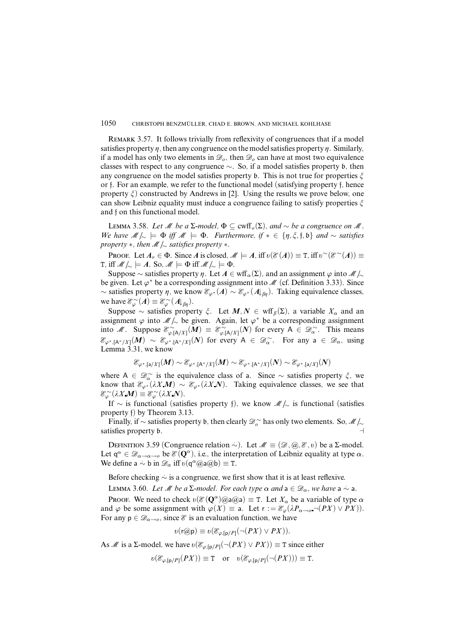REMARK 3.57. It follows trivially from reflexivity of congruences that if a model satisfies property  $\eta$ , then any congruence on the model satisfies property  $\eta$ . Similarly, if a model has only two elements in  $\mathcal{D}_0$ , then  $\mathcal{D}_0$  can have at most two equivalence classes with respect to any congruence ∼. So, if a model satisfies property b, then any congruence on the model satisfies property  $\mathfrak b$ . This is not true for properties  $\zeta$ or f. For an example, we refer to the functional model (satisfying property f, hence property  $\xi$ ) constructed by Andrews in [2]. Using the results we prove below, one can show Leibniz equality must induce a congruence failing to satisfy properties *î* and f on this functional model.

LEMMA 3.58. Let *M* be a Σ-model,  $\Phi \subseteq \text{cwff}_o(\Sigma)$ , and ∼ be a congruence on *M*. We have  $M \sim \models \Phi$  iff  $M \models \Phi$ . Furthermore, if  $* \in \{\eta, \xi, \mathfrak{f}, \mathfrak{b}\}\$ and  $\sim$  satisfies property ∗, then M*/*<sup>∼</sup> satisfies property ∗.

PROOF. Let  $A_o \in \Phi$ . Since *A* is closed,  $M \models A$ , iff  $\sigma(\mathcal{E}(A)) \equiv \tau$ , iff  $\sigma^{\sim}(\mathcal{E}^{\sim}(A)) \equiv$ T, iff  $M/\sim$   $\models$  *A*. So,  $M \models \Phi$  iff  $M/\sim$   $\models \Phi$ .

Suppose ∼ satisfies property *η*. Let  $A \in \text{wff}_\alpha(\Sigma)$ , and an assignment  $\varphi$  into  $\mathcal{M}/\sim$ be given. Let  $\varphi^*$  be a corresponding assignment into  $\mathcal M$  (cf. Definition 3.33). Since ∼ satisfies property *ç*, we know E*ϕ*<sup>∗</sup> (*A*) ∼ E*ϕ*<sup>∗</sup> (*A*↓*âç*). Taking equivalence classes, we have  $\mathcal{E}_{\varphi}^{\sim}(A) \equiv \mathcal{E}_{\varphi}^{\sim}(A|_{\beta\eta}).$ 

Suppose ∼ satisfies property  $\zeta$ . Let  $M, N \in \text{wff}_{\beta}(\Sigma)$ , a variable  $X_{\alpha}$  and an assignment  $\varphi$  into  $\mathcal{M}/_{\sim}$  be given. Again, let  $\varphi^*$  be a corresponding assignment into M. Suppose  $\mathcal{E}_{\varphi,[A/X]}^{\sim}(M) \equiv \mathcal{E}_{\varphi,[A/X]}^{\sim}(N)$  for every  $A \in \mathcal{D}_{\alpha}^{\sim}$ . This means  $\mathscr{E}_{\varphi^*,[A^*/X]}(M) \sim \mathscr{E}_{\varphi^*,[A^*/X]}(N)$  for every  $A \in \mathscr{D}_\alpha^{\sim}$ . For any  $a \in \mathscr{D}_\alpha$ , using Lemma 3.31, we know

$$
\mathcal{E}_{\varphi^*,[{\mathsf{a}}/X]}(M)\sim \mathcal{E}_{\varphi^*,[{\mathsf{A}}^*/X]}(M)\sim \mathcal{E}_{\varphi^*,[{\mathsf{A}}^*/X]}(N)\sim \mathcal{E}_{\varphi^*,[{\mathsf{a}}/X]}(N)
$$

where A ∈  $\mathscr{D}_{\alpha}^{\sim}$  is the equivalence class of a. Since  $\sim$  satisfies property  $\zeta$ , we know that  $\mathcal{E}_{\varphi^*}(\lambda X \mathbf{M}) \sim \mathcal{E}_{\varphi^*}(\lambda X \mathbf{N})$ . Taking equivalence classes, we see that  $\mathscr{E}_{\varphi}^{\sim}(\lambda X \mathbf{M}) \equiv \mathscr{E}_{\varphi}^{\sim}(\lambda X \mathbf{N}).$ 

If ∼ is functional (satisfies property f), we know M*/*<sup>∼</sup> is functional (satisfies property f) by Theorem 3.13.

Finally, if ∼ satisfies property b, then clearly D <sup>∼</sup> *<sup>o</sup>* has only two elements. So, M*/*<sup>∼</sup> satisfies property b.

DEFINITION 3.59 (Congruence relation  $\sim$ ). Let  $M \equiv (Ø, @, \mathcal{E}, v)$  be a Σ-model. Let  $q^{\alpha} \in \mathscr{D}_{\alpha \to \alpha \to 0}$  be  $\mathscr{E}(\mathbf{Q}^{\alpha})$ , i.e., the interpretation of Leibniz equality at type  $\alpha$ . We define  $a \sim b$  in  $\mathcal{D}_{\alpha}$  iff  $v(q^{\alpha}(\alpha)a(\alpha b)) \equiv T$ .

Before checking  $\sim$  is a congruence, we first show that it is at least reflexive.

LEMMA 3.60. Let M be a  $\Sigma$ -model. For each type  $\alpha$  and  $a \in \mathcal{D}_{\alpha}$ , we have  $a \sim a$ .

Proof. We need to check  $v(\mathcal{E}(\mathbf{Q}^{\alpha})\widehat{\omega}a\widehat{\omega}a) \equiv T$ . Let  $X_{\alpha}$  be a variable of type  $\alpha$ and  $\varphi$  be some assignment with  $\varphi(X) \equiv$  a. Let  $r := \mathcal{E}_{\varphi}(\lambda P_{\alpha \to 0} \neg (PX) \lor PX)$ . For any  $p \in \mathscr{D}_{\alpha \to 0}$ , since  $\mathscr{E}$  is an evaluation function, we have

$$
v(\mathsf{r@p}) \equiv v(\mathcal{E}_{\varphi,[\mathsf{p}/P]}(\neg (PX) \vee PX)).
$$

As M is a  $\Sigma$ -model, we have  $v(\mathcal{E}_{\varphi,[p/P]}(\neg (PX) \vee PX)) \equiv \text{T}$  since either

$$
v(\mathcal{E}_{\varphi,[p/P]}(PX)) \equiv T \quad \text{or} \quad v(\mathcal{E}_{\varphi,[p/P]}(\neg (PX))) \equiv T.
$$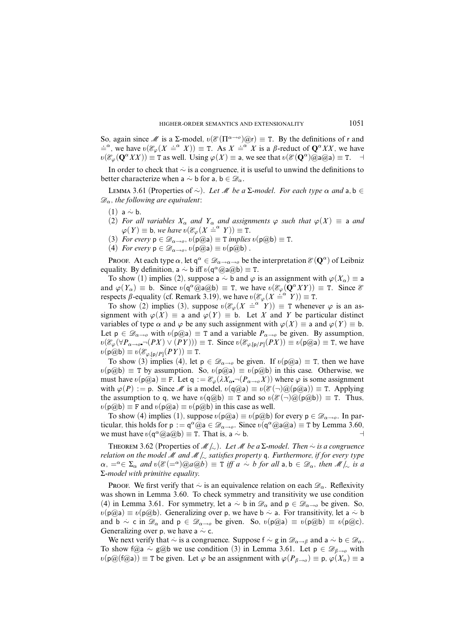So, again since M is a  $\Sigma$ -model,  $v(\mathcal{E}(\Pi^{\alpha \to o})\omega_r) \equiv T$ . By the definitions of r and  $\lim_{x \to \infty} \frac{d}{dx} \lim_{x \to \infty} \frac{d}{dx} \lim_{x \to \infty} \frac{d}{dx} \lim_{x \to \infty} \frac{d}{dx} \lim_{x \to \infty} \frac{d}{dx} \lim_{x \to \infty} \frac{d}{dx} \lim_{x \to \infty} \frac{d}{dx} \lim_{x \to \infty} \frac{d}{dx} \lim_{x \to \infty} \frac{d}{dx} \lim_{x \to \infty} \frac{d}{dx} \lim_{x \to \infty} \frac{d}{dx} \lim_{x \to \infty} \frac{d}{dx} \lim_{x \to \infty} \frac{d}{dx$  $\omega(\mathcal{E}_{\varphi}(\mathbf{Q}^{\alpha}XX)) \equiv \texttt{T}$  as well. Using  $\varphi(X) \equiv \texttt{a}$ , we see that  $\omega(\mathcal{E}(\mathbf{Q}^{\alpha})\hat{\omega} \texttt{a}(\hat{\omega} \texttt{a}) \equiv \texttt{T}$ .  $\rightarrow$ 

In order to check that *.*∼ is a congruence, it is useful to unwind the definitions to better characterize when a  $\sim$  b for a, b  $\in \mathscr{D}_\alpha$ .

LEMMA 3.61 (Properties of  $\sim$ ). Let *M* be a Σ-model. For each type  $\alpha$  and a, b ∈  $\mathscr{D}_{\alpha}$ , the following are equivalent:

- (1) a *.*∼ b.
- (2) For all variables  $X_\alpha$  and  $Y_\alpha$  and assignments  $\varphi$  such that  $\varphi(X) \equiv$  a and  $\varphi(Y) \equiv b$ , we have  $v(\mathcal{E}_{\varphi}(X \stackrel{\text{def}}{=} Y)) \equiv T$ .
- (3) For every  $p \in \mathscr{D}_{\alpha \to o}$ ,  $\upsilon(p(\mathscr{Q}a) \equiv \texttt{T}$  implies  $\upsilon(p(\mathscr{Q}b) \equiv \texttt{T}$ .
- (4) For every  $p \in \mathscr{D}_{\alpha \to o}$ ,  $v(p(\widehat{a})a) \equiv v(p(\widehat{a})b)$ .

Proof. At each type  $\alpha$ , let  $q^{\alpha} \in \mathscr{D}_{\alpha \to \alpha \to \alpha}$  be the interpretation  $\mathscr{E}(\mathbf{Q}^{\alpha})$  of Leibniz equality. By definition, a  $\sim$  b iff  $v(q^{\alpha}$  @a@b)  $\equiv$  T.

To show (1) implies (2), suppose a  $\sim$  b and  $\varphi$  is an assignment with  $\varphi(X_\alpha) \equiv$  a and  $\varphi(Y_\alpha) \equiv b$ . Since  $\upsilon(\varphi^\alpha \circled{a}a \circled{a}b) \equiv T$ , we have  $\upsilon(\mathscr{E}_{\varphi}(\mathbf{Q}^\alpha XY)) \equiv T$ . Since  $\mathscr{E}$ respects  $\beta$ -equality (cf. Remark 3.19), we have  $v(\mathcal{E}_{\varphi}(X \stackrel{\text{def}}{=} Y)) \equiv T$ .

To show (2) implies (3), suppose  $v(\mathcal{E}_{\varphi}(X \stackrel{\sim}{=}^{\alpha} Y)) \equiv T$  whenever  $\varphi$  is an assignment with  $\varphi(X) \equiv$  a and  $\varphi(Y) \equiv$  b. Let *X* and *Y* be particular distinct variables of type  $\alpha$  and  $\varphi$  be any such assignment with  $\varphi(X) \equiv$  a and  $\varphi(Y) \equiv$  b. Let  $p \in \mathscr{D}_{\alpha \to 0}$  with  $v(p \circled{a}) \equiv T$  and a variable  $P_{\alpha \to 0}$  be given. By assumption,  $v(\mathcal{E}_{\varphi}(\forall P_{\alpha \to \varphi} \neg(PX) \lor (PY))) \equiv \texttt{T}$ . Since  $v(\mathcal{E}_{\varphi, [p/P]}(PX)) \equiv v(p@a) \equiv \texttt{T}$ , we have  $v(\mathsf{p@b}) \equiv v(\mathcal{E}_{\varphi,\lceil \mathsf{p}/P\rceil}(PY)) \equiv \mathtt{T}.$ 

To show (3) implies (4), let  $p \in \mathscr{D}_{\alpha \to 0}$  be given. If  $v(p(\widehat{a}) \equiv T$ , then we have  $v(p@b) \equiv T$  by assumption. So,  $v(p@a) \equiv v(p@b)$  in this case. Otherwise, we must have  $\upsilon(\rho \omega) \equiv F$ . Let  $q := \mathcal{E}_{\varphi}(\lambda X_{\alpha} \neg (P_{\alpha \to \varphi} X))$  where  $\varphi$  is some assignment with  $\varphi(P) := p$ . Since M is a model,  $v(q(\partial a)) \equiv v(\mathscr{E}(\neg)(\partial p(\partial a))) \equiv T$ . Applying the assumption to q, we have  $v(q@b) \equiv T$  and so  $v(\mathscr{E}(\neg)@(p@b)) \equiv T$ . Thus,  $v(\mathsf{p}(\overline{a})\mathsf{b}) \equiv \mathsf{F}$  and  $v(\mathsf{p}(\overline{a})\mathsf{a}) \equiv v(\mathsf{p}(\overline{a})\mathsf{b})$  in this case as well.

To show (4) implies (1), suppose  $v(p@a) \equiv v(p@b)$  for every  $p \in \mathscr{D}_{\alpha \to o}$ . In particular, this holds for  $p := q^{\alpha}(\hat{\omega})a \in \mathcal{D}_{\alpha \to 0}$ . Since  $v(q^{\alpha}(\hat{\omega}a(\hat{\omega}a)) \equiv T$  by Lemma 3.60, we must have  $v(\mathsf{q}^{\alpha} @ a @ b) \equiv \mathsf{T}$ . That is, a  $\sim$  **b.**  $\rightarrow$  **a** 

THEOREM 3.62 (Properties of  $M/\sim$ ). Let M be a  $\Sigma$ -model. Then  $\sim$  is a congruence relation on the model M and M |<sub></sub> ≈ satisfies property q. Furthermore, if for every type  $\alpha$ ,  $=\alpha \in \Sigma_{\alpha}$  and  $\alpha(\mathcal{E}(\alpha) = \alpha)$   $\alpha(\alpha b) \equiv \overline{T}$  if  $a \sim b$  for all  $a, b \in \mathcal{D}_{\alpha}$ , then  $\mathcal{M}/_{\sim}$  is a Σ-model with primitive equality.

Proof. We first verify that  $\sim$  is an equivalence relation on each  $\mathcal{D}_\alpha$ . Reflexivity was shown in Lemma 3.60. To check symmetry and transitivity we use condition (4) in Lemma 3.61. For symmetry, let a  $\sim$  b in  $\mathscr{D}_{\alpha}$  and  $p \in \mathscr{D}_{\alpha \to o}$  be given. So, *õ*(p@a) ≡ *v*(p@b). Generalizing over p, we have b ~ a. For transitivity, let a ~ b and  $\phi \sim c$  in  $\mathscr{D}_{\alpha}$  and  $p \in \mathscr{D}_{\alpha \to o}$  be given. So,  $v(p@a) \equiv v(p@b) \equiv v(p@c)$ . Generalizing over p, we have a ~ c.

We next verify that  $\sim$  is a congruence. Suppose  $f \sim g$  in  $\mathscr{D}_{\alpha\to\beta}$  and  $a \sim b \in \mathscr{D}_{\alpha}$ . To show f@a  $\sim$  g@b we use condition (3) in Lemma 3.61. Let p ∈  $\mathscr{D}_{\beta\rightarrow o}$  with  $\varphi$ ( $\varphi$ ( $\varphi$ ( $\varphi$  $(\varphi$ ))  $\equiv$  T be given. Let  $\varphi$  be an assignment with  $\varphi$ ( $P_{\beta\rightarrow o}$ )  $\equiv$   $\varphi$ ( $X_{\alpha}$ )  $\equiv$  a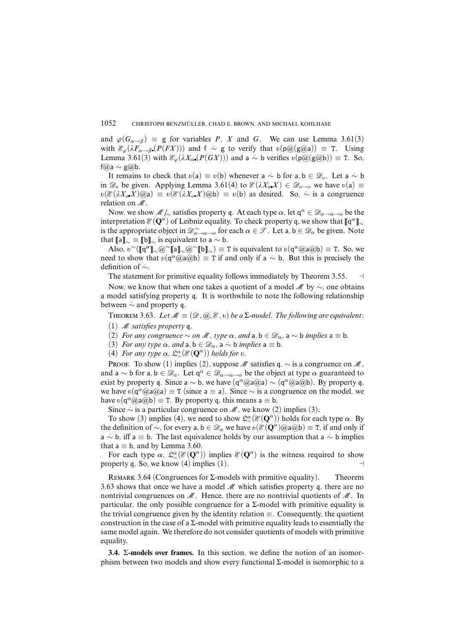and  $\varphi(G_{\alpha \to \beta}) \equiv$  g for variables *P*, *X* and *G*. We can use Lemma 3.61(3) with  $\mathscr{E}_{\varphi}(\lambda F_{\alpha \to \beta} (P(FX)))$  and  $f \sim g$  to verify that  $v(p@(g@a)) \equiv T$ . Using Lemma 3.61(3) with  $\mathcal{E}_{\varphi}(\lambda X_{\alpha}(P(GX)))$  and a  $\sim$  b verifies  $\upsilon(\rho\varpi(g\varpi b)) \equiv T$ . So, f@a *.*∼ g@b.

It remains to check that  $v(a) \equiv v(b)$  whenever a  $\sim b$  for a,  $b \in \mathcal{D}_o$ . Let a  $\sim b$ in  $\mathscr{D}_o$  be given. Applying Lemma 3.61(4) to  $\mathscr{E}(\lambda X_o X) \in \mathscr{D}_{o \to o}$  we have  $v(a) \equiv$  $\delta v(\mathcal{E}(\lambda X_o, \overline{X})\omega_a) \equiv v(\mathcal{E}(\lambda X_o, \overline{X})\omega_b) \equiv v(b)$  as desired. So,  $\sim$  is a congruence relation on M.

Now, we show  $\mathcal{M}/\mathcal{A}$  satisfies property q. At each type  $\alpha$ , let  $q^{\alpha} \in \mathcal{D}_{\alpha\to\alpha\to 0}$  be the interpretation  $\mathscr{E}(\mathbf{Q}^{\alpha})$  of Leibniz equality. To check property q, we show that  $[\![\mathbf{q}^{\alpha}]\!]_{\sim}$ is the appropriate object in  $\mathscr{D}^{\sim}_{\alpha \to \alpha \to 0}$  for each  $\alpha \in \mathscr{T}$ . Let a,  $b \in \mathscr{D}_{\alpha}$  be given. Note that  $[\![a]\!]_{\sim} \equiv [\![b]\!]_{\sim}$  is equivalent to a  $\sim b$ .

 $\text{Also, } v^{\sim}([\mathbf{r}] \cdot \mathbf{Q}^{\sim}[\mathbf{a}] \cdot \mathbf{Q}^{\sim}[\mathbf{b}] \cdot \mathbf{Q}^{\sim}[\mathbf{b}] \cdot \mathbf{Q}^{\sim}[\mathbf{b}] \cdot \mathbf{Q}^{\sim}[\mathbf{b}] \cdot \mathbf{Q}^{\sim}[\mathbf{b}] \cdot \mathbf{Q}^{\sim}[\mathbf{b}] \cdot \mathbf{Q}^{\sim}[\mathbf{b}] \cdot \mathbf{Q}^{\sim}[\mathbf{b}] \cdot \mathbf{Q}^{\sim}[\mathbf{b}] \cdot \mathbf{Q}^{\sim}[\mathbf{b}] \cdot \mathbf$ need to show that  $\upsilon(\sigma^{\alpha}(\partial a \partial b)) \equiv T$  if and only if a  $\sim$  b. But this is precisely the definition of *.*∼.

The statement for primitive equality follows immediately by Theorem 3.55.  $\Box$ 

Now, we know that when one takes a quotient of a model *M* by  $\sim$ , one obtains a model satisfying property q. It is worthwhile to note the following relationship between  $\sim$  and property q.

THEOREM 3.63. Let  $M \equiv (\mathcal{D}, \mathcal{Q}, \mathcal{E}, v)$  be a  $\Sigma$ -model. The following are equivalent:

- (1)  $M$  satisfies property q.
- (2) For any congruence  $\sim$  on M, type  $\alpha$ , and  $a, b \in \mathcal{D}_\alpha$ ,  $a \sim b$  implies  $a \equiv b$ .
- (3) For any type  $\alpha$ , and  $a, b \in \mathscr{D}_\alpha$ ,  $a \sim b$  implies  $a \equiv b$ .
- (4) For any type  $\alpha$ ,  $\mathfrak{L}^{\alpha}_{=}(\mathcal{E}(\mathbf{Q}^{\alpha}))$  holds for  $v$ .

PROOF. To show (1) implies (2), suppose M satisfies q,  $\sim$  is a congruence on M, and  $a \sim b$  for  $a, b \in \mathcal{D}_\alpha$ . Let  $q^\alpha \in \mathcal{D}_{\alpha \to \alpha \to 0}$  be the object at type  $\alpha$  guaranteed to exist by property q. Since a  $\sim$  b, we have  $(q^{\alpha}(\partial \text{a}(\partial \text{a}) \sim (q^{\alpha}(\partial \text{a}(\partial \text{b}))$ . By property q, we have  $v(\sigma^{\alpha}(\partial a \cdot \partial a)) \equiv T$  (since a  $\equiv a$ ). Since  $\sim$  is a congruence on the model, we have  $v(\mathsf{q}^{\alpha}(\widehat{\mathcal{Q}}a(\widehat{\mathcal{Q}}b)) \equiv T$ . By property q, this means  $a \equiv b$ .

Since  $\sim$  is a particular congruence on  $\mathcal{M}$ , we know (2) implies (3).

To show (3) implies (4), we need to show  $\mathfrak{L}^{\alpha}_{=}(\mathcal{E}(\mathbf{Q}^{\alpha}))$  holds for each type  $\alpha$ . By the definition of  $\sim$ , for every a, b  $\in \mathcal{D}_{\alpha}$  we have  $\delta(\mathcal{E}(\mathbf{Q}^{\alpha})\mathcal{Q}(\mathbf{Q}^{\alpha})\mathcal{Q}(\mathbf{Q}^{\alpha}))\equiv \mathbf{T}$ , if and only if a *.*∼ b, iff a ≡ b. The last equivalence holds by our assumption that a *.*∼ b implies that  $a \equiv b$ , and by Lemma 3.60.

For each type  $\alpha$ ,  $\mathcal{L}^{\alpha}_{=}(\mathcal{E}(\mathbf{Q}^{\alpha}))$  implies  $\mathcal{E}(\mathbf{Q}^{\alpha})$  is the witness required to show property q. So, we know (4) implies (1).  $\Box$ 

REMARK 3.64 (Congruences for  $\Sigma$ -models with primitive equality). Theorem 3.63 shows that once we have a model  $\mathcal{M}$  which satisfies property q, there are no nontrivial congruences on  $\mathcal M$ . Hence, there are no nontrivial quotients of  $\mathcal M$ . In particular, the only possible congruence for a  $\Sigma$ -model with primitive equality is the trivial congruence given by the identity relation  $\equiv$ . Consequently, the quotient construction in the case of a  $\Sigma$ -model with primitive equality leads to essentially the same model again. We therefore do not consider quotients of models with primitive equality.

**3.4.** Σ**-models over frames.** In this section, we define the notion of an isomorphism between two models and show every functional Σ-model is isomorphic to a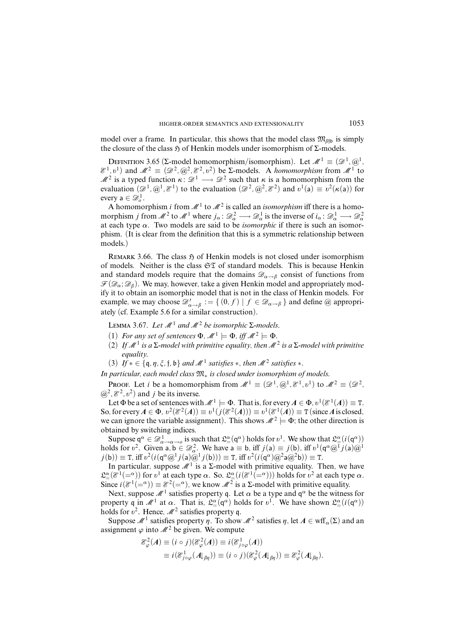model over a frame. In particular, this shows that the model class  $\mathfrak{M}_{\beta\beta\mathfrak{h}}$  is simply the closure of the class  $\mathfrak H$  of Henkin models under isomorphism of  $\Sigma$ -models.

DEFINITION 3.65 (Σ-model homomorphism/isomorphism). Let  $\mathcal{M}^1 \equiv (\mathcal{D}^1, \mathcal{Q}^1, \mathcal{A}^2)$  $\mathcal{E}^1, v^1$ ) and  $\mathcal{M}^2 \equiv (\mathcal{D}^2, \mathcal{Q}^2, \mathcal{E}^2, v^2)$  be Σ-models. A *homomorphism* from  $\mathcal{M}^1$  to  $\mathcal{M}^2$  is a typed function  $\kappa: \mathcal{D}^1 \longrightarrow \mathcal{D}^2$  such that  $\kappa$  is a homomorphism from the evaluation  $(\mathscr{D}^1, \mathscr{Q}^1, \mathscr{E}^1)$  to the evaluation  $(\mathscr{D}^2, \mathscr{Q}^2, \mathscr{E}^2)$  and  $v^1(\mathsf{a}) \equiv v^2(\kappa(\mathsf{a}))$  for every  $a \in \mathscr{D}_o^1$ .

A homomorphism *i* from  $\mathcal{M}^1$  to  $\mathcal{M}^2$  is called an *isomorphism* iff there is a homomorphism *j* from  $\mathscr{M}^2$  to  $\mathscr{M}^1$  where  $j_\alpha \colon \mathscr{D}^2_\alpha \longrightarrow \mathscr{D}^1_\alpha$  is the inverse of  $i_\alpha \colon \mathscr{D}^1_\alpha \longrightarrow \mathscr{D}^2_\alpha$ at each type  $\alpha$ . Two models are said to be *isomorphic* if there is such an isomorphism. (It is clear from the definition that this is a symmetric relationship between models.)

REMARK 3.66. The class  $\mathfrak{H}$  of Henkin models is not closed under isomorphism of models. Neither is the class  $\mathfrak{ST}$  of standard models. This is because Henkin and standard models require that the domains  $\mathscr{D}_{\alpha \to \beta}$  consist of functions from  $\mathcal{F}(\mathcal{D}_\alpha;\mathcal{D}_\beta)$ . We may, however, take a given Henkin model and appropriately modify it to obtain an isomorphic model that is not in the class of Henkin models. For example, we may choose  $\mathscr{D}'_{\alpha \to \beta} := \{ (0, f) \mid f \in \mathscr{D}_{\alpha \to \beta} \}$  and define  $\omega$  appropriately (cf. Example 5.6 for a similar construction).

LEMMA 3.67. Let  $M<sup>1</sup>$  and  $M<sup>2</sup>$  be isomorphic Σ-models.

- (1) For any set of sentences  $\Phi$ ,  $\mathcal{M}^1 \models \Phi$ , iff  $\mathcal{M}^2 \models \Phi$ .
- (2) If  $\mathcal{M}^1$  is a  $\Sigma$ -model with primitive equality, then  $\mathcal{M}^2$  is a  $\Sigma$ -model with primitive equality.
- (3) If  $* \in \{\mathfrak{q}, \eta, \xi, \mathfrak{f}, \mathfrak{b}\}\$  and  $\mathcal{M}^1$  satisfies  $*$ , then  $\mathcal{M}^2$  satisfies  $*$ .

In particular, each model class  $\mathfrak{M}_*$  is closed under isomorphism of models.

PROOF. Let *i* be a homomorphism from  $\mathcal{M}^1 \equiv (\mathcal{D}^1, \mathcal{Q}^1, \mathcal{E}^1, v^1)$  to  $\mathcal{M}^2 \equiv (\mathcal{D}^2, \mathcal{Z}^2, \mathcal{Z}^2)$  $(\omega^2, \mathcal{E}^2, \nu^2)$  and *j* be its inverse.

Let  $\Phi$  be a set of sentences with  $\mathcal{M}^1 \models \Phi$ . That is, for every  $A \in \Phi$ ,  $v^1(\mathcal{E}^1(A)) \equiv \texttt{T}$ . So, for every  $A \in \Phi$ ,  $v^2(\mathcal{E}^2(A)) \equiv v^1(j(\mathcal{E}^2(A))) \equiv v^1(\mathcal{E}^1(A)) \equiv \texttt{T}$  (since *A* is closed, we can ignore the variable assignment). This shows  $\mathcal{M}^2 \models \Phi$ ; the other direction is obtained by switching indices.

Suppose  $q^{\alpha} \in \mathscr{D}^1_{\alpha \to \alpha \to 0}$  is such that  $\mathfrak{L}^{\alpha}_{=}(\mathfrak{q}^{\alpha})$  holds for  $v^1$ . We show that  $\mathfrak{L}^{\alpha}_{=}(i(\mathfrak{q}^{\alpha}))$ holds for  $v^2$ . Given a,  $b \in \mathscr{D}_\alpha^2$ . We have  $a \equiv b$ , iff  $j(a) \equiv j(b)$ , iff  $v^1(\mathfrak{q}^\alpha \mathcal{Q}^1 j(a) \mathcal{Q}^1$  $j(b)$ )  $\equiv$  T, iff  $v^2(i(q^{\alpha}@^1j(a)\ddot{@}^1j(b))) \equiv$  T, iff  $v^2(i(q^{\alpha})@^2a@^2b)) \equiv$  T.

In particular, suppose  $\mathcal{M}^1$  is a  $\Sigma$ -model with primitive equality. Then, we have  $\mathfrak{L}^{\alpha}(\mathcal{E}^1(-\alpha))$  for  $\mathfrak{v}^1$  at each type  $\alpha$ . So,  $\mathfrak{L}^{\alpha}(\mathcal{E}^1(-\alpha))$  holds for  $\mathfrak{v}^2$  at each type  $\alpha$ . Since  $i(\mathcal{E}^1(-\alpha)) \equiv \mathcal{E}^2(-\alpha)$ , we know  $\mathcal{M}^2$  is a  $\Sigma$ -model with primitive equality.

Next, suppose  $\mathcal{M}^1$  satisfies property q. Let  $\alpha$  be a type and  $q^{\alpha}$  be the witness for property q in  $\mathcal{M}^1$  at  $\alpha$ . That is,  $\mathcal{L}^{\alpha}(\mathsf{q}^{\alpha})$  holds for  $v^1$ . We have shown  $\mathcal{L}^{\alpha}(\mathfrak{i}(\mathsf{q}^{\alpha}))$ holds for  $v^2$ . Hence,  $\mathcal{M}^2$  satisfies property q.

Suppose  $\mathcal{M}^1$  satisfies property  $\eta$ . To show  $\mathcal{M}^2$  satisfies  $\eta$ , let  $A \in \text{wff}_\alpha(\Sigma)$  and an assignment  $\varphi$  into  $\mathcal{M}^2$  be given. We compute

$$
\mathcal{E}_{\varphi}^{2}(A) \equiv (i \circ j)(\mathcal{E}_{\varphi}^{2}(A)) \equiv i(\mathcal{E}_{j \circ \varphi}^{1}(A))
$$
  

$$
\equiv i(\mathcal{E}_{j \circ \varphi}^{1}(A \vert_{\beta\eta})) \equiv (i \circ j)(\mathcal{E}_{\varphi}^{2}(A \vert_{\beta\eta})) \equiv \mathcal{E}_{\varphi}^{2}(A \vert_{\beta\eta}).
$$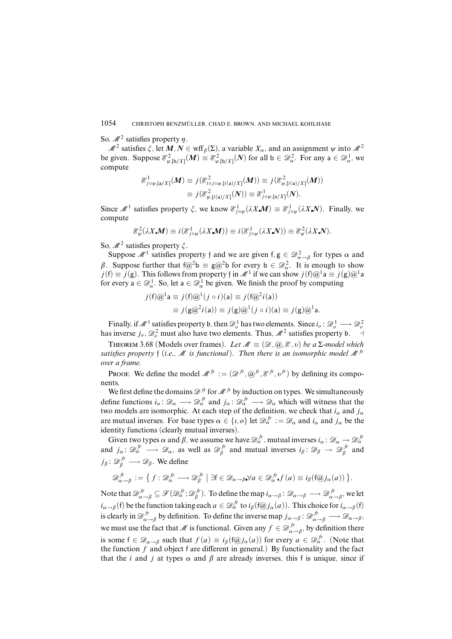So,  $\mathcal{M}^2$  satisfies property  $\eta$ .

 $M^2$  satisfies  $\xi$ , let  $M, N \in \text{wff}_{\beta}(\Sigma)$ , a variable  $X_\alpha$ , and an assignment  $\psi$  into  $M^2$ be given. Suppose  $\mathcal{E}_{\psi,[\phi/X]}^2(M) \equiv \mathcal{E}_{\psi,[\phi/X]}^2(N)$  for all  $\phi \in \mathcal{D}_\alpha^2$ . For any  $a \in \mathcal{D}_\alpha^1$ , we compute

$$
\mathcal{E}_{j\circ\psi,[\mathsf{a}/X]}^1(M) \equiv j(\mathcal{E}_{i\circ j\circ\psi,[i(\mathsf{a})/X]}^2(M)) \equiv j(\mathcal{E}_{\psi,[i(\mathsf{a})/X]}^2(M))
$$
  

$$
\equiv j(\mathcal{E}_{\psi,[i(\mathsf{a})/X]}^2(N)) \equiv \mathcal{E}_{j\circ\psi,[\mathsf{a}/X]}^1(N).
$$

Since M<sup>1</sup> satisfies property  $\zeta$ , we know  $\mathcal{E}^1_{j \circ \psi}(\lambda X \mathbf{M}) \equiv \mathcal{E}^1_{j \circ \psi}(\lambda X \mathbf{N})$ . Finally, we compute

$$
\mathcal{E}_{\psi}^{2}(\lambda X \mathbf{M}) \equiv i(\mathcal{E}_{j\circ\psi}^{1}(\lambda X \mathbf{M})) \equiv i(\mathcal{E}_{j\circ\psi}^{1}(\lambda X \mathbf{N})) \equiv \mathcal{E}_{\psi}^{2}(\lambda X \mathbf{N}).
$$

So,  $\mathcal{M}^2$  satisfies property  $\zeta$ .

Suppose  $\mathcal{M}^1$  satisfies property f and we are given  $f, g \in \mathcal{D}^2_{\alpha \to \beta}$  for types  $\alpha$  and *β*. Suppose further that  $f(\mathcal{Q}^2 b \equiv g(\mathcal{Q}^2 b \text{ for every } b \in \mathcal{D}_{\alpha}^2$ . It is enough to show  $j(f) \equiv j(g)$ . This follows from property f in  $\mathcal{M}^1$  if we can show  $j(f)@^1a \equiv j(g)@^1a$ for every  $a \in \mathscr{D}_\alpha^1$ . So, let  $a \in \mathscr{D}_\alpha^1$  be given. We finish the proof by computing

$$
j(f)\mathcal{Q}^1\mathsf{a} \equiv j(f)\mathcal{Q}^1(j \circ i)(\mathsf{a}) \equiv j(f\mathcal{Q}^2 i(\mathsf{a}))
$$
  

$$
\equiv j(g\mathcal{Q}^2 i(\mathsf{a})) \equiv j(g)\mathcal{Q}^1(j \circ i)(\mathsf{a}) \equiv j(g)\mathcal{Q}^1\mathsf{a}.
$$

Finally, if  $\mathcal{M}^1$  satisfies property b, then  $\mathcal{D}_o^1$  has two elements. Since  $i_o : \mathcal{D}_o^1 \longrightarrow \mathcal{D}_o^2$ has inverse  $j_o$ ,  $\mathcal{D}_o^2$  must also have two elements. Thus,  $\mathcal{M}^2$  satisfies property  $\mathfrak{b}$ .  $\Box$ 

THEOREM 3.68 (Models over frames). Let  $\mathcal{M} \equiv (\mathcal{D}, \mathcal{Q}, \mathcal{E}, v)$  be a  $\Sigma$ -model which satisfies property f (i.e.,  $\mathcal M$  is functional). Then there is an isomorphic model  $\mathcal M$  fr over a frame.

**PROOF.** We define the model  $\mathcal{M}^{fr} := (\mathcal{D}^{fr}, \mathcal{Q}^{fr}, \mathcal{E}^{fr}, v^{fr})$  by defining its components.

We first define the domains  $\mathcal{D}^{fr}$  for  $\mathcal{M}^{fr}$  by induction on types. We simultaneously define functions  $i_\alpha: \mathscr{D}_\alpha \longrightarrow \mathscr{D}_\alpha^{f_r}$  and  $j_\alpha: \mathscr{D}_\alpha^{f_r} \longrightarrow \mathscr{D}_\alpha$  which will witness that the two models are isomorphic. At each step of the definition, we check that  $i_\alpha$  and  $j_\alpha$ are mutual inverses. For base types  $\alpha \in \{i, o\}$  let  $\mathcal{D}_\alpha^{f^r} := \mathcal{D}_\alpha$  and  $i_\alpha$  and  $j_\alpha$  be the identity functions (clearly mutual inverses).

Given two types  $\alpha$  and  $\beta$ , we assume we have  $\mathscr{D}^{f^p}_{\alpha}$ , mutual inverses  $i_\alpha \colon \mathscr{D}_\alpha \to \mathscr{D}^{f^p}_{\alpha}$ and  $j_{\alpha} : \mathscr{D}_{\alpha}^{fr} \longrightarrow \mathscr{D}_{\alpha}$ , as well as  $\mathscr{D}_{\beta}^{fr}$  $a_{\beta}^{fr}$  and mutual inverses  $i_{\beta}$ :  $\mathscr{D}_{\beta} \rightarrow \mathscr{D}_{\beta}^{fr}$ *â* and  $j_{\beta} \colon \mathscr{D}_{\beta}^{fr} \longrightarrow \mathscr{D}_{\beta}$ . We define

$$
\mathcal{D}_{\alpha \to \beta}^{fr} := \left\{ f : \mathcal{D}_{\alpha}^{fr} \longrightarrow \mathcal{D}_{\beta}^{fr} \mid \exists f \in \mathcal{D}_{\alpha \to \beta} \forall a \in \mathcal{D}_{\alpha}^{fr} f(a) \equiv i_{\beta} (f(a)j_{\alpha}(a)) \right\}.
$$

Note that  $\mathscr{D}^{fr}_{\alpha \to \beta} \subseteq \mathscr{F}(\mathscr{D}^{fr}_{\alpha}; \mathscr{D}^{fr}_{\beta})$ *a*<sup>*fr*</sup></sup>). To define the map  $i_{\alpha \to \beta}: \mathscr{D}_{\alpha \to \beta} \longrightarrow \mathscr{D}_{\alpha}^{fr}$  $\alpha \rightarrow \beta$ , we let  $i_{\alpha \to \beta}$  (f) be the function taking each  $a \in \mathcal{D}_{\alpha}^{f}$  to  $i_{\beta}$  (f@ $j_{\alpha}(a)$ ). This choice for  $i_{\alpha \to \beta}$  (f) is clearly in  $\mathcal{D}_\infty^{fr}$ *fr a*→*β*</sub> by definition. To define the inverse map  $j_{\alpha \to \beta}: \mathscr{D}^{f^f}_{\alpha \to \beta} \longrightarrow \mathscr{D}_{\alpha \to \beta}$ , we must use the fact that M is functional. Given any  $f \in \mathcal{D}_{\alpha}^{f^*}$  $\alpha \rightarrow \beta$ , by definition there is some  $f \in \mathcal{D}_{\alpha \to \beta}$  such that  $f(a) \equiv i_{\beta}(\widehat{a}_j(a))$  for every  $a \in \mathcal{D}_{\alpha}^{f'}$ . (Note that the function  $f$  and object  $f$  are different in general.) By functionality and the fact that the *i* and *j* at types  $\alpha$  and  $\beta$  are already inverses, this f is unique, since if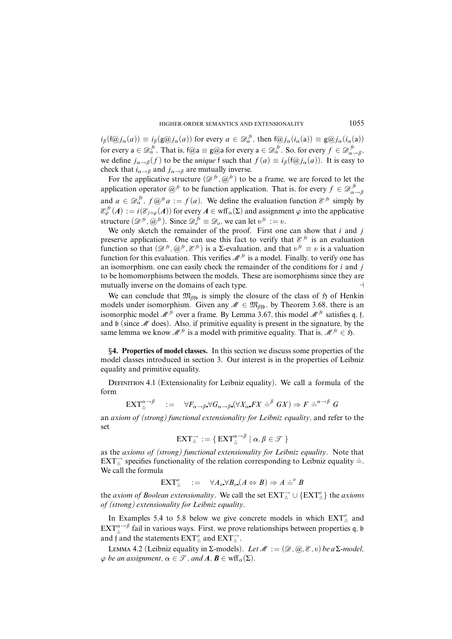$i_{\beta}$ (f $\widehat{\omega}, i_{\alpha}(a)$ )  $\equiv i_{\beta}(\mathbf{g}\widehat{\omega}, i_{\alpha}(a))$  for every  $a \in \mathcal{D}_{\alpha}^{f}$ , then f $\widehat{\omega}, i_{\alpha}(a)$ )  $\equiv \mathbf{g}\widehat{\omega}, i_{\alpha}(a)$ ) for every  $a \in \mathcal{D}_{\alpha}^{fr}$ . That is, f@a  $\equiv$  g@a for every  $a \in \mathcal{D}_{\alpha}^{fr}$ . So, for every  $f \in \mathcal{D}_{\alpha}^{fr}$ . . *jr*<br>α→β<sup>,</sup> we define  $j_{\alpha \to \beta}(f)$  to be the *unique* f such that  $f(a) \equiv i_{\beta}(\text{f@} j_{\alpha}(a))$ . It is easy to check that  $i_{\alpha \to \beta}$  and  $j_{\alpha \to \beta}$  are mutually inverse.

For the applicative structure  $(\mathcal{D}^{f}, \mathcal{Q}^{f})$  to be a frame, we are forced to let the application operator  $@^{fr}$  to be function application. That is, for every  $f \in \mathcal{D}_{\alpha}^{fr}$ *α*→*â* and  $a \in \mathcal{D}_\alpha^{fr}$ ,  $f \circ \mathcal{D}^{fr} a := f(a)$ . We define the evaluation function  $\mathcal{E}^{fr}$  simply by  $\mathcal{E}_{\varphi}^{f r}(A) := i(\mathcal{E}_{j \circ \varphi}(A))$  for every  $A \in \text{wff}_{\alpha}(\Sigma)$  and assignment  $\varphi$  into the applicative structure  $(\mathcal{D}^{fr}, \mathcal{Q}^{fr})$ . Since  $\mathcal{D}^{fr}_{o} \equiv \mathcal{D}_{o}$ , we can let  $v^{fr} := v$ .

We only sketch the remainder of the proof. First one can show that *i* and *j* preserve application. One can use this fact to verify that  $\mathcal{E}^{f_r}$  is an evaluation function so that  $(\mathcal{D}^{fr}, \mathcal{Q}^{fr}, \mathcal{E}^{fr})$  is a  $\Sigma$ -evaluation, and that  $v^{fr} \equiv v$  is a valuation function for this evaluation. This verifies  $\mathcal{M}^{fr}$  is a model. Finally, to verify one has an isomorphism, one can easily check the remainder of the conditions for *i* and *j* to be homomorphisms between the models. These are isomorphisms since they are mutually inverse on the domains of each type.  $\Box$ 

We can conclude that  $\mathfrak{M}_{\beta\beta}$  is simply the closure of the class of  $\mathfrak H$  of Henkin models under isomorphism. Given any  $\mathcal{M} \in \mathfrak{M}_{\beta_{1}}$ , by Theorem 3.68, there is an isomorphic model M*fr* over a frame. By Lemma 3.67, this model M*fr* satisfies q, f, and  $\mathfrak b$  (since  $\mathcal M$  does). Also, if primitive equality is present in the signature, by the same lemma we know  $\mathcal{M}^{fr}$  is a model with primitive equality. That is,  $\mathcal{M}^{fr} \in \mathfrak{H}$ .

§**4. Properties of model classes.** In this section we discuss some properties of the model classes introduced in section 3. Our interest is in the properties of Leibniz equality and primitive equality.

DEFINITION 4.1 (Extensionality for Leibniz equality). We call a formula of the form

$$
\text{EXT}_{\dot{=}}^{\alpha \to \beta} \quad := \quad \forall F_{\alpha \to \beta} \forall G_{\alpha \to \beta} (\forall X_{\alpha} FX \dot{=}^{\beta} GX) \Rightarrow F \dot{=}^{\alpha \to \beta} G
$$

an *axiom of (strong) functional extensionality for Leibniz equality*, and refer to the set

$$
\operatorname{EXT}_{\dot{=}}^{\rightarrow} := \{ \operatorname{EXT}_{\dot{=}}^{\alpha \rightarrow \beta} \mid \alpha, \beta \in \mathcal{T} \}
$$

as the *axioms of (strong) functional extensionality for Leibniz equality*. Note that  $\overline{EXT}$  $\overline{ }\nexists$  specifies functionality of the relation corresponding to Leibniz equality  $\overline{ }$ . We call the formula

 $\mathsf{EXT}^o_{\doteq}$  :=  $\forall A_o \forall B_o \ (A \Leftrightarrow B) \Rightarrow A \doteq^o B$ 

the *axiom of Boolean extensionality*. We call the set  $\text{EXT}^{\rightarrow}_{\stackrel{\rightarrow}{=}} \cup {\text{EXT}^o_{\stackrel{\rightarrow}{=}}}$  the *axioms of (strong) extensionality for Leibniz equality*.

In Examples 5.4 to 5.8 below we give concrete models in which  $\text{EXT}^o_{\overset{\rightharpoonup}{=}}$  and  $\operatorname{EXT}^{\alpha\to\beta}_\pm$  fail in various ways. First, we prove relationships between properties q, b and f and the statements  $\text{EXT}^o_{\dot{=}}$  and  $\text{EXT}^{\rightarrow}_{\dot{=}}$ .

LEMMA 4.2 (Leibniz equality in Σ-models). Let  $M := (\mathcal{D}, \mathcal{Q}, \mathcal{E}, v)$  be a Σ-model,  $\varphi$  *be an assignment,*  $\alpha \in \mathcal{T}$ *, and*  $A, B \in \text{wff}_\alpha(\Sigma)$ *.*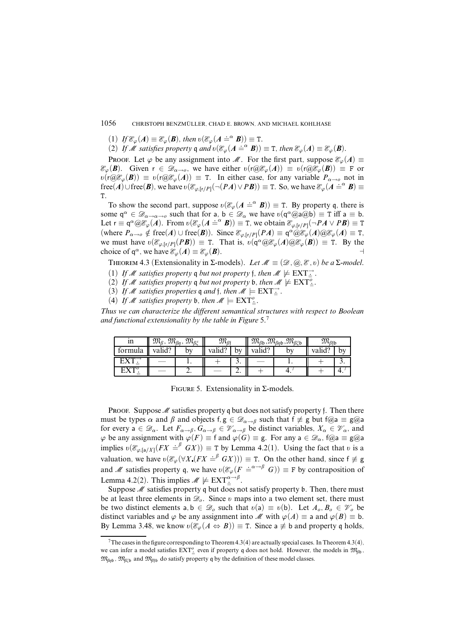(1) If  $\mathcal{E}_{\varphi}(A) \equiv \mathcal{E}_{\varphi}(B)$ , then  $v(\mathcal{E}_{\varphi}(A \doteq^{\alpha} B)) \equiv T$ .

(2) If M satisfies property q and  $v(\mathcal{E}_{\varphi}(A \stackrel{\sim}{=}^{\alpha} B)) \equiv T$ , then  $\mathcal{E}_{\varphi}(A) \equiv \mathcal{E}_{\varphi}(B)$ .

Proof. Let  $\varphi$  be any assignment into M. For the first part, suppose  $\mathcal{E}_{\varphi}(A) \equiv$  $\mathcal{E}_{\varphi}(\mathbf{B})$ . Given  $r \in \mathcal{D}_{\alpha \to 0}$ , we have either  $\upsilon(r(\partial \mathcal{E}_{\varphi}(A)) \equiv \upsilon(r(\partial \mathcal{E}_{\varphi}(B)) \equiv F$  or  $\delta$ (*r*( $\partial\mathcal{E}_{\varphi}(\mathbf{B})$ ) = *v*(*r* $\partial\mathcal{E}_{\varphi}(A)$ ) = T. In either case, for any variable  $P_{\alpha\to\rho}$  not in  $f(\mathbf{e}(\mathbf{A}) \cup \text{free}(\mathbf{B}))$ , we have  $\delta(\mathcal{E}_{\varphi,[r/P]}(-(\mathbf{P}\mathbf{A}) \vee \mathbf{P}\mathbf{B})) \equiv \mathbf{T}$ . So, we have  $\mathcal{E}_{\varphi}(\mathbf{A} \doteq^{\alpha} \mathbf{B}) \equiv \mathbf{T}$ . T.

To show the second part, suppose  $v(\mathcal{E}_{\varphi}(A \doteq^{\alpha} B)) \equiv T$ . By property q, there is some  $q^{\alpha} \in \mathscr{D}_{\alpha \to \alpha \to 0}$  such that for a,  $b \in \mathscr{D}_{\alpha}$  we have  $v(q^{\alpha}(\alpha)a(\alpha b)) \equiv T$  iff  $a \equiv b$ . Let  $\mathbf{r} \equiv \mathbf{q}^{\alpha}(\partial \mathcal{E}_{\varphi}(A))$ . From  $v(\mathcal{E}_{\varphi}(A \doteq^{\alpha} B)) \equiv \mathbf{T}$ , we obtain  $\mathcal{E}_{\varphi,[r/P]}(-PA \vee PB) \equiv \mathbf{T}$  $(\text{where } P_{\alpha \to 0} \notin \text{free}(A) \cup \text{free}(B)).$  Since  $\mathcal{E}_{\varphi, [r/P]}(PA) \equiv q^{\alpha} \hat{\omega} \mathcal{E}_{\varphi}(A) \hat{\omega} \mathcal{E}_{\varphi}(A) \equiv T$ , we must have  $\upsilon(\mathcal{E}_{\varphi,[r/P]}(P\mathbf{B})) \equiv T$ . That is,  $\upsilon(q^{\alpha} \omega \mathcal{E}_{\varphi}(A) \omega \mathcal{E}_{\varphi}(\mathbf{B})) \equiv T$ . By the choice of  $q^{\alpha}$ , we have  $\mathcal{E}_{\varphi}(A) \equiv \mathcal{E}_{\varphi}(B)$ .

THEOREM 4.3 (Extensionality in  $\Sigma$ -models). Let  $\mathcal{M} \equiv (\mathcal{D}, \mathcal{Q}, \mathcal{E}, v)$  be a  $\Sigma$ -model.

- (1) If M satisfies property  $\mathfrak q$  but not property  $\mathfrak f$ , then  $M \not\models \operatorname{EXT}^{\rightharpoonup}_{\doteq}$ .
- (2) If M satisfies property q but not property b, then  $M \not\models \text{EXT}^o_{\dot{=}}.$
- (3) If M satisfies properties  $\mathfrak{q}$  and  $\mathfrak{f}$ , then  $M \models \text{EXT}^{\rightarrow}_{\equiv}$ .
- (4) If M satisfies property b, then  $M \models \text{EXT}^o_{\equiv}$ .

Thus we can characterize the different semantical structures with respect to Boolean and functional extensionality by the table in Figure  $5<sup>7</sup>$ 

| ın         | $\mathfrak{M}_{\beta}$ , $\mathfrak{M}_{\beta\eta}$ , $\mathfrak{M}_{\beta\xi}$ |          | $\mathfrak{M}_{\beta\mathfrak{f}}$ |     |        | $\mathfrak{M}_{\beta\mathfrak{b}},\mathfrak{M}_{\beta\eta\mathfrak{b}},\mathfrak{M}_{\beta\xi\mathfrak{b}}$ | $\mathfrak{M}_{\beta\mathfrak{f}\mathfrak{b}}$ |  |
|------------|---------------------------------------------------------------------------------|----------|------------------------------------|-----|--------|-------------------------------------------------------------------------------------------------------------|------------------------------------------------|--|
| formula    | valid?<br>by                                                                    |          | valid?                             | bv  | valid? | bv                                                                                                          | valid?                                         |  |
| <b>EXT</b> |                                                                                 |          |                                    | J.  |        |                                                                                                             |                                                |  |
| $\Gamma V$ |                                                                                 | <i>.</i> |                                    | ، ت |        |                                                                                                             |                                                |  |

FIGURE 5. Extensionality in  $\Sigma$ -models.

**PROOF.** Suppose  $\mathcal M$  satisfies property q but does not satisfy property f. Then there must be types  $\alpha$  and  $\beta$  and objects  $f, g \in \mathscr{D}_{\alpha \to \beta}$  such that  $f \neq g$  but  $f(\omega) = g(\omega)$ for every  $a \in \mathscr{D}_\alpha$ . Let  $F_{\alpha \to \beta}$ ,  $G_{\alpha \to \beta} \in \mathscr{V}_{\alpha \to \beta}$  be distinct variables,  $X_\alpha \in \mathscr{V}_\alpha$ , and  $\varphi$  be any assignment with  $\varphi(F) \equiv f$  and  $\varphi(G) \equiv g$ . For any  $a \in \mathcal{D}_{\alpha}$ ,  $f(\omega a) \equiv g(\omega a)$ implies  $v(\mathcal{E}_{\varphi,[a/X]}(FX \doteq^{\beta} GX)) \equiv T$  by Lemma 4.2(1). Using the fact that *v* is a valuation, we have  $v(\mathcal{E}_{\varphi}(\forall X (FX \doteq^{\beta} GX))) \equiv T$ . On the other hand, since  $f \not\equiv g$ and M satisfies property q, we have  $v(\mathcal{E}_{\varphi}(F \doteq^{\alpha \to \beta} G)) \equiv F$  by contraposition of Lemma 4.2(2). This implies  $\mathcal{M} \not\models \text{EXT}_{\dot{=}}^{\alpha \to \beta}$ .

Suppose  $M$  satisfies property q but does not satisfy property b. Then, there must be at least three elements in  $\mathcal{D}_o$ . Since  $v$  maps into a two element set, there must be two distinct elements  $a, b \in \mathcal{D}_o$  such that  $v(a) \equiv v(b)$ . Let  $A_o, B_o \in \mathcal{V}_o$  be distinct variables and  $\varphi$  be any assignment into M with  $\varphi(A) \equiv$  a and  $\varphi(B) \equiv$  b. By Lemma 3.48, we know  $v(\mathcal{E}_{\varphi}(A \Leftrightarrow B)) \equiv \texttt{T}$ . Since a  $\not\equiv$  b and property q holds,

<sup>&</sup>lt;sup>7</sup>The cases in the figure corresponding to Theorem 4.3(4) are actually special cases. In Theorem 4.3(4), we can infer a model satisfies  $EXT^o_{\equiv}$  even if property q does not hold. However, the models in  $\mathfrak{M}_{\beta\mathfrak{b}}$ ,  $\mathfrak{M}_{\beta\eta\delta}$ ,  $\mathfrak{M}_{\beta\xi\delta}$  and  $\mathfrak{M}_{\beta\beta\delta}$  do satisfy property q by the definition of these model classes.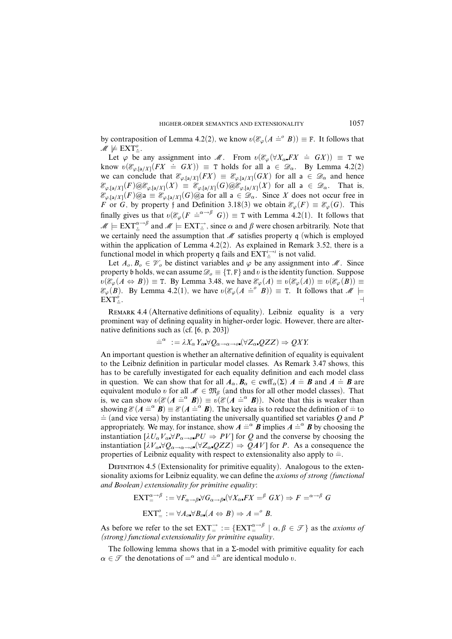by contraposition of Lemma 4.2(2), we know  $v(\mathcal{E}_{\varphi}(A \doteq^{\circ} B)) \equiv \mathbf{F}$ . It follows that  $\mathscr{M} \not\models \text{EXT}^o_{\div}.$ 

Let  $\varphi$  be any assignment into M. From  $v(\mathcal{E}_{\varphi}(\forall X_{\alpha} F X \doteq G X)) \equiv T$  we know  $v(\mathscr{E}_{\varphi,\lceil a/X\rceil}(FX \doteq GX)) \equiv T$  holds for all  $a \in \mathscr{D}_{\alpha}$ . By Lemma 4.2(2) we can conclude that  $\mathcal{E}_{\varphi,[a/X]}(FX) \equiv \mathcal{E}_{\varphi,[a/X]}(GX)$  for all  $a \in \mathcal{D}_{\alpha}$  and hence  $\mathcal{E}_{\varphi,[a/X]}(F) \omega \mathcal{E}_{\varphi,[a/X]}(X) \equiv \mathcal{E}_{\varphi,[a/X]}(G) \omega \mathcal{E}_{\varphi,[a/X]}(X)$  for all  $a \in \mathscr{D}_{\alpha}$ . That is,  $\mathcal{E}_{\varphi,[a/X]}(F)$ @a =  $\mathcal{E}_{\varphi,[a/X]}(G)$ @a for all a  $\in \mathcal{D}_{\alpha}$ . Since X does not occur free in *F* or *G*, by property f and Definition 3.18(3) we obtain  $\mathcal{E}_{\varphi}(F) \equiv \mathcal{E}_{\varphi}(G)$ . This finally gives us that  $v(\mathcal{E}_{\varphi}(F \doteq^{\alpha \to \beta} G)) \equiv T$  with Lemma 4.2(1). It follows that  $M \models \text{EXT}^{\alpha \to \beta}_\pm$  and  $M \models \text{EXT}^\rightarrow_\pm$ , since  $\alpha$  and  $\beta$  were chosen arbitrarily. Note that we certainly need the assumption that  $M$  satisfies property q (which is employed within the application of Lemma 4.2(2). As explained in Remark 3.52, there is a functional model in which property q fails and  $\text{EXT}^{\iota\rightarrow\iota}_{\dot{-}}$  is not valid.

Let  $A_0, B_0 \in \mathcal{V}_0$  be distinct variables and  $\varphi$  be any assignment into  $\mathcal{M}$ . Since property b holds, we can assume  $\mathcal{D}_o \equiv \{T, F\}$  and *v* is the identity function. Suppose  $\overline{v}(\mathcal{E}_{\varphi}(A \Leftrightarrow B)) \equiv \texttt{T}$ . By Lemma 3.48, we have  $\mathcal{E}_{\varphi}(A) \equiv v(\mathcal{E}_{\varphi}(A)) \equiv v(\mathcal{E}_{\varphi}(B)) \equiv \overline{v}$  $\mathcal{E}_{\varphi}(B)$ . By Lemma 4.2(1), we have  $\upsilon(\mathcal{E}_{\varphi}(A \stackrel{\sim}{=} B)) \equiv T$ . It follows that  $M \models$ EXT*<sup>o</sup> .*= . A construction of the construction of the construction of the construction of the construction of the construction of the construction of the construction of the construction of the construction of the construction of th

REMARK 4.4 (Alternative definitions of equality). Leibniz equality is a very prominent way of defining equality in higher-order logic. However, there are alternative definitions such as (cf. [6, p. 203])

$$
\stackrel{\cdot}{=}\n^{\alpha} \; := \lambda X_{\alpha} Y_{\alpha} \forall Q_{\alpha \to \alpha \to \sigma} (\forall Z_{\alpha} \ Q Z Z) \Rightarrow QXY
$$

An important question is whether an alternative definition of equality is equivalent to the Leibniz definition in particular model classes. As Remark 3.47 shows, this has to be carefully investigated for each equality definition and each model class in question. We can show that for all  $A_{\alpha}, B_{\alpha} \in \text{cwff}_{\alpha}(\Sigma)$   $A \stackrel{d}{=} B$  and  $A \stackrel{d}{=} B$  are equivalent modulo *v* for all  $\mathscr{M} \in \mathfrak{M}_{\beta}$  (and thus for all other model classes). That is, we can show  $v(\mathcal{E}(A \stackrel{\sim}{=} \alpha B)) \equiv v(\mathcal{E}(A \stackrel{\sim}{=} \alpha B))$ . Note that this is weaker than showing  $\mathcal{E}(A \stackrel{\text{def}}{=} B) \equiv \mathcal{E}(A \stackrel{\text{def}}{=} B)$ . The key idea is to reduce the definition of  $\stackrel{\text{def}}{=}$  to  $\dot{=}$  (and vice versa) by instantiating the universally quantified set variables *Q* and *P* appropriately. We may, for instance, show  $A \stackrel{\text{def}}{=} \mathbf{B}$  implies  $A \stackrel{\text{def}}{=} \mathbf{B}$  by choosing the instantiation  $[\lambda U_{\alpha} V_{\alpha} \forall P_{\alpha \to \alpha} PU \Rightarrow PV]$  for *Q* and the converse by choosing the instantiation  $[\lambda V_{\alpha} \forall Q_{\alpha \to \alpha \to \rho} (\forall Z_{\alpha} QZZ) \Rightarrow QAV]$  for *P*. As a consequence the properties of Leibniz equality with respect to extensionality also apply to  $\equiv$ .

DEFINITION 4.5 (Extensionality for primitive equality). Analogous to the extensionality axioms for Leibniz equality, we can define the *axioms of strong (functional and Boolean) extensionality for primitive equality*:

$$
\begin{aligned} \n\mathbf{EXT}_{\equiv}^{\alpha \to \beta} &:= \forall F_{\alpha \to \beta} \forall G_{\alpha \to \beta} (\forall X_{\alpha} FX = \beta \ GX) \Rightarrow F = \alpha \to \beta \ G\\ \n\mathbf{EXT}_{\equiv}^o &:= \forall A_o \forall B_o (A \Leftrightarrow B) \Rightarrow A = \beta \ B. \n\end{aligned}
$$

As before we refer to the set  $\text{EXT}^{\rightarrow}_{=} := \{ \text{EXT}^{\alpha \rightarrow \beta} \mid \alpha, \beta \in \mathcal{T} \}$  as the *axioms of (strong) functional extensionality for primitive equality*.

The following lemma shows that in a  $\Sigma$ -model with primitive equality for each *α*  $\in \mathcal{F}$  the denotations of  $=^{\alpha}$  and  $=^{\alpha}$  are identical modulo *õ*.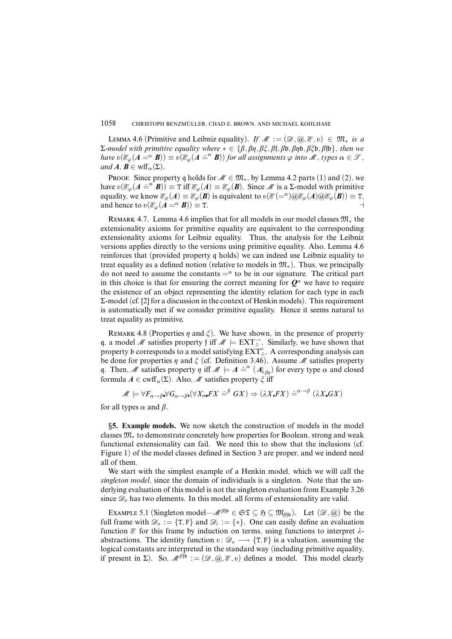LEMMA 4.6 (Primitive and Leibniz equality). If  $\mathcal{M} := (\mathcal{D}, \mathcal{Q}, \mathcal{E}, v) \in \mathfrak{M}_*$  is a Σ-model with primitive equality where ∗ ∈ {*â,âç,âî,â*f*,â*b*,âç*b*,âî*b*,â*fb}, then we  $\mathcal{L}$  model with primative equality where  $\mathcal{L} \subset (\rho, \rho, \rho, \rho, \rho, \rho, \rho, \rho, \rho, \rho, \rho)$ , then we have  $v(\mathcal{E}_{\varphi}(A = \alpha \ B)) \equiv v(\mathcal{E}_{\varphi}(A = \alpha \ B))$  for all assignments  $\varphi$  into  $M$ , types  $\alpha \in \mathcal{F}$ , and  $A, B \in \text{wff}_{\alpha}(\Sigma)$ .

PROOF. Since property q holds for  $M \in \mathfrak{M}_*$ , by Lemma 4.2 parts (1) and (2), we have  $v(\mathcal{E}_{\varphi}(A \stackrel{\text{def}}{=} B)) \equiv T \text{ iff } \mathcal{E}_{\varphi}(A) \equiv \mathcal{E}_{\varphi}(B)$ . Since *M* is a  $\Sigma$ -model with primitive equality, we know  $\mathcal{E}_{\varphi}(A) \equiv \mathcal{E}_{\varphi}(B)$  is equivalent to  $v(\mathcal{E}(-\alpha)\omega \mathcal{E}_{\varphi}(A)\omega \mathcal{E}_{\varphi}(B)) \equiv \mathtt{T}$ , and hence to  $v(\mathcal{E}_{\varphi}(A = \alpha B)) \equiv T$ .

REMARK 4.7. Lemma 4.6 implies that for all models in our model classes  $\mathfrak{M}_{*}$  the extensionality axioms for primitive equality are equivalent to the corresponding extensionality axioms for Leibniz equality. Thus, the analysis for the Leibniz versions applies directly to the versions using primitive equality. Also, Lemma 4.6 reinforces that (provided property q holds) we can indeed use Leibniz equality to treat equality as a defined notion (relative to models in  $\mathfrak{M}_*$ ). Thus, we principally do not need to assume the constants  $=^{\alpha}$  to be in our signature. The critical part in this choice is that for ensuring the correct meaning for  $\mathbf{O}^{\alpha}$  we have to require the existence of an object representing the identity relation for each type in each Σ-model (cf. [2] for a discussion in the context of Henkin models). This requirement is automatically met if we consider primitive equality. Hence it seems natural to treat equality as primitive.

REMARK 4.8 (Properties  $\eta$  and  $\xi$ ). We have shown, in the presence of property q, a model M satisfies property f iff  $M \models EXT^{\rightarrow}$ . Similarly, we have shown that property b corresponds to a model satisfying  $\text{EXT}^o_{\div}$ . A corresponding analysis can be done for properties  $\eta$  and  $\zeta$  (cf. Definition 3.46). Assume  $\mathcal M$  satisfies property q. Then, M satisfies property  $\eta$  iff  $M \models A \stackrel{\text{def}}{=} (A \downarrow_{\beta\eta})$  for every type  $\alpha$  and closed formula  $A \in \text{cwff}_{\alpha}(\Sigma)$ . Also, M satisfies property  $\zeta$  iff

$$
\mathscr{M} \models \forall F_{\alpha \to \beta} \forall G_{\alpha \to \beta} \left( \forall X_{\alpha} F X \doteq^{\beta} G X \right) \Rightarrow (\lambda X F X) \doteq^{\alpha \to \beta} (\lambda X G X)
$$

for all types  $\alpha$  and  $\beta$ .

§**5. Example models.** We now sketch the construction of models in the model classes M<sup>∗</sup> to demonstrate concretely how properties for Boolean, strong and weak functional extensionality can fail. We need this to show that the inclusions (cf. Figure 1) of the model classes defined in Section 3 are proper, and we indeed need all of them.

We start with the simplest example of a Henkin model, which we will call the *singleton model*, since the domain of individuals is a singleton. Note that the underlying evaluation of this model is not the singleton evaluation from Example 3.26 since  $\mathcal{D}_o$  has two elements. In this model, all forms of extensionality are valid.

EXAMPLE 5.1 (Singleton model— $\mathcal{M}^{\beta \uparrow b} \in \mathfrak{ST} \subseteq \mathfrak{H} \subseteq \mathfrak{M}_{\beta \uparrow b}$ ). Let  $(\mathcal{D}, \mathcal{Q})$  be the full frame with  $\mathcal{D}_o := \{T, F\}$  and  $\mathcal{D}_i := \{*\}$ . One can easily define an evaluation function  $\mathscr E$  for this frame by induction on terms, using functions to interpret  $\lambda$ abstractions. The identity function  $v: \mathcal{D}_o \longrightarrow \{T, F\}$  is a valuation, assuming the logical constants are interpreted in the standard way (including primitive equality, if present in  $\Sigma$ ). So,  $\mathcal{M}^{\beta \dagger} := (\mathcal{D}, \mathcal{Q}, \mathcal{E}, v)$  defines a model. This model clearly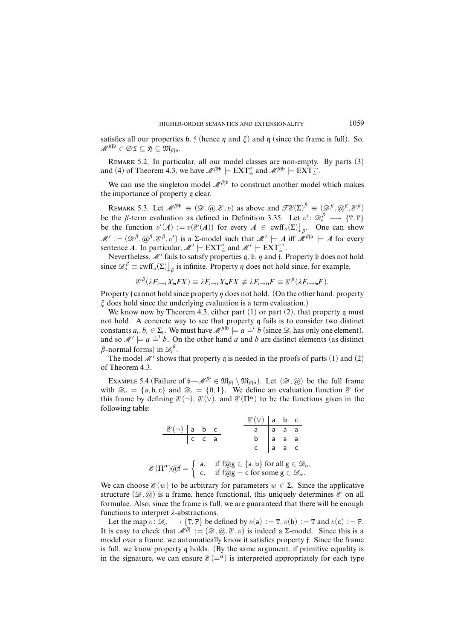satisfies all our properties b,  $f$  (hence  $\eta$  and  $\xi$ ) and  $g$  (since the frame is full). So,  $M^{\beta \uparrow b} \in \mathfrak{ST} \subseteq \mathfrak{H} \subseteq \mathfrak{M}_{\beta \uparrow b}$ .

Remark 5.2. In particular, all our model classes are non-empty. By parts (3) and (4) of Theorem 4.3, we have  $\mathcal{M}^{\beta \uparrow b} \models \text{EXT}^{\circ}_{\stackrel{\Rightarrow}{=}}$  and  $\mathcal{M}^{\beta \uparrow b} \models \text{EXT}^{\rightarrow}_{\stackrel{\Rightarrow}{=}}$ .

We can use the singleton model  $\mathcal{M}^{\beta \uparrow b}$  to construct another model which makes the importance of property q clear.

REMARK 5.3. Let  $\mathscr{M}^{\beta \beta} \equiv (\mathscr{D}, \mathscr{Q}, \mathscr{E}, v)$  as above and  $\mathscr{TE}(\Sigma)^{\beta} \equiv (\mathscr{D}^{\beta}, \mathscr{Q}^{\beta}, \mathscr{E}^{\beta})$ be the  $\beta$ -term evaluation as defined in Definition 3.35. Let  $v' : \mathcal{D}_o^{\beta} \longrightarrow \{T, F\}$ be the function  $v'(A) := v(\mathcal{E}(A))$  for every  $A \in \text{cwff}_{\rho}(\Sigma)$   $\bigcup_{\beta}$ . One can show  $M' := (\mathcal{D}^{\beta}, \mathcal{D}^{\beta}, \mathcal{E}^{\beta}, v')$  is a  $\Sigma$ -model such that  $M' \models A$  iff  $M^{\beta \uparrow \mathfrak{b}} \models A$  for every sentence A. In particular,  $\mathcal{M}' \models \text{EXT}^o_{\stackrel{\perp}{=}}$  and  $\mathcal{M}' \models \text{EXT}^{\rightarrow}_{\stackrel{\perp}{=}}$ .

Nevertheless, M' fails to satisfy properties q, b,  $\eta$  and f. Property b does not hold since  $\mathscr{D}_{o}^{\beta} \equiv \text{cwff}_{o}(\Sigma)$  *i*<sub> $\beta$ </sub> is infinite. Property  $\eta$  does not hold since, for example,

$$
\mathcal{E}^{\beta}(\lambda F_{t\to t}X_t FX) \equiv \lambda F_{t\to t}X_t FX \not\equiv \lambda F_{t\to t}F \equiv \mathcal{E}^{\beta}(\lambda F_{t\to t}F).
$$

Property f cannot hold since property  $\eta$  does not hold. (On the other hand, property  $\zeta$  does hold since the underlying evaluation is a term evaluation.)

We know now by Theorem 4.3, either part  $(1)$  or part  $(2)$ , that property q must not hold. A concrete way to see that property q fails is to consider two distinct constants  $a_i, b_i \in \Sigma_i$ . We must have  $\mathcal{M}^{\beta}$ <sup>fb</sup>  $\models a \stackrel{\text{def}}{=}^t b$  (since  $\mathcal{D}_t$  has only one element), and so  $M' \models a \stackrel{\text{def}}{=} b$ . On the other hand *a* and *b* are distinct elements (as distinct  $\beta$ -normal forms) in  $\mathscr{D}_i^{\beta}$ .

The model  $\mathcal{M}'$  shows that property q is needed in the proofs of parts (1) and (2) of Theorem 4.3.

Example 5.4 (Failure of  $\mathfrak{b}$ — $\mathscr{M}^{\beta\dagger} \in \mathfrak{M}_{\beta\dagger} \setminus \mathfrak{M}_{\beta\dagger}$ ). Let  $(\mathscr{D}, \mathscr{Q})$  be the full frame with  $\mathscr{D}_0 = \{a, b, c\}$  and  $\mathscr{D}_i = \{0, 1\}$ . We define an evaluation function  $\mathscr{E}$  for this frame by defining  $\mathcal{E}(\neg)$ ,  $\mathcal{E}(\vee)$ , and  $\mathcal{E}(\Pi^{\alpha})$  to be the functions given in the following table:

$$
\frac{\mathscr{E}(\neg) \text{ a b c}}{c c a} \qquad \frac{\mathscr{E}(\vee) \text{ a b c}}{b a a a a}
$$
\n
$$
\mathscr{E}(\Pi^{\alpha}) \text{Qf} = \left\{ \begin{array}{ll} a, & \text{if } f \text{Qg} \in \{a, b\} \text{ for all } g \in \mathscr{D}_{\alpha}, \\ c, & \text{if } f \text{Qg} = c \text{ for some } g \in \mathscr{D}_{\alpha}. \end{array} \right.
$$

We can choose  $\mathcal{E}(w)$  to be arbitrary for parameters  $w \in \Sigma$ . Since the applicative structure  $(\mathscr{D}, \varpi)$  is a frame, hence functional, this uniquely determines  $\mathscr{E}$  on all formulae. Also, since the frame is full, we are guaranteed that there will be enough functions to interpret  $\lambda$ -abstractions.

Let the map  $v : \mathcal{D}_o \longrightarrow \{T, F\}$  be defined by  $v(a) := T$ ,  $v(b) := T$  and  $v(c) := F$ . It is easy to check that  $\mathcal{M}^{\beta} := (\mathcal{D}, \mathcal{Q}, \mathcal{E}, v)$  is indeed a  $\Sigma$ -model. Since this is a model over a frame, we automatically know it satisfies property f. Since the frame is full, we know property q holds. (By the same argument, if primitive equality is in the signature, we can ensure  $\mathcal{E}(-\alpha)$  is interpreted appropriately for each type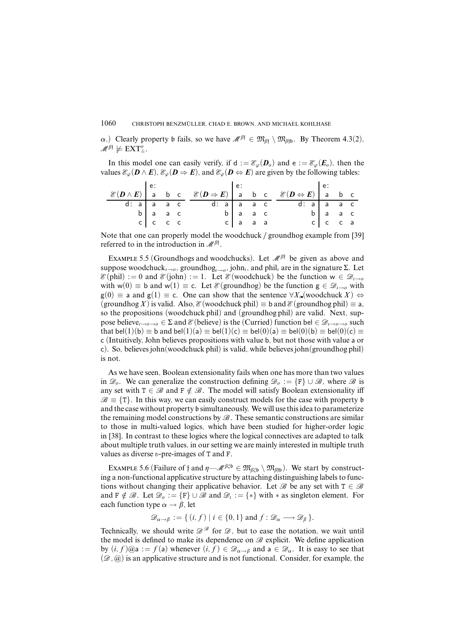*α*.) Clearly property b fails, so we have  $\mathcal{M}^{\beta} \in \mathfrak{M}_{\beta} \setminus \mathfrak{M}_{\beta}$ . By Theorem 4.3(2),  $\mathscr{M}^{\beta \dagger} \not\models \text{EXT}^o_{\dot{=}}.$ 

In this model one can easily verify, if  $d := \mathcal{E}_{\varphi}(\bm{D}_{\varphi})$  and  $e := \mathcal{E}_{\varphi}(\bm{E}_{\varphi})$ , then the values  $\mathcal{E}_{\varphi}(\mathbf{D} \wedge \mathbf{E}), \mathcal{E}_{\varphi}(\mathbf{D} \Rightarrow \mathbf{E}),$  and  $\mathcal{E}_{\varphi}(\mathbf{D} \Leftrightarrow \mathbf{E})$  are given by the following tables:

|                             |  |                                         |  | $\mathcal{E}(\boldsymbol{D} \wedge \boldsymbol{E})$ and a control $\mathcal{E}(\boldsymbol{D} \Rightarrow \boldsymbol{E})$ and a control $\mathcal{E}(\boldsymbol{D} \Leftrightarrow \boldsymbol{E})$ and a control $\mathcal{E}(\boldsymbol{D} \Leftrightarrow \boldsymbol{E})$ and a control $\mathcal{E}(\boldsymbol{D} \wedge \boldsymbol{E})$ and a control $\mathcal{E}(\boldsymbol{D} \wedge \boldsymbol{E})$ and |               |  |
|-----------------------------|--|-----------------------------------------|--|--------------------------------------------------------------------------------------------------------------------------------------------------------------------------------------------------------------------------------------------------------------------------------------------------------------------------------------------------------------------------------------------------------------------------|---------------|--|
| $d: a \mid a \mid a \mid c$ |  | $\overline{d}$ : $a \overline{a}$ a $c$ |  | $\overline{d}$ : $a \mid a$ a c                                                                                                                                                                                                                                                                                                                                                                                          |               |  |
| $b$ a a c                   |  | $b$ a a c                               |  | $\begin{vmatrix} b & a & a & c \end{vmatrix}$                                                                                                                                                                                                                                                                                                                                                                            |               |  |
| cccc                        |  | $c$ a a a                               |  |                                                                                                                                                                                                                                                                                                                                                                                                                          | $c$ $c$ $c$ a |  |

Note that one can properly model the woodchuck */* groundhog example from [39] referred to in the introduction in  $\mathcal{M}^{\beta}$ .

EXAMPLE 5.5 (Groundhogs and woodchucks). Let  $\mathcal{M}^{\beta}$  be given as above and suppose woodchuck<sub>*i*→*o*</sub>, groundhog<sub>*i→o*</sub>, john<sub>*i*</sub>, and phil<sub>*i*</sub> are in the signature Σ. Let  $\mathscr{E}(\text{phil}) := 0$  and  $\mathscr{E}(\text{John}) := 1$ . Let  $\mathscr{E}(\text{woodchuck})$  be the function  $w \in \mathscr{D}_{\ell \to 0}$ with  $w(0) \equiv b$  and  $w(1) \equiv c$ . Let  $\mathcal{E}$  (groundhog) be the function  $g \in \mathcal{D}_{i \to o}$  with  $g(0) \equiv a$  and  $g(1) \equiv c$ . One can show that the sentence  $\forall X_i$ (woodchuck *X*)  $\Leftrightarrow$  $(\text{groundhog } X)$  is valid. Also,  $\mathcal{E}(\text{woodchuck phi}) \equiv \text{b}$  and  $\mathcal{E}(\text{groundhog phi}) \equiv \text{a}$ , so the propositions (woodchuck phil) and (groundhog phil) are valid. Next, suppose believe<sub> $i\rightarrow o\rightarrow o$ </sub>  $\in \Sigma$  and  $\mathcal{E}$  (believe) is the (Curried) function bel  $\in \mathcal{D}_{i\rightarrow o\rightarrow o}$  such that bel(1)(b)  $\equiv$  b and bel(1)(a)  $\equiv$  bel(1)(c)  $\equiv$  bel(0)(a)  $\equiv$  bel(0)(b)  $\equiv$  bel(0)(c)  $\equiv$ c (Intuitively, John believes propositions with value b, but not those with value a or c). So, believesjohn(woodchuck phil) is valid, while believesjohn(groundhog phil) is not.

As we have seen, Boolean extensionality fails when one has more than two values in  $\mathscr{D}_o$ . We can generalize the construction defining  $\mathscr{D}_o := \{F\} \cup \mathscr{B}$ , where  $\mathscr{B}$  is any set with  $T \in \mathcal{B}$  and  $F \notin \mathcal{B}$ . The model will satisfy Boolean extensionality iff  $\mathscr{B} \equiv \{T\}$ . In this way, we can easily construct models for the case with property b and the case without property b simultaneously. We will use thisidea to parameterize the remaining model constructions by  $\mathscr{B}$ . These semantic constructions are similar to those in multi-valued logics, which have been studied for higher-order logic in [38]. In contrast to these logics where the logical connectives are adapted to talk about multiple truth values, in our setting we are mainly interested in multiple truth values as diverse *õ*-pre-images of T and F.

EXAMPLE 5.6 (Failure of f and  $\eta$ — $\mathcal{M}^{\beta\xi b} \in \mathfrak{M}_{\beta\xi b} \setminus \mathfrak{M}_{\beta\beta b}$ ). We start by constructing a non-functional applicative structure by attaching distinguishing labels to functions without changing their applicative behavior. Let  $\mathscr B$  be any set with  $T \in \mathscr B$ and F  $\notin \mathcal{B}$ . Let  $\mathcal{D}_o := \{F\} \cup \mathcal{B}$  and  $\mathcal{D}_i := \{*\}$  with  $*$  as singleton element. For each function type  $\alpha \rightarrow \beta$ , let

 $\mathscr{D}_{\alpha \to \beta} := \{ (i, f) \mid i \in \{0, 1\} \text{ and } f : \mathscr{D}_{\alpha} \longrightarrow \mathscr{D}_{\beta} \}.$ 

Technically, we should write  $\mathscr{D}^{\mathscr{B}}$  for  $\mathscr{D}$ , but to ease the notation, we wait until the model is defined to make its dependence on  $\mathscr B$  explicit. We define application by  $(i, f)$ @a :=  $f$ (a) whenever  $(i, f) \in \mathscr{D}_{\alpha \to \beta}$  and  $a \in \mathscr{D}_{\alpha}$ . It is easy to see that  $(\mathscr{D}, \mathscr{Q})$  is an applicative structure and is not functional. Consider, for example, the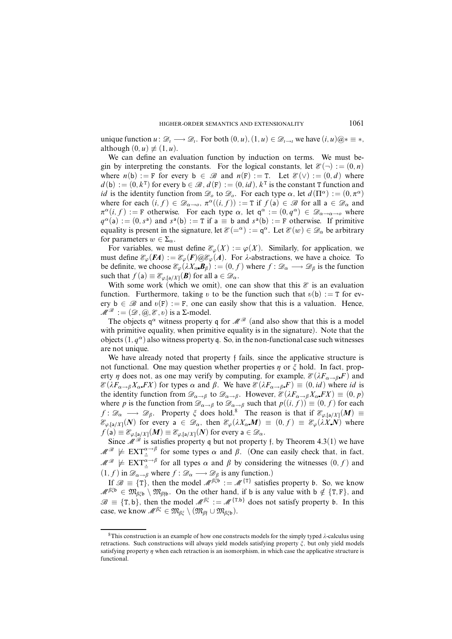unique function  $u : \mathcal{D}_i \longrightarrow \mathcal{D}_i$ . For both  $(0, u)$ ,  $(1, u) \in \mathcal{D}_{i \to i}$  we have  $(i, u) \mathcal{D}_i \equiv *$ , although  $(0, u) \not\equiv (1, u)$ .

We can define an evaluation function by induction on terms. We must begin by interpreting the constants. For the logical constants, let  $\mathcal{E}(\neg) := (0, n)$ where  $n(b) := F$  for every  $b \in \mathcal{B}$  and  $n(F) := T$ . Let  $\mathcal{E}(v) := (0, d)$  where  $d(b) := (0, k^T)$  for every  $b \in \mathcal{B}, d(F) := (0, id), k^T$  is the constant T function and *id* is the identity function from  $\mathcal{D}_0$  to  $\mathcal{D}_0$ . For each type  $\alpha$ , let  $d(\Pi^{\alpha}) := (0, \pi^{\alpha})$ where for each  $(i, f) \in \mathscr{D}_{\alpha \to 0}$ ,  $\pi^{\alpha}((i, f)) := T$  if  $f(a) \in \mathscr{B}$  for all  $a \in \mathscr{D}_{\alpha}$  and  $\pi^{\alpha}(i, f) := \mathbf{F}$  otherwise. For each type  $\alpha$ , let  $\mathsf{q}^{\alpha} := (0, q^{\alpha}) \in \mathscr{D}_{\alpha \to \alpha \to \alpha}$  where  $q^{\alpha}$ (a) := (0, *s*<sup>a</sup>) and *s*<sup>a</sup>(b) := T if a  $\equiv$  b and *s*<sup>a</sup>(b) := F otherwise. If primitive equality is present in the signature, let  $\mathscr{E}(-\alpha) := \mathsf{q}^{\alpha}$ . Let  $\mathscr{E}(w) \in \mathscr{D}_{\alpha}$  be arbitrary for parameters  $w \in \Sigma_{\alpha}$ .

For variables, we must define  $\mathcal{E}_{\varphi}(X) := \varphi(X)$ . Similarly, for application, we must define  $\mathcal{E}_{\varphi}(F) = \mathcal{E}_{\varphi}(F) \otimes \mathcal{E}_{\varphi}(A)$ . For  $\lambda$ -abstractions, we have a choice. To be definite, we choose  $\mathcal{E}_{\varphi}(\lambda X_{\alpha} \mathbf{B}_{\beta}) := (0, f)$  where  $f : \mathcal{D}_{\alpha} \longrightarrow \mathcal{D}_{\beta}$  is the function such that  $f(a) \equiv \mathcal{E}_{\varphi, [a/X]}(B)$  for all  $a \in \mathcal{D}_{\alpha}$ .

With some work (which we omit), one can show that this  $\mathcal E$  is an evaluation function. Furthermore, taking *v* to be the function such that  $v(b) := T$  for every  $b \in \mathcal{B}$  and  $v(F) := F$ , one can easily show that this is a valuation. Hence,  $\mathcal{M}^{\mathcal{B}} := (\mathcal{D}, \mathcal{A}, \mathcal{E}, v)$  is a  $\Sigma$ -model.

The objects  $q^{\alpha}$  witness property q for  $\mathcal{M}^{\mathcal{B}}$  (and also show that this is a model with primitive equality, when primitive equality is in the signature). Note that the objects  $(1, q^{\alpha})$  also witness property q. So, in the non-functional case such witnesses are not unique.

We have already noted that property f fails, since the applicative structure is not functional. One may question whether properties  $\eta$  or  $\zeta$  hold. In fact, property  $\eta$  does not, as one may verify by computing, for example,  $\mathcal{E}(\lambda F_{\alpha \to \beta} F)$  and  $\mathcal{E}(\lambda F_{\alpha \to \beta} X_{\alpha} F X)$  for types  $\alpha$  and  $\beta$ . We have  $\mathcal{E}(\lambda F_{\alpha \to \beta} F) \equiv (0, id)$  where *id* is the identity function from  $\mathscr{D}_{\alpha \to \beta}$  to  $\mathscr{D}_{\alpha \to \beta}$ . However,  $\mathscr{E}(\lambda F_{\alpha \to \beta} X_{\alpha} F X) \equiv (0, p)$ where *p* is the function from  $\mathscr{D}_{\alpha \to \beta}$  to  $\mathscr{D}_{\alpha \to \beta}$  such that  $p((i, f)) \equiv (0, f)$  for each *f* :  $\mathscr{D}_{\alpha} \longrightarrow \mathscr{D}_{\beta}$ . Property  $\zeta$  does hold.<sup>8</sup> The reason is that if  $\mathscr{E}_{\varphi,[a/X]}(M) \equiv$  $\mathcal{E}_{\varphi,[a/X]}(N)$  for every  $a \in \mathcal{D}_{\alpha}$ , then  $\mathcal{E}_{\varphi}(\lambda X_{\alpha}M) \equiv (0, f) \equiv \mathcal{E}_{\varphi}(\lambda X_{\alpha}N)$  where  $f(\mathsf{a}) \equiv \mathcal{E}_{\varphi, [\mathsf{a}/X]}(M) \equiv \mathcal{E}_{\varphi, [\mathsf{a}/X]}(N)$  for every  $\mathsf{a} \in \mathcal{D}_\alpha$ .

Since  $\mathcal{M}^{\mathcal{B}}$  is satisfies property q but not property f, by Theorem 4.3(1) we have  $M^{\mathscr{B}} \not\models \text{EXT}_{\dot{=}}^{\alpha \to \beta}$  for some types  $\alpha$  and  $\beta$ . (One can easily check that, in fact,  $M^{\mathscr{B}} \not\models$  EXT $^{\alpha \to \beta}_{\pm}$  for all types  $\alpha$  and  $\beta$  by considering the witnesses  $(0, f)$  and  $(1, f)$  in  $\mathscr{D}_{\alpha \to \beta}$  where  $f : \mathscr{D}_{\alpha} \longrightarrow \mathscr{D}_{\beta}$  is any function.)

If  $\mathscr{B} \equiv \{T\}$ , then the model  $\mathscr{M}^{\beta\xi} = \mathscr{M}^{\{T\}}$  satisfies property b. So, we know  $M^{\beta\xi b} \in \mathfrak{M}_{\beta\xi b} \setminus \mathfrak{M}_{\beta f b}$ . On the other hand, if b is any value with b  $\notin \{T, F\}$ , and  $\mathscr{B} \equiv \{T, b\}$ , then the model  $\mathscr{M}^{\beta \xi} := \mathscr{M}^{\{T, b\}}$  does not satisfy property b. In this case, we know  $M^{\beta\xi} \in \mathfrak{M}_{\beta\xi} \setminus (\mathfrak{M}_{\beta\xi} \cup \mathfrak{M}_{\beta\xi} b).$ 

 $8$ This construction is an example of how one constructs models for the simply typed  $\lambda$ -calculus using retractions. Such constructions will always yield models satisfying property *î*, but only yield models satisfying property  $\eta$  when each retraction is an isomorphism, in which case the applicative structure is functional.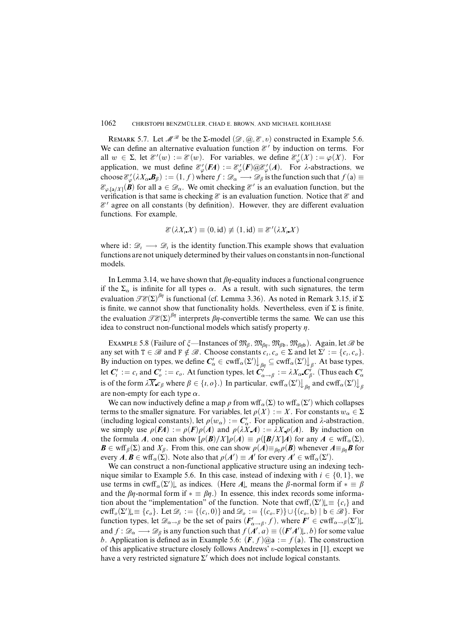REMARK 5.7. Let  $\mathcal{M}^{\mathcal{B}}$  be the  $\Sigma$ -model  $(\mathcal{D}, \mathcal{A}, \mathcal{E}, v)$  constructed in Example 5.6. We can define an alternative evaluation function  $\mathcal{E}'$  by induction on terms. For all  $w \in \Sigma$ , let  $\mathcal{E}'(w) := \mathcal{E}(w)$ . For variables, we define  $\mathcal{E}'_{\varphi}(X) := \varphi(X)$ . For application, we must define  $\mathcal{E}_{\varphi}'(F) = \mathcal{E}_{\varphi}'(F) \omega \mathcal{E}_{\varphi}'(A)$ . For  $\lambda$ -abstractions, we choose  $\mathcal{E}'_{\varphi}(\lambda X_{\alpha} \cdot \bm{B}_{\beta}) := (1, f)$  where  $f : \mathcal{D}_{\alpha} \longrightarrow \mathcal{D}_{\beta}$  is the function such that  $f(\mathsf{a}) \equiv$  $\mathcal{E}_{\varphi,[a/X]}(\mathbf{B})$  for all  $a \in \mathcal{D}_\alpha$ . We omit checking  $\mathcal{E}'$  is an evaluation function, but the verification is that same is checking  $\mathcal E$  is an evaluation function. Notice that  $\mathcal E$  and  $\mathcal{E}'$  agree on all constants (by definition). However, they are different evaluation functions. For example,

$$
\mathcal{E}(\lambda X_i X) \equiv (0, id) \not\equiv (1, id) \equiv \mathcal{E}'(\lambda X_i X)
$$

where id:  $\mathcal{D}_i \longrightarrow \mathcal{D}_i$  is the identity function. This example shows that evaluation functions are not uniquely determined by their values on constantsin non-functional models.

In Lemma 3.14, we have shown that  $\beta$ *n*-equality induces a functional congruence if the  $\Sigma_{\alpha}$  is infinite for all types  $\alpha$ . As a result, with such signatures, the term evaluation  $\mathscr{TE}(\Sigma)^{\beta n}$  is functional (cf. Lemma 3.36). As noted in Remark 3.15, if  $\Sigma$ is finite, we cannot show that functionality holds. Nevertheless, even if  $\Sigma$  is finite, the evaluation  $\mathscr{TE}(\Sigma)^{\beta\eta}$  interprets  $\beta\eta$ -convertible terms the same. We can use this idea to construct non-functional models which satisfy property  $\eta$ .

EXAMPLE 5.8 (Failure of  $\zeta$ —Instances of  $\mathfrak{M}_{\beta}$ ,  $\mathfrak{M}_{\beta\eta}$ ,  $\mathfrak{M}_{\beta\eta}$ ,  $\mathfrak{M}_{\beta\eta\delta}$ ). Again, let  $\mathscr{B}$  be any set with  $T \in \mathcal{B}$  and  $F \notin \mathcal{B}$ . Choose constants  $c_i, c_o \in \Sigma$  and let  $\Sigma' := \{c_i, c_o\}$ . By induction on types, we define  $C'_\alpha \in \text{cwff}_\alpha(\Sigma') \bigcup_{\beta\eta} \subseteq \text{cwff}_\alpha(\Sigma') \bigcup_\beta$ . At base types, let  $C'_i := c_i$  and  $C'_o := c_o$ . At function types, let  $C'_{\alpha \to \beta} := \lambda X_\alpha \cdot C'_\beta$ . (Thus each  $C'_\alpha$ is of the form  $\lambda \overline{X}$  *c<sub>β</sub>* where  $\beta \in \{i, o\}$ .) In particular, cwff<sub>*α*</sub>(Σ')  $\downarrow$ <sub>*βn*</sub> and cwff<sub>*α*</sub>(Σ')  $\downarrow$ <sub>*β*</sub> are non-empty for each type *α*.

We can now inductively define a map  $\rho$  from wff<sub> $\alpha$ </sub>( $\Sigma$ ) to wff<sub> $\alpha$ </sub>( $\Sigma'$ ) which collapses terms to the smaller signature. For variables, let  $\rho(X) := X$ . For constants  $w_\alpha \in \Sigma$ (including logical constants), let  $\rho(w_\alpha) := C'_\alpha$ . For application and  $\lambda$ -abstraction, we simply use  $\rho$ (*FA*) :=  $\rho$ (*F*) $\rho$ (*A*) and  $\rho$ ( $\lambda$ *XA*) :=  $\lambda$ *Xp*(*A*). By induction on the formula *A*, one can show  $[\rho(\mathbf{B})/X]\rho(A) \equiv \rho([\mathbf{B}/X]A)$  for any  $A \in \text{wff}_{\alpha}(\Sigma)$ , *B* ∈ wff<sub>*β*</sub>(Σ) and *X<sub>β</sub>*. From this, one can show  $ρ(A) \equiv_{βη} ρ(B)$  whenever  $A \equiv_{βη} B$  for every  $A, B \in \text{wff}_\alpha(\Sigma)$ . Note also that  $\rho(A') \equiv A'$  for every  $A' \in \text{wff}_\alpha(\Sigma').$ 

We can construct a non-functional applicative structure using an indexing technique similar to Example 5.6. In this case, instead of indexing with  $i \in \{0, 1\}$ , we use terms in cwff<sub>α</sub> $(\Sigma')$ , as indices. (Here  $A$ )<sub>\*</sub> means the  $\beta$ -normal form if  $* \equiv \beta$ and the  $\beta\eta$ -normal form if  $* \equiv \beta\eta$ .) In essence, this index records some information about the "implementation" of the function. Note that  $\text{cwff}_{i}(\Sigma')_{\downarrow} \equiv \{c_i\}$  and cwff<sub>o</sub>( $\Sigma'$ ) $\downarrow$   $\equiv$  {*c<sub>o</sub>*}. Let  $\mathcal{D}_i := \{(c_i, 0)\}$  and  $\mathcal{D}_o := \{(c_o, F)\} \cup \{(c_o, b) | b \in \mathcal{B}\}$ . For function types, let  $\mathscr{D}_{\alpha \to \beta}$  be the set of pairs  $(F'_{\alpha \to \beta}, f)$ , where  $F' \in \text{curl}_{\alpha \to \beta}(\Sigma')$ . and  $f: \mathscr{D}_\alpha \longrightarrow \mathscr{D}_\beta$  is any function such that  $f(A', a) \equiv ((F'A')_{\ast}, b)$  for some value *b*. Application is defined as in Example 5.6:  $(F, f)(\mathcal{Q}a) := f(a)$ . The construction of this applicative structure closely follows Andrews' *õ*-complexes in [1], except we have a very restricted signature  $\Sigma'$  which does not include logical constants.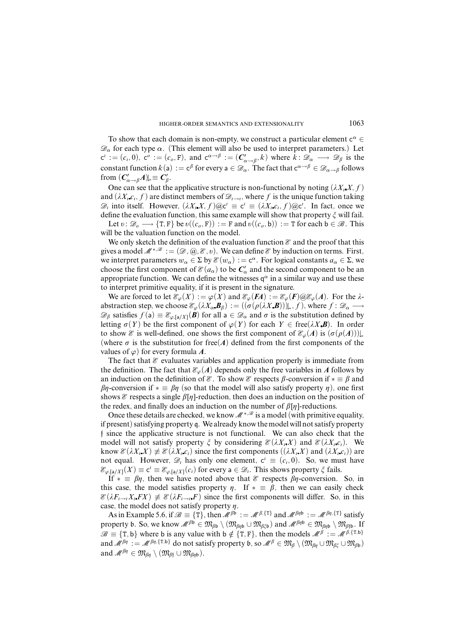To show that each domain is non-empty, we construct a particular element  $c^{\alpha} \in$  $\mathcal{D}_{\alpha}$  for each type  $\alpha$ . (This element will also be used to interpret parameters.) Let  $c^i := (c_i, 0)$ ,  $c^o := (c_o, F)$ , and  $c^{\alpha \to \beta} := (C'_{\alpha \to \beta}, k)$  where  $\overline{k} : \mathscr{D}_\alpha \longrightarrow \mathscr{D}_\beta$  is the constant function  $k(a) := c^{\beta}$  for every  $a \in \mathscr{D}_{\alpha}$ . The fact that  $c^{\alpha \to \beta} \in \mathscr{D}_{\alpha \to \beta}$  follows from  $(C'_{\alpha \to \beta}A)_{\alpha} \equiv C'_{\beta}$ .

One can see that the applicative structure is non-functional by noting  $(\lambda X_i, X, f)$ and  $(\lambda X_i \cdot c_i, f)$  are distinct members of  $\mathcal{D}_{i \to i}$ , where f is the unique function taking  $\mathscr{D}_i$  into itself. However,  $(\lambda X_i X, f) \otimes c^i \equiv c^i \equiv (\lambda X_i c_i, f) \otimes c^i$ . In fact, once we define the evaluation function, this same example will show that property  $\zeta$  will fail.

Let  $v: \mathcal{D}_o \longrightarrow \{T, F\}$  be  $v((c_o, F)) := F$  and  $v((c_o, b)) := T$  for each  $b \in \mathcal{B}$ . This will be the valuation function on the model.

We only sketch the definition of the evaluation function  $\mathscr E$  and the proof that this gives a model  $\mathcal{M}^{*,\mathcal{B}} := (\mathcal{D}, \mathcal{Q}, \mathcal{E}, v)$ . We can define  $\mathcal{E}$  by induction on terms. First, we interpret parameters  $w_{\alpha} \in \Sigma$  by  $\mathcal{E}(w_{\alpha}) := \mathbf{c}^{\alpha}$ . For logical constants  $a_{\alpha} \in \Sigma$ , we choose the first component of  $\mathcal{E}(a_{\alpha})$  to be  $C'_{\alpha}$  and the second component to be an appropriate function. We can define the witnesses  $q^{\alpha}$  in a similar way and use these to interpret primitive equality, if it is present in the signature.

We are forced to let  $\mathcal{E}_{\varphi}(X) := \varphi(X)$  and  $\mathcal{E}_{\varphi}(FA) := \mathcal{E}_{\varphi}(F) \omega \mathcal{E}_{\varphi}(A)$ . For the  $\lambda$ abstraction step, we choose  $\mathcal{E}_{\varphi}(\lambda X_{\alpha} \mathbf{B}_{\beta}) := ((\sigma(\rho(\lambda X \mathbf{B})))|_{*}, f)$ , where  $f : \mathcal{D}_{\alpha} \longrightarrow$  $\mathscr{D}_{\beta}$  satisfies  $f(\mathsf{a}) \equiv \mathscr{E}_{\varphi, [\mathsf{a}/X]}(\mathbf{\beta})$  for all  $\mathsf{a} \in \mathscr{D}_{\alpha}$  and  $\sigma$  is the substitution defined by letting  $\sigma(Y)$  be the first component of  $\varphi(Y)$  for each  $Y \in \text{free}(\lambda X, B)$ . In order to show E is well-defined, one shows the first component of  $\mathcal{E}_{\varphi}(A)$  is  $(\sigma(\rho(A)))_{\downarrow *}$ (where  $\sigma$  is the substitution for free(*A*) defined from the first components of the values of  $\varphi$ ) for every formula *A*.

The fact that  $\mathscr E$  evaluates variables and application properly is immediate from the definition. The fact that  $\mathcal{E}_{\varphi}(A)$  depends only the free variables in *A* follows by an induction on the definition of  $\mathscr E$ . To show  $\mathscr E$  respects  $\beta$ -conversion if  $* \equiv \beta$  and  $βη$ -conversion if  $* \equiv βη$  (so that the model will also satisfy property  $η$ ), one first shows  $\mathcal E$  respects a single  $\beta[\eta]$ -reduction, then does an induction on the position of the redex, and finally does an induction on the number of  $\beta[\eta]$ -reductions.

Once these details are checked, we know  $\mathcal{M}^{*,\mathcal{B}}$  is a model (with primitive equality, if present) satisfying property q. We already know the model will not satisfy property f since the applicative structure is not functional. We can also check that the model will not satisfy property  $\xi$  by considering  $\mathcal{E}(\lambda X_i X)$  and  $\mathcal{E}(\lambda X_i c_i)$ . We know  $\mathcal{E}(\lambda X_i X) \neq \mathcal{E}(\lambda X_i c_i)$  since the first components  $((\lambda X_i X)$  and  $(\lambda X_i c_i))$  are not equal. However,  $\mathscr{D}_i$  has only one element,  $c^i \equiv (c_i, 0)$ . So, we must have  $\mathcal{E}_{\varphi,[a/X]}(X) \equiv c' \equiv \mathcal{E}_{\varphi,[a/X]}(c_i)$  for every  $a \in \mathcal{D}_i$ . This shows property  $\zeta$  fails.

If  $* \equiv \beta \eta$ , then we have noted above that  $\mathcal{E}$  respects  $\beta \eta$ -conversion. So, in this case, the model satisfies property  $\eta$ . If  $* \equiv \beta$ , then we can easily check  $\mathcal{E}(\lambda F_{i\to i}X_i F X) \neq \mathcal{E}(\lambda F_{i\to i} F)$  since the first components will differ. So, in this case, the model does not satisfy property  $\eta$ .

As in Example 5.6, if  $\mathcal{B} \equiv \{T\}$ , then  $\mathcal{M}^{\beta \dot{\alpha}} := \mathcal{M}^{\beta, \{T\}}$  and  $\mathcal{M}^{\beta \eta \dot{\beta}} := \mathcal{M}^{\beta \eta, \{T\}}$  satisfy property b. So, we know  $M^{\beta_0} \in \mathfrak{M}_{\beta_0} \setminus (\mathfrak{M}_{\beta_0} \cup \mathfrak{M}_{\beta_0^2})$  and  $M^{\beta_0} \in \mathfrak{M}_{\beta_0}$   $\setminus \mathfrak{M}_{\beta_0^2}$ . If  $\mathscr{B} \equiv \{T, b\}$  where b is any value with b  $\notin \{T, F\}$ , then the models  $\mathscr{M}^{\beta} := \mathscr{M}^{\beta, \{T, b\}}$ and  $\mathcal{M}^{\beta\eta} := \mathcal{M}^{\beta\eta,\{\text{T},\text{b}\}}$  do not satisfy property b, so  $\mathcal{M}^{\beta} \in \mathfrak{M}_{\beta} \setminus (\mathfrak{M}_{\beta\eta} \cup \mathfrak{M}_{\beta\xi} \cup \mathfrak{M}_{\beta\mathfrak{b}})$ and  $\mathscr{M}^{\beta\eta} \in \mathfrak{M}_{\beta\eta} \setminus (\mathfrak{M}_{\beta\mathfrak{f}} \cup \mathfrak{M}_{\beta\eta\mathfrak{h}}).$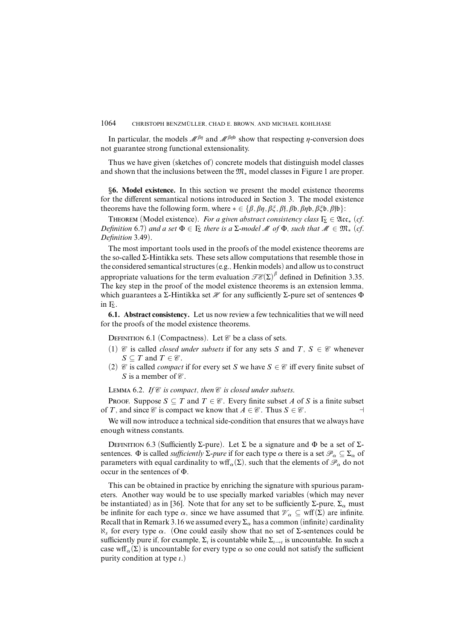In particular, the models  $\mathcal{M}^{\beta\eta}$  and  $\mathcal{M}^{\beta\eta\mathfrak{b}}$  show that respecting  $\eta$ -conversion does not guarantee strong functional extensionality.

Thus we have given (sketches of) concrete models that distinguish model classes and shown that the inclusions between the M<sup>∗</sup> model classes in Figure 1 are proper.

§**6. Model existence.** In this section we present the model existence theorems for the different semantical notions introduced in Section 3. The model existence theorems have the following form, where  $* \in {\beta, \beta\eta, \beta\xi, \beta\eta, \beta\phi, \beta\eta\phi, \beta\xi\phi, \beta\eta\phi}$ :

THEOREM (Model existence). For a given abstract consistency class  $\Gamma_{\Sigma} \in \mathfrak{Acc}_{*}$  (cf. Definition 6.7) and a set  $\Phi \in \Gamma_{\Sigma}$  there is a  $\Sigma$ -model M of  $\Phi$ , such that  $M \in \mathfrak{M}_{*}$  (cf. Definition 3.49).

The most important tools used in the proofs of the model existence theorems are the so-called Σ-Hintikka sets. These sets allow computations that resemble those in the considered semantical structures (e.g., Henkin models) and allow us to construct appropriate valuations for the term evaluation  $\mathcal{TE}(\Sigma)^{\beta}$  defined in Definition 3.35. The key step in the proof of the model existence theorems is an extension lemma, which guarantees a Σ-Hintikka set  $\mathcal X$  for any sufficiently Σ-pure set of sentences  $\Phi$ in <sub>Γε</sub>

**6.1. Abstract consistency.** Let us now review a few technicalities that we will need for the proofs of the model existence theorems.

DEFINITION 6.1 (Compactness). Let  $\mathcal C$  be a class of sets.

- (1)  $\mathcal{C}$  is called *closed under subsets* if for any sets *S* and *T*, *S*  $\in \mathcal{C}$  whenever  $S \subseteq T$  and  $T \in \mathcal{C}$ .
- (2)  $\mathcal C$  is called *compact* if for every set *S* we have  $S \in \mathcal C$  iff every finite subset of *S* is a member of  $\mathcal{C}$ .

LEMMA 6.2. If  $\mathcal C$  is compact, then  $\mathcal C$  is closed under subsets.

PROOF. Suppose  $S \subseteq T$  and  $T \in \mathcal{C}$ . Every finite subset *A* of *S* is a finite subset of *T*, and since  $\mathcal{C}$  is compact we know that  $A \in \mathcal{C}$ . Thus  $S \in \mathcal{C}$ .

We will now introduce a technical side-condition that ensures that we always have enough witness constants.

DEFINITION 6.3 (Sufficiently Σ-pure). Let Σ be a signature and Φ be a set of Σsentences.  $\Phi$  is called *sufficiently*  $\Sigma$ *-pure* if for each type  $\alpha$  there is a set  $\mathscr{P}_\alpha \subset \Sigma_\alpha$  of parameters with equal cardinality to wff<sub>*α*</sub>( $\Sigma$ ), such that the elements of  $\mathcal{P}_{\alpha}$  do not occur in the sentences of Φ.

This can be obtained in practice by enriching the signature with spurious parameters. Another way would be to use specially marked variables (which may never be instantiated) as in [36]. Note that for any set to be sufficiently  $\Sigma$ -pure,  $\Sigma_{\alpha}$  must be infinite for each type  $\alpha$ , since we have assumed that  $\mathcal{V}_\alpha \subseteq \text{wff}(\Sigma)$  are infinite. Recall that in Remark 3.16 we assumed every  $\Sigma_{\alpha}$  has a common (infinite) cardinality ℵ*<sup>s</sup>* for every type *α*. (One could easily show that no set of Σ-sentences could be sufficiently pure if, for example, Σ<sub>*έ*</sub> is countable while Σ<sub>*έ→ε*</sub> is uncountable. In such a case wff<sub>α</sub>( $\Sigma$ ) is uncountable for every type  $\alpha$  so one could not satisfy the sufficient purity condition at type *i*.)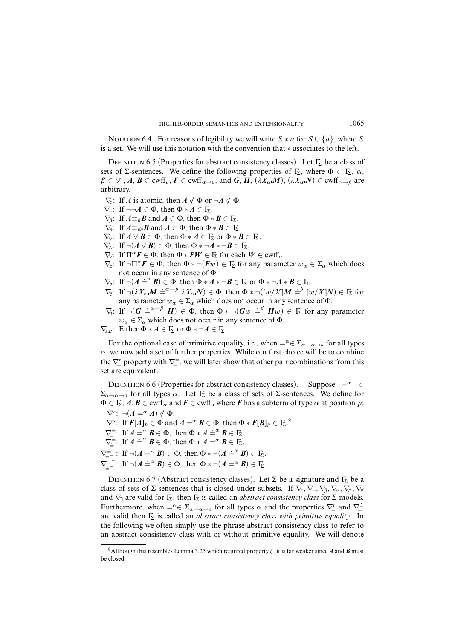NOTATION 6.4. For reasons of legibility we will write  $S * a$  for  $S \cup \{a\}$ , where  $S$ is a set. We will use this notation with the convention that ∗ associates to the left.

DEFINITION 6.5 (Properties for abstract consistency classes). Let  $\Gamma_{\Sigma}$  be a class of sets of Σ-sentences. We define the following properties of  $\Gamma_{\!\Sigma}$ , where  $\Phi \in \Gamma_{\!\Sigma}$ ,  $\alpha$ ,  $\beta \in \mathcal{F}, A, B \in \text{cwff}_o, F \in \text{cwff}_{\alpha \to o}$ , and *G*, *H*,  $(\lambda X_\alpha M), (\lambda X_\alpha N) \in \text{cwff}_{\alpha \to \beta}$  are arbitrary.

- $\nabla_c$ : If *A* is atomic, then  $A \notin \Phi$  or  $\neg A \notin \Phi$ .
- $\nabla_{\neg}$ : If  $\neg\neg A \in \Phi$ , then  $\Phi * A \in \Gamma_{\!\Sigma}$ .
- $\nabla_{\beta}$ : If  $A \equiv_{\beta} \mathbf{B}$  and  $A \in \Phi$ , then  $\Phi * \mathbf{B} \in \Gamma_{\Sigma}$ .
- $\nabla_n$ : If  $A \equiv_{\beta n} \mathbf{B}$  and  $A \in \Phi$ , then  $\Phi * \mathbf{B} \in \Gamma_{\Sigma}$ .
- $\nabla$ . If  $A \vee B \in \Phi$ , then  $\Phi * A \in \Gamma$  or  $\Phi * B \in \Gamma$ .
- $\nabla_{\! \wedge}$ : If  $\neg(A \vee B) \in \Phi$ , then  $\Phi * \neg A * \neg B \in \Gamma_{\! \Sigma}$ .
- $\nabla_{\mathbf{y}}$ : If  $\Pi^{\alpha} \mathbf{F} \in \Phi$ , then  $\Phi * \mathbf{F} \mathbf{W} \in \Gamma_{\Sigma}$  for each  $\mathbf{W} \in \text{curl}_{\alpha}$ .
- $\nabla \xi$ : If  $\neg \Pi^{\alpha} F \in \Phi$ , then  $\Phi * \neg (Fw) \in F_{\Sigma}$  for any parameter  $w_{\alpha} \in \Sigma_{\alpha}$  which does not occur in any sentence of Φ.
- $\nabla_b$ : If  $\neg(A \doteq^{\circ} B) \in \Phi$ , then  $\Phi * A * \neg B \in \Gamma_{\Sigma}$  or  $\Phi * \neg A * B \in \Gamma_{\Sigma}$ .
- $\nabla_{\xi}$ : If  $\neg(\lambda X_{\alpha}M \doteq^{\alpha \to \beta} \lambda X_{\alpha}N) \in \Phi$ , then  $\Phi * \neg([w/X]M \doteq^{\beta} [w/X]N) \in \Gamma_{\Sigma}$  for any parameter  $w_{\alpha} \in \Sigma_{\alpha}$  which does not occur in any sentence of  $\Phi$ .
- $\nabla_f$ : If  $\neg(G \doteq^{\alpha \to \beta} H) \in \Phi$ , then  $\Phi * \neg(Gw \doteq^{\beta} Hw) \in \Gamma$  for any parameter  $w_{\alpha} \in \Sigma_{\alpha}$  which does not occur in any sentence of  $\Phi$ .

 $\nabla_{\text{sat}}$ : Either  $\Phi * A \in \Gamma_{\Sigma}$  or  $\Phi * \neg A \in \Gamma_{\Sigma}$ .

For the optional case of primitive equality, i.e., when  $= \alpha \in \Sigma_{\alpha \to \alpha \to \alpha}$  for all types  $\alpha$ , we now add a set of further properties. While our first choice will be to combine the  $\nabla_{\perp}^r$  property with  $\nabla_{\pm}^{\pm}$ , we will later show that other pair combinations from this set are equivalent.

DEFINITION 6.6 (Properties for abstract consistency classes). Suppose  $=^{\alpha} \in$  $\Sigma$ <sub>α→α→*ο*</sub> for all types *α*. Let Γ<sub>Σ</sub> be a class of sets of Σ-sentences. We define for  $\Phi \in \mathbb{F}_{\Sigma}$ ,  $A, B \in \text{cwff}_{\alpha}$  and  $F \in \text{cwff}_{\alpha}$  where *F* has a subterm of type  $\alpha$  at position  $p$ :  $\nabla_{\!=}^r$ :  $\neg(A =^{\alpha} A) \notin \Phi$ .

 $\nabla^s_{\equiv}$ : If  $F[A]_p \in \Phi$  and  $A = \alpha \mathbf{B} \in \Phi$ , then  $\Phi * F[B]_p \in \Gamma_{\!\Sigma}$ .  $\nabla \frac{1}{\epsilon}$ : If  $A = \alpha$   $B \in \Phi$ , then  $\Phi * A = \alpha$   $B \in \mathbb{F}$ .  $\nabla_{\underline{\mathbb{R}}}^{\mathbb{R}}$ : If  $A \stackrel{\text{def}}{=} \mathcal{B} \in \Phi$ , then  $\Phi * A = \alpha B \in \Gamma_{\mathbb{Z}}$ .  $\nabla_{\equiv}^{\equiv}$ : If  $\neg(A = \alpha \mathbf{B}) \in \Phi$ , then  $\Phi * \neg(A = \alpha \mathbf{B}) \in \Gamma_{\Sigma}$ .  $\nabla_{\underline{\mathbf{x}}^{-}}^{\overline{\mathbf{x}}^{-}}$ : If  $\neg(\mathbf{A} \doteq^{\alpha} \mathbf{B}) \in \Phi$ , then  $\Phi * \neg(\mathbf{A} = \alpha \mathbf{B}) \in \overline{\mathbf{I}}_{\Sigma}$ .

DEFINITION 6.7 (Abstract consistency classes). Let  $\Sigma$  be a signature and  $\Gamma_{\Sigma}$  be a class of sets of Σ-sentences that is closed under subsets. If  $\nabla_c, \nabla_r, \nabla_\beta, \nabla_\gamma, \nabla_\beta, \nabla_\gamma, \nabla_\gamma$ and  $\nabla$ <sub>∃</sub> are valid for  $\Gamma$ <sub>Σ</sub>, then  $\Gamma$ <sub>Σ</sub> is called an *abstract consistency class* for Σ-models. Furthermore, when  $= \alpha \in \sum_{\alpha \to \alpha \to \alpha}$  for all types  $\alpha$  and the properties  $\nabla_{\alpha}^{r}$  and  $\nabla_{\alpha}^{\pm}$ are valid then Γ<sup>Σ</sup> is called an *abstract consistency class with primitive equality*. In the following we often simply use the phrase abstract consistency class to refer to an abstract consistency class with or without primitive equality. We will denote

<sup>&</sup>lt;sup>9</sup>Although this resembles Lemma 3.25 which required property  $\xi$ , it is far weaker since A and B must be closed.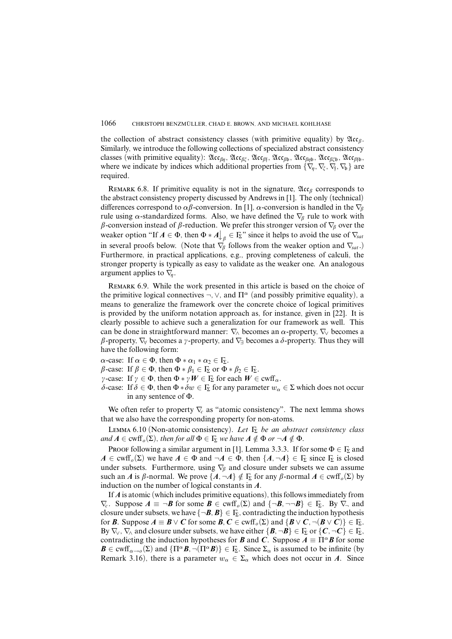the collection of abstract consistency classes (with primitive equality) by  $\mathfrak{Acc}_{\beta}$ . Similarly, we introduce the following collections of specialized abstract consistency classes (with primitive equality): Acc*âç*, Acc*âî*, Acc*â*<sup>f</sup> , Acc*â*b, Acc*âç*b, Acc*âî*b, Acc*â*fb, where we indicate by indices which additional properties from { $\nabla_{\!{\eta}}, \nabla_{\!{\xi}}, \nabla_{\!{\eta}}, \nabla_{\!{\bf b}}\}$  are required.

REMARK 6.8. If primitive equality is not in the signature,  $\mathfrak{Acc}_\beta$  corresponds to the abstract consistency property discussed by Andrews in [1]. The only (technical) differences correspond to  $\alpha\beta$ -conversion. In [1],  $\alpha$ -conversion is handled in the  $\nabla_{\beta}$ rule using *α*-standardized forms. Also, we have defined the  $\nabla<sub>β</sub>$  rule to work with *â*-conversion instead of *â*-reduction. We prefer this stronger version of ∇*<sup>â</sup>* over the weaker option "If  $A \in \Phi$ , then  $\Phi * A \bigg|_{\beta} \in \Gamma_{\!\Sigma}$ " since it helps to avoid the use of  $\nabla_{\! sat}$ in several proofs below. (Note that  $\nabla$ <sup>*β*</sup> follows from the weaker option and  $\nabla$ <sub>*sat*</sub>.) Furthermore, in practical applications, e.g., proving completeness of calculi, the stronger property is typically as easy to validate as the weaker one. An analogous argument applies to  $\nabla$ <sub>*n*</sub>.

Remark 6.9. While the work presented in this article is based on the choice of the primitive logical connectives  $\neg$ ,  $\neg$ , and  $\Pi^{\alpha}$  (and possibly primitive equality), a means to generalize the framework over the concrete choice of logical primitives is provided by the uniform notation approach as, for instance, given in [22]. It is clearly possible to achieve such a generalization for our framework as well. This can be done in straightforward manner:  $\nabla$  becomes an  $\alpha$ -property,  $\nabla$  becomes a  $\beta$ -property,  $\nabla_{\forall}$  becomes a  $\gamma$ -property, and  $\nabla_{\exists}$  becomes a  $\delta$ -property. Thus they will have the following form:

*α*-case: If  $\alpha \in \Phi$ , then  $\Phi * \alpha_1 * \alpha_2 \in \Gamma_{\Sigma}$ .

*β*-case: If *β* ∈ Φ, then Φ  $*$  *β*<sub>1</sub> ∈ Γ<sub>Σ</sub> or Φ  $*$  *β*<sub>2</sub> ∈ Γ<sub>Σ</sub>.

- $\gamma$ -case: If  $\gamma \in \Phi$ , then  $\Phi * \gamma W \in \Gamma_{\Sigma}$  for each  $W \in \text{curl } \alpha$ .
- *δ*-case: If *δ* ∈ Φ, then Φ ∗ *δw* ∈ Γ<sub>Σ</sub> for any parameter  $w_α$  ∈ Σ which does not occur in any sentence of Φ.

We often refer to property  $\nabla_c$  as "atomic consistency". The next lemma shows that we also have the corresponding property for non-atoms.

LEMMA 6.10 (Non-atomic consistency). Let  $\Gamma_{\Sigma}$  be an abstract consistency class and  $A \in \text{cwff}_o(\Sigma)$ , then for all  $\Phi \in \Gamma_{\Sigma}$  we have  $A \notin \Phi$  or  $\neg A \notin \Phi$ .

Proof following a similar argument in [1], Lemma 3.3.3. If for some  $\Phi \in \Gamma_{\Sigma}$  and  $A \in \text{cwff}_o(\Sigma)$  we have  $A \in \Phi$  and  $\neg A \in \Phi$ , then  $\{A, \neg A\} \in \Gamma_\Sigma$  since  $\Gamma_\Sigma$  is closed under subsets. Furthermore, using ∇*<sup>â</sup>* and closure under subsets we can assume such an *A* is  $\beta$ -normal. We prove  $\{A, \neg A\} \notin \Gamma_{\Sigma}$  for any  $\beta$ -normal  $A \in \text{curl}(\Gamma_0(\Sigma))$  by induction on the number of logical constants in *A*.

If *A* is atomic (which includes primitive equations), this followsimmediately from  $\nabla_c$ . Suppose  $A \equiv \neg B$  for some  $B \in \text{cwff}_{\rho}(\Sigma)$  and  $\{\neg B, \neg \neg B\} \in \Gamma_{\Sigma}$ . By  $\nabla_{\neg}$  and closure under subsets, we have  ${\{\neg B, B\}} \in \Gamma$ <sub>2</sub>, contradicting the induction hypothesis for *B*. Suppose  $A \equiv B \vee C$  for some  $B, C \in \text{cwff}_o(\Sigma)$  and  $\{B \vee C, \neg(B \vee C)\} \in \Gamma_{\Sigma}$ . By  $\nabla_{\vee}$ ,  $\nabla_{\wedge}$  and closure under subsets, we have either  $\{\mathbf{B}, \neg \mathbf{B}\} \in \Gamma_{\Sigma}$  or  $\{\mathbf{C}, \neg \mathbf{C}\} \in \Gamma_{\Sigma}$ , contradicting the induction hypotheses for *B* and *C*. Suppose  $A \equiv \Pi^{\alpha} B$  for some  $\mathbf{B} \in \text{cwff}_{\alpha \to o}(\Sigma)$  and  $\{\Pi^{\alpha} \mathbf{B}, \neg (\Pi^{\alpha} \mathbf{B})\} \in \Gamma_{\Sigma}$ . Since  $\Sigma_{\alpha}$  is assumed to be infinite (by Remark 3.16), there is a parameter  $w_\alpha \in \Sigma_\alpha$  which does not occur in *A*. Since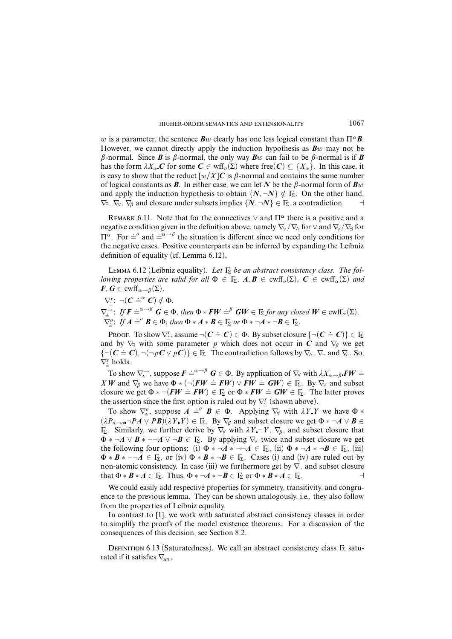*w* is a parameter, the sentence *Bw* clearly has one less logical constant than  $\Pi^{\alpha}$ *B*. However, we cannot directly apply the induction hypothesis as *Bw* may not be  $\beta$ -normal. Since *B* is  $\beta$ -normal, the only way *Bw* can fail to be  $\beta$ -normal is if *B* has the form  $\lambda X_\alpha C$  for some  $C \in \text{wff}_o(\Sigma)$  where free $(C) \subseteq \{X_\alpha\}$ . In this case, it is easy to show that the reduct  $[w/X]C$  is  $\beta$ -normal and contains the same number of logical constants as **B**. In either case, we can let N be the  $\beta$ -normal form of **B***w* and apply the induction hypothesis to obtain  $\{N, \neg N\} \notin \Gamma_{\Sigma}$ . On the other hand,  $\nabla_{\exists}$ ,  $\nabla_{\forall}$ ,  $\nabla_{\beta}$  and closure under subsets implies  $\{N, \neg N\} \in \Gamma_{\!\Sigma}$ , a contradiction.  $\Box$ 

REMARK 6.11. Note that for the connectives  $\vee$  and  $\Pi^{\alpha}$  there is a positive and a negative condition given in the definition above, namely  $\nabla_{\lor}/\nabla_{\land}$  for  $\lor$  and  $\nabla_{\lor}/\nabla_{\exists}$  for  $\Pi^{\alpha}$ . For  $\dot{=}^{\alpha}$  and  $\dot{=}^{\alpha \to \beta}$  the situation is different since we need only conditions for the negative cases. Positive counterparts can be inferred by expanding the Leibniz definition of equality (cf. Lemma 6.12).

LEMMA 6.12 (Leibniz equality). Let  $\Gamma_{\Sigma}$  be an abstract consistency class. The fol*lowing properties are valid for all*  $\Phi \in \Gamma_{\Sigma}$ ,  $A, B \in \text{cwff}_{\alpha}(\Sigma)$ ,  $C \in \text{cwff}_{\alpha}(\Sigma)$  and  $F, G \in \text{cwff}_{\alpha \to \beta}(\Sigma).$ 

$$
\nabla_{\underline{\dot{\equiv}}}^r : \neg (C \doteq^{\alpha} C) \notin \Phi.
$$

 $\nabla_{\underline{\underline{\cdot}}}^{\underline{\hbox{\rm \top}}}$ : If  $\boldsymbol{F} \doteq^{\alpha \to \beta} \boldsymbol{G} \in \Phi$ , then  $\Phi * \boldsymbol{F} \boldsymbol{W} \doteq^{\beta} \boldsymbol{G} \boldsymbol{W} \in \Gamma_{\!\Sigma}$  for any closed  $\boldsymbol{W} \in \text{cwff}_{\alpha}(\Sigma)$ .  $\nabla_{\underline{\underline{\mathbf{c}}}}^{\underline{\mathbf{c}}}$ : If  $A \doteq^{\circ} B \in \Phi$ , then  $\Phi * A * B \in \Gamma_{\underline{\mathbf{\Sigma}}}$  or  $\Phi * \neg A * \neg B \in \Gamma_{\underline{\mathbf{\Sigma}}}$ .

Proof. To show  $\nabla_{\underline{\cdot}}^r$ , assume  $\neg(\mathbf{C} \doteq \mathbf{C}) \in \Phi$ . By subset closure  $\{\neg(\mathbf{C} \doteq \mathbf{C})\} \in \Gamma_{\!\Sigma}$ and by  $\nabla$ <sub>∃</sub> with some parameter *p* which does not occur in *C* and  $\nabla$ <sup>*β*</sup> we get  $\{\neg(C \doteq C), \neg(\neg pC \lor pC)\}\in \mathbb{F}_2$ . The contradiction follows by  $\nabla_{\! \wedge}$ ,  $\nabla_{\! \wedge}$  and  $\nabla_{\! c}$ . So,  $\nabla_{\underline{\mathbf{r}}}^r$  holds.

To show  $\nabla_{\underline{\mathbf{x}}} \to$ , suppose  $\mathbf{F} \doteq^{\alpha \to \beta} \mathbf{G} \in \Phi$ . By application of  $\nabla_{\forall}$  with  $\lambda X_{\alpha \to \beta} \mathbf{F} \mathbf{W} \doteq$ *XW* and  $\nabla_{\beta}$  we have  $\Phi * (\neg (FW \doteq FW) \lor FW \doteq GW) \in \Gamma_{\Sigma}$ . By  $\nabla_{\vee}$  and subset closure we get  $\Phi * \neg (FW \doteq FW) \in \Gamma_{\Sigma}$  or  $\Phi * FW \doteq GW \in \Gamma_{\Sigma}$ . The latter proves the assertion since the first option is ruled out by  $\nabla_{\underline{\mathbf{k}}}^r$  (shown above).

To show  $\nabla^o$ , suppose  $A \stackrel{\text{def}}{=} B \in \Phi$ . Applying  $\nabla^{\vee}$  with  $\lambda Y \cdot Y$  we have  $\Phi *$  $(\lambda P_{o\rightarrow o} \neg PA \vee PB)(\lambda Y \vee Y) \in \Gamma_{\Sigma}$ . By  $\nabla_{\beta}$  and subset closure we get  $\Phi * \neg A \vee B \in$ Γ<sub>Σ</sub>. Similarly, we further derive by  $∇_γ$  with  $λY−Y$ ,  $∇_β$ , and subset closure that  $\Phi * \neg A \lor B * \neg \neg A \lor \neg B \in \Gamma_{\Sigma}$ . By applying  $\nabla_{\lor}$  twice and subset closure we get the following four options: (i)  $\Phi * \neg A * \neg \neg A \in \Gamma_{\Sigma}$ , (ii)  $\Phi * \neg A * \neg B \in \Gamma_{\Sigma}$ , (iii)  $\Phi * \mathbf{B} * \neg \neg \mathbf{A} \in \mathbb{F}$ , or (iv)  $\Phi * \mathbf{B} * \neg \mathbf{B} \in \mathbb{F}$ . Cases (i) and (iv) are ruled out by non-atomic consistency. In case (iii) we furthermore get by  $\nabla$  and subset closure that  $\Phi * \mathbf{B} * A \in \Gamma_{\Sigma}$ . Thus,  $\Phi * \neg A * \neg \mathbf{B} \in \Gamma_{\Sigma}$  or  $\Phi * \mathbf{B} * A \in \Gamma_{\Sigma}$ .

We could easily add respective properties for symmetry, transitivity, and congruence to the previous lemma. They can be shown analogously, i.e., they also follow from the properties of Leibniz equality.

In contrast to [1], we work with saturated abstract consistency classes in order to simplify the proofs of the model existence theorems. For a discussion of the consequences of this decision, see Section 8.2.

DEFINITION 6.13 (Saturatedness). We call an abstract consistency class  $\Gamma_{\Sigma}$  saturated if it satisfies ∇*sat*.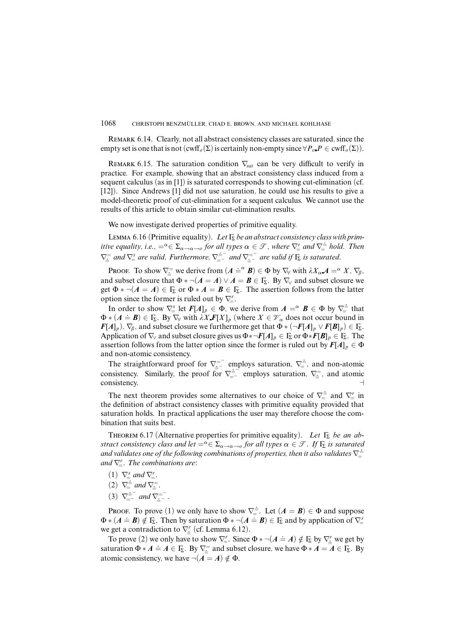REMARK 6.14. Clearly, not all abstract consistency classes are saturated, since the empty set is one that is not  $(\text{cwf}_o(\Sigma))$  is certainly non-empty since  $\forall P_o \cdot P \in \text{cwf}_o(\Sigma)$ .

REMARK 6.15. The saturation condition  $\nabla_{\text{sat}}$  can be very difficult to verify in practice. For example, showing that an abstract consistency class induced from a sequent calculus (as in [1]) is saturated corresponds to showing cut-elimination (cf. [12]). Since Andrews [1] did not use saturation, he could use his results to give a model-theoretic proof of cut-elimination for a sequent calculus. We cannot use the results of this article to obtain similar cut-elimination results.

We now investigate derived properties of primitive equality.

LEMMA 6.16 (Primitive equality). Let  $\Gamma_{\Sigma}$  be an abstract consistency class with primitive equality, i.e.,  $=^{\alpha} \in \Sigma_{\alpha \to \alpha \to \alpha}$  for all types  $\alpha \in \mathcal{T}$ , where  $\nabla_{\alpha}^{r}$  and  $\nabla_{\alpha}^{\pm}$  hold. Then  $\nabla_{\frac{2}{3}}^{\frac{1}{2}}$  and  $\nabla_{\frac{3}{4}}^{\frac{1}{2}}$  are valid. Furthermore,  $\nabla_{\frac{3}{4}}^{\frac{1}{2}}$  and  $\nabla_{\frac{3}{4}}^{\frac{1}{2}}$  are valid if  $\Gamma_{\Sigma}$  is saturated.

PROOF. To show  $\nabla_{\underline{\mathcal{F}}}^{\mathcal{F}}$  we derive from  $(A \doteq^{\alpha} B) \in \Phi$  by  $\nabla_{\forall}$  with  $\lambda X_{\alpha} A = \alpha X$ ,  $\nabla_{\beta}$ , and subset closure that  $\Phi * \neg (A = A) \lor A = B \in \Gamma_{\Sigma}$ . By  $\nabla_{\lor}$  and subset closure we get  $\Phi * \neg (A = A) \in \Gamma_{\Sigma}$  or  $\Phi * A = B \in \Gamma_{\Sigma}$ . The assertion follows from the latter option since the former is ruled out by  $\nabla_{\!=\!}^r$ .

In order to show  $\nabla_{\underline{s}}^s$  let  $F[A]_p \in \Phi$ , we derive from  $A = \alpha B \in \Phi$  by  $\nabla_{\underline{s}}^{\dagger}$  that  $\Phi * (A \doteq B) \in \Gamma_{\Sigma}$ . By  $\nabla_{\forall}$  with  $\lambda X \mathbf{F}[X]_p$  (where  $X \in \mathcal{V}_\alpha$  does not occur bound in *F*[*A*]<sub>*p*</sub>),  $\nabla_{\beta}$ , and subset closure we furthermore get that  $\Phi * (\neg F[A]_p \lor F[B]_p) \in \Gamma_{\Sigma}$ . Application of  $\nabla$ <sub>V</sub> and subset closure gives us  $\Phi * \neg F[A]_p \in \Gamma_{\Sigma}$  or  $\Phi * F[B]_p \in \Gamma_{\Sigma}$ . The assertion follows from the latter option since the former is ruled out by  $F[A]_p \in \Phi$ and non-atomic consistency.

The straightforward proof for  $\nabla_{\pm}^{=-}$  employs saturation,  $\nabla_{\pm}^{+}$ , and non-atomic consistency. Similarly, the proof for  $\nabla_{\underline{=}^{-}}^{\underline{+}}$  employs saturation,  $\nabla_{\underline{=}^{-}}^{\underline{-}}$ , and atomic consistency. consistency.

The next theorem provides some alternatives to our choice of  $\nabla =$  and  $\nabla'$ *r* in the definition of abstract consistency classes with primitive equality provided that saturation holds. In practical applications the user may therefore choose the combination that suits best.

THEOREM 6.17 (Alternative properties for primitive equality). Let  $\Gamma_{\Sigma}$  be an abstract consistency class and let  $=^{\alpha} \in \Sigma_{\alpha \to \alpha \to 0}$  for all types  $\alpha \in \mathcal{F}$ . If  $\Gamma_{\Sigma}$  is saturated and validates one of the following combinations of properties, then it also validates  $\nabla^{\pm}$ <br>and validates one of the following combinations of properties, then it also validates  $\nabla^{\pm}$ and  $\nabla_{\!=\!}^r$ . The combinations are:

- $(1)$   $\nabla_{\equiv}^{s}$  and  $\nabla_{\equiv}^{r}$ .
- (2)  $\nabla_{\equiv} = \frac{1}{2}$  and  $\nabla_{\equiv} = 0$ .
- (3)  $\nabla_{=-}^{-}$  and  $\nabla_{=-}^{-}$ .

PROOF. To prove (1) we only have to show  $\nabla^{\pm}$ . Let  $(A = B) \in \Phi$  and suppose  $\Phi * (A \doteq B) \notin \mathbb{F}$ . Then by saturation  $\Phi * \neg (A \doteq B) \in \mathbb{F}$  and by application of  $\nabla^s$ we get a contradiction to  $\nabla_{\underline{\mathsf{F}}}^r$  (cf. Lemma 6.12).

To prove (2) we only have to show  $\nabla_{\perp}^{r}$ . Since  $\Phi * \neg (A \doteq A) \notin \Gamma_{\Sigma}$  by  $\nabla_{\perp}^{r}$  we get by saturation  $\Phi * A \doteq A \in F_{\Sigma}$ . By  $\nabla_{\Xi}^{-}$  and subset closure, we have  $\Phi * A = A \in F_{\Sigma}$ . By atomic consistency, we have  $\neg(A = A) \notin \Phi$ .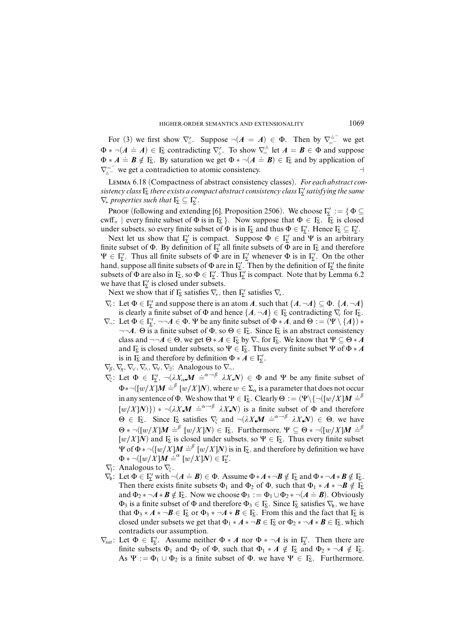For (3) we first show  $\nabla_{\!=\!}^r$ . Suppose  $\neg(A = A) \in \Phi$ . Then by  $\nabla_{\!=\!}^{\!=\!-}$  we get  $\Phi * \neg (A \doteq A) \in \Gamma_{\Sigma}$  contradicting  $\nabla_{\underline{\zeta}}^{\underline{\zeta}}$ . To show  $\nabla_{\overline{\zeta}}^{\underline{\zeta}}$  let  $A = B \in \Phi$  and suppose  $\Phi * A \doteq B \notin F_{\Sigma}$ . By saturation we get  $\Phi * \neg (A \doteq B) \in F_{\Sigma}$  and by application of  $\nabla_{\underline{z}}^{=-}$  we get a contradiction to atomic consistency.

Lemma 6.18 (Compactness of abstract consistency classes). For each abstract consistency class  $\mathop{\mathrm{I}}\nolimits_{\Sigma}$  there exists a compact abstract consistency class  $\mathop{\mathrm{I}}\nolimits_{\Sigma}'$  satisfying the same  $\nabla_*$  properties such that  $\Gamma_{\!\Sigma} \subseteq \Gamma_{\!\Sigma}'$ .

Proof (following and extending [6], Proposition 2506). We choose  $\Gamma_{\!\Sigma}^{\prime} := \{ \Phi \subseteq \Gamma \}$ cwff<sub>o</sub> | every finite subset of  $\Phi$  is in  $\Gamma_{\Sigma}$  }. Now suppose that  $\Phi \in \Gamma_{\Sigma}$ .  $\overline{\Gamma_{\Sigma}}$  is closed under subsets, so every finite subset of  $\Phi$  is in  $\Gamma_{\Sigma}$  and thus  $\Phi \in \Gamma_{\Sigma}'$ . Hence  $\Gamma_{\Sigma} \subseteq \Gamma_{\Sigma}'$ .

Next let us show that  $\Gamma'_{\Sigma}$  is compact. Suppose  $\Phi \in \Gamma'_{\Sigma}$  and  $\Psi$  is an arbitrary finite subset of  $\Phi$ . By definition of  $\Gamma'_{\Sigma}$  all finite subsets of  $\Phi$  are in  $\Gamma_{\Sigma}$  and therefore  $\Psi \in \Gamma'_{\Sigma}$ . Thus all finite subsets of  $\Phi$  are in  $\Gamma'_{\Sigma}$  whenever  $\Phi$  is in  $\Gamma'_{\Sigma}$ . On the other hand, suppose all finite subsets of  $\Phi$  are in  $\Gamma'_{\Sigma}$ . Then by the definition of  $\Gamma'_{\Sigma}$  the finite subsets of  $\Phi$  are also in  $\Gamma_{\Sigma}$ , so  $\Phi \in \Gamma_{\Sigma}'$ . Thus  $\Gamma_{\Sigma}'$  is compact. Note that by Lemma 6.2 we have that  $\Gamma'_{\Sigma}$  is closed under subsets.

Next we show that if  $\Gamma_{\!\Sigma}$  satisfies  $\nabla_{\!\ast}$ , then  $\Gamma'_{\!\Sigma}$  satisfies  $\nabla_{\!\ast}$ .

- $\nabla_c$ : Let  $\Phi \in \Gamma'_\Sigma$  and suppose there is an atom *A*, such that  $\{A, \neg A\} \subseteq \Phi$ .  $\{A, \neg A\}$ is clearly a finite subset of  $\Phi$  and hence  $\{A, \neg A\} \in \Gamma_{\Sigma}$  contradicting  $\nabla_c$  for  $\Gamma_{\Sigma}$ .
- $\nabla_{\neg}$ : Let  $\Phi \in \Gamma'_{\Sigma}$ ,  $\neg \neg A \in \Phi$ ,  $\Psi$  be any finite subset of  $\Phi * A$ , and  $\Theta := (\Psi \setminus \{A\}) *$  $\neg\neg A$ .  $\Theta$  is a finite subset of  $\Phi$ , so  $\Theta \in \Gamma_{\Sigma}$ . Since  $\Gamma_{\Sigma}$  is an abstract consistency class and  $\neg\neg A \in \Theta$ , we get  $\Theta * A \in \Gamma_{\Sigma}$  by  $\nabla_{\neg}$  for  $\Gamma_{\Sigma}$ . We know that  $\Psi \subseteq \Theta * A$ and  $\Gamma_{\Sigma}$  is closed under subsets, so  $\Psi \in \Gamma_{\Sigma}$ . Thus every finite subset  $\Psi$  of  $\Phi * A$ is in  $\Gamma_{\!\Sigma}$  and therefore by definition  $\Phi * A \in \Gamma'_{\!\Sigma}$ .
- $\nabla_{\beta}$ ,  $\nabla_{\eta}$ ,  $\nabla_{\vee}$ ,  $\nabla_{\wedge}$ ,  $\nabla_{\forall}$ ,  $\nabla_{\exists}$ : Analogous to  $\nabla_{\neg}$ .
- $\nabla_{\xi}$ : Let  $\Phi \in \Gamma_{\xi}^{\prime}$ ,  $\neg (\lambda X_{\alpha} M \doteq^{\alpha \rightarrow \beta} \lambda X N) \in \Phi$  and  $\Psi$  be any finite subset of  $\Phi * \neg([w/X]M \doteq^{\beta} [w/X]N)$ , where  $w \in \Sigma_{\alpha}$  is a parameter that does not occur in any sentence of  $\Phi$ . We show that  $\Psi \in \Gamma_{\Sigma}$ . Clearly  $\Theta := (\Psi \setminus \{\neg([w/X]M \doteq^{\beta})\})$  $[w/X]N$ }) \*  $\neg(\lambda X \mathbf{M}) \doteq^{\alpha \rightarrow \beta} \lambda X \mathbf{N}$  is a finite subset of  $\Phi$  and therefore  $\Theta \in \Gamma_{\Sigma}$ . Since  $\Gamma_{\Sigma}$  satisfies  $\nabla_{\xi}$  and  $\neg (\lambda X \mathbf{M}) \doteq^{\alpha \rightarrow \beta} \lambda X \mathbf{N} \in \Theta$ , we have  $\Theta * \neg([w/X]M \stackrel{\cdot}{\models} [w/X]N) \in \Gamma_{\Sigma}$ . Furthermore,  $\Psi \subseteq \Theta * \neg([w/X]M \stackrel{\cdot}{\models} \beta$  $[w/X]N$  and  $\overline{F}_\Sigma$  is closed under subsets, so  $\Psi \in \overline{F}_\Sigma$ . Thus every finite subset  $\Psi$  of Φ  $\ast$   $\neg$   $\Box$ *(w/X]M*  $\stackrel{\text{def}}{=}$  [*w/X]N*) is in Γ<sub>Σ</sub>, and therefore by definition we have  $\Phi * \neg([w/X]M \doteq^{\alpha} [w/X]N) \in \Gamma_{\Sigma}'$ .
- ∇f : Analogous to ∇*î*.
- $\nabla_b$ : Let  $\Phi \in \Gamma_{\Sigma}^{\prime}$  with  $\neg (A \doteq B) \in \Phi$ . Assume  $\Phi * A * \neg B \notin \Gamma_{\Sigma}$  and  $\Phi * \neg A * B \notin \Gamma_{\Sigma}$ . Then there exists finite subsets  $\Phi_1$  and  $\Phi_2$  of  $\Phi$ , such that  $\Phi_1 * A * \neg B \notin \Gamma_{\Sigma}$ and  $\Phi_2 * \neg A * B \notin F_2$ . Now we choose  $\Phi_3 := \Phi_1 \cup \Phi_2 * \neg (A \doteq B)$ . Obviously  $\Phi_3$  is a finite subset of  $\Phi$  and therefore  $\Phi_3 \in \mathbb{F}_2$ . Since  $\mathbb{F}_2$  satisfies  $\nabla_b$ , we have that  $\Phi_3 * A * \neg B \in \Gamma_{\Sigma}$  or  $\Phi_3 * \neg A * B \in \Gamma_{\Sigma}$ . From this and the fact that  $\Gamma_{\Sigma}$  is closed under subsets we get that  $\Phi_1 * A * \neg B \in \Gamma_{\Sigma}$  or  $\Phi_2 * \neg A * B \in \Gamma_{\Sigma}$ , which contradicts our assumption.
- $\nabla_{\text{sat}}$ : Let  $\Phi \in \Gamma_{\Sigma}'$ . Assume neither  $\Phi * A$  nor  $\Phi * \neg A$  is in  $\Gamma_{\Sigma}'$ . Then there are finite subsets  $\Phi_1$  and  $\Phi_2$  of  $\Phi$ , such that  $\Phi_1 * A \notin \Gamma_{\Sigma}$  and  $\Phi_2 * \neg A \notin \Gamma_{\Sigma}$ . As  $\Psi := \Phi_1 \cup \Phi_2$  is a finite subset of  $\Phi$ , we have  $\Psi \in \Gamma_{\Sigma}$ . Furthermore,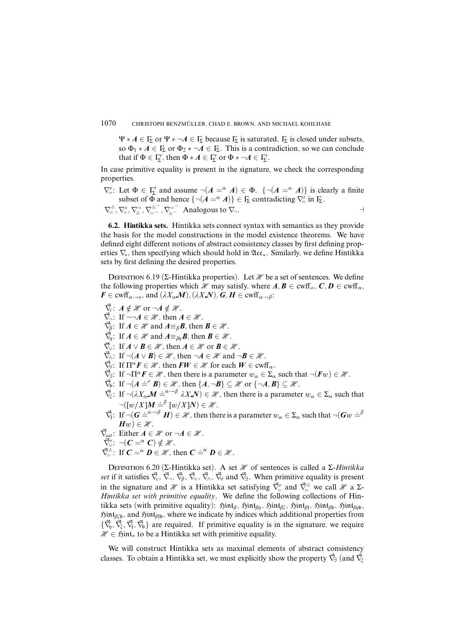$\Psi * A \in \Gamma_{\Sigma}$  or  $\Psi * \neg A \in \Gamma_{\Sigma}$  because  $\Gamma_{\Sigma}$  is saturated.  $\Gamma_{\Sigma}$  is closed under subsets, so  $\Phi_1 * A \in \mathbb{F}_2$  or  $\Phi_2 * \neg A \in \mathbb{F}_2$ . This is a contradiction, so we can conclude that if  $\Phi \in \Gamma_{\!\Sigma}^{\prime}$ , then  $\Phi * A \in \Gamma_{\!\Sigma}^{\prime}$  or  $\Phi * \neg A \in \Gamma_{\!\Sigma}^{\prime}$ .

In case primitive equality is present in the signature, we check the corresponding properties.

 $\nabla_{\underline{\mathsf{F}}}'$ : Let  $\Phi \in \Gamma_{\underline{\mathsf{F}}}'$  and assume  $\neg(A = \alpha A) \in \Phi$ .  $\{\neg(A = \alpha A)\}$  is clearly a finite subset of  $\Phi$  and hence  $\{\neg(A = \alpha A)\}\in \Gamma_{\!\Sigma}$  contradicting  $\nabla_{\!=}^r$  in  $\Gamma_{\!\Sigma}$ .

 $\nabla = \nabla_{\pm}^{3}$ ,  $\nabla_{\pm}^{5}$ ,  $\nabla_{\pm}^{2}$ ,  $\nabla_{\pm}^{2}$ ,  $\nabla_{\pm}^{2}$ ,  $\nabla_{\pm}^{3}$ ,  $\nabla_{\pm}^{3}$ ,  $\nabla_{\pm}^{2}$ ,  $\nabla_{\pm}^{3}$ ,  $\nabla_{\pm}^{2}$ ,  $\nabla_{\pm}^{3}$ ,  $\nabla_{\pm}^{3}$ ,  $\nabla_{\pm}^{3}$ ,  $\nabla_{\pm}^{3}$ ,  $\nabla_{\pm}^{3}$ ,  $\nabla_{\$ 

**6.2. Hintikka sets.** Hintikka sets connect syntax with semantics as they provide the basis for the model constructions in the model existence theorems. We have defined eight different notions of abstract consistency classes by first defining properties  $\nabla_{\bf\hat{x}}$ , then specifying which should hold in  $\mathfrak{Acc}_{\bf\hat{x}}$ . Similarly, we define Hintikka sets by first defining the desired properties.

DEFINITION 6.19 (Σ-Hintikka properties). Let  $\mathcal X$  be a set of sentences. We define the following properties which  $\mathcal{H}$  may satisfy, where  $A, B \in \text{c wff}_o, C, D \in \text{c wff}_o$ ,  $F \in \text{cwff}_{\alpha \to 0}$ , and  $(\lambda X_{\alpha} \mathbf{M})$ ,  $(\lambda X \mathbf{N})$ ,  $G, H \in \text{cwff}_{\alpha \to \beta}$ :

- $\vec{\nabla}_c$ :  $A \notin \mathcal{H}$  or  $\neg A \notin \mathcal{H}$ .
- $\vec{\nabla}_{\neg}$ : If  $\neg\neg A \in \mathcal{H}$ , then  $A \in \mathcal{H}$ .
- $\vec{\nabla}_{\beta}$ : If  $A \in \mathcal{H}$  and  $A \equiv_{\beta} \mathcal{B}$ , then  $\mathcal{B} \in \mathcal{H}$ .
- $\vec{\nabla}_\eta$ : If  $A \in \mathcal{H}$  and  $A \equiv_{\beta\eta} \mathbf{B}$ , then  $\mathbf{B} \in \mathcal{H}$ .
- $\vec{\nabla}$ . If  $A \vee B \in \mathcal{H}$ , then  $A \in \mathcal{H}$  or  $B \in \mathcal{H}$ .
- $\vec{\nabla}_{\!\Lambda}$ : If  $\neg(A \lor B) \in \mathcal{H}$ , then  $\neg A \in \mathcal{H}$  and  $\neg B \in \mathcal{H}$ .
- $\vec{\nabla}_t$ : If  $\Pi^{\alpha} F \in \mathcal{H}$ , then  $FW \in \mathcal{H}$  for each  $W \in \text{cwff}_{\alpha}$ .
- $\nabla \vec{\mathbf{z}}$ : If  $\neg \Pi^{\alpha} \mathbf{F} \in \mathcal{H}$ , then there is a parameter  $w_{\alpha} \in \Sigma_{\alpha}$  such that  $\neg(\mathbf{F}w) \in \mathcal{H}$ .
- $\nabla_{\mathbf{b}}$ : If  $\neg(A \doteq^{\circ} \mathbf{B}) \in \mathcal{H}$ , then  $\{A, \neg \mathbf{B}\} \subseteq \mathcal{H}$  or  $\{\neg A, B\} \subseteq \mathcal{H}$ .
- $\vec{\nabla}_{\xi}$ : If  $\neg (\lambda X_{\alpha} \cdot \vec{M}) \doteq \vec{a} \rightarrow \vec{\beta} \cdot \lambda X \cdot \vec{N}$   $\in \mathcal{H}$ , then there is a parameter  $w_{\alpha} \in \Sigma_{\alpha}$  such that  $\neg([w/X]M \doteq^{\beta} [w/X]N) \in \mathcal{H}$ .
- $\nabla f: \text{ If } \neg(G = \overset{\circ}{a} \rightarrow^\beta H) \in \mathcal{H}, \text{ then there is a parameter } w_\alpha \in \Sigma_\alpha \text{ such that } \neg(Gw = \overset{\circ}{b}$  $Hw) \in \mathcal{H}$ .
- $\nabla_{\text{sat}}$ : Either  $A \in \mathcal{H}$  or  $\neg A \in \mathcal{H}$ .
- $\vec{\nabla}^r_{=}: \neg(\mathbf{C} = \alpha \mathbf{C}) \notin \mathcal{H}$  .

$$
\overline{\nabla}_{\equiv}^{\perp}:\ \text{If } \mathbf{C} = \mathbf{C} \neq \mathbf{D} \in \mathcal{H}, \text{ then } \mathbf{C} \doteq^{\alpha} \mathbf{D} \in \mathcal{H}.
$$

DEFINITION 6.20 (Σ-Hintikka set). A set *H* of sentences is called a Σ-*Hintikka*  $\vec{z}$  are *set* if it satisfies  $\vec{\nabla}_c$ ,  $\vec{\nabla}_r$ ,  $\vec{\nabla}_\phi$ ,  $\vec{\nabla}_r$ ,  $\vec{\nabla}_r$ ,  $\vec{\nabla}_r$  and  $\vec{\nabla}_z$ . When primitive equality is present in the signature and H is a Hintikka set satisfying  $\vec{\nabla}$ <sup>*r*</sup> and  $\vec{\nabla}$ <sup> $=$ </sup> we call H a Σ-*Hintikka set with primitive equality*. We define the following collections of Hintikka sets (with primitive equality):  $\mathfrak{Sint}_{\beta}$ ,  $\mathfrak{Sint}_{\beta}$ ,  $\mathfrak{Sint}_{\beta}$ ,  $\mathfrak{Sint}_{\beta}$ ,  $\mathfrak{Sint}_{\beta}$ ,  $\mathfrak{Sint}_{\beta}$ ,  $\mathfrak{Hint}_{\beta\xi_{\mathfrak{b}}}$ , and  $\mathfrak{Hint}_{\beta\beta_{\mathfrak{b}}}$ , where we indicate by indices which additional properties from  $\{\vec{\nabla}_n, \vec{\nabla}_{\xi}, \vec{\nabla}_{\xi}, \vec{\nabla}_{\xi}\}\$  are required. If primitive equality is in the signature, we require  $\mathcal{H}$  ∈  $\mathfrak{H}$ int<sub>\*</sub> to be a Hintikka set with primitive equality.

We will construct Hintikka sets as maximal elements of abstract consistency classes. To obtain a Hintikka set, we must explicitly show the property ∇*~*<sup>∃</sup> (and ∇*~ î*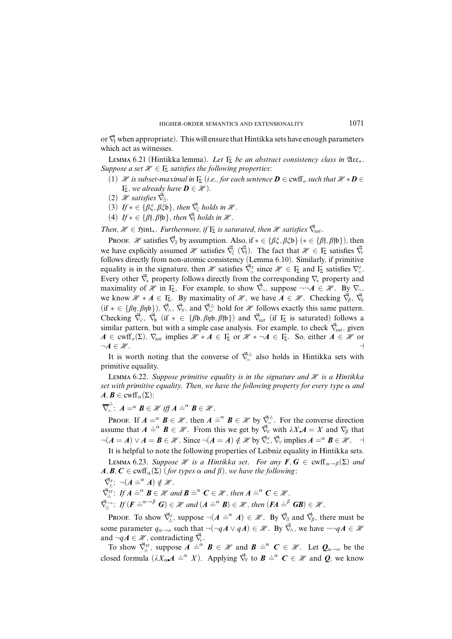or ∇*~*<sup>f</sup> when appropriate). This will ensure that Hintikka sets have enough parameters which act as witnesses.

LEMMA 6.21 (Hintikka lemma). Let  $\Gamma_{\Sigma}$  be an abstract consistency class in  $\mathfrak{Acc}_{*}$ . Suppose a set  $\mathcal{H} \in \Gamma_{\Sigma}$  satisfies the following properties:

- (1) H is subset-maximal in  $\Gamma_{\Sigma}$  (i.e., for each sentence  $\bm{D} \in \text{cmff}_o$  such that  $\mathcal{H} * \bm{D} \in$  $\Gamma_{\!\Sigma}$ , we already have  $\bm{D} \in \mathcal{H}$ ).
- $(2)$  *H* satisfies  $\overrightarrow{\nabla}$ <sub>1</sub>.
- (3)  $If * \in {\beta\xi, \beta\xi\mathfrak{b}}\}$ , then  $\vec{\nabla}_{\xi}$  holds in  $\mathcal{H}$ .
- (4)  $If \ast \in {\beta}$ f,  $\beta$ fb}, then  $\vec{\nabla}_f$  holds in  $\mathcal X$ .

Then,  $\mathcal{H} \in \mathfrak{Hint}_*$ . Furthermore, if  $\Gamma_{\Sigma}$  is saturated, then  $\mathcal{H}$  satisfies  $\vec{\nabla}_{\mathcal{S}at}$ .

Proof. H satisfies  $\vec{\nabla}_\exists$  by assumption. Also, if  $* \in {\beta \xi, \beta \xi b}$  ( $* \in {\beta f, \beta f b}$ ), then we have explicitly assumed  $\mathcal{H}$  satisfies  $\vec{\nabla}_{\xi}$  ( $\vec{\nabla}_{f}$ ). The fact that  $\mathcal{H} \in \Gamma_{\Sigma}$  satisfies  $\vec{\nabla}_{c}$ follows directly from non-atomic consistency (Lemma 6.10). Similarly, if primitive equality is in the signature, then H satisfies  $\vec{\nabla}$ <sup>*r*</sup> since  $\mathcal{H} \in \Gamma$ <sub>2</sub> and  $\Gamma$ <sub>2</sub> satisfies  $\nabla$ <sup>*r*</sup><sub>*z*</sub>. Every other ∇*~*<sup>∗</sup> property follows directly from the corresponding ∇<sup>∗</sup> property and maximality of H in  $\Gamma_{\Sigma}$ . For example, to show  $\vec{\nabla}_{\neg}$ , suppose  $\neg\neg A \in \mathcal{H}$ . By  $\nabla_{\neg}$ , we know  $\mathcal{H} * A \in \Gamma_{\Sigma}$ . By maximality of  $\mathcal{H}$ , we have  $A \in \mathcal{H}$ . Checking  $\vec{\nabla}_{\beta}$ ,  $\vec{\nabla}_{\eta}$ (if  $* \in {\beta\eta, \beta\eta b}$ ),  $\vec{\nabla}_{\lambda}$ ,  $\vec{\nabla}_{\forall}$ , and  $\vec{\nabla}^{\pm}_{\alpha}$  hold for  $\mathscr{H}$  follows exactly this same pattern. Checking  $\vec{\nabla}_{\gamma}$ ,  $\vec{\nabla}_{\beta}$  (if  $* \in {\beta\beta, \beta\eta\beta, \beta\beta\beta}$ ) and  $\vec{\nabla}_{sat}$  (if  $\Gamma_{\Sigma}$  is saturated) follows a similar pattern, but with a simple case analysis. For example, to check  $\vec{\nabla}_{sat}$ , given  $A \in \text{cwff}_{\text{o}}(\Sigma)$ ,  $\nabla_{\text{sat}}$  implies  $\mathcal{H} * A \in \Gamma_{\Sigma}$  or  $\mathcal{H} * \neg A \in \Gamma_{\Sigma}$ . So, either  $A \in \mathcal{H}$  or  $\neg A \in \mathcal{H}$ .

It is worth noting that the converse of  $\vec{\nabla}$ <sup> $\dot{=}$ </sup> also holds in Hintikka sets with primitive equality.

LEMMA 6.22. Suppose primitive equality is in the signature and  $\mathcal X$  is a Hintikka set with primitive equality. Then, we have the following property for every type  $\alpha$  and  $A, B \in \text{cwff}_{\alpha}(\Sigma)$ :<br>  $\overline{\overline{\overline{B}}}$  =  $A \alpha B$  =

$$
\overline{\nabla}_{=}^{\div} \colon A = \alpha \mathbf{B} \in \mathcal{H} \text{ iff } A \doteq^{\alpha} \mathbf{B} \in \mathcal{H}.
$$

PROOF. If  $A = \alpha$   $\vec{B} \in \mathcal{H}$ , then  $A = \alpha$   $\vec{B} \in \mathcal{H}$  by  $\vec{\nabla} = \vec{A}$ . For the converse direction assume that  $A \doteq^{\alpha} B \in \mathcal{H}$ . From this we get by  $\vec{\nabla}_{\forall}$  with  $\lambda X A = X$  and  $\nabla_{\beta}$  that  $\neg(A = A) \lor A = B \in \mathcal{H}$ . Since  $\neg(A = A) \notin \mathcal{H}$  by  $\vec{\nabla}_{\!=}^r$ ,  $\vec{\nabla}_{\!\vee}$  implies  $A = \alpha \ B \in \mathcal{H}$ .  $\neg$ 

It is helpful to note the following properties of Leibniz equality in Hintikka sets. LEMMA 6.23. Suppose  $\mathcal{H}$  is a Hintikka set. For any  $\mathbf{F}$ ,  $\mathbf{G} \in \text{cmff}_{\alpha \to \beta}(\Sigma)$  and  $A, B, C \in \text{cwff}_{\alpha}(\Sigma)$  (for types  $\alpha$  and  $\beta$ ), we have the following:

$$
\vec{\nabla}^r_{\dot{=}}\colon \neg(A \dot{=}^{\alpha} A) \notin \mathcal{H}.
$$

 $\vec{\nabla}_{\underline{\cdot}}^{\overline{\mu}}$ : If  $A \doteq^{\alpha} B \in \mathcal{H}$  and  $B \doteq^{\alpha} C \in \mathcal{H}$ , then  $A \doteq^{\alpha} C \in \mathcal{H}$ .

 $\nabla_{\underline{\underline{\cdot}}}^{\underline{\overline{\cdot}}}$ : If  $(\underline{F} \doteq^{\alpha-\beta} G) \in \mathcal{H}$  and  $(A \doteq^{\alpha} B) \in \mathcal{H}$ , then  $(\underline{F}A \doteq^{\beta} GB) \in \mathcal{H}$ .

Proof. To show  $\vec{\nabla}_{\vec{\cdot}}^r$ , suppose  $\neg(A \doteq^{\alpha} A) \in \mathcal{H}$ . By  $\vec{\nabla}_{\exists}$  and  $\vec{\nabla}_{\beta}$ , there must be some parameter  $q_{\alpha\to\rho}$  such that  $\neg(\neg qA \lor qA) \in \mathcal{H}$ . By  $\vec{\nabla}_{\wedge}$ , we have  $\neg\neg qA \in \mathcal{H}$ and  $\neg qA \in \mathcal{H}$ , contradicting  $\vec{\nabla}_c$ .

To show  $\nabla_{\underline{\mu}}^{ir}$ , suppose  $A \stackrel{\text{def}}{=} B \in \mathcal{H}$  and  $B \stackrel{\text{def}}{=} C \in \mathcal{H}$ . Let  $Q_{\alpha \to o}$  be the closed formula  $(\lambda X_{\alpha}A \doteq^{\alpha} X)$ . Applying  $\vec{\nabla}_{\nabla}$  to  $\vec{B} \doteq^{\alpha} \vec{C} \in \mathcal{H}$  and  $\vec{Q}$ , we know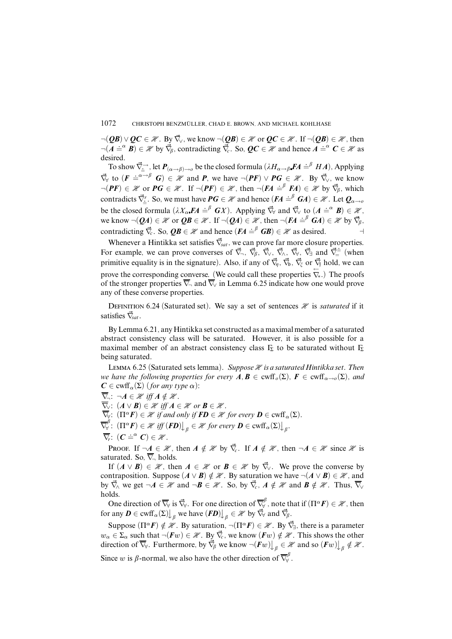$\neg(\mathbf{QB}) \vee \mathbf{QC} \in \mathcal{H}$ . By  $\vec{\nabla}_{\vee}$ , we know  $\neg(\mathbf{QB}) \in \mathcal{H}$  or  $\mathbf{QC} \in \mathcal{H}$ . If  $\neg(\mathbf{QB}) \in \mathcal{H}$ , then  $\neg (A \stackrel{\sim}{=} B) \in \mathcal{H}$  by  $\nabla_{\beta}$ , contradicting  $\nabla_c$ . So,  $QC \in \mathcal{H}$  and hence  $A \stackrel{\sim}{=} {}^{\alpha}C \in \mathcal{H}$  as desired.

To show  $\vec{\nabla}_{\vec{\pm}}^{\rightarrow}$ , let  $P_{(\alpha \to \beta) \to o}$  be the closed formula  $(\lambda H_{\alpha \to \beta} \cdot \vec{FA} \stackrel{\dot{\equiv}}{=}^{\beta} H \vec{A})$ , Applying  $\nabla_{\mathbf{y}}^{\mathbf{z}}$  to  $(\mathbf{F} \doteq^{\alpha-\beta} \mathbf{G}) \in \mathcal{H}$  and  $\mathbf{P}$ , we have  $\neg(\mathbf{PF}) \vee \mathbf{PG} \in \mathcal{H}$ . By  $\nabla_{\mathbf{y}}$ , we know  $\neg(\mathbf{PF}) \in \mathcal{H}$  or  $\mathbf{PG} \in \mathcal{H}$ . If  $\neg(\mathbf{PF}) \in \mathcal{H}$ , then  $\neg(\mathbf{FA} \doteq^{\beta} \mathbf{FA}) \in \mathcal{H}$  by  $\vec{\nabla}_{\beta}$ , which contradicts  $\vec{\nabla}$ <sup>*r*</sup>. So, we must have  $PG \in \mathcal{H}$  and hence  $(FA \doteq^{\beta} GA) \in \mathcal{H}$ . Let  $Q_{\alpha \to \alpha}$ be the closed formula  $(\lambda X_{\alpha} \cdot \mathbf{F}A \doteq^{\beta} \mathbf{G}X)$ . Applying  $\vec{\nabla}_{\forall}$  and  $\vec{\nabla}_{\forall}$  to  $(A \doteq^{\alpha} \mathbf{B}) \in \mathcal{H}$ , we know  $\neg (\mathbf{Q}A) \in \mathcal{H}$  or  $\mathbf{Q}B \in \mathcal{H}$ . If  $\neg (\mathbf{Q}A) \in \mathcal{H}$ , then  $\neg (FA \doteq^{\beta} GA) \in \mathcal{H}$  by  $\vec{\nabla}_{\beta}$ , contradicting  $\vec{\nabla}_c$ . So,  $\vec{Q} \vec{B} \in \mathcal{H}$  and hence  $(\vec{FA} \stackrel{\text{def}}{=} \vec{GB}) \in \mathcal{H}$  as desired.

Whenever a Hintikka set satisfies  $\vec{\nabla}_{sat}$ , we can prove far more closure properties. For example, we can prove converses of  $\vec{\nabla}_{\neg}$ ,  $\vec{\nabla}_{\beta}$ ,  $\vec{\nabla}_{\neg}$ ,  $\vec{\nabla}_{\gamma}$ ,  $\vec{\nabla}_{\neg}$ ,  $\vec{\nabla}_{\neg}$  and  $\vec{\nabla}_{\neg}^{\pm}$  (when primitive equality is in the signature). Also, if any of  $\vec{\nabla}_n$ ,  $\vec{\nabla}_p$ ,  $\vec{\nabla}_r$  or  $\vec{\nabla}_f$  hold, we can prove the corresponding converse. (We could call these properties  $\overleftarrow{\nabla}_{*}$ .) The proofs of the stronger properties  $\overline{\nabla}_{\!-\!}$  and  $\overline{\nabla}_{\!V}$  in Lemma 6.25 indicate how one would prove any of these converse properties.

DEFINITION 6.24 (Saturated set). We say a set of sentences  $\mathcal X$  is *saturated* if it satisfies ∇*~sat*.

ByLemma 6.21, any Hintikka set constructed as a maximal member of a saturated abstract consistency class will be saturated. However, it is also possible for a maximal member of an abstract consistency class  $\Gamma_{\Sigma}$  to be saturated without  $\Gamma_{\Sigma}$ being saturated.

LEMMA 6.25 (Saturated sets lemma). Suppose  $\mathcal H$  is a saturated Hintikka set. Then we have the following properties for every  $A, B \in \text{cmff}_o(\Sigma)$ ,  $F \in \text{cmff}_{o \to o}(\Sigma)$ , and  $C \in \text{cwf}(\Sigma)$  (for any type  $\alpha$ ):

 $\overline{\nabla}_{\neg}$ :  $\neg A \in \mathcal{H}$  iff  $A \notin \mathcal{H}$ .  $\overline{\nabla}_V$ :  $(A \vee B) \in \mathcal{H}$  iff  $A \in \mathcal{H}$  or  $B \in \mathcal{H}$ .  $\overline{\nabla}_Y$ :  $(\Pi^{\alpha} F) \in \mathcal{H}$  if and only if  $\overline{FD} \in \mathcal{H}$  for every  $\overline{D} \in \text{cwf}(\Sigma)$ .  $\overline{\nabla}^{\beta}_{\!\! \forall}$  $\overline{\mathscr{F}}^{\rho}_{\underline{\mathsf{Y}}}$ :  $(\Pi^{\alpha} \mathbf{F}) \in \mathscr{H}$  iff  $(\mathbf{F}\mathbf{D})$   $\downarrow$   $_{\beta} \in \mathscr{H}$  for every  $\mathbf{D} \in \text{cwtf}_{\alpha}(\Sigma)$   $\downarrow$   $_{\beta}$ .  $\overline{\nabla}_{\!\!r}\colon$   $(\mathbf{C} \doteq^{\alpha} \mathbf{C}) \in \mathcal{H}$ .

Proof. If  $\neg A \in \mathcal{H}$ , then  $A \notin \mathcal{H}$  by  $\vec{\nabla}_c$ . If  $A \notin \mathcal{H}$ , then  $\neg A \in \mathcal{H}$  since  $\mathcal{H}$  is saturated. So,  $\overline{\nabla}_{\!-}$  holds.

If  $(A \vee B) \in \mathcal{H}$ , then  $A \in \mathcal{H}$  or  $B \in \mathcal{H}$  by  $\vec{\nabla}$ . We prove the converse by contraposition. Suppose  $(A \vee B) \notin \mathcal{H}$ . By saturation we have  $\neg(A \vee B) \in \mathcal{H}$ , and by  $\vec{\nabla}_{\wedge}$  we get  $\neg A \in \mathcal{H}$  and  $\neg B \in \mathcal{H}$ . So, by  $\vec{\nabla}_{\neg}$ ,  $A \notin \mathcal{H}$  and  $B \notin \mathcal{H}$ . Thus,  $\overline{\nabla}_{\vee}$ holds.

One direction of  $\overline{\nabla}_{\!\forall}$  is  $\vec{\nabla}_{\!\forall}$ . For one direction of  $\overline{\nabla}_{\!\forall}^{\beta}$  $\overline{Y}_{\forall}^{p}$ , note that if  $(\Pi^{\alpha} \mathbf{F}) \in \mathcal{H}$ , then  $\text{for any } D \in \text{cwff}_{\alpha}(\Sigma) \bigcup_{\beta} \text{ we have } (FD) \bigcup_{\beta} \in \mathcal{H} \text{ by } \vec{\nabla}_{\forall} \text{ and } \vec{\nabla}_{\beta}.$ 

Suppose  $(\Pi^{\alpha} \mathbf{F}) \notin \mathcal{H}$ . By saturation,  $\neg(\Pi^{\alpha} \mathbf{F}) \in \mathcal{H}$ . By  $\vec{\nabla}_{\exists}$ , there is a parameter *w*<sub>α</sub> ∈  $\Sigma$ <sub>α</sub> such that  $\neg$ (*Fw*) ∈  $\mathcal{H}$ . By  $\vec{\nabla}_c$ , we know (*Fw*) ∉  $\mathcal{H}$ . This shows the other direction of  $\overline{\nabla}_{\!v}$ . Furthermore, by  $\overline{\nabla}_{\!\beta}$  we know  $\neg(\boldsymbol{F}w)\big\downarrow_{\beta} \in \mathcal{H}$  and so  $(\boldsymbol{F}w)\big\downarrow_{\beta} \notin \mathcal{H}$ . Since *w* is  $\beta$ -normal, we also have the other direction of  $\overline{\nabla}_{\forall}^{\beta}$  $\tilde{\mathbf{v}}^{\prime}$  .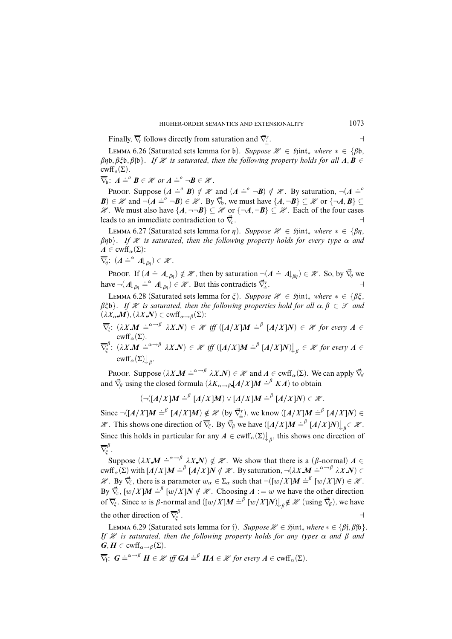Finally,  $\overline{\nabla}_r$  follows directly from saturation and  $\overline{\nabla}^r_{\underline{\mathbf{x}}}$ . a

LEMMA 6.26 (Saturated sets lemma for b). Suppose  $\mathcal{H}$  ∈  $\mathfrak{h}$ int<sub>\*</sub> where  $* \in \{B\}$ *b,*  $\beta$  $\eta$ b,  $\beta$  $\zeta$ b,  $\beta$  $\beta$ b}. If  $\mathcal X$  is saturated, then the following property holds for all  $A, B \in$ cwff<sub>o</sub> $(\Sigma)$ .

 $\overline{\nabla}_{\!\!\theta}$ :  $A \doteq^{\circ} B \in \mathcal{H}$  or  $A \doteq^{\circ} \neg B \in \mathcal{H}$ .

Proof. Suppose  $(A \doteq^{\circ} B) \notin \mathcal{H}$  and  $(A \doteq^{\circ} \neg B) \notin \mathcal{H}$ . By saturation,  $\neg (A \doteq^{\circ} A)$  $\mathbf{B}$ )  $\in \mathcal{H}$  and  $\neg(A \doteq^{\circ} \neg B) \in \mathcal{H}$ . By  $\vec{\nabla}_b$ , we must have  $\{A, \neg B\} \subseteq \mathcal{H}$  or  $\{\neg A, B\} \subseteq$  $\mathcal{H}$ . We must also have { $A$ , ¬¬ $B$ } ⊆  $\mathcal{H}$  or {¬ $A$ , ¬ $B$ } ⊆  $\mathcal{H}$ . Each of the four cases leads to an immediate contradiction to  $\vec{\nabla}_c$ .

LEMMA 6.27 (Saturated sets lemma for *η*). Suppose  $\mathcal{H}$  ∈  $\mathfrak{Hint}_*$  where  $* \in \{\beta\eta, \gamma\}$  $βηb$ . If H is saturated, then the following property holds for every type  $α$  and  $A \in \text{cwff}_{\alpha}(\Sigma)$ :

$$
\overline{\nabla}_{\!\!\eta}\colon\,(A\doteq^{\alpha}A\vert_{\beta\eta})\in\mathscr{H}.
$$

PROOF. If  $(A \doteq A|_{\beta\eta}) \notin \mathcal{H}$ , then by saturation  $\neg(A \doteq A|_{\beta\eta}) \in \mathcal{H}$ . So, by  $\vec{\nabla}_{\eta}$  we have  $\neg(A|_{\beta\eta} \doteq^{\alpha} A|_{\beta\eta}) \in \mathcal{H}$ . But this contradicts  $\vec{\nabla}_{\underline{\mathbf{a}}}$ . a

LEMMA 6.28 (Saturated sets lemma for *ξ*). Suppose  $\mathcal{H}$  ∈  $\mathfrak{Hint}_*$  where  $* \in \{\beta \xi, \gamma \in \mathcal{H}\}\$  $\beta \xi \phi$ . If H is saturated, then the following properties hold for all  $\alpha, \beta \in \mathcal{T}$  and  $(\lambda X_{\alpha} M)$ ,  $(\lambda X N) \in \text{cwff}_{\alpha \to \beta}(\Sigma)$ :

 $\overline{\nabla}_{\xi}$ :  $(\lambda X.M \doteq^{\alpha \to \beta} \lambda X.N) \in \mathcal{H}$  iff  $([A/X]M \doteq^{\beta} [A/X]N) \in \mathcal{H}$  for every  $A \in$ cwff<sub> $\alpha$ </sub>(Σ).

$$
\overline{\nabla}_{\xi}^{\beta} \colon (\lambda X. \mathbf{M} \doteq^{\alpha \to \beta} \lambda X. \mathbf{N}) \in \mathcal{H} \text{ iff } ([A/X] \mathbf{M} \doteq^{\beta} [A/X] \mathbf{N}) \big|_{\beta} \in \mathcal{H} \text{ for every } A \in \text{curl}_{\alpha}(\Sigma) \big|_{\beta}.
$$

Proof. Suppose  $(\lambda X \mathbf{M} \doteq^{\alpha \to \beta} \lambda X \mathbf{N}) \in \mathcal{H}$  and  $\mathbf{A} \in \text{cwff}_\alpha(\Sigma)$ . We can apply  $\vec{\nabla}$ and  $\vec{\nabla}_{\beta}$  using the closed formula  $(\lambda K_{\alpha \to \beta} [A/X]M \stackrel{\text{def}}{=} K A)$  to obtain

$$
(\neg([A/X]M \doteq^{\beta} [A/X]M) \vee [A/X]M \doteq^{\beta} [A/X]N) \in \mathscr{H}.
$$

Since  $\neg([A/X]M \doteq^{\beta} [A/X]M) \notin \mathcal{H}$  (by  $\vec{\nabla}_{\underline{\cdot}}^r$ ), we know  $([A/X]M \doteq^{\beta} [A/X]N) \in$  $\mathcal{H}$ . This shows one direction of  $\overline{\nabla}_{\xi}$ . By  $\overline{\nabla}_{\beta}$  we have  $([A/X]M \doteq^{\beta} [A/X]N)$ ,  $\beta \in \mathcal{H}$ . Since this holds in particular for any  $A \in \text{cwff}_{\alpha}(\Sigma)$ , this shows one direction of  $\overline{\nabla}^{\beta}_{\!\check{\varepsilon}}$ *î* .

Suppose  $(\lambda X \mathbf{M} \doteq^{\alpha \to \beta} \lambda X \mathbf{N}) \notin \mathcal{H}$ . We show that there is a ( $\beta$ -normal)  $\mathbf{A} \in$  $\text{curl}_{\alpha}(\Sigma)$  with  $[A/X]M \doteq^{\beta} [A/X]N \notin \mathcal{H}$ . By saturation,  $\neg (\lambda X M \doteq^{\alpha \rightarrow \beta} \lambda X N) \in$  $\mathcal{H}$ . By  $\overrightarrow{\nabla}_{\xi}$ , there is a parameter  $w_{\alpha} \in \Sigma_{\alpha}$  such that  $\neg([w/X]M \doteq^{\beta} [w/X]N) \in \mathcal{H}$ . By  $\vec{\nabla}_c$ ,  $[w/X]M = \int_a^b [w/X]N \notin \mathcal{X}$ . Choosing  $A := w$  we have the other direction of  $\overline{\nabla}_{\xi}$ . Since *w* is *β*-normal and  $([w/X]M \doteq \int_{0}^{\widetilde{\beta}} [w/X]N]_{\beta} \notin \mathcal{H}$  (using  $\overrightarrow{\nabla}_{\beta}$ ), we have the other direction of  $\overline{\nabla}_{\xi}^{\beta}$ *î* . A construction of the construction of the construction of the construction of the construction of the construction of the construction of the construction of the construction of the construction of the construction of th

LEMMA 6.29 (Saturated sets lemma for f). Suppose  $\mathcal{H}$  ∈  $\mathfrak{Hint}_*$  where  $* \in \{\beta\}, \beta\}$ . If  $\mathcal X$  is saturated, then the following property holds for any types  $\alpha$  and  $\beta$  and  $G, H \in \text{cwf}_{\alpha \to \beta}(\Sigma).$ 

 $\overline{\nabla}_{\!\!f}: G \doteq^{\alpha \to \beta} H \in \mathcal{H}$  iff  $GA \doteq^{\beta} HA \in \mathcal{H}$  for every  $A \in \text{cwf}_\alpha(\Sigma)$ .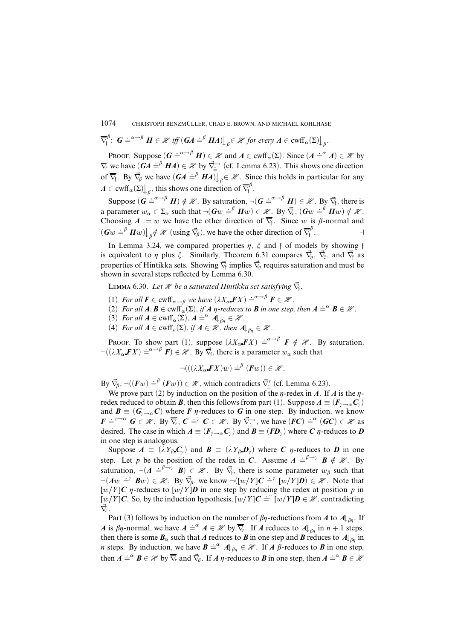$$
\overline{\nabla}_{f}^{\beta} : G \doteq^{\alpha \to \beta} H \in \mathcal{H} \text{ iff } (GA \doteq^{\beta} HA) \big|_{\beta} \in \mathcal{H} \text{ for every } A \in \text{curl}_{\alpha}(\Sigma) \big|_{\beta}
$$

PROOF. Suppose  $(G \doteq^{\alpha \to \beta} H) \in \mathcal{H}$  and  $A \in \text{cwff}_{\alpha}(\Sigma)$ . Since  $(A \doteq^{\alpha} A) \in \mathcal{H}$  by  $\nabla$ *r* we have  $(GA \doteq^{\beta} H A) \in \mathcal{H}$  by  $\nabla \dfrac{A}{2}$  (cf. Lemma 6.23). This shows one direction of  $\overline{\nabla}_f$ . By  $\overline{\nabla}_g$  we have  $(GA \stackrel{\cdot}{=} \stackrel{\beta}{H}\stackrel{\cdot}{A})\big|_{g} \in \mathcal{H}$ . Since this holds in particular for any  $A \in \text{cwff}_{\alpha}(\Sigma)$ , this shows one direction of  $\overline{\nabla}_{f}^{\beta}$ f .

.

Suppose  $(G = \overset{\circ}{\in} \overset{\alpha \to \beta}{H}) \notin \mathcal{H}$ . By saturation,  $\neg(G = \overset{\circ}{\in} \overset{\alpha \to \beta}{H}) \in \mathcal{H}$ . By  $\vec{\nabla}_{f}$ , there is a parameter  $w_{\alpha} \in \Sigma_{\alpha}$  such that  $\neg(Gw = \beta Hw) \in \mathcal{H}$ . By  $\vec{\nabla}_{c}$ ,  $(Gw = \beta Hw) \notin \mathcal{H}$ . Choosing  $A := w$  we have the other direction of  $\nabla_f$ . Since *w* is  $\beta$ -normal and  $(Gw \doteq^{\beta} Hw) \bigcup_{\beta} \notin \mathcal{H}$  (using  $\vec{\nabla}_{\beta}$ ), we have the other direction of  $\vec{\nabla}_{\beta}^{\beta}$ f . **a** 

In Lemma 3.24, we compared properties  $\eta$ ,  $\xi$  and  $f$  of models by showing  $f$ is equivalent to  $\eta$  plus  $\xi$ . Similarly, Theorem 6.31 compares  $\vec{\nabla}_{\eta}$ ,  $\vec{\nabla}_{\xi}$ , and  $\vec{\nabla}_{f}$  as properties of Hintikka sets. Showing  $\vec{\nabla}_{\!\!f}$  implies  $\vec{\nabla}_{\!\!{\eta}}$  requires saturation and must be shown in several steps reflected by Lemma 6.30.

LEMMA 6.30. Let *H* be a saturated Hintikka set satisfying  $\vec{\nabla}_{\!\mathfrak{f}}$ .

- (1) For all  $\mathbf{F} \in \text{cwff}_{\alpha \to \beta}$  we have  $(\lambda X_{\alpha} \mathbf{F} X) \doteq^{\alpha \to \beta} \mathbf{F} \in \mathcal{H}$ .
- (2) For all  $A, B \in \text{cwff}_{\alpha}(\Sigma)$ , if  $A$   $\eta$ -reduces to  $B$  in one step, then  $A \doteq^{\alpha} B \in \mathcal{H}$ .
- (3) For all  $A \in \text{cwff}_{\alpha}(\Sigma)$ ,  $A \doteq^{\alpha} A \vert_{\beta\eta} \in \mathcal{H}$ .
- (4) For all  $A \in \text{cwff}_o(\Sigma)$ , if  $A \in \mathcal{H}$ , then  $A \mid_{\beta_n} \in \mathcal{H}$ .

Proof. To show part (1), suppose  $(\lambda X_{\alpha} F X) \doteq^{\alpha \to \beta} F \notin \mathcal{H}$ . By saturation,  $\neg((\lambda X_\alpha \mathbf{F} X) \doteq^{\alpha \to \beta} \mathbf{F}) \in \mathcal{H}$ . By  $\vec{\nabla}_f$ , there is a parameter  $w_\alpha$  such that

$$
\neg (((\lambda X_{\alpha} \mathbf{F} X) w) \doteq^{\beta} (\mathbf{F} w)) \in \mathcal{H}.
$$

By  $\vec{\nabla}_{\beta}$ ,  $\neg((\vec{F}w) \doteq^{\beta} (\vec{F}w)) \in \mathcal{H}$ , which contradicts  $\vec{\nabla}_{\vec{\cdot}}^r$  (cf. Lemma 6.23).

We prove part (2) by induction on the position of the  $\eta$ -redex in *A*. If *A* is the  $\eta$ redex reduced to obtain *B*, then this follows from part (1). Suppose  $A \equiv (F_{\nu \to \alpha} C_{\nu})$ and  $\mathbf{B} \equiv (\mathbf{G}_{\gamma \to \alpha} \mathbf{C})$  where **F**  $\eta$ -reduces to **G** in one step. By induction, we know  $F \doteq^{\gamma \to \alpha} G \in \mathcal{H}$ . By  $\overline{\nabla}_r$ ,  $C \doteq^{\gamma} C \in \mathcal{H}$ . By  $\overrightarrow{\nabla}_{\underline{\cdot}}$ , we have  $(\overrightarrow{FC}) \doteq^{\alpha} (GC) \in \mathcal{H}$  as desired. The case in which  $A = (F_{\gamma \to \alpha} C_{\gamma})$  and  $B = (FD_{\gamma})$  where C  $\eta$ -reduces to D in one step is analogous.

Suppose  $A \equiv (\lambda Y_{\beta} C_{\gamma})$  and  $B \equiv (\lambda Y_{\beta} D_{\gamma})$  where *C n*-reduces to *D* in one step. Let *p* be the position of the redex in *C*. Assume  $A = \int_{a}^{b} \rightarrow a$   $B \notin \mathcal{H}$ . By saturation,  $\neg (A \stackrel{\cdot}{=} \stackrel{\beta \rightarrow \gamma}{B}) \in \mathcal{H}$ . By  $\vec{\nabla}_{f}$ , there is some parameter  $w_{\beta}$  such that  $\neg(Aw \doteq^{p} Bw) \in \mathcal{H}$ . By  $\vec{\nabla}_{\beta}$ , we know  $\neg([w/Y]C \doteq^{p} [w/Y]D) \in \mathcal{H}$ . Note that  $[w/Y]C$  *n*-reduces to  $[w/Y]D$  in one step by reducing the redex at position *p* in  $[w/Y]C$ . So, by the induction hypothesis,  $[w/Y]C = \iint w/YD \in \mathcal{H}$ , contradicting ∇*~c* .

Part (3) follows by induction on the number of  $\beta\eta$ -reductions from *A* to  $A\downarrow_{\beta\eta}$ . If *A* is  $\beta\eta$ -normal, we have  $A \doteq^{\alpha} A \in \mathcal{H}$  by  $\overline{\nabla_r}$ . If *A* reduces to  $A\vert_{\beta\eta}$  in  $n+1$  steps, then there is some  $B_\alpha$  such that *A* reduces to *B* in one step and *B* reduces to  $A\vert_{\beta_n}$  in *n* steps. By induction, we have  $B = \alpha A|_{\beta\eta} \in \mathcal{H}$ . If *A*  $\beta$ -reduces to *B* in one step, then  $A \doteq^{\alpha} B \in \mathcal{H}$  by  $\overline{\nabla}_r$  and  $\overline{\nabla}_\beta$ . If  $A \eta$ -reduces to  $B$  in one step, then  $A \doteq^{\alpha} B \in \mathcal{H}$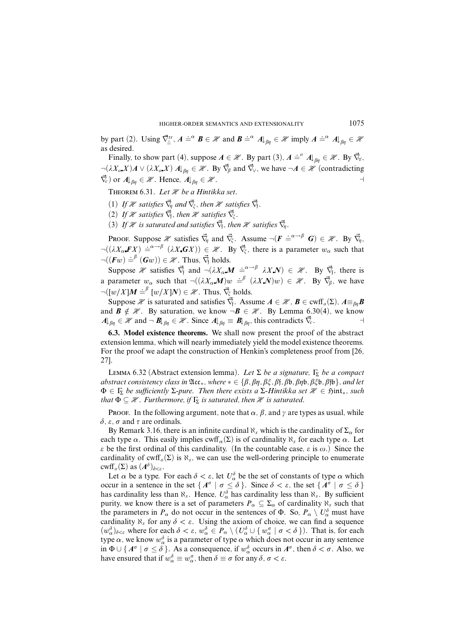by part (2). Using  $\vec{\nabla}^{\text{tr}}_{\vec{\cdot}}$ ,  $A = \vec{a} \ \mathbf{B} \in \mathcal{H}$  and  $\mathbf{B} = \vec{a} \ \mathbf{A} \vert_{\beta\eta} \in \mathcal{H}$  imply  $A = \vec{a} \ \mathbf{A} \vert_{\beta\eta} \in \mathcal{H}$ as desired.

Finally, to show part (4), suppose  $A \in \mathcal{H}$ . By part (3),  $A \doteq^{\circ} A \downarrow_{\beta\eta} \in \mathcal{H}$ . By  $\vec{\nabla}_y$ ,  $\neg(\lambda X_o X)A \vee (\lambda X_o X) A \downarrow_{\beta\eta} \in \mathcal{H}$ . By  $\vec{\nabla}_{\beta}$  and  $\vec{\nabla}_{\gamma}$ , we have  $\neg A \in \mathcal{H}$  (contradicting  $\nabla_{c}$  or  $A\vert_{\beta_{n}} \in \mathcal{H}$ . Hence,  $A\vert_{\beta_{n}} \in \mathcal{H}$ .

THEOREM 6.31. Let  $\mathcal H$  be a Hintikka set.

- $(1)$  If  $\mathcal X$  satisfies  $\vec{\nabla}_{\eta}$  and  $\vec{\nabla}_{\xi}$ , then  $\mathcal X$  satisfies  $\vec{\nabla}_{\xi}$ .
- $(2)$  If  $\mathcal X$  satisfies  $\vec{\nabla}_{f}$ , then  $\mathcal X$  satisfies  $\vec{\nabla}_{\xi}$ .
- (3) If H is saturated and satisfies  $\vec{\nabla}_{f}$ , then H satisfies  $\vec{\nabla}_{q}$ .

Proof. Suppose  $\mathcal{H}$  satisfies  $\vec{\nabla}_{\eta}$  and  $\vec{\nabla}_{\xi}$ . Assume  $\neg(\mathbf{F} \doteq^{\alpha \to \beta} \mathbf{G}) \in \mathcal{H}$ . By  $\vec{\nabla}_{\eta}$ ,  $\neg((\lambda X_{\alpha} \mathbf{F}X) \stackrel{\cdot}{=}{}^{\alpha \to \beta} (\lambda X \mathbf{G}X)) \in \mathcal{H}$ . By  $\vec{\nabla}_{\xi}$ , there is a parameter  $w_{\alpha}$  such that  $\neg((\mathbf{F}w) \doteq^{\beta} (\mathbf{G}w)) \in \mathcal{H}$ . Thus,  $\vec{\nabla}_{\beta}$  holds.

Suppose H satisfies  $\vec{\nabla}_f$  and  $\neg(\lambda X_\alpha M \doteq^{\alpha \to \beta} \lambda X_\alpha N) \in \mathcal{H}$ . By  $\vec{\nabla}_f$ , there is a parameter  $w_{\alpha}$  such that  $\neg((\lambda X_{\alpha}M)w \doteq^{\beta} (\lambda X_{\alpha}N)w) \in \mathcal{H}$ . By  $\vec{\nabla}_{\beta}$ , we have  $\neg([w/X]M \doteq^{\beta} [w/X]N) \in \mathcal{H}$ . Thus,  $\vec{\nabla}_{\xi}$  holds.

Suppose  $\mathscr H$  is saturated and satisfies  $\vec{\nabla}_f$ . Assume  $A \in \mathscr H$ ,  $B \in \text{curl}_o(\Sigma)$ ,  $A \equiv_{\beta\eta} B$ and  $\mathbf{B} \notin \mathcal{H}$ . By saturation, we know  $\neg \mathbf{B} \in \mathcal{H}$ . By Lemma 6.30(4), we know  $A\downarrow_{\beta\eta} \in \mathcal{H}$  and  $\neg B\downarrow_{\beta\eta} \in \mathcal{H}$ . Since  $A\downarrow_{\beta\eta} \equiv B\downarrow_{\beta\eta}$ , this contradicts  $\vec{\nabla}_c$ .

**6.3. Model existence theorems.** We shall now present the proof of the abstract extension lemma, which will nearly immediately yield the model existence theorems. For the proof we adapt the construction of Henkin's completeness proof from [26, 27].

LEMMA 6.32 (Abstract extension lemma). Let  $\Sigma$  be a signature,  $\Gamma_{\Sigma}$  be a compact abstract consistency class in Acc∗, where ∗ ∈ {*â,âç,âî,â*f*,â*b*,âç*b*,âî*b*,â*fb}, and let  $\Phi \in \Gamma_{\Sigma}$  be sufficiently  $\Sigma$ -pure. Then there exists a  $\Sigma$ -Hintikka set  $\mathcal{H} \in \mathfrak{Hint}_*$ , such that  $\Phi \subseteq \mathcal{H}$ . Furthermore, if  $\Gamma_{\Sigma}$  is saturated, then  $\mathcal{H}$  is saturated.

Proof. In the following argument, note that  $\alpha$ ,  $\beta$ , and  $\gamma$  are types as usual, while  $\delta$ ,  $\varepsilon$ ,  $\sigma$  and  $\tau$  are ordinals.

By Remark 3.16, there is an infinite cardinal  $\aleph_s$  which is the cardinality of  $\Sigma_\alpha$  for each type  $\alpha$ . This easily implies cwff<sub> $\alpha$ </sub>(Σ) is of cardinality  $\aleph_s$  for each type  $\alpha$ . Let  $\epsilon$  be the first ordinal of this cardinality. (In the countable case,  $\epsilon$  is  $\omega$ .) Since the cardinality of  $\text{cwt}(\Sigma)$  is  $\aleph_s$ , we can use the well-ordering principle to enumerate cwff<sub>o</sub>( $\Sigma$ ) as  $(A^{\delta})_{\delta < \varepsilon}$ .

Let  $\alpha$  be a type. For each  $\delta < \varepsilon$ , let  $U_{\alpha}^{\delta}$  be the set of constants of type  $\alpha$  which occur in a sentence in the set  $\{A^\sigma \mid \sigma \le \delta\}$ . Since  $\delta < \varepsilon$ , the set  $\{A^\sigma \mid \sigma \le \delta\}$ has cardinality less than  $\aleph_s$ . Hence,  $U_\alpha^\delta$  has cardinality less than  $\aleph_s$ . By sufficient purity, we know there is a set of parameters  $P_\alpha \subseteq \Sigma_\alpha$  of cardinality  $\aleph_s$  such that the parameters in  $P_\alpha$  do not occur in the sentences of  $\Phi$ . So,  $P_\alpha \setminus U_\alpha^{\delta}$  must have cardinality  $\aleph_s$  for any  $\delta < \varepsilon$ . Using the axiom of choice, we can find a sequence  $(w_\alpha^{\delta})_{\delta < \varepsilon}$  where for each  $\delta < \varepsilon$ ,  $w_\alpha^{\delta} \in P_\alpha \setminus (U_\alpha^{\delta} \cup \{w_\alpha^{\sigma} \mid \sigma < \delta\})$ . That is, for each type  $\alpha$ , we know  $w_{\alpha}^{\delta}$  is a parameter of type  $\alpha$  which does not occur in any sentence in  $\Phi \cup \{ A^{\sigma} \mid \sigma \leq \delta \}$ . As a consequence, if  $w_{\alpha}^{\delta}$  occurs in  $A^{\sigma}$ , then  $\delta < \sigma$ . Also, we have ensured that if  $w_{\alpha}^{\delta} \equiv w_{\alpha}^{\sigma}$ , then  $\delta \equiv \sigma$  for any  $\delta$ ,  $\sigma < \varepsilon$ .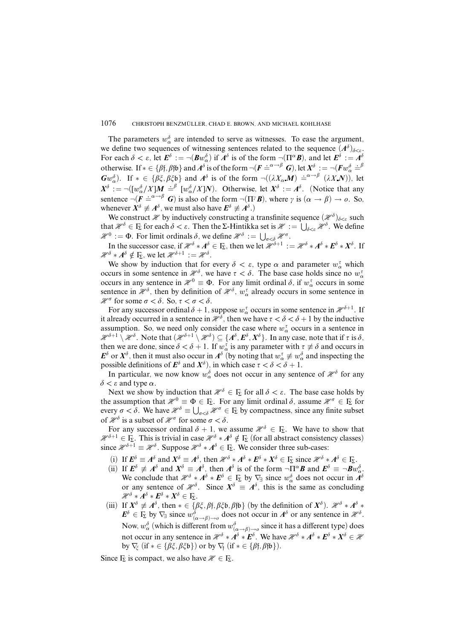The parameters  $w^{\delta}_{\alpha}$  are intended to serve as witnesses. To ease the argument, we define two sequences of witnessing sentences related to the sequence  $(A^{\delta})_{\delta < \varepsilon}$ . For each  $\delta < \varepsilon$ , let  $E^{\delta} := \neg(Bw_{\alpha}^{\delta})$  if  $A^{\delta}$  is of the form  $\neg(\Pi^{\alpha}B)$ , and let  $E^{\delta} := A^{\delta}$ otherwise. If  $* \in {\beta \in {\beta, \beta\neq \beta \text{ and } A^{\delta}}$  is of the form  $\neg (F \doteq^{\alpha \to \beta} G)$ , let  $X^{\delta} := \neg (Fw_{\alpha}^{\delta} \doteq^{\beta} F)$ *Gw*<sup> $\delta$ </sup>). If  $* \in {\beta\xi, \beta\xi b}$  and  $A^{\delta}$  is of the form  $\neg((\lambda X_{\alpha}M) \doteq^{\alpha\rightarrow\beta} (\lambda X_{\alpha}N))$ , let  $X^{\delta}$  :=  $\neg([w_{\alpha}^{\delta}/X]M \stackrel{\sim}{=} \int^{\beta} [w_{\alpha}^{\delta}/X]N)$ . Otherwise, let  $X^{\delta}$  :=  $A^{\delta}$ . (Notice that any  $\alpha / \Delta \mu$  –  $\mu_{\alpha}$ sentence  $\neg(\vec{F} \stackrel{\alpha}{=}^{\alpha \to \beta} G)$  is also of the form  $\neg(\Pi^{\gamma}B)$ , where  $\gamma$  is  $(\alpha \to \beta) \to 0$ . So, whenever  $X^{\delta} \not\equiv A^{\delta}$ , we must also have  $E^{\delta} \not\equiv A^{\delta}$ .)

We construct  $\mathcal{H}$  by inductively constructing a transfinite sequence  $(\mathcal{H}^{\delta})_{\delta<\varepsilon}$  such that  $\mathcal{H}^{\delta} \in \Gamma_{\Sigma}$  for each  $\delta < \varepsilon$ . Then the  $\Sigma$ -Hintikka set is  $\mathcal{H} := \bigcup_{\delta < \varepsilon} \mathcal{H}^{\delta}$ . We define  $\mathcal{H}^0 := \Phi$ . For limit ordinals  $\delta$ , we define  $\mathcal{H}^{\delta} := \bigcup_{\sigma < \delta} \mathcal{H}^{\sigma}$ .

In the successor case, if  $\mathcal{H}^{\delta} * A^{\delta} \in \mathbb{F}_{\Sigma}$ , then we let  $\mathcal{H}^{\delta+1} := \mathcal{H}^{\delta} * A^{\delta} * E^{\delta} * X^{\delta}$ . If  $\mathcal{H}^{\delta} * A^{\delta} \notin \mathbb{F}_{\Sigma}$ , we let  $\mathcal{H}^{\delta+1} := \mathcal{H}^{\delta}$ .

We show by induction that for every  $\delta < \varepsilon$ , type  $\alpha$  and parameter  $w_{\alpha}^{\tau}$  which occurs in some sentence in  $\mathcal{H}^{\delta}$ , we have  $\tau < \delta$ . The base case holds since no  $w_{\alpha}^{\tau}$ occurs in any sentence in  $\mathcal{H}^0 \equiv \Phi$ . For any limit ordinal  $\delta$ , if  $w^{\tau}_{\alpha}$  occurs in some sentence in  $\mathcal{H}^{\delta}$ , then by definition of  $\mathcal{H}^{\delta}$ ,  $w_{\alpha}^{\tau}$  already occurs in some sentence in  $\mathcal{H}^{\sigma}$  for some  $\sigma < \delta$ . So,  $\tau < \sigma < \delta$ .

For any successor ordinal  $\delta + 1$ , suppose  $w^{\tau}_{\alpha}$  occurs in some sentence in  $\mathcal{H}^{\delta+1}$ . If it already occurred in a sentence in  $\mathcal{H}^{\delta}$ , then we have  $\tau < \delta < \delta + 1$  by the inductive assumption. So, we need only consider the case where  $w^{\tau}_{\alpha}$  occurs in a sentence in  $\mathcal{H}^{\delta+1} \setminus \mathcal{H}^{\delta}$ . Note that  $(\mathcal{H}^{\delta+1} \setminus \mathcal{H}^{\delta}) \subseteq \{A^{\delta}, E^{\delta}, X^{\delta}\}$ . In any case, note that if  $\tau$  is  $\delta$ , then we are done, since  $\delta < \delta + 1$ . If  $w_\alpha^{\tau}$  is any parameter with  $\tau \neq \delta$  and occurs in *E*<sup> $\delta$ </sup> or  $X^{\delta}$ , then it must also occur in  $A^{\delta}$  (by noting that  $w_{\alpha}^{\tau} \neq w_{\alpha}^{\delta}$  and inspecting the possible definitions of  $E^{\delta}$  and  $X^{\delta}$ ), in which case  $\tau < \delta < \delta + 1$ .

In particular, we now know  $w^{\delta}_{\alpha}$  does not occur in any sentence of  $\mathcal{H}^{\delta}$  for any  $\delta$  < *ε* and type  $\alpha$ .

Next we show by induction that  $\mathcal{H}^{\delta} \in \mathbb{F}_2$  for all  $\delta < \varepsilon$ . The base case holds by the assumption that  $\mathcal{H}^0 \equiv \Phi \in \mathbb{F}$ . For any limit ordinal  $\delta$ , assume  $\mathcal{H}^{\sigma} \in \mathbb{F}$  for every  $\sigma < \delta$ . We have  $\mathcal{H}^{\delta} \equiv \bigcup_{\sigma < \delta} \mathcal{H}^{\sigma} \in \Gamma_{\Sigma}$  by compactness, since any finite subset of  $\mathcal{H}^{\delta}$  is a subset of  $\mathcal{H}^{\sigma}$  for some  $\sigma < \delta$ .

For any successor ordinal  $\delta + 1$ , we assume  $\mathcal{H}^{\delta} \in \Gamma_{\Sigma}$ . We have to show that  $\mathcal{H}^{\delta+1} \in \Gamma_{\Sigma}$ . This is trivial in case  $\mathcal{H}^{\delta} * A^{\delta} \notin \Gamma_{\Sigma}$  (for all abstract consistency classes) since  $\mathcal{H}^{\delta+1} \equiv \mathcal{H}^{\delta}$ . Suppose  $\mathcal{H}^{\delta} * A^{\delta} \in \Gamma_{\Sigma}$ . We consider three sub-cases:

- (i) If  $E^{\delta} \equiv A^{\delta}$  and  $X^{\delta} \equiv A^{\delta}$ , then  $\mathcal{H}^{\delta} * A^{\delta} * E^{\delta} * X^{\delta} \in \Gamma_{\Sigma}$  since  $\mathcal{H}^{\delta} * A^{\delta} \in \Gamma_{\Sigma}$ .
- (ii) If  $\mathbf{E}^{\delta} \neq A^{\delta}$  and  $X^{\delta} \equiv A^{\delta}$ , then  $A^{\delta}$  is of the form  $\neg \Pi^{\alpha} \mathbf{B}$  and  $\mathbf{E}^{\delta} \equiv \neg \mathbf{B} w_{\alpha}^{\delta}$ . We conclude that  $\mathcal{H}^{\delta} * A^{\delta} * E^{\delta} \in \mathcal{F}_{\Sigma}$  by  $\nabla_{\exists}$  since  $w_{\alpha}^{\delta}$  does not occur in  $A^{\delta}$ or any sentence of  $\mathcal{H}^{\delta}$ . Since  $X^{\delta} \equiv A^{\delta}$ , this is the same as concluding  $\mathscr{H}^\delta * A^\delta * E^\delta * X^\delta \in \Gamma_{\!\Sigma}.$
- (iii) If  $X^{\delta} \not\equiv A^{\delta}$ , then  $* \in {\beta \xi, \beta \eta, \beta \xi \mathfrak{b}, \beta \eta \mathfrak{b}}$  (by the definition of  $X^{\delta}$ ).  $\mathcal{H}^{\delta} * A^{\delta} *$  $E^{\delta} \in \Gamma_{\Sigma}$  by  $\nabla_{\exists}$  since  $w^{\delta}$ <sub> $(\alpha \to \beta) \to \delta}$ </sub> does not occur in  $A^{\delta}$  or any sentence in  $\mathcal{H}^{\delta}$ . Now,  $w_\alpha^\delta$  (which is different from  $w^\delta_{(\alpha \to \beta) \to o}$  since it has a different type) does not occur in any sentence in  $\mathcal{H}^{\delta} * A^{\delta} * E^{\delta}$ . We have  $\mathcal{H}^{\delta} * A^{\delta} * E^{\delta} * X^{\delta} \in \mathcal{H}$ by  $\nabla_{\xi}$  (if  $* \in {\beta \xi, \beta \xi \mathfrak{b}}$ ) or by  $\nabla_{f}$  (if  $* \in {\beta f, \beta \mathfrak{b}}$ ).

Since  $\Gamma_{\Sigma}$  is compact, we also have  $\mathcal{H} \in \Gamma_{\Sigma}$ .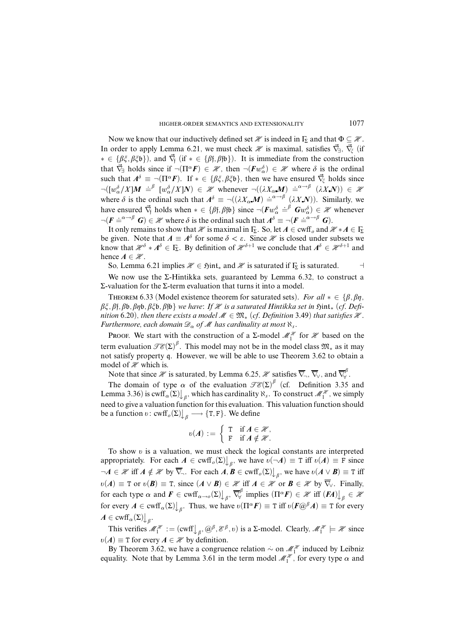Now we know that our inductively defined set  $\mathcal X$  is indeed in  $\Gamma_{\Sigma}$  and that  $\Phi \subseteq \mathcal X$ . In order to apply Lemma 6.21, we must check  $\mathcal{H}$  is maximal, satisfies  $\vec{\nabla}_{\exists}$ ,  $\vec{\nabla}_{\xi}$  (if ∗ ∈ {*âî,âî*b}), and ∇*~*<sup>f</sup> (if ∗ ∈ {*â*f*,â*fb}). It is immediate from the construction that  $\vec{\nabla}_{\exists}$  holds since if  $\neg(\Pi^{\alpha}F) \in \mathcal{H}$ , then  $\neg(Fw_{\alpha}^{\delta}) \in \mathcal{H}$  where  $\delta$  is the ordinal such that  $A^{\delta} \equiv \neg(\Pi^{\alpha}F)$ . If  $* \in {\beta \xi, \beta \xi \mathfrak{b}}$ , then we have ensured  $\vec{\nabla}_{\xi}$  holds since  $\neg([w_{\alpha}^{\delta}/X]M \doteq^{\beta} [w_{\alpha}^{\delta}/X]N) \in \mathcal{H}$  whenever  $\neg((\lambda X_{\alpha}M) \doteq^{\alpha \to \beta} (\lambda X_{\alpha}N)) \in \mathcal{H}$ where  $\delta$  is the ordinal such that  $A^{\delta} \equiv \neg((\lambda X_{\alpha}M) \doteq^{\alpha \to \beta'} (\lambda X.N))$ . Similarly, we have ensured  $\vec{\nabla}_{\hat{f}}$  holds when  $* \in {\{\beta\}, \beta\}$  since  $\neg(\vec{F}w_{\alpha}^{\delta} \stackrel{\cdot}{=}\beta \vec{G}w_{\alpha}^{\delta}) \in \mathcal{H}$  whenever  $\neg (F \doteq^{\alpha \to \beta} G) \in \mathcal{H}$  where  $\delta$  is the ordinal such that  $A^{\delta} \equiv \neg (F \doteq^{\alpha \to \beta} G)$ .

It only remains to show that H is maximal in  $\Gamma_{\Sigma}$ . So, let  $A \in \text{cmf}_{o}$  and  $\mathcal{H} * A \in \Gamma_{\Sigma}$ be given. Note that  $A \equiv A^{\delta}$  for some  $\delta < \varepsilon$ . Since  $\mathcal X$  is closed under subsets we know that  $\mathcal{H}^{\delta} * A^{\delta} \in \Gamma_{\Sigma}$ . By definition of  $\mathcal{H}^{\delta+1}$  we conclude that  $A^{\delta} \in \mathcal{H}^{\delta+1}$  and hence  $A \in \mathcal{H}$ .

So, Lemma 6.21 implies  $\mathcal{H} \in \mathfrak{Hint}_*$  and  $\mathcal{H}$  is saturated if  $\Gamma_{\Sigma}$  is saturated.

We now use the  $\Sigma$ -Hintikka sets, guaranteed by Lemma 6.32, to construct a Σ-valuation for the Σ-term evaluation that turns it into a model.

THEOREM 6.33 (Model existence theorem for saturated sets). For all  $* \in \{\beta, \beta\eta, \beta\}$ *βξ, β*f, βb, βηb, βζb, βfb} we have: If *H* is a saturated Hintikka set in 5 int<sub>\*</sub> (cf. Definition 6.20), then there exists a model  $M \in \mathfrak{M}_*$  (cf. Definition 3.49) that satisfies  $\mathcal{H}$ . Furthermore, each domain  $\mathscr{D}_{\alpha}$  of  $\mathscr{M}$  has cardinality at most  $\aleph_{s}$ .

PROOF. We start with the construction of a  $\Sigma$ -model  $\mathcal{M}_1^{\mathcal{H}}$  for  $\mathcal{H}$  based on the term evaluation  $\mathscr{TE}(\Sigma)^{\beta}$ . This model may not be in the model class  $\mathfrak{M}_*$  as it may not satisfy property q. However, we will be able to use Theorem 3.62 to obtain a model of  $\mathcal H$  which is.

Note that since  $\mathcal X$  is saturated, by Lemma 6.25,  $\mathcal X$  satisfies  $\overline{\nabla}_\neg, \overline{\nabla}_\vee$ , and  $\overline{\nabla}^\beta_\forall$ ∀ .

The domain of type  $\alpha$  of the evaluation  $\mathscr{TE}(\Sigma)^\beta$  (cf. Definition 3.35 and Lemma 3.36) is  $\text{cwff}_{\alpha}(\Sigma)$  *a*, which has cardinality  $\aleph_s$ . To construct  $\mathcal{M}_1^{\mathcal{H}}$ , we simply need to give a valuation function forthis evaluation. This valuation function should be a function  $v: \text{cmf}_o(\Sigma) \bigcup_{\beta} \longrightarrow {\text{T}, \text{F}}$ . We define

$$
v(A) := \left\{ \begin{array}{ll} \textrm{T} & \textrm{if } A \in \mathscr{H}, \\ \textrm{F} & \textrm{if } A \notin \mathscr{H}. \end{array} \right.
$$

To show  $v$  is a valuation, we must check the logical constants are interpreted appropriately. For each  $A \in \text{cwff}_{\rho}(\Sigma)$ , we have  $\upsilon(\neg A) \equiv \text{T}$  iff  $\upsilon(A) \equiv \text{F}$  since  $\neg A \in \mathcal{H}$  iff  $A \notin \mathcal{H}$  by  $\overline{\nabla}_{\neg}$ . For each  $A, B \in \text{cwff}_o(\Sigma)$ , we have  $v(A \vee B) \equiv T$  iff  $\mathfrak{v}(A) \equiv \texttt{T}$  or  $\mathfrak{v}(B) \equiv \texttt{T}$ , since  $(A \vee B) \in \mathcal{H}$  iff  $A \in \mathcal{H}$  or  $B \in \mathcal{H}$  by  $\overline{\nabla}_y$ . Finally, for each type  $\alpha$  and  $\boldsymbol{F} \in \text{cwff}_{\alpha \to o}(\Sigma) \bigcup_{\beta}, \overline{\nabla}_{\forall}^{\beta}$  $\mathcal{F}_{\forall}^{p}$  implies  $(\Pi^{\alpha} F) \in \mathcal{H}$  iff  $(FA)$  $\downarrow \qquad \qquad$   $\mathcal{H}$ for every  $A \in \text{cwff}_{\alpha}(\Sigma)$   $\downarrow_{\beta}$ . Thus, we have  $\upsilon(\Pi^{\alpha}F) \equiv \text{T}$  iff  $\upsilon(F@^{\beta}A) \equiv \text{T}$  for every  $A \in \text{cwff}_{\alpha}(\Sigma)$ <sub> $\downarrow$  $_{\beta}$ .</sub>

This verifies  $\mathcal{M}_1^{\mathcal{H}} := (\text{cwtf}_{\beta}, \mathcal{Q}^{\beta}, \mathcal{E}^{\beta}, v)$  is a  $\Sigma$ -model. Clearly,  $\mathcal{M}_1^{\mathcal{H}} \models \mathcal{H}$  since  $v(A) \equiv T$  for every  $A \in \mathcal{H}$  by definition.

By Theorem 3.62, we have a congruence relation  $\sim$  on  $\mathcal{M}^{\mathcal{H}}_1$  induced by Leibniz equality. Note that by Lemma 3.61 in the term model  $\mathcal{M}_1^{\mathcal{H}}$ , for every type  $\alpha$  and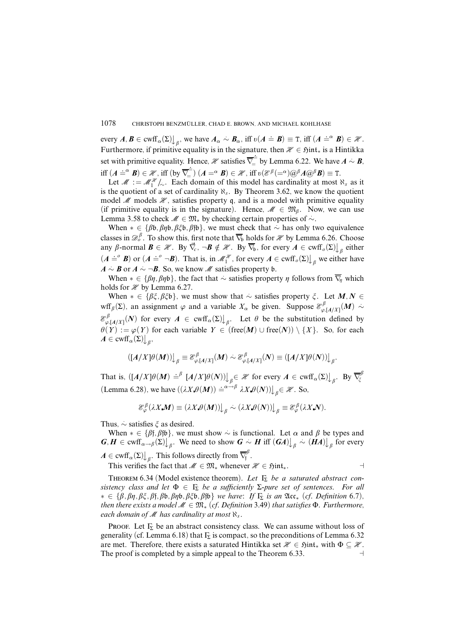every  $A, B \in \text{curl}_\alpha(\Sigma) \bigcup_\beta$ , we have  $A_\alpha \sim B_\alpha$ , iff  $v(A = B) \equiv T$ , iff  $(A = \alpha B) \in \mathcal{H}$ . Furthermore, if primitive equality is in the signature, then  $\mathcal{H} \in \mathfrak{Hint}_*$  is a Hintikka set with primitive equality. Hence,  $\mathcal{H}$  satisfies  $\overline{\nabla}_{\!=\!=}^{\!=\!=}$  $\overline{B}^{\pm}_{=}$  by Lemma 6.22. We have  $A \sim B$ , iff  $(A \stackrel{\cdot}{=} \mathbf{B}) \in \mathcal{H}$ , iff  $(by \overline{\nabla}_{\!=}^{\!-}$  $(\overline{\mathbf{Z}}_{=}^{\mathbb{Z}})$   $(A = \alpha \mathbf{B}) \in \mathcal{H}$ , iff  $v(\mathcal{E}^{\beta}(-\alpha)\omega^{\beta}A\omega^{\beta}\mathbf{B}) \equiv \mathrm{T}.$ 

Let  $\mathcal{M} := \mathcal{M}_1^{\mathcal{H}}/_{\sim}$ . Each domain of this model has cardinality at most  $\aleph_s$  as it is the quotient of a set of cardinality  $\aleph_s$ . By Theorem 3.62, we know the quotient model  $M$  models  $\mathcal{H}$ , satisfies property q, and is a model with primitive equality (if primitive equality is in the signature). Hence,  $\mathcal{M} \in \mathfrak{M}_{\beta}$ . Now, we can use Lemma 3.58 to check  $M \in \mathfrak{M}_*$  by checking certain properties of  $\sim$ .

When  $* \in {\beta \mathfrak{b}, \beta \eta \mathfrak{b}, \beta \xi \mathfrak{b}, \beta \mathfrak{f} \mathfrak{b}}$ , we must check that  $\sim$  has only two equivalence classes in  $\mathscr{D}_o^{\beta}$ . To show this, first note that  $\overline{\nabla}_{\!b}$  holds for  $\mathscr{H}$  by Lemma 6.26. Choose any  $\beta$ -normal  $\mathbf{B} \in \mathcal{H}$ . By  $\vec{\nabla}_c$ ,  $\neg \mathbf{B} \notin \mathcal{H}$ . By  $\overline{\nabla}_b$ , for every  $\mathbf{A} \in \text{cwff}_o(\Sigma)$   $\downarrow_{\beta}$  either  $(A \doteq^{\circ} B)$  or  $(A \doteq^{\circ} \neg B)$ . That is, in  $\mathcal{M}_1^{\mathcal{H}}$ , for every  $A \in \text{cwf}_{\circ}(\Sigma)$  we either have  $A \sim B$  or  $A \sim \neg B$ . So, we know M satisfies property b.

When  $* \in {\beta\eta, \beta\eta\delta}$ , the fact that  $\sim$  satisfies property  $\eta$  follows from  $\overline{\nabla}_{\eta}$  which holds for  $\mathcal X$  by Lemma 6.27.

When  $* \in {\{\beta\xi, \beta\xi\}}$ , we must show that  $\sim$  satisfies property  $\xi$ . Let  $M, N \in$ wff<sub>*β*</sub>( $\Sigma$ ), an assignment  $\varphi$  and a variable  $X_{\alpha}$  be given. Suppose  $\mathcal{E}^{\beta}_{\varphi,[A/X]}(M) \sim$ E *â*  $\varphi$ <sup>[*A*</sup>/*X*]</sub>(*N*) for every  $A \in \text{cwff}_\alpha(\Sigma)$   $\downarrow$ <sub>β</sub>. Let  $\theta$  be the substitution defined by *è*(*Y*) :=  $\varphi$ (*Y*) for each variable *Y* ∈ (free(*M*) ∪ free(*N*)) \ {*X*}. So, for each  $A \in \text{cwff}_{\alpha}(\Sigma)$ <sub> $\downarrow$  $_{\beta}$ ,</sub>

$$
([A/X]\theta(M))\big\downarrow_{\beta} \equiv \mathcal{E}^{\beta}_{\varphi,[A/X]}(M) \sim \mathcal{E}^{\beta}_{\varphi,[A/X]}(N) \equiv ([A/X]\theta(N))\big\downarrow_{\beta}.
$$

That is,  $([A/X]\theta(M) \doteq^{\beta} [A/X]\theta(N)]_{\beta} \in \mathcal{X}$  for every  $A \in \text{curl}_{\alpha}(\Sigma)_{\beta}$ . By  $\overline{\nabla_{\xi}^{\beta}}$ *î* (Lemma 6.28), we have  $((\lambda X \theta(M)) \doteq^{\alpha - \beta} \lambda X \theta(N)) \big|_{\beta} \in \mathcal{H}$ . So,

$$
\mathcal{E}_{\varphi}^{\beta}(\lambda X\text{.}M)\equiv(\lambda X\text{.}\theta(M))\big\downarrow_{\beta}\sim(\lambda X\text{.}\theta(N))\big\downarrow_{\beta}\equiv\mathcal{E}_{\varphi}^{\beta}(\lambda X\text{.}N).
$$

Thus, *.*∼ satisfies *î* as desired.

When  $* \in {\beta}$ *f*, $\beta$ *fb*}, we must show  $\sim$  is functional. Let  $\alpha$  and  $\beta$  be types and  $G, H \in \text{cwff}_{\alpha \to \beta}(\Sigma)$   $\Big|_{\beta}$ . We need to show  $G \sim H$  iff  $(GA)$   $\Big|_{\beta} \sim (HA)$   $\Big|_{\beta}$  for every  $A \in \text{cwff}_{\alpha}(\Sigma)$ <sub>*β*</sub>. This follows directly from  $\overline{\nabla}^{\beta}_{\text{f}}$ ,".<br>f

This verifies the fact that  $M \in \mathfrak{M}_*$  whenever  $\mathcal{H} \in \mathfrak{Hint}_*$ .

THEOREM 6.34 (Model existence theorem). Let  $\Gamma_{\Sigma}$  be a saturated abstract consistency class and let  $\Phi \in \Gamma_{\Sigma}$  be a sufficiently  $\Sigma$ -pure set of sentences. For all ∗ ∈ {*â,âç,âî,â*f*,â*b*,âç*b*,âî*b*,â*fb} we have: If Γ<sup>Σ</sup> is an Acc<sup>∗</sup> (cf. Definition 6.7), then there exists a model  $M \in \mathfrak{M}_*$  (cf. Definition 3.49) that satisfies  $\Phi$ . Furthermore, each domain of M has cardinality at most ℵ*<sup>s</sup>* .

PROOF. Let  $\Gamma_{\Sigma}$  be an abstract consistency class. We can assume without loss of generality (cf. Lemma 6.18) that  $\Gamma_{\Sigma}$  is compact, so the preconditions of Lemma 6.32 are met. Therefore, there exists a saturated Hintikka set  $\mathcal{H} \in \mathfrak{H}$ int<sub>\*</sub> with  $\Phi \subseteq \mathcal{H}$ . The proof is completed by a simple appeal to the Theorem 6.33.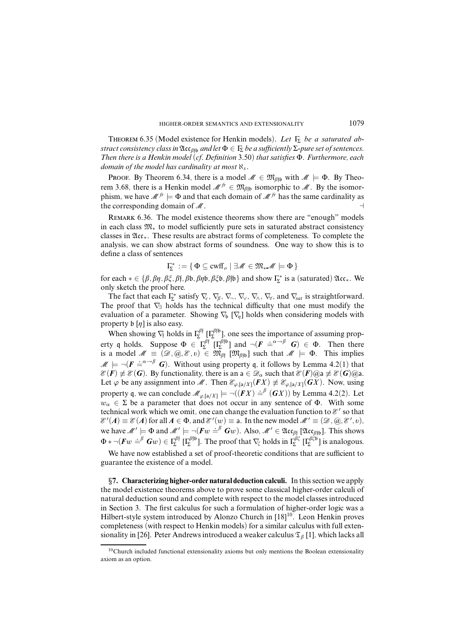THEOREM 6.35 (Model existence for Henkin models). Let  $\Gamma_{\Sigma}$  be a saturated abstract consistency class in  $\mathfrak{Acc}_{\beta\mathfrak{f}_b}$  and let  $\Phi \in \Gamma_{\Sigma}$  be a sufficiently  $\Sigma$ -pure set of sentences. Then there is a Henkin model (cf. Definition 3.50) that satisfies Φ. Furthermore, each domain of the model has cardinality at most ℵ*<sup>s</sup>* .

Proof. By Theorem 6.34, there is a model  $M \in \mathfrak{M}_{\beta}$  with  $M \models \Phi$ . By Theorem 3.68, there is a Henkin model  $\mathcal{M}^{fr} \in \mathfrak{M}_{\beta\uparrow\mathfrak{b}}$  isomorphic to  $\mathcal{M}$ . By the isomorphism, we have  $\mathcal{M}^{fr} \models \Phi$  and that each domain of  $\mathcal{M}^{fr}$  has the same cardinality as the corresponding domain of  $\mathcal M$ .

REMARK 6.36. The model existence theorems show there are "enough" models in each class M<sup>∗</sup> to model sufficiently pure sets in saturated abstract consistency classes in Acc∗. These results are abstract forms of completeness. To complete the analysis, we can show abstract forms of soundness. One way to show this is to define a class of sentences

$$
\Gamma_{\!\Sigma}^*:=\{\,\Phi\subseteq\text{cwf}_{\scriptscriptstyle O}\mid\exists\mathscr{M}\in\mathfrak{M}_*\mathscr{M}\models\Phi\,\}
$$

for each ∗ ∈ {*â,âç,âî,â*f*,â*b*,âç*b*,âî*b*,â*fb} and show Γ ∗ Σ is a (saturated) Acc∗. We only sketch the proof here.

The fact that each  $\Gamma_{\Sigma}^{*}$  satisfy  $\nabla_{c}$ ,  $\nabla_{\beta}$ ,  $\nabla_{\neg}$ ,  $\nabla_{\vee}$ ,  $\nabla_{\wedge}$ ,  $\nabla_{\vee}$ , and  $\nabla_{sat}$  is straightforward. The proof that  $\nabla$ <sub>∃</sub> holds has the technical difficulty that one must modify the evaluation of a parameter. Showing  $\nabla_b \nabla_a$  holds when considering models with property  $\mathfrak{b}[\eta]$  is also easy.

When showing  $\nabla_f$  holds in  $\Gamma_2^{\beta}$  [ $\Gamma_2^{\beta}$ <sup>ffb</sup>], one sees the importance of assuming property q holds. Suppose  $\Phi \in \Gamma_{\Sigma}^{\beta \dagger}[\Gamma_{\Sigma}^{\beta \dagger \beta}]$  and  $\neg(\mathbf{F} \doteq^{\alpha \rightarrow \beta} \mathbf{G}) \in \Phi$ . Then there is a model  $M \equiv (\mathcal{D}, \omega, \mathcal{E}, v) \in \mathfrak{M}_{\beta}$  [ $\mathfrak{M}_{\beta}$ fb] such that  $M \models \Phi$ . This implies  $M \models \neg(F = \alpha \rightarrow \beta \mathbf{G})$ . Without using property q, it follows by Lemma 4.2(1) that  $\mathscr{E}(F) \neq \mathscr{E}(G)$ . By functionality, there is an a  $\in \mathscr{D}_{\alpha}$  such that  $\mathscr{E}(F)$ @a  $\neq \mathscr{E}(G)$ @a. Let  $\varphi$  be any assignment into M. Then  $\mathcal{E}_{\varphi,[a/X]}(FX) \neq \mathcal{E}_{\varphi,[a/X]}(GX)$ . Now, using property q, we can conclude  $\mathcal{M}_{\varphi,[a/X]} \models \neg((FX) \stackrel{\cdot}{=}^{\beta} (GX))$  by Lemma 4.2(2). Let  $w_{\alpha} \in \Sigma$  be a parameter that does not occur in any sentence of  $\Phi$ . With some technical work which we omit, one can change the evaluation function to  $\mathcal{E}'$  so that  $\mathscr{E}'(A) \equiv \mathscr{E}(A)$  for all  $A \in \Phi$ , and  $\mathscr{E}'(w) \equiv$  a. In the new model  $\mathscr{M}' \equiv (\mathscr{D}, \mathscr{Q}, \mathscr{E}', v)$ , we have  $\mathcal{M}' \models \Phi$  and  $\mathcal{M}' \models \neg(Fw \stackrel{\cdot}{=}^{\beta} Gw)$ . Also,  $\mathcal{M}' \in \mathfrak{Acc}_{\beta\beta}$  [ $\mathfrak{Acc}_{\beta\beta}$ ]. This shows  $\Phi * \neg(\bm{F}w \stackrel{\perp}{=} \bm{G}w) \in \Gamma^{\beta\dagger}_{\Sigma}[\Gamma^{\beta\dagger\dagger}_{\Sigma}].$  The proof that  $\nabla_{\xi}$  holds in  $\Gamma^{\beta\xi}_{\Sigma}[\Gamma^{\beta\xi\dagger}_{\Sigma}]\$  is analogous.

We have now established a set of proof-theoretic conditions that are sufficient to guarantee the existence of a model.

§**7. Characterizing higher-order natural deduction calculi.** In thissection we apply the model existence theorems above to prove some classical higher-order calculi of natural deduction sound and complete with respect to the model classes introduced in Section 3. The first calculus for such a formulation of higher-order logic was a Hilbert-style system introduced by Alonzo Church in [18]<sup>10</sup>. Leon Henkin proves completeness (with respect to Henkin models) for a similar calculus with full extensionality in [26]. Peter Andrews introduced a weaker calculus  $\mathfrak{T}_{\beta}$  [1], which lacks all

 $10$ Church included functional extensionality axioms but only mentions the Boolean extensionality axiom as an option.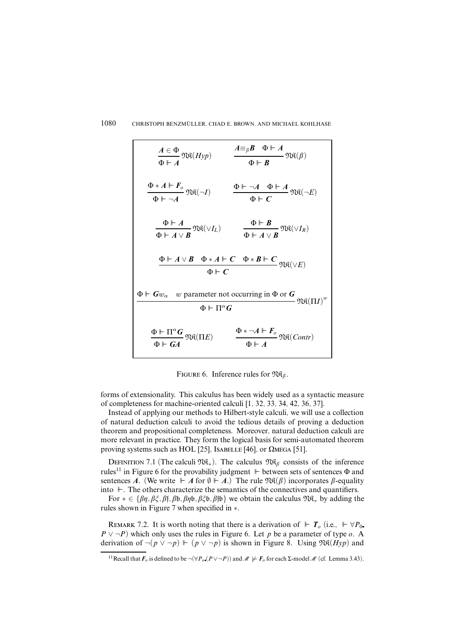$$
\frac{A \in \Phi}{\Phi \vdash A} \mathfrak{N}\mathfrak{K}(Hyp) \qquad \frac{A \equiv_{\beta} B \quad \Phi \vdash A}{\Phi \vdash B} \mathfrak{N}\mathfrak{K}(\beta)
$$
\n
$$
\frac{\Phi \ast A \vdash F_{o}}{\Phi \vdash \neg A} \mathfrak{N}\mathfrak{K}(\neg I) \qquad \frac{\Phi \vdash \neg A \quad \Phi \vdash A}{\Phi \vdash C} \mathfrak{N}\mathfrak{K}(\neg E)
$$
\n
$$
\frac{\Phi \vdash A}{\Phi \vdash A \lor B} \mathfrak{N}\mathfrak{K}(\lor I_{L}) \qquad \frac{\Phi \vdash B}{\Phi \vdash A \lor B} \mathfrak{N}\mathfrak{K}(\lor I_{R})
$$
\n
$$
\frac{\Phi \vdash A \lor B \quad \Phi \ast A \vdash C \quad \Phi \ast B \vdash C}{\Phi \vdash C} \mathfrak{N}\mathfrak{K}(\lor E)
$$
\n
$$
\frac{\Phi \vdash Gw_{\alpha} \quad w \text{ parameter not occurring in } \Phi \text{ or } G}{\Phi \vdash \Pi^{\alpha} G} \mathfrak{N}\mathfrak{K}(\Pi L)^{w}
$$
\n
$$
\frac{\Phi \vdash \Pi^{\alpha} G}{\Phi \vdash GA} \mathfrak{N}\mathfrak{K}(\Pi E) \qquad \frac{\Phi \ast \neg A \vdash F_{o}}{\Phi \vdash A} \mathfrak{N}\mathfrak{K}(Contr)
$$

FIGURE 6. Inference rules for  $\mathfrak{R}_{\beta}$ .

forms of extensionality. This calculus has been widely used as a syntactic measure of completeness for machine-oriented calculi [1, 32, 33, 34, 42, 36, 37].

Instead of applying our methods to Hilbert-style calculi, we will use a collection of natural deduction calculi to avoid the tedious details of proving a deduction theorem and propositional completeness. Moreover, natural deduction calculi are more relevant in practice. They form the logical basis for semi-automated theorem proving systems such as HOL [25], ISABELLE [46], or  $\Omega$ MEGA [51].

DEFINITION 7.1 (The calculi M $\mathcal{R}_*$ ). The calculus M $\mathcal{R}_β$  consists of the inference rules<sup>11</sup> in Figure 6 for the provability judgment  $\mathbb F$  between sets of sentences  $\Phi$  and sentences *A*. (We write  $\overrightarrow{A}$  for  $\emptyset \vdash A$ .) The rule  $\mathfrak{R}(\beta)$  incorporates  $\beta$ -equality into  $\mathbb{F}$ . The others characterize the semantics of the connectives and quantifiers.

For ∗ ∈ {*âç,âî,â*f*,â*b*,âç*b*,âî*b*,â*fb} we obtain the calculus NK<sup>∗</sup> by adding the rules shown in Figure 7 when specified in ∗.

REMARK 7.2. It is worth noting that there is a derivation of  $\mathbf{r} \mathbf{r}$  (i.e.,  $\mathbf{r} \forall P_0$ . *P* ∨ ¬*P*) which only uses the rules in Figure 6. Let *p* be a parameter of type *o*. A derivation of  $\neg(p \lor \neg p) \Vdash (p \lor \neg p)$  is shown in Figure 8. Using  $\mathfrak{Re}(Hyp)$  and

<sup>&</sup>lt;sup>11</sup> Recall that  $\mathbf{F}_o$  is defined to be  $\neg(\forall P_o(P \lor \neg P))$  and  $\mathcal{M} \not\models \mathbf{F}_o$  for each  $\Sigma$ -model  $\mathcal{M}$  (cf. Lemma 3.43).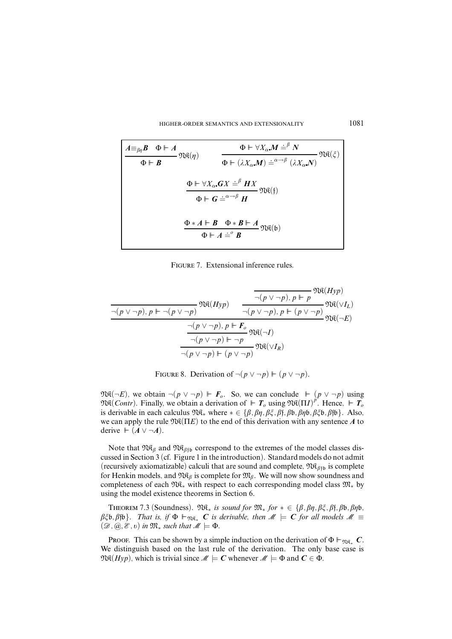HIGHER-ORDER SEMANTICS AND EXTENSIONALITY 1081

$$
\frac{A \equiv_{\beta\eta} B \quad \Phi \vdash A}{\Phi \vdash B} \quad \text{Re}(\eta) \qquad \frac{\Phi \vdash \forall X_{\alpha}.M \stackrel{\cdot}{=^{\beta}} N}{\Phi \vdash (\lambda X_{\alpha}.M) \stackrel{\cdot}{=^{\alpha \to \beta}} (\lambda X_{\alpha}.N)} \quad \text{Re}(\xi)
$$
\n
$$
\frac{\Phi \vdash \forall X_{\alpha}.GX \stackrel{\cdot}{=^{\beta}} HX}{\Phi \vdash G \stackrel{\cdot}{=^{\alpha \to \beta}} H} \quad \text{Re}(\mathfrak{f})
$$
\n
$$
\frac{\Phi \ast A \vdash B \quad \Phi \ast B \vdash A}{\Phi \vdash A \stackrel{\cdot}{=^{\beta}} B} \quad \text{Re}(\mathfrak{b})
$$

FIGURE 7. Extensional inference rules.

$$
\frac{\frac{}{\neg(p \vee \neg p), p \Vdash p} \mathfrak{N}\mathfrak{K}(Hyp)}{\frac{}{\neg(p \vee \neg p), p \Vdash p} \mathfrak{N}\mathfrak{K}(\vee I_L)}{\frac{}{\neg(p \vee \neg p), p \Vdash (p \vee \neg p)} \mathfrak{N}\mathfrak{K}(\vee I_L)} \mathfrak{N}\mathfrak{K}(\vee I_L)}
$$
\n
$$
\frac{\frac{}{\neg(p \vee \neg p), p \Vdash F_o}{\neg(p \vee \neg p), p \Vdash F_o} \mathfrak{N}\mathfrak{K}(\neg I)}{\frac{}{\neg(p \vee \neg p) \Vdash \neg p} \mathfrak{N}\mathfrak{K}(\vee I_R)}
$$

FIGURE 8. Derivation of  $\neg (p \lor \neg p) \Vdash (p \lor \neg p)$ .

 $\mathfrak{R}(\neg E)$ , we obtain  $\neg(p \lor \neg p) \Vdash F_o$ . So, we can conclude  $\vdash (p \lor \neg p)$  using  $\mathfrak{TR}(Contr)$ . Finally, we obtain a derivation of  $\mathbf{F}$  *T*<sub>o</sub> using  $\mathfrak{NR}(\Pi I)^{p^2}$ . Hence,  $\mathbf{F}$   $\mathbf{F}_o$ is derivable in each calculus  $\mathfrak{Re}_*$  where  $* \in \{\beta, \beta\eta, \beta\xi, \beta\}$ *f*,  $\beta\phi, \beta\eta\phi, \beta\xi\phi, \beta\eta\phi\}$ . Also, we can apply the rule  $\mathfrak{Re}(\Pi E)$  to the end of this derivation with any sentence A to derive  $\vdash$  (*A* ∨ ¬*A*).

Note that  $\mathfrak{NR}_\beta$  and  $\mathfrak{NR}_{\beta\uparrow\mathfrak{b}}$  correspond to the extremes of the model classes discussed in Section 3 (cf. Figure 1 in the introduction). Standard models do not admit (recursively axiomatizable) calculi that are sound and complete,  $\mathfrak{R}_{\beta_{f\beta}}$  is complete for Henkin models, and  $\mathfrak{NR}_{\beta}$  is complete for  $\mathfrak{M}_{\beta}$ . We will now show soundness and completeness of each  $\mathfrak{N}_{*}$  with respect to each corresponding model class  $\mathfrak{M}_{*}$  by using the model existence theorems in Section 6.

THEOREM 7.3 (Soundness).  $\mathfrak{M}_*$  is sound for  $\mathfrak{M}_*$  for  $* \in \{\beta, \beta\eta, \beta\xi, \beta\}$ *f*,  $\beta\mathfrak{b}, \beta\eta\mathfrak{b}$ *,*  $\beta \xi \mathfrak{b}, \beta \mathfrak{f} \mathfrak{b}$ . That is, if  $\Phi \vdash_{\mathfrak{R} \mathfrak{K}_*} C$  is derivable, then  $\mathcal{M} \models C$  for all models  $\mathcal{M} \equiv$  $(\mathscr{D}, \mathscr{Q}, \mathscr{E}, v)$  in  $\mathfrak{M}_*$  such that  $\mathscr{M} \models \Phi$ .

PROOF. This can be shown by a simple induction on the derivation of  $\Phi \vdash_{\mathfrak{R} \mathfrak{K}_*} C$ . We distinguish based on the last rule of the derivation. The only base case is  $\mathfrak{R}(Hyp)$ , which is trivial since  $\mathcal{M} \models C$  whenever  $\mathcal{M} \models \Phi$  and  $C \in \Phi$ .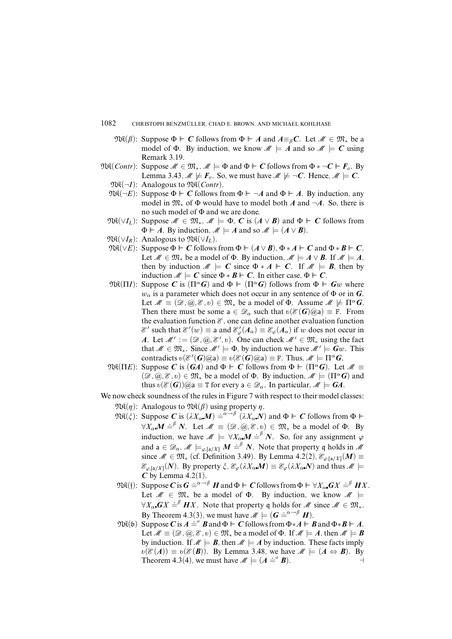- 1082 CHRISTOPH BENZMÜLLER, CHAD E. BROWN, AND MICHAEL KOHLHASE
	- $\mathfrak{R}(\beta)$ : Suppose  $\Phi \vdash C$  follows from  $\Phi \vdash A$  and  $A \equiv_{\beta} C$ . Let  $\mathcal{M} \in \mathfrak{M}_*$  be a model of  $\Phi$ . By induction, we know  $\mathcal{M} \models A$  and so  $\mathcal{M} \models C$  using Remark 3.19.
- $\mathfrak{NR}(Contr)$ : Suppose  $\mathcal{M} \in \mathfrak{M}_*, \mathcal{M} \models \Phi$  and  $\Phi \vdash C$  follows from  $\Phi * \neg C \vdash F_o$ . By Lemma 3.43,  $\mathcal{M} \not\models F_o$ . So, we must have  $\mathcal{M} \not\models \neg C$ . Hence,  $\mathcal{M} \models C$ .
	- $\mathfrak{NR}(\neg I)$ : Analogous to  $\mathfrak{NR}(Contr)$ .
	- $\mathfrak{R}(\neg E)$ : Suppose  $\Phi \vdash C$  follows from  $\Phi \vdash \neg A$  and  $\Phi \vdash A$ . By induction, any model in M<sup>∗</sup> of Φ would have to model both *A* and ¬*A*. So, there is no such model of Φ and we are done.
	- $\mathfrak{R}(\vee I_L)$ : Suppose  $\mathcal{M} \in \mathfrak{M}_*, \mathcal{M} \models \Phi, C$  is  $(A \vee B)$  and  $\Phi \vdash C$  follows from  $\Phi \vdash A$ . By induction,  $M \models A$  and so  $M \models (A \lor B)$ .
	- $\mathfrak{NR}(\vee I_R)$ : Analogous to  $\mathfrak{NR}(\vee I_L)$ .
	- $\mathfrak{NR}(\vee E)$ : Suppose Φ  $\vdash$  *C* follows from Φ  $\vdash$  (*A* ∨ *B*), Φ ∗ *A*  $\vdash$  *C* and Φ ∗ *B*  $\vdash$  *C*. Let  $\mathcal{M} \in \mathfrak{M}_*$  be a model of  $\Phi$ . By induction,  $\mathcal{M} \models A \vee B$ . If  $\mathcal{M} \models A$ , then by induction  $M \models C$  since  $\Phi * A \models C$ . If  $M \models B$ , then by induction  $M \models C$  since  $\Phi * B \models C$ . In either case,  $\Phi \models C$ .
	- $\mathfrak{NR}(\Pi I)$ : Suppose *C* is (Π<sup>α</sup>*G*) and Φ  $\vdash$  (Π<sup>α</sup>*G*) follows from Φ  $\vdash$  *Gw* where  $w_{\alpha}$  is a parameter which does not occur in any sentence of  $\Phi$  or in *G*. Let  $M \equiv (\mathcal{D}, \mathcal{Q}, \mathcal{E}, v) \in \mathfrak{M}_*$  be a model of  $\Phi$ . Assume  $M \not\models \Pi^{\alpha} G$ . Then there must be some  $a \in \mathcal{D}_{\alpha}$  such that  $v(\mathcal{E}(G) \widehat{\alpha}) \equiv F$ . From the evaluation function  $\mathcal E$ , one can define another evaluation function  $\mathscr{E}'$  such that  $\mathscr{E}'(w) \equiv$  a and  $\mathscr{E}'_{\varphi}(A_{\alpha}) \equiv \mathscr{E}_{\varphi}(A_{\alpha})$  if *w* does not occur in *A*. Let  $\mathcal{M}' := (\mathcal{D}, \mathcal{Q}, \mathcal{E}', v)$ . One can check  $\mathcal{M}' \in \mathfrak{M}_*$  using the fact that  $M \in \mathfrak{M}_*$ . Since  $M' \models \Phi$ , by induction we have  $M' \models Gw$ . This contradicts  $v(\mathcal{E}'(\mathbf{G})\widehat{\omega}a) \equiv v(\mathcal{E}(\mathbf{G})\widehat{\omega}a) \equiv \text{F. Thus, } \mathcal{M} \models \Pi^{\alpha}\mathbf{G}.$
	- $\mathfrak{R}(\Pi E)$ : Suppose *C* is (*GA*) and  $\Phi \vdash C$  follows from  $\Phi \vdash (\Pi^{\alpha} G)$ . Let  $\mathcal{M} \equiv$  $(\mathscr{D}, \mathscr{D}, \mathscr{D}, \mathscr{D}) \in \mathfrak{M}_{*}$  be a model of  $\Phi$ . By induction,  $\mathscr{M} \models (\Pi^{\alpha} G)$  and thus  $v(\mathcal{E}(G))\omega$  = T for every a  $\in \mathcal{D}_{\alpha}$ . In particular,  $\mathcal{M} \models GA$ .
- We now check soundness of the rules in Figure 7 with respect to their model classes:  $\mathfrak{NR}(\eta)$ : Analogous to  $\mathfrak{NR}(\beta)$  using property  $\eta$ .
	- $\mathfrak{R}(\xi)$ : Suppose *C* is  $(\lambda X_{\alpha}M) \doteq^{\alpha \to \beta} (\lambda X_{\alpha}N)$  and  $\Phi \vdash C$  follows from  $\Phi \vdash C$  $\forall X_{\alpha} \in \mathcal{M} \stackrel{\cdot}{=} \mathcal{N}$ . Let  $\mathcal{M} \equiv (\mathcal{D}, \mathcal{Q}, \mathcal{E}, v) \in \mathfrak{M}_{*}$  be a model of  $\Phi$ . By induction, we have  $M \models \forall X_{\alpha} M = \beta N$ . So, for any assignment  $\varphi$ and  $a \in \mathscr{D}_\alpha$ ,  $\mathscr{M} \models_{\varphi, [\mathsf{a}/X]} M \stackrel{\sim}{\models} N$ . Note that property q holds in  $\mathscr{M}$ since  $M \in \mathfrak{M}_*$  (cf. Definition 3.49). By Lemma 4.2(2),  $\mathcal{E}_{\varphi,[a/X]}(M) \equiv$  $\mathcal{E}_{\varphi,\llbracket a/X\rrbracket}(N)$ . By property  $\xi$ ,  $\mathcal{E}_{\varphi}(\lambda X_{\alpha}M)\equiv \mathcal{E}_{\varphi}(\lambda X_{\alpha}N)$  and thus  $M \models$  $C$  by Lemma 4.2(1).
	- $\mathfrak{R}(\mathfrak{f})$ : Suppose  $C$  is  $G \doteq^{\alpha \to \beta} H$  and  $\Phi \vdash C$  follows from  $\Phi \vdash \forall X_{\alpha} G X \doteq^{\beta} H X$ . Let  $M \in \mathfrak{M}_*$  be a model of  $\Phi$ . By induction, we know  $M \models$  $\forall X_{\alpha}$   $\mathbf{G}X =^{\beta} HX$ . Note that property q holds for  $M$  since  $M \in \mathfrak{M}_{*}$ . By Theorem 4.3(3), we must have  $M \models (G = \alpha \rightarrow \beta} H)$ .
	- $\mathfrak{R}(\mathfrak{b})$  Suppose *C* is  $A \doteq^{\circ} B$  and  $\Phi \vdash C$  follows from  $\Phi * A \vdash B$  and  $\Phi * B \vdash A$ . Let  $\mathcal{M} \equiv (\mathcal{D}, \mathcal{Q}, \mathcal{E}, v) \in \mathfrak{M}_*$  be a model of  $\Phi$ . If  $\mathcal{M} \models A$ , then  $\mathcal{M} \models B$ by induction. If  $M \models B$ , then  $M \models A$  by induction. These facts imply  $\mathfrak{v}(\mathcal{E}(A)) \equiv \mathfrak{v}(\mathcal{E}(B))$ . By Lemma 3.48, we have  $\mathcal{M} \models (A \Leftrightarrow B)$ . By Theorem 4.3(4), we must have  $M \models (A \stackrel{\frown}{=} B)$ .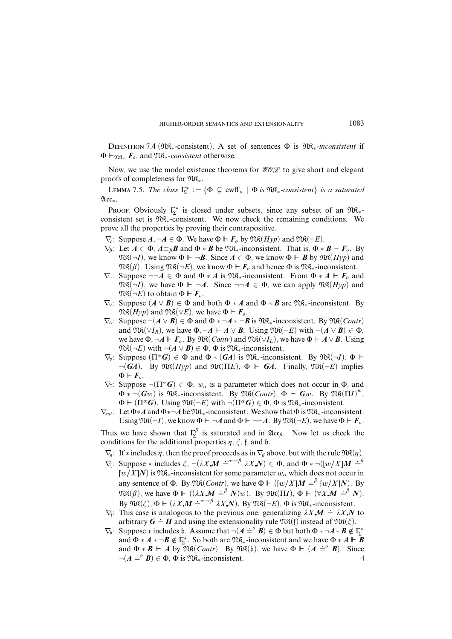Definition 7.4 (NK∗-consistent). A set of sentences Φ is NK∗-*inconsistent* if Φ `NK<sup>∗</sup> *Fo*, and NK∗-*consistent* otherwise.

Now, we use the model existence theorems for  $HOL$  to give short and elegant proofs of completeness for NK∗.

LEMMA 7.5. The class  $\Gamma_{\!\Sigma}^* := \{ \Phi \subseteq \text{cwff}_o \mid \Phi \text{ is } \mathfrak{NR}_*$ -consistent $\}$  is a saturated Acc∗.

PROOF. Obviously  $\Gamma_{\Sigma}^*$  is closed under subsets, since any subset of an  $\mathfrak{M}_{*}$ consistent set is NK∗-consistent. We now check the remaining conditions. We prove all the properties by proving their contrapositive.

- $\nabla_c$ : Suppose  $A, \neg A \in \Phi$ . We have  $\Phi \vdash F_o$  by  $\mathfrak{NR}(Hyp)$  and  $\mathfrak{NR}(\neg E)$ .
- $\nabla_{\beta}$ : Let  $A \in \Phi$ ,  $A \equiv_{\beta} \mathbf{B}$  and  $\Phi * \mathbf{B}$  be  $\mathfrak{M}_{*}$ -inconsistent. That is,  $\Phi * \mathbf{B} \vdash \mathbf{F}_{o}$ . By  $\mathfrak{R}(\neg I)$ , we know  $\Phi \vdash \neg B$ . Since  $A \in \Phi$ , we know  $\Phi \vdash B$  by  $\mathfrak{R}(Hyp)$  and  $\mathfrak{VR}(\beta)$ . Using  $\mathfrak{NR}(\neg E)$ , we know  $\Phi \vdash F_o$  and hence  $\Phi$  is  $\mathfrak{NR}_*$ -inconsistent.
- $\nabla$ <sup>−</sup>: Suppose ¬¬*A* ∈ Φ and Φ ∗ *A* is M $\mathcal{R}_*$ -inconsistent. From Φ ∗ *A*  $\vdash$  **F**<sub>*o*</sub> and  $\mathfrak{R}(\neg I)$ , we have  $\Phi \vdash \neg A$ . Since  $\neg \neg A \in \Phi$ , we can apply  $\mathfrak{R}(Hyp)$  and  $\mathfrak{R}(\neg E)$  to obtain  $\Phi \vdash F_o$ .
- $\nabla$  ∴ Suppose  $(A \vee B)$  ∈  $\Phi$  and both  $\Phi * A$  and  $\Phi * B$  are  $\mathfrak{N}_*$ -inconsistent. By  $\mathfrak{NR}(Hyp)$  and  $\mathfrak{NR}(\vee E)$ , we have  $\Phi \vdash F_o$ .
- $\nabla_{\theta}$ : Suppose ¬( $A \vee B$ ) ∈  $\Phi$  and  $\Phi * \neg A * \neg B$  is  $\mathfrak{NR}_*$ -inconsistent. By  $\mathfrak{NR}(Contr)$ and  $\mathfrak{NR}(\vee I_R)$ , we have  $\Phi$ ,  $\neg A \vDash A \vee B$ . Using  $\mathfrak{NR}(\neg E)$  with  $\neg (A \vee B) \in \Phi$ , we have  $\Phi$ ,  $\neg A \Vdash F_o$ . By  $\mathfrak{Re}(Contr)$  and  $\mathfrak{Re}(\vee I_L)$ , we have  $\Phi \Vdash A \vee B$ . Using  $\mathfrak{NR}(\neg E)$  with  $\neg(A \lor B) \in \Phi$ ,  $\Phi$  is  $\mathfrak{NR}_*$ -inconsistent.
- $\nabla_{\mathbf{V}}$ : Suppose  $(\Pi^{\alpha} \mathbf{G}) \in \Phi$  and  $\Phi * (\mathbf{G}A)$  is  $\mathfrak{N}_{\mathbb{R}}$ +inconsistent. By  $\mathfrak{N}_{\mathbb{R}}(-I)$ ,  $\Phi \models$  $\neg(GA)$ . By  $\mathfrak{NR}(Hyp)$  and  $\mathfrak{NR}(\Pi E)$ ,  $\Phi \vdash GA$ . Finally,  $\mathfrak{NR}(\neg E)$  implies  $\Phi \vdash F_o$ .
- $\nabla_{\exists}$ : Suppose  $\neg(\Pi^{\alpha}G) \in \Phi$ ,  $w_{\alpha}$  is a parameter which does not occur in  $\Phi$ , and  $\Phi * \neg(Gw)$  is  $\mathfrak{NR}_*$ -inconsistent. By  $\mathfrak{NR}(Contr)$ ,  $\Phi \vdash Gw$ . By  $\mathfrak{NR}(\Pi I)^w$ ,  $\Phi \vdash (\Pi^{\alpha} G)$ . Using  $\mathfrak{Re}(\neg E)$  with  $\neg(\Pi^{\alpha} G) \in \Phi$ ,  $\Phi$  is  $\mathfrak{Re}_*$ -inconsistent.
- $\nabla_{\text{Sat}}$ : Let  $\Phi * A$  and  $\Phi * \neg A$  be  $\Re$  $\mathbb{R}_*$ -inconsistent. We show that  $\Phi$  is  $\Re$  $\mathbb{R}_*$ -inconsistent. Using  $\mathfrak{NR}(\neg I)$ , we know  $\Phi \vdash \neg A$  and  $\Phi \vdash \neg \neg A$ . By  $\mathfrak{NR}(\neg E)$ , we have  $\Phi \vdash F_o$ .

Thus we have shown that  $\Gamma_{\Sigma}^{\beta}$  is saturated and in  $\mathfrak{Acc}_{\beta}$ . Now let us check the conditions for the additional properties  $\eta$ ,  $\xi$ ,  $\beta$ , and  $\beta$ .

- $\nabla_{\eta}$ : If \* includes  $\eta$ , then the proof proceeds as in  $\nabla_{\beta}$  above, but with the rule  $\Re(\eta)$ .
- $\nabla_{\xi}$ : Suppose \* includes  $\xi$ ,  $\neg(\lambda X \mathbf{M}) \doteq^{\alpha \rightarrow \beta} \lambda X \mathbf{N}$   $\in \Phi$ , and  $\Phi$  \*  $\neg([w/X] \mathbf{M}) \doteq^{\beta}$  $[w/X]$ *N*) is  $\Re$   $\mathcal{R}_*$ -inconsistent for some parameter  $w_\alpha$  which does not occur in any sentence of Φ. By  $\mathfrak{NR}(Contr)$ , we have  $\Phi \models ([w/X]M \doteq^{\beta} [w/X]N)$ . By  $\mathfrak{TR}(\beta)$ , we have  $\Phi \vdash ((\lambda X \mathbf{M} \doteq^{\beta} N)w)$ . By  $\mathfrak{TR}(\Pi I)$ ,  $\Phi \vdash (\forall X \mathbf{M} \doteq^{\beta} N)$ . By  $\mathfrak{R}(\xi)$ ,  $\Phi \vdash (\lambda X \mathbf{M} \doteq^{\alpha \to \beta} \lambda X \mathbf{N})$ . By  $\mathfrak{R}(\neg E)$ ,  $\Phi$  is  $\mathfrak{R}$ <sub>\*</sub>-inconsistent.
- $\nabla_f$ : This case is analogous to the previous one, generalizing  $\lambda X M = \lambda X N$  to arbitrary  $G = H$  and using the extensionality rule  $\mathfrak{R}(f)$  instead of  $\mathfrak{R}(\xi)$ .
- $\nabla_b$ : Suppose ∗ includes b. Assume that  $\neg$ (*A*  $\stackrel{.}{=}$ <sup>*6*</sup>*B*) ∈ Φ but both Φ ∗  $\neg$ *A* ∗ *B* ∉ Γ<sub>Σ</sub><sup>\*</sup> and  $\Phi * A * \neg B \notin \Gamma_{\Sigma}^*$ . So both are  $\mathfrak{M}_*$ -inconsistent and we have  $\Phi * A \vdash B$ and  $\Phi * \mathbf{B} \vdash A$  by  $\mathfrak{NR}(Contr)$ . By  $\mathfrak{NR}(b)$ , we have  $\Phi \vdash (A \doteq^o \mathbf{B})$ . Since  $\neg (A \stackrel{\text{def}}{=} B) \in \Phi$ ,  $\Phi$  is  $\Re\Re_*$ -inconsistent.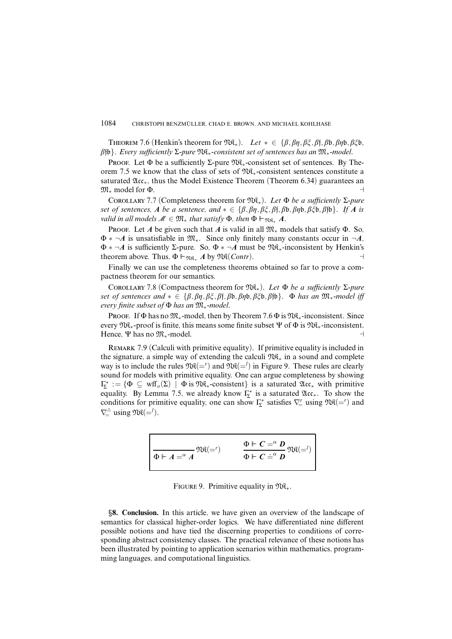THEOREM 7.6 (Henkin's theorem for  $\mathfrak{R}_*$ ). Let  $* \in \{\beta, \beta\eta, \beta\xi, \beta\}$ *f*,  $\beta\phi, \beta\eta\phi, \beta\xi\phi$ *, â*fb}. Every sufficiently Σ-pure NK∗-consistent set of sentences has an M∗-model.

PROOF. Let  $\Phi$  be a sufficiently  $\Sigma$ -pure  $\mathfrak{NR}_{*}$ -consistent set of sentences. By Theorem 7.5 we know that the class of sets of NK∗-consistent sentences constitute a saturated  $\mathfrak{Acc}_*$ , thus the Model Existence Theorem (Theorem 6.34) guarantees an  $\mathfrak{M}_*$  model for  $\Phi$ .

COROLLARY 7.7 (Completeness theorem for  $\mathfrak{R}_*$ ). Let  $\Phi$  be a sufficiently  $\Sigma$ -pure set of sentences, *A* be a sentence, and  $* \in \{\beta, \beta\eta, \beta\xi, \beta\}$ *f*,  $\beta\phi, \beta\phi, \beta\xi\phi, \beta\phi\}$ . If *A* is *valid in all models*  $M \in \mathfrak{M}_*$  *that satisfy*  $\Phi$ *, then*  $\Phi \vDash_{\mathfrak{M}_{\mathbb{R}_*}} A$ *.* 

PROOF. Let *A* be given such that *A* is valid in all  $\mathfrak{M}_{*}$  models that satisfy  $\Phi$ . So,  $\Phi * \neg A$  is unsatisfiable in  $\mathfrak{M}_*$ . Since only finitely many constants occur in  $\neg A$ , Φ ∗ ¬*A* is sufficiently Σ-pure. So, Φ ∗ ¬*A* must be NK∗-inconsistent by Henkin's theorem above. Thus,  $\Phi \vdash_{\mathfrak{NR}_*} A$  by  $\mathfrak{NR}(Contr)$ .

Finally we can use the completeness theorems obtained so far to prove a compactness theorem for our semantics.

COROLLARY 7.8 (Compactness theorem for  $\mathfrak{N}\mathfrak{K}_*$ ). Let  $\Phi$  be a sufficiently  $\Sigma$ -pure set of sentences and ∗ ∈ {*â,âç,âî,â*f*,â*b*,âç*b*,âî*b*,â*fb}. Φ has an M∗-model iff every finite subset of  $\Phi$  has an  $\mathfrak{M}_{*}$ -model.

Proof. If  $\Phi$  has no  $\mathfrak{M}_*$ -model, then by Theorem 7.6  $\Phi$  is  $\mathfrak{M}_*$ -inconsistent. Since every  $\Re$ <sub>\*</sub>-proof is finite, this means some finite subset  $\Psi$  of  $\Phi$  is  $\Re$ \*-inconsistent. Hence, Ψ has no  $\mathfrak{M}_{*}$ -model.

REMARK 7.9 (Calculi with primitive equality). If primitive equality is included in the signature, a simple way of extending the calculi NK<sup>∗</sup> in a sound and complete way is to include the rules  $\mathfrak{Re}(-')$  and  $\mathfrak{Re}(-')$  in Figure 9. These rules are clearly sound for models with primitive equality. One can argue completeness by showing  $\Gamma_{\!\Sigma}^* := \{ \Phi \subseteq \text{wff}_o(\Sigma) \mid \Phi \text{ is } \mathfrak{M}_{*-}\text{consistent} \}$  is a saturated  $\mathfrak{Acc}_{*}$  with primitive equality. By Lemma 7.5, we already know  $\Gamma_{\!\Sigma}^*$  is a saturated  $\mathfrak{Acc}_*$ . To show the conditions for primitive equality, one can show  $\Gamma_{\!\Sigma}^*$  satisfies  $\nabla_{\!\Xi}^r$  using  $\mathfrak{N}(\equiv^r)$  and  $\nabla \dot{=} \text{ using } \Re(\dot{\mathbf{x}}) =$ 

$$
\overline{\Phi \Vdash A} = \alpha A \mathfrak{Re}(-1)
$$
\n
$$
\overline{\Phi \Vdash C} = \alpha D \mathfrak{Re}(-1)
$$
\n
$$
\overline{\Phi \Vdash C} = \alpha D \mathfrak{Re}(-1)
$$

FIGURE 9. Primitive equality in  $\mathfrak{Re}_*$ .

§**8. Conclusion.** In this article, we have given an overview of the landscape of semantics for classical higher-order logics. We have differentiated nine different possible notions and have tied the discerning properties to conditions of corresponding abstract consistency classes. The practical relevance of these notions has been illustrated by pointing to application scenarios within mathematics, programming languages, and computational linguistics.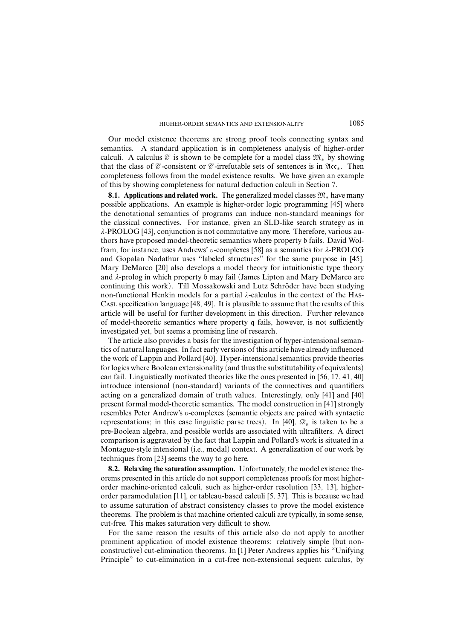Our model existence theorems are strong proof tools connecting syntax and semantics. A standard application is in completeness analysis of higher-order calculi. A calculus C is shown to be complete for a model class  $\mathfrak{M}_*$  by showing that the class of  $\mathscr{C}$ -consistent or  $\mathscr{C}$ -irrefutable sets of sentences is in  $\mathfrak{A}c_{*}$ . Then completeness follows from the model existence results. We have given an example of this by showing completeness for natural deduction calculi in Section 7.

**8.1. Applications and related work.** The generalized model classes M<sup>∗</sup> have many possible applications. An example is higher-order logic programming [45] where the denotational semantics of programs can induce non-standard meanings for the classical connectives. For instance, given an SLD-like search strategy as in *ë*-PROLOG [43], conjunction is not commutative any more. Therefore, various authors have proposed model-theoretic semantics where property b fails. David Wolfram, for instance, uses Andrews' *õ*-complexes [58] as a semantics for *ë*-PROLOG and Gopalan Nadathur uses "labeled structures" for the same purpose in [45]. Mary DeMarco [20] also develops a model theory for intuitionistic type theory and *ë*-prolog in which property b may fail (James Lipton and Mary DeMarco are continuing this work). Till Mossakowski and Lutz Schröder have been studying non-functional Henkin models for a partial  $\lambda$ -calculus in the context of the HAs-Casl specification language [48, 49]. It is plausible to assume that the results of this article will be useful for further development in this direction. Further relevance of model-theoretic semantics where property q fails, however, is not sufficiently investigated yet, but seems a promising line of research.

The article also provides a basis for the investigation of hyper-intensional semantics of natural languages. In fact early versions of this article have already influenced the work of Lappin and Pollard [40]. Hyper-intensional semantics provide theories for logics where Boolean extensionality (and thus the substitutability of equivalents) can fail. Linguistically motivated theories like the ones presented in [56, 17, 41, 40] introduce intensional (non-standard) variants of the connectives and quantifiers acting on a generalized domain of truth values. Interestingly, only [41] and [40] present formal model-theoretic semantics. The model construction in [41] strongly resembles Peter Andrew's *õ*-complexes (semantic objects are paired with syntactic representations; in this case linguistic parse trees). In [40],  $\mathcal{D}_o$  is taken to be a pre-Boolean algebra, and possible worlds are associated with ultrafilters. A direct comparison is aggravated by the fact that Lappin and Pollard's work is situated in a Montague-style intensional (i.e., modal) context. A generalization of our work by techniques from [23] seems the way to go here.

**8.2. Relaxing the saturation assumption.** Unfortunately, the model existence theorems presented in this article do not support completeness proofs for most higherorder machine-oriented calculi, such as higher-order resolution [33, 13], higherorder paramodulation [11], or tableau-based calculi [5, 37]. This is because we had to assume saturation of abstract consistency classes to prove the model existence theorems. The problem is that machine oriented calculi are typically, in some sense, cut-free. This makes saturation very difficult to show.

For the same reason the results of this article also do not apply to another prominent application of model existence theorems: relatively simple (but nonconstructive) cut-elimination theorems. In [1] Peter Andrews applies his "Unifying Principle" to cut-elimination in a cut-free non-extensional sequent calculus, by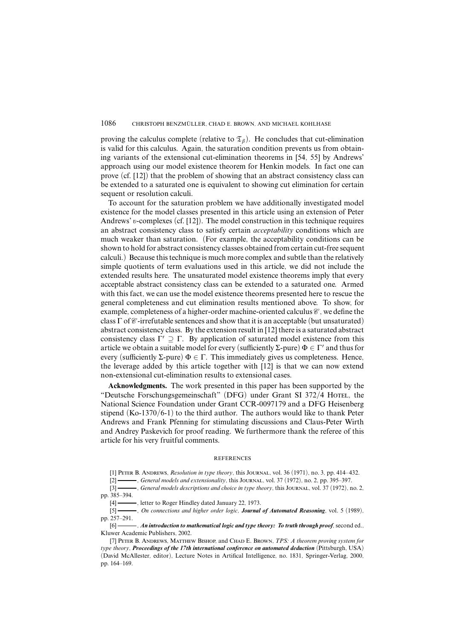proving the calculus complete (relative to  $\mathfrak{T}_{\beta}$ ). He concludes that cut-elimination is valid for this calculus. Again, the saturation condition prevents us from obtaining variants of the extensional cut-elimination theorems in [54, 55] by Andrews' approach using our model existence theorem for Henkin models. In fact one can prove (cf. [12]) that the problem of showing that an abstract consistency class can be extended to a saturated one is equivalent to showing cut elimination for certain sequent or resolution calculi.

To account for the saturation problem we have additionally investigated model existence for the model classes presented in this article using an extension of Peter Andrews' *v*-complexes (cf. [12]). The model construction in this technique requires an abstract consistency class to satisfy certain *acceptability* conditions which are much weaker than saturation. (For example, the acceptability conditions can be shown to hold for abstract consistency classes obtained from certain cut-free sequent calculi.) Because thistechnique is much more complex and subtle than the relatively simple quotients of term evaluations used in this article, we did not include the extended results here. The unsaturated model existence theorems imply that every acceptable abstract consistency class can be extended to a saturated one. Armed with this fact, we can use the model existence theorems presented here to rescue the general completeness and cut elimination results mentioned above. To show, for example, completeness of a higher-order machine-oriented calculus  $\mathcal C$ , we define the class  $\Gamma$  of  $\mathcal{C}$ -irrefutable sentences and show that it is an acceptable (but unsaturated) abstract consistency class. By the extension result in [12] there is a saturated abstract consistency class  $\Gamma' \supseteq \Gamma$ . By application of saturated model existence from this article we obtain a suitable model for every (sufficiently  $\Sigma$ -pure)  $\Phi \in \Gamma'$  and thus for every (sufficiently Σ-pure)  $\Phi \in \Gamma$ . This immediately gives us completeness. Hence, the leverage added by this article together with [12] is that we can now extend non-extensional cut-elimination results to extensional cases.

**Acknowledgments.** The work presented in this paper has been supported by the "Deutsche Forschungsgemeinschaft" (DFG) under Grant SI 372/4 Horel, the National Science Foundation under Grant CCR-0097179 and a DFG Heisenberg stipend  $(Ko-1370/6-1)$  to the third author. The authors would like to thank Peter Andrews and Frank Pfenning for stimulating discussions and Claus-Peter Wirth and Andrey Paskevich for proof reading. We furthermore thank the referee of this article for his very fruitful comments.

#### **REFERENCES**

[1] Peter B. Andrews, *Resolution in type theory*, this Journal, vol. 36 (1971), no. 3, pp. 414–432.

[2] , *General models and extensionality*, this Journal, vol. 37 (1972), no. 2, pp. 395–397.

[3] , *General models descriptions and choice in type theory*, this Journal, vol. 37 (1972), no. 2, pp. 385–394.<br>[4]

-, letter to Roger Hindley dated January 22, 1973.

[5] , *On connections and higher order logic*, *Journal of Automated Reasoning*, vol. 5 (1989), pp. 257–291.

[6] , *An introduction to mathematical logic and type theory: To truth through proof*, second ed., Kluwer Academic Publishers, 2002.

[7] Peter B. Andrews, Matthew Bishop, and Chad E. Brown, *TPS: A theorem proving system for type theory*, *Proceedings of the 17th international conference on automated deduction* (Pittsburgh, USA) (David McAllester, editor), Lecture Notes in Artifical Intelligence, no. 1831, Springer-Verlag, 2000, pp. 164–169.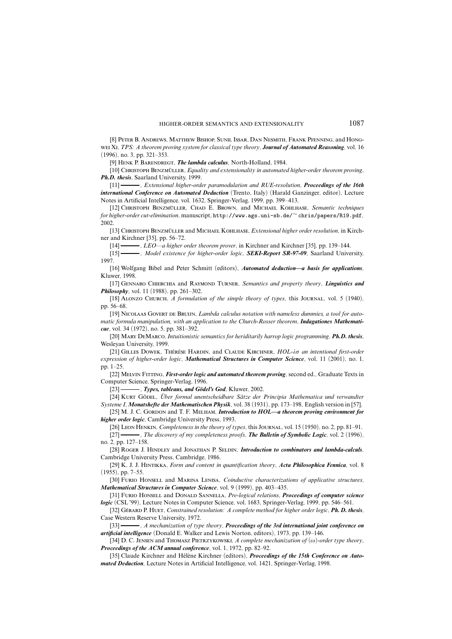[8] Peter B. Andrews, Matthew Bishop, Sunil Issar, Dan Nesmith, Frank Pfenning, and Hongwei Xi, *TPS: A theorem proving system for classical type theory*, *Journal of Automated Reasoning*, vol. 16 (1996), no. 3, pp. 321–353.

[9] Henk P. Barendregt, *The lambda calculus*, North-Holland, 1984.

[10] Christoph Benzmuller ¨ , *Equality and extensionality in automated higher-order theorem proving*, *Ph.D. thesis*, Saarland University, 1999.

[11] , *Extensional higher-order paramodulation and RUE-resolution*, *Proceedings of the 16th international Conference on Automated Deduction* (Trento, Italy) (Harald Ganzinger, editor), Lecture Notes in Artificial Intelligence, vol. 1632, Springer-Verlag, 1999, pp. 399–413.

[12] CHRISTOPH BENZMÜLLER, CHAD E. BROWN, and MICHAEL KOHLHASE, *Semantic techniques for higher-order cut-elimination*, manuscript, http://www.ags.uni-sb.de/<sup>∼</sup> chris/papers/R19.pdf, 2002.

[13] Christoph Benzmuller ¨ and Michael Kohlhase, *Extensional higher order resolution*, in Kirchner and Kirchner [35], pp. 56–72.

[14] , *LEO—a higher order theorem prover*, in Kirchner and Kirchner [35], pp. 139–144.

[15] , *Model existence for higher-order logic*, *SEKI-Report SR-97-09*, Saarland University, 1997.

[16] Wolfgang Bibel and Peter Schmitt (editors), *Automated deduction—a basis for applications*, Kluwer, 1998.

[17] Gennaro Chierchia and Raymond Turner, *Semantics and property theory*, *Linguistics and Philosophy*, vol. 11 (1988), pp. 261–302.

[18] Alonzo Church, *A formulation of the simple theory of types*, this Journal, vol. 5 (1940), pp. 56–68.

[19] Nicolaas Govert de Bruijn, *Lambda calculus notation with nameless dummies, a tool for automatic formula manipulation, with an application to the Church-Rosser theorem*, *Indagationes Mathematicae*, vol. 34 (1972), no. 5, pp. 381–392.

[20] Mary DeMarco, *Intuitionistic semantics for heriditarily harrop logic programming*, *Ph.D. thesis*, Wesleyan University, 1999.

[21] GILLES DOWEK, THÉRÈSE HARDIN, and CLAUDE KIRCHNER,  $HOL- $\lambda\sigma$  *an intentional first-order*$ *expression of higher-order logic*, *Mathematical Structures in Computer Science*, vol. 11 (2001), no. 1, pp. 1–25.

[22] Melvin Fitting, *First-order logic and automated theorem proving*, second ed., Graduate Texts in Computer Science, Springer-Verlag, 1996.

[23] , *Types, tableaus, and Godel' ¨ s God*, Kluwer, 2002.

[24] Kurt Godel ¨ , *Uber ¨ formal unentscheidbare Satz ¨ e der Principia Mathematica und verwandter Systeme I*, *Monatshefte der Mathematischen Physik*, vol. 38 (1931), pp. 173–198, English version in [57].

[25] M. J. C. GORDON and T. F. MELHAM, *Introduction to HOL—a theorem proving environment for higher order logic*, Cambridge University Press, 1993.

[26] Leon Henkin, *Completeness in the theory of types*, this Journal, vol. 15 (1950), no. 2, pp. 81–91. [27] , *The discovery of my completeness proofs*, *The Bulletin of Symbolic Logic*, vol. 2 (1996),

no. 2, pp. 127–158.

[28] Roger J. Hindley and Jonathan P. Seldin, *Introduction to combinators and lambda-calculs*, Cambridge University Press, Cambridge, 1986.

[29] K. J. J. Hintikka, *Form and content in quantification theory*, *Acta Philosophica Fennica*, vol. 8 (1955), pp. 7–55.

[30] Furio Honsell and Marina Lenisa, *Coinductive characterizations of applicative structures*, *Mathematical Structures in Computer Science*, vol. 9 (1999), pp. 403–435.

[31] Furio Honsell and Donald Sannella, *Pre-logical relations*, *Proceedings of computer science logic* (CSL '99), Lecture Notes in Computer Science, vol. 1683, Springer-Verlag, 1999, pp. 546–561.

[32] Ger´ ard P. Huet, *Constrained resolution: A complete method for higher order logic*, *Ph. D. thesis*, Case Western Reserve University, 1972.

[33] , *A mechanization of type theory*, *Proceedings of the 3rd international joint conference on artificial intelligence* (Donald E. Walker and Lewis Norton, editors), 1973, pp. 139–146.

[34] D. C. JENSEN and THOMASZ PIETRZYKOWSKI, *A complete mechanization of*  $(\omega)$ -order *type theory*, *Proceedings of the ACM annual conference*, vol. 1, 1972, pp. 82–92.

[35] Claude Kirchner and Hélène Kirchner (editors), *Proceedings of the 15th Conference on Automated Deduction*, Lecture Notes in Artificial Intelligence, vol. 1421, Springer-Verlag, 1998.